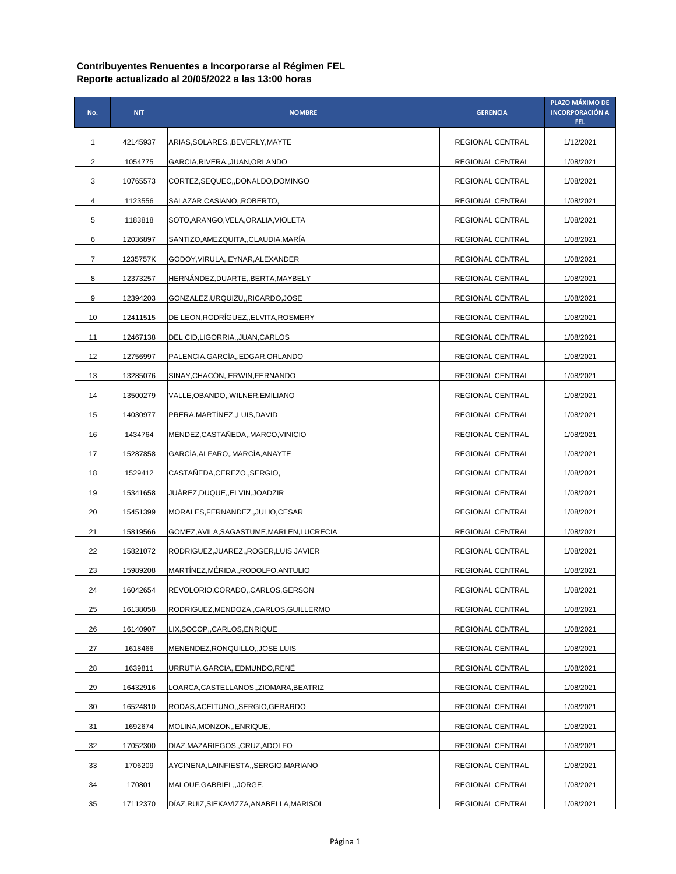| No.         | <b>NIT</b> | <b>NOMBRE</b>                             | <b>GERENCIA</b>  | PLAZO MÁXIMO DE<br><b>INCORPORACIÓN A</b><br>FEL. |
|-------------|------------|-------------------------------------------|------------------|---------------------------------------------------|
| $\mathbf 1$ | 42145937   | ARIAS, SOLARES, BEVERLY, MAYTE            | REGIONAL CENTRAL | 1/12/2021                                         |
| 2           | 1054775    | GARCIA, RIVERA, , JUAN, ORLANDO           | REGIONAL CENTRAL | 1/08/2021                                         |
| 3           | 10765573   | CORTEZ, SEQUEC, DONALDO, DOMINGO          | REGIONAL CENTRAL | 1/08/2021                                         |
| 4           | 1123556    | SALAZAR, CASIANO, , ROBERTO,              | REGIONAL CENTRAL | 1/08/2021                                         |
| 5           | 1183818    | SOTO, ARANGO, VELA, ORALIA, VIOLETA       | REGIONAL CENTRAL | 1/08/2021                                         |
| 6           | 12036897   | SANTIZO, AMEZQUITA, , CLAUDIA, MARIA      | REGIONAL CENTRAL | 1/08/2021                                         |
| 7           | 1235757K   | GODOY, VIRULA, , EYNAR, ALEXANDER         | REGIONAL CENTRAL | 1/08/2021                                         |
| 8           | 12373257   | HERNANDEZ, DUARTE, BERTA, MAYBELY         | REGIONAL CENTRAL | 1/08/2021                                         |
| 9           | 12394203   | GONZALEZ, URQUIZU, , RICARDO, JOSE        | REGIONAL CENTRAL | 1/08/2021                                         |
| 10          | 12411515   | DE LEON, RODRÍGUEZ, ELVITA, ROSMERY       | REGIONAL CENTRAL | 1/08/2021                                         |
| 11          | 12467138   | DEL CID, LIGORRIA, , JUAN, CARLOS         | REGIONAL CENTRAL | 1/08/2021                                         |
| 12          | 12756997   | PALENCIA, GARCÍA, EDGAR, ORLANDO          | REGIONAL CENTRAL | 1/08/2021                                         |
| 13          | 13285076   | SINAY, CHACON, ERWIN, FERNANDO            | REGIONAL CENTRAL | 1/08/2021                                         |
| 14          | 13500279   | VALLE, OBANDO, , WILNER, EMILIANO         | REGIONAL CENTRAL | 1/08/2021                                         |
| 15          | 14030977   | PRERA, MARTINEZ,, LUIS, DAVID             | REGIONAL CENTRAL | 1/08/2021                                         |
| 16          | 1434764    | MÉNDEZ, CASTAÑEDA, , MARCO, VINICIO       | REGIONAL CENTRAL | 1/08/2021                                         |
| 17          | 15287858   | GARCÍA,ALFARO,,MARCÍA,ANAYTE              | REGIONAL CENTRAL | 1/08/2021                                         |
| 18          | 1529412    | CASTAÑEDA,CEREZO,,SERGIO,                 | REGIONAL CENTRAL | 1/08/2021                                         |
| 19          | 15341658   | JUAREZ,DUQUE,,ELVIN,JOADZIR               | REGIONAL CENTRAL | 1/08/2021                                         |
| 20          | 15451399   | MORALES, FERNANDEZ, , JULIO, CESAR        | REGIONAL CENTRAL | 1/08/2021                                         |
| 21          | 15819566   | GOMEZ, AVILA, SAGASTUME, MARLEN, LUCRECIA | REGIONAL CENTRAL | 1/08/2021                                         |
| 22          | 15821072   | RODRIGUEZ, JUAREZ, ROGER, LUIS JAVIER     | REGIONAL CENTRAL | 1/08/2021                                         |
| 23          | 15989208   | MARTINEZ, MERIDA, , RODOLFO, ANTULIO      | REGIONAL CENTRAL | 1/08/2021                                         |
| 24          | 16042654   | REVOLORIO,CORADO,,CARLOS,GERSON           | REGIONAL CENTRAL | 1/08/2021                                         |
| 25          | 16138058   | RODRIGUEZ, MENDOZA,, CARLOS, GUILLERMO    | REGIONAL CENTRAL | 1/08/2021                                         |
| 26          | 16140907   | LIX, SOCOP, , CARLOS, ENRIQUE             | REGIONAL CENTRAL | 1/08/2021                                         |
| 27          | 1618466    | MENENDEZ, RONQUILLO,, JOSE, LUIS          | REGIONAL CENTRAL | 1/08/2021                                         |
| 28          | 1639811    | URRUTIA, GARCIA, EDMUNDO, RENÉ            | REGIONAL CENTRAL | 1/08/2021                                         |
| 29          | 16432916   | LOARCA,CASTELLANOS,,ZIOMARA,BEATRIZ       | REGIONAL CENTRAL | 1/08/2021                                         |
| 30          | 16524810   | RODAS, ACEITUNO, , SERGIO, GERARDO        | REGIONAL CENTRAL | 1/08/2021                                         |
| 31          | 1692674    | MOLINA, MONZON, ENRIQUE,                  | REGIONAL CENTRAL | 1/08/2021                                         |
| 32          | 17052300   | DIAZ, MAZARIEGOS, , CRUZ, ADOLFO          | REGIONAL CENTRAL | 1/08/2021                                         |
| 33          | 1706209    | AYCINENA,LAINFIESTA,,SERGIO,MARIANO       | REGIONAL CENTRAL | 1/08/2021                                         |
| 34          | 170801     | MALOUF, GABRIEL, , JORGE,                 | REGIONAL CENTRAL | 1/08/2021                                         |
| 35          | 17112370   | DIAZ, RUIZ, SIEKAVIZZA, ANABELLA, MARISOL | REGIONAL CENTRAL | 1/08/2021                                         |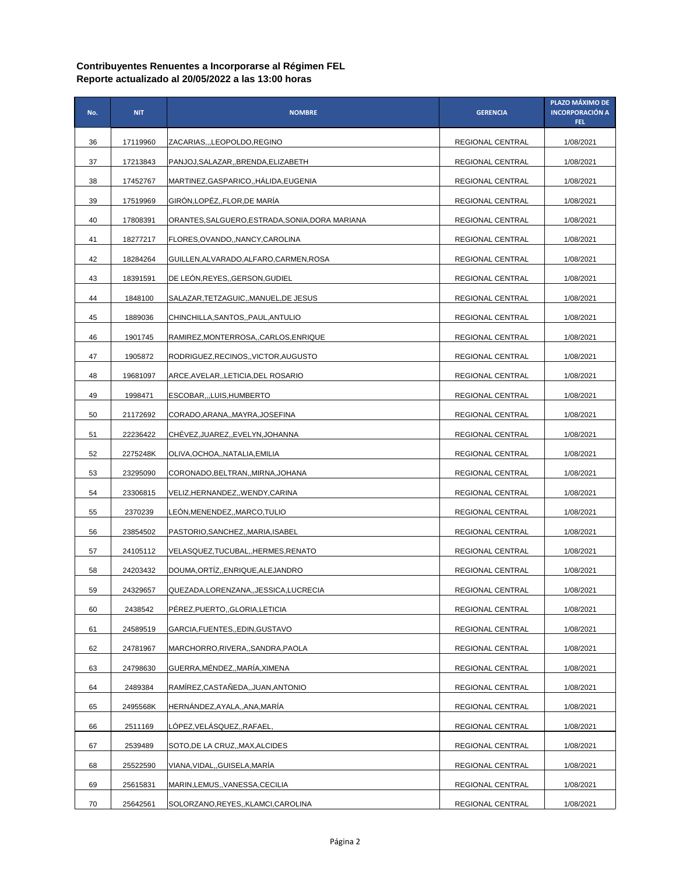| No. | <b>NIT</b> | <b>NOMBRE</b>                                   | <b>GERENCIA</b>  | PLAZO MÁXIMO DE<br><b>INCORPORACIÓN A</b><br>FEL. |
|-----|------------|-------------------------------------------------|------------------|---------------------------------------------------|
| 36  | 17119960   | ZACARIAS,,,LEOPOLDO,REGINO                      | REGIONAL CENTRAL | 1/08/2021                                         |
| 37  | 17213843   | PANJOJ, SALAZAR, , BRENDA, ELIZABETH            | REGIONAL CENTRAL | 1/08/2021                                         |
| 38  | 17452767   | MARTINEZ, GASPARICO, HALIDA, EUGENIA            | REGIONAL CENTRAL | 1/08/2021                                         |
| 39  | 17519969   | GIRÓN, LOPÉZ, FLOR, DE MARÍA                    | REGIONAL CENTRAL | 1/08/2021                                         |
| 40  | 17808391   | ORANTES, SALGUERO, ESTRADA, SONIA, DORA MARIANA | REGIONAL CENTRAL | 1/08/2021                                         |
| 41  | 18277217   | FLORES, OVANDO,, NANCY, CAROLINA                | REGIONAL CENTRAL | 1/08/2021                                         |
| 42  | 18284264   | GUILLEN, ALVARADO, ALFARO, CARMEN, ROSA         | REGIONAL CENTRAL | 1/08/2021                                         |
| 43  | 18391591   | DE LEON, REYES, GERSON, GUDIEL                  | REGIONAL CENTRAL | 1/08/2021                                         |
| 44  | 1848100    | SALAZAR, TETZAGUIC, MANUEL, DE JESUS            | REGIONAL CENTRAL | 1/08/2021                                         |
| 45  | 1889036    | CHINCHILLA, SANTOS, PAUL, ANTULIO               | REGIONAL CENTRAL | 1/08/2021                                         |
| 46  | 1901745    | RAMIREZ, MONTERROSA,, CARLOS, ENRIQUE           | REGIONAL CENTRAL | 1/08/2021                                         |
| 47  | 1905872    | RODRIGUEZ, RECINOS,, VICTOR, AUGUSTO            | REGIONAL CENTRAL | 1/08/2021                                         |
| 48  | 19681097   | ARCE, AVELAR, LETICIA, DEL ROSARIO              | REGIONAL CENTRAL | 1/08/2021                                         |
| 49  | 1998471    | ESCOBARLUIS, HUMBERTO                           | REGIONAL CENTRAL | 1/08/2021                                         |
| 50  | 21172692   | CORADO,ARANA,,MAYRA,JOSEFINA                    | REGIONAL CENTRAL | 1/08/2021                                         |
| 51  | 22236422   | CHEVEZ, JUAREZ, EVELYN, JOHANNA                 | REGIONAL CENTRAL | 1/08/2021                                         |
| 52  | 2275248K   | OLIVA, OCHOA, , NATALIA, EMILIA                 | REGIONAL CENTRAL | 1/08/2021                                         |
| 53  | 23295090   | CORONADO, BELTRAN, , MIRNA, JOHANA              | REGIONAL CENTRAL | 1/08/2021                                         |
| 54  | 23306815   | VELIZ,HERNANDEZ,,WENDY,CARINA                   | REGIONAL CENTRAL | 1/08/2021                                         |
| 55  | 2370239    | LEON, MENENDEZ, , MARCO, TULIO                  | REGIONAL CENTRAL | 1/08/2021                                         |
| 56  | 23854502   | PASTORIO, SANCHEZ, MARIA, ISABEL                | REGIONAL CENTRAL | 1/08/2021                                         |
| 57  | 24105112   | VELASQUEZ,TUCUBAL,,HERMES,RENATO                | REGIONAL CENTRAL | 1/08/2021                                         |
| 58  | 24203432   | DOUMA, ORTIZ, ENRIQUE, ALEJANDRO                | REGIONAL CENTRAL | 1/08/2021                                         |
| 59  | 24329657   | QUEZADA, LORENZANA,, JESSICA, LUCRECIA          | REGIONAL CENTRAL | 1/08/2021                                         |
| 60  | 2438542    | PÉREZ, PUERTO, GLORIA, LETICIA                  | REGIONAL CENTRAL | 1/08/2021                                         |
| 61  | 24589519   | GARCIA, FUENTES, EDIN, GUSTAVO                  | REGIONAL CENTRAL | 1/08/2021                                         |
| 62  | 24781967   | MARCHORRO, RIVERA, , SANDRA, PAOLA              | REGIONAL CENTRAL | 1/08/2021                                         |
| 63  | 24798630   | GUERRA, MÉNDEZ, , MARÍA, XIMENA                 | REGIONAL CENTRAL | 1/08/2021                                         |
| 64  | 2489384    | RAMIREZ,CASTAÑEDA,,JUAN,ANTONIO                 | REGIONAL CENTRAL | 1/08/2021                                         |
| 65  | 2495568K   | HERNÁNDEZ, AYALA, , ANA, MARÍA                  | REGIONAL CENTRAL | 1/08/2021                                         |
| 66  | 2511169    | LOPEZ, VELASQUEZ,, RAFAEL,                      | REGIONAL CENTRAL | 1/08/2021                                         |
| 67  | 2539489    | SOTO, DE LA CRUZ,, MAX, ALCIDES                 | REGIONAL CENTRAL | 1/08/2021                                         |
| 68  | 25522590   | VIANA, VIDAL, , GUISELA, MARÍA                  | REGIONAL CENTRAL | 1/08/2021                                         |
| 69  | 25615831   | MARIN, LEMUS, , VANESSA, CECILIA                | REGIONAL CENTRAL | 1/08/2021                                         |
| 70  | 25642561   | SOLORZANO, REYES, , KLAMCI, CAROLINA            | REGIONAL CENTRAL | 1/08/2021                                         |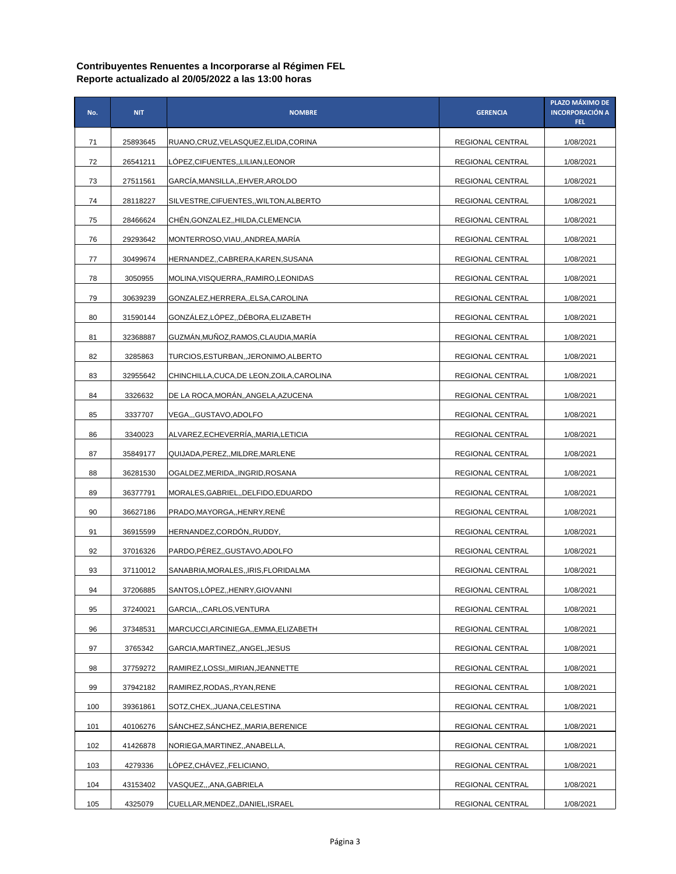| No. | <b>NIT</b> | <b>NOMBRE</b>                              | <b>GERENCIA</b>  | PLAZO MÁXIMO DE<br><b>INCORPORACIÓN A</b><br>FEL. |
|-----|------------|--------------------------------------------|------------------|---------------------------------------------------|
| 71  | 25893645   | RUANO, CRUZ, VELASQUEZ, ELIDA, CORINA      | REGIONAL CENTRAL | 1/08/2021                                         |
| 72  | 26541211   | LOPEZ,CIFUENTES,,LILIAN,LEONOR             | REGIONAL CENTRAL | 1/08/2021                                         |
| 73  | 27511561   | GARCIA, MANSILLA, , EHVER, AROLDO          | REGIONAL CENTRAL | 1/08/2021                                         |
| 74  | 28118227   | SILVESTRE, CIFUENTES, WILTON, ALBERTO      | REGIONAL CENTRAL | 1/08/2021                                         |
| 75  | 28466624   | CHÉN, GONZALEZ, HILDA, CLEMENCIA           | REGIONAL CENTRAL | 1/08/2021                                         |
| 76  | 29293642   | MONTERROSO, VIAU, , ANDREA, MARIA          | REGIONAL CENTRAL | 1/08/2021                                         |
| 77  | 30499674   | HERNANDEZ,,CABRERA,KAREN,SUSANA            | REGIONAL CENTRAL | 1/08/2021                                         |
| 78  | 3050955    | MOLINA, VISQUERRA,, RAMIRO, LEONIDAS       | REGIONAL CENTRAL | 1/08/2021                                         |
| 79  | 30639239   | GONZALEZ, HERRERA, , ELSA, CAROLINA        | REGIONAL CENTRAL | 1/08/2021                                         |
| 80  | 31590144   | GONZALEZ,LOPEZ,,DEBORA,ELIZABETH           | REGIONAL CENTRAL | 1/08/2021                                         |
| 81  | 32368887   | GUZMÁN, MUÑOZ, RAMOS, CLAUDIA, MARÍA       | REGIONAL CENTRAL | 1/08/2021                                         |
| 82  | 3285863    | TURCIOS, ESTURBAN, JERONIMO, ALBERTO       | REGIONAL CENTRAL | 1/08/2021                                         |
| 83  | 32955642   | CHINCHILLA, CUCA, DE LEON, ZOILA, CAROLINA | REGIONAL CENTRAL | 1/08/2021                                         |
| 84  | 3326632    | DE LA ROCA, MORAN, , ANGELA, AZUCENA       | REGIONAL CENTRAL | 1/08/2021                                         |
| 85  | 3337707    | VEGAGUSTAVO, ADOLFO                        | REGIONAL CENTRAL | 1/08/2021                                         |
| 86  | 3340023    | ALVAREZ,ECHEVERRÍA,,MARIA,LETICIA          | REGIONAL CENTRAL | 1/08/2021                                         |
| 87  | 35849177   | QUIJADA, PEREZ, MILDRE, MARLENE            | REGIONAL CENTRAL | 1/08/2021                                         |
| 88  | 36281530   | OGALDEZ,MERIDA,,INGRID,ROSANA              | REGIONAL CENTRAL | 1/08/2021                                         |
| 89  | 36377791   | MORALES, GABRIEL, DELFIDO, EDUARDO         | REGIONAL CENTRAL | 1/08/2021                                         |
| 90  | 36627186   | PRADO, MAYORGA, HENRY, RENE                | REGIONAL CENTRAL | 1/08/2021                                         |
| 91  | 36915599   | HERNANDEZ,CORDON,,RUDDY,                   | REGIONAL CENTRAL | 1/08/2021                                         |
| 92  | 37016326   | PARDO, PÉREZ, GUSTAVO, ADOLFO              | REGIONAL CENTRAL | 1/08/2021                                         |
| 93  | 37110012   | SANABRIA, MORALES, , IRIS, FLORIDALMA      | REGIONAL CENTRAL | 1/08/2021                                         |
| 94  | 37206885   | SANTOS, LÓPEZ, HENRY, GIOVANNI             | REGIONAL CENTRAL | 1/08/2021                                         |
| 95  | 37240021   | GARCIA,,,CARLOS,VENTURA                    | REGIONAL CENTRAL | 1/08/2021                                         |
| 96  | 37348531   | MARCUCCI, ARCINIEGA, , EMMA, ELIZABETH     | REGIONAL CENTRAL | 1/08/2021                                         |
| 97  | 3765342    | GARCIA, MARTINEZ, , ANGEL, JESUS           | REGIONAL CENTRAL | 1/08/2021                                         |
| 98  | 37759272   | RAMIREZ,LOSSI,,MIRIAN,JEANNETTE            | REGIONAL CENTRAL | 1/08/2021                                         |
| 99  | 37942182   | RAMIREZ, RODAS, , RYAN, RENE               | REGIONAL CENTRAL | 1/08/2021                                         |
| 100 | 39361861   | SOTZ, CHEX, , JUANA, CELESTINA             | REGIONAL CENTRAL | 1/08/2021                                         |
| 101 | 40106276   | SÁNCHEZ, SÁNCHEZ, , MARIA, BERENICE        | REGIONAL CENTRAL | 1/08/2021                                         |
| 102 | 41426878   | NORIEGA, MARTINEZ, , ANABELLA,             | REGIONAL CENTRAL | 1/08/2021                                         |
| 103 | 4279336    | LÓPEZ,CHÁVEZ,,FELICIANO,                   | REGIONAL CENTRAL | 1/08/2021                                         |
| 104 | 43153402   | VASQUEZ,,,ANA,GABRIELA                     | REGIONAL CENTRAL | 1/08/2021                                         |
| 105 | 4325079    | CUELLAR, MENDEZ, , DANIEL, ISRAEL          | REGIONAL CENTRAL | 1/08/2021                                         |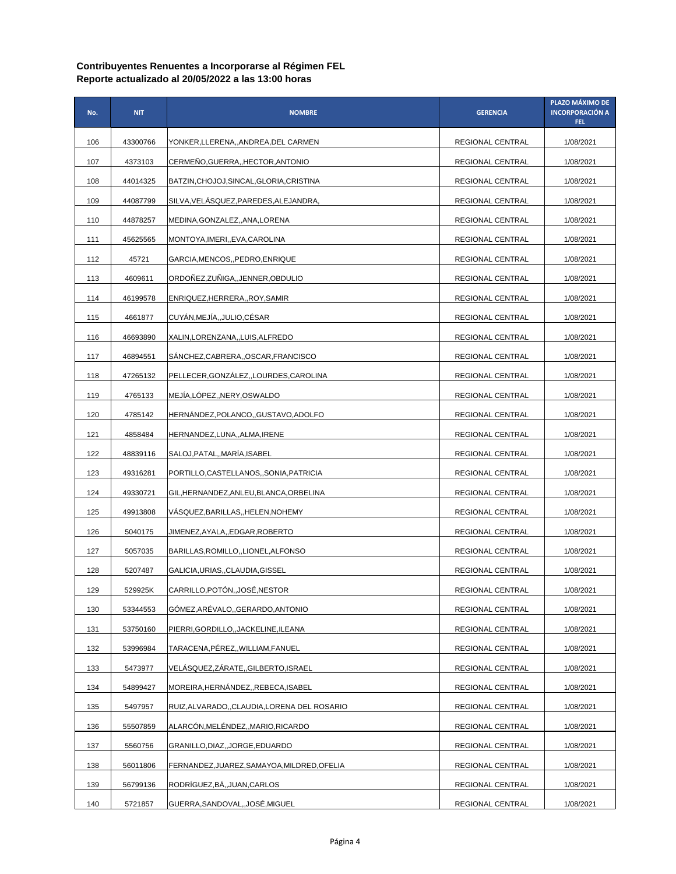| No. | <b>NIT</b> | <b>NOMBRE</b>                                 | <b>GERENCIA</b>  | PLAZO MÁXIMO DE<br><b>INCORPORACIÓN A</b><br><b>FEL</b> |
|-----|------------|-----------------------------------------------|------------------|---------------------------------------------------------|
| 106 | 43300766   | YONKER,LLERENA,,ANDREA,DEL CARMEN             | REGIONAL CENTRAL | 1/08/2021                                               |
| 107 | 4373103    | CERMENO, GUERRA, HECTOR, ANTONIO              | REGIONAL CENTRAL | 1/08/2021                                               |
| 108 | 44014325   | BATZIN, CHOJOJ, SINCAL, GLORIA, CRISTINA      | REGIONAL CENTRAL | 1/08/2021                                               |
| 109 | 44087799   | SILVA, VELASQUEZ, PAREDES, ALEJANDRA,         | REGIONAL CENTRAL | 1/08/2021                                               |
| 110 | 44878257   | MEDINA, GONZALEZ,, ANA, LORENA                | REGIONAL CENTRAL | 1/08/2021                                               |
| 111 | 45625565   | MONTOYA, IMERI,, EVA, CAROLINA                | REGIONAL CENTRAL | 1/08/2021                                               |
| 112 | 45721      | GARCIA,MENCOS,,PEDRO,ENRIQUE                  | REGIONAL CENTRAL | 1/08/2021                                               |
| 113 | 4609611    | ORDOÑEZ,ZUÑIGA,,JENNER,OBDULIO                | REGIONAL CENTRAL | 1/08/2021                                               |
| 114 | 46199578   | ENRIQUEZ, HERRERA, , ROY, SAMIR               | REGIONAL CENTRAL | 1/08/2021                                               |
| 115 | 4661877    | CUYAN, MEJIA, , JULIO, CESAR                  | REGIONAL CENTRAL | 1/08/2021                                               |
| 116 | 46693890   | XALIN, LORENZANA,, LUIS, ALFREDO              | REGIONAL CENTRAL | 1/08/2021                                               |
| 117 | 46894551   | SANCHEZ,CABRERA,,OSCAR,FRANCISCO              | REGIONAL CENTRAL | 1/08/2021                                               |
| 118 | 47265132   | PELLECER, GONZALEZ, LOURDES, CAROLINA         | REGIONAL CENTRAL | 1/08/2021                                               |
| 119 | 4765133    | MEJİA,LOPEZ,,NERY,OSWALDO                     | REGIONAL CENTRAL | 1/08/2021                                               |
| 120 | 4785142    | HERNÁNDEZ, POLANCO, GUSTAVO, ADOLFO           | REGIONAL CENTRAL | 1/08/2021                                               |
| 121 | 4858484    | HERNANDEZ,LUNA,,ALMA,IRENE                    | REGIONAL CENTRAL | 1/08/2021                                               |
| 122 | 48839116   | SALOJ, PATAL, , MARÍA, ISABEL                 | REGIONAL CENTRAL | 1/08/2021                                               |
| 123 | 49316281   | PORTILLO,CASTELLANOS,,SONIA,PATRICIA          | REGIONAL CENTRAL | 1/08/2021                                               |
| 124 | 49330721   | GIL,HERNANDEZ,ANLEU,BLANCA,ORBELINA           | REGIONAL CENTRAL | 1/08/2021                                               |
| 125 | 49913808   | VASQUEZ,BARILLAS,,HELEN,NOHEMY                | REGIONAL CENTRAL | 1/08/2021                                               |
| 126 | 5040175    | JIMENEZ,AYALA,,EDGAR,ROBERTO                  | REGIONAL CENTRAL | 1/08/2021                                               |
| 127 | 5057035    | BARILLAS,ROMILLO,,LIONEL,ALFONSO              | REGIONAL CENTRAL | 1/08/2021                                               |
| 128 | 5207487    | GALICIA,URIAS,,CLAUDIA,GISSEL                 | REGIONAL CENTRAL | 1/08/2021                                               |
| 129 | 529925K    | CARRILLO, POTÓN,, JOSÉ, NESTOR                | REGIONAL CENTRAL | 1/08/2021                                               |
| 130 | 53344553   | GÓMEZ, ARÉVALO, GERARDO, ANTONIO              | REGIONAL CENTRAL | 1/08/2021                                               |
| 131 | 53750160   | PIERRI, GORDILLO,, JACKELINE, ILEANA          | REGIONAL CENTRAL | 1/08/2021                                               |
| 132 | 53996984   | TARACENA, PÉREZ,, WILLIAM, FANUEL             | REGIONAL CENTRAL | 1/08/2021                                               |
| 133 | 5473977    | VELÁSQUEZ,ZÁRATE,,GILBERTO,ISRAEL             | REGIONAL CENTRAL | 1/08/2021                                               |
| 134 | 54899427   | MOREIRA, HERNANDEZ, , REBECA, ISABEL          | REGIONAL CENTRAL | 1/08/2021                                               |
| 135 | 5497957    | RUIZ, ALVARADO, , CLAUDIA, LORENA DEL ROSARIO | REGIONAL CENTRAL | 1/08/2021                                               |
| 136 | 55507859   | ALARCÓN, MELÉNDEZ, , MARIO, RICARDO           | REGIONAL CENTRAL | 1/08/2021                                               |
| 137 | 5560756    | GRANILLO,DIAZ,,JORGE,EDUARDO                  | REGIONAL CENTRAL | 1/08/2021                                               |
| 138 | 56011806   | FERNANDEZ, JUAREZ, SAMAYOA, MILDRED, OFELIA   | REGIONAL CENTRAL | 1/08/2021                                               |
| 139 | 56799136   | RODRÍGUEZ, BÁ,, JUAN, CARLOS                  | REGIONAL CENTRAL | 1/08/2021                                               |
| 140 | 5721857    | GUERRA, SANDOVAL, , JOSÉ, MIGUEL              | REGIONAL CENTRAL | 1/08/2021                                               |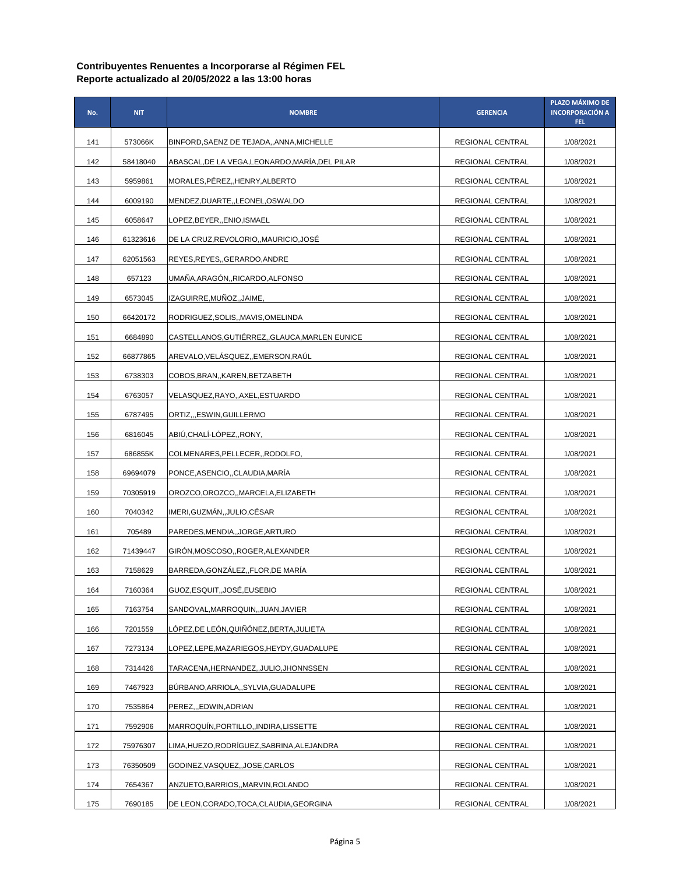| No. | <b>NIT</b> | <b>NOMBRE</b>                                   | <b>GERENCIA</b>  | PLAZO MÁXIMO DE<br><b>INCORPORACIÓN A</b><br>FEL. |
|-----|------------|-------------------------------------------------|------------------|---------------------------------------------------|
| 141 | 573066K    | BINFORD, SAENZ DE TEJADA, , ANNA, MICHELLE      | REGIONAL CENTRAL | 1/08/2021                                         |
| 142 | 58418040   | ABASCAL,DE LA VEGA,LEONARDO,MARÍA,DEL PILAR     | REGIONAL CENTRAL | 1/08/2021                                         |
| 143 | 5959861    | MORALES, PEREZ, HENRY, ALBERTO                  | REGIONAL CENTRAL | 1/08/2021                                         |
| 144 | 6009190    | MENDEZ, DUARTE,, LEONEL, OSWALDO                | REGIONAL CENTRAL | 1/08/2021                                         |
| 145 | 6058647    | LOPEZ, BEYER, , ENIO, ISMAEL                    | REGIONAL CENTRAL | 1/08/2021                                         |
| 146 | 61323616   | DE LA CRUZ, REVOLORIO,, MAURICIO, JOSE          | REGIONAL CENTRAL | 1/08/2021                                         |
| 147 | 62051563   | REYES, REYES, GERARDO, ANDRE                    | REGIONAL CENTRAL | 1/08/2021                                         |
| 148 | 657123     | UMAÑA, ARAGÓN, RICARDO, ALFONSO                 | REGIONAL CENTRAL | 1/08/2021                                         |
| 149 | 6573045    | IZAGUIRRE, MUÑOZ, , JAIME,                      | REGIONAL CENTRAL | 1/08/2021                                         |
| 150 | 66420172   | RODRIGUEZ, SOLIS, , MAVIS, OMELINDA             | REGIONAL CENTRAL | 1/08/2021                                         |
| 151 | 6684890    | CASTELLANOS, GUTIÉRREZ, , GLAUCA, MARLEN EUNICE | REGIONAL CENTRAL | 1/08/2021                                         |
| 152 | 66877865   | AREVALO, VELÁSQUEZ, EMERSON, RAÚL               | REGIONAL CENTRAL | 1/08/2021                                         |
| 153 | 6738303    | COBOS, BRAN,, KAREN, BETZABETH                  | REGIONAL CENTRAL | 1/08/2021                                         |
| 154 | 6763057    | VELASQUEZ,RAYO,,AXEL,ESTUARDO                   | REGIONAL CENTRAL | 1/08/2021                                         |
| 155 | 6787495    | ORTIZ,,,ESWIN,GUILLERMO                         | REGIONAL CENTRAL | 1/08/2021                                         |
| 156 | 6816045    | ABIÚ, CHALÍ-LÓPEZ, , RONY,                      | REGIONAL CENTRAL | 1/08/2021                                         |
| 157 | 686855K    | COLMENARES,PELLECER,,RODOLFO,                   | REGIONAL CENTRAL | 1/08/2021                                         |
| 158 | 69694079   | PONCE, ASENCIO, , CLAUDIA, MARIA                | REGIONAL CENTRAL | 1/08/2021                                         |
| 159 | 70305919   | OROZCO,OROZCO,,MARCELA,ELIZABETH                | REGIONAL CENTRAL | 1/08/2021                                         |
| 160 | 7040342    | IMERI, GUZMÁN, , JULIO, CÉSAR                   | REGIONAL CENTRAL | 1/08/2021                                         |
| 161 | 705489     | PAREDES, MENDIA, , JORGE, ARTURO                | REGIONAL CENTRAL | 1/08/2021                                         |
| 162 | 71439447   | GIRÓN, MOSCOSO, , ROGER, ALEXANDER              | REGIONAL CENTRAL | 1/08/2021                                         |
| 163 | 7158629    | BARREDA, GONZALEZ, FLOR, DE MARIA               | REGIONAL CENTRAL | 1/08/2021                                         |
| 164 | 7160364    | GUOZ,ESQUIT,,JOSÉ,EUSEBIO                       | REGIONAL CENTRAL | 1/08/2021                                         |
| 165 | 7163754    | SANDOVAL, MARROQUIN, , JUAN, JAVIER             | REGIONAL CENTRAL | 1/08/2021                                         |
| 166 | 7201559    | LÓPEZ,DE LEÓN,QUIÑÓNEZ,BERTA,JULIETA            | REGIONAL CENTRAL | 1/08/2021                                         |
| 167 | 7273134    | LOPEZ,LEPE, MAZARIEGOS, HEYDY, GUADALUPE        | REGIONAL CENTRAL | 1/08/2021                                         |
| 168 | 7314426    | TARACENA, HERNANDEZ, , JULIO, JHONNSSEN         | REGIONAL CENTRAL | 1/08/2021                                         |
| 169 | 7467923    | BURBANO, ARRIOLA, , SYLVIA, GUADALUPE           | REGIONAL CENTRAL | 1/08/2021                                         |
| 170 | 7535864    | PEREZEDWIN, ADRIAN                              | REGIONAL CENTRAL | 1/08/2021                                         |
| 171 | 7592906    | MARROQUÍN, PORTILLO,, INDIRA, LISSETTE          | REGIONAL CENTRAL | 1/08/2021                                         |
| 172 | 75976307   | LIMA, HUEZO, RODRÍGUEZ, SABRINA, ALEJANDRA      | REGIONAL CENTRAL | 1/08/2021                                         |
| 173 | 76350509   | GODINEZ,VASQUEZ,,JOSE,CARLOS                    | REGIONAL CENTRAL | 1/08/2021                                         |
| 174 | 7654367    | ANZUETO, BARRIOS, , MARVIN, ROLANDO             | REGIONAL CENTRAL | 1/08/2021                                         |
| 175 | 7690185    | DE LEON,CORADO,TOCA,CLAUDIA,GEORGINA            | REGIONAL CENTRAL | 1/08/2021                                         |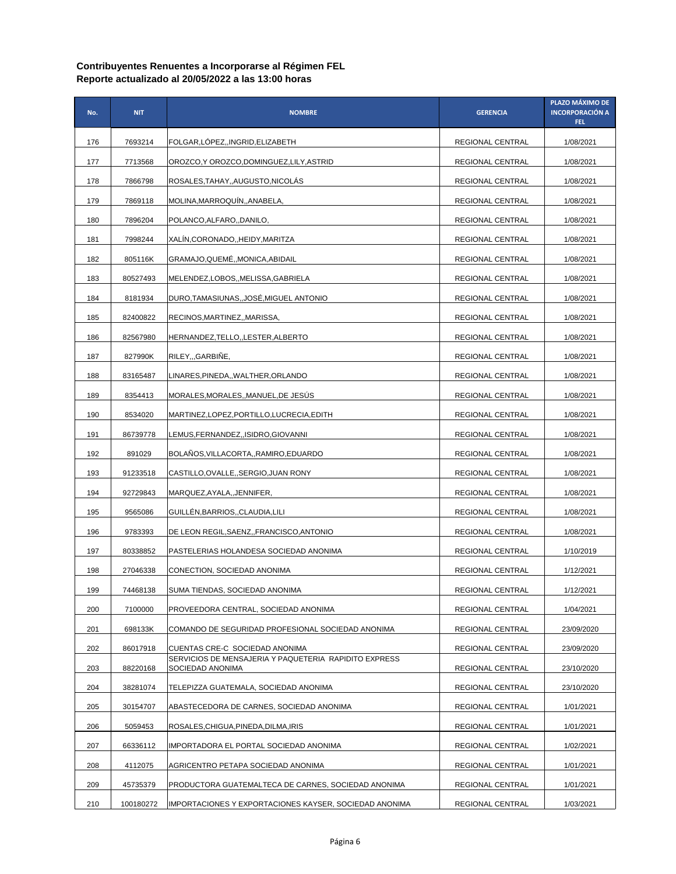| No. | <b>NIT</b> | <b>NOMBRE</b>                                                             | <b>GERENCIA</b>  | PLAZO MÁXIMO DE<br><b>INCORPORACIÓN A</b><br>FEL. |
|-----|------------|---------------------------------------------------------------------------|------------------|---------------------------------------------------|
| 176 | 7693214    | FOLGAR,LOPEZ,,INGRID,ELIZABETH                                            | REGIONAL CENTRAL | 1/08/2021                                         |
| 177 | 7713568    | OROZCO, Y OROZCO, DOMINGUEZ, LILY, ASTRID                                 | REGIONAL CENTRAL | 1/08/2021                                         |
| 178 | 7866798    | ROSALES, TAHAY, , AUGUSTO, NICOLAS                                        | REGIONAL CENTRAL | 1/08/2021                                         |
| 179 | 7869118    | MOLINA, MARROQUIN, , ANABELA,                                             | REGIONAL CENTRAL | 1/08/2021                                         |
| 180 | 7896204    | POLANCO, ALFARO, DANILO,                                                  | REGIONAL CENTRAL | 1/08/2021                                         |
| 181 | 7998244    | XALIN,CORONADO,,HEIDY,MARITZA                                             | REGIONAL CENTRAL | 1/08/2021                                         |
| 182 | 805116K    | GRAMAJO, QUEMÉ, MONICA, ABIDAIL                                           | REGIONAL CENTRAL | 1/08/2021                                         |
| 183 | 80527493   | MELENDEZ,LOBOS,,MELISSA,GABRIELA                                          | REGIONAL CENTRAL | 1/08/2021                                         |
| 184 | 8181934    | DURO,TAMASIUNAS,,JOSĖ,MIGUEL ANTONIO                                      | REGIONAL CENTRAL | 1/08/2021                                         |
| 185 | 82400822   | RECINOS, MARTINEZ, , MARISSA,                                             | REGIONAL CENTRAL | 1/08/2021                                         |
| 186 | 82567980   | HERNANDEZ, TELLO, , LESTER, ALBERTO                                       | REGIONAL CENTRAL | 1/08/2021                                         |
| 187 | 827990K    | RILEY,,,GARBINE,                                                          | REGIONAL CENTRAL | 1/08/2021                                         |
| 188 | 83165487   | LINARES,PINEDA,,WALTHER,ORLANDO                                           | REGIONAL CENTRAL | 1/08/2021                                         |
| 189 | 8354413    | MORALES, MORALES, , MANUEL, DE JESUS                                      | REGIONAL CENTRAL | 1/08/2021                                         |
| 190 | 8534020    | MARTINEZ,LOPEZ,PORTILLO,LUCRECIA,EDITH                                    | REGIONAL CENTRAL | 1/08/2021                                         |
| 191 | 86739778   | LEMUS,FERNANDEZ,,ISIDRO,GIOVANNI                                          | REGIONAL CENTRAL | 1/08/2021                                         |
| 192 | 891029     | BOLANOS, VILLACORTA,, RAMIRO, EDUARDO                                     | REGIONAL CENTRAL | 1/08/2021                                         |
| 193 | 91233518   | CASTILLO, OVALLE, SERGIO, JUAN RONY                                       | REGIONAL CENTRAL | 1/08/2021                                         |
| 194 | 92729843   | MARQUEZ, AYALA,, JENNIFER,                                                | REGIONAL CENTRAL | 1/08/2021                                         |
| 195 | 9565086    | GUILLEN, BARRIOS, , CLAUDIA, LILI                                         | REGIONAL CENTRAL | 1/08/2021                                         |
| 196 | 9783393    | DE LEON REGIL, SAENZ, , FRANCISCO, ANTONIO                                | REGIONAL CENTRAL | 1/08/2021                                         |
| 197 | 80338852   | PASTELERIAS HOLANDESA SOCIEDAD ANONIMA                                    | REGIONAL CENTRAL | 1/10/2019                                         |
| 198 | 27046338   | CONECTION, SOCIEDAD ANONIMA                                               | REGIONAL CENTRAL | 1/12/2021                                         |
| 199 | 74468138   | SUMA TIENDAS, SOCIEDAD ANONIMA                                            | REGIONAL CENTRAL | 1/12/2021                                         |
| 200 | 7100000    | PROVEEDORA CENTRAL, SOCIEDAD ANONIMA                                      | REGIONAL CENTRAL | 1/04/2021                                         |
| 201 | 698133K    | COMANDO DE SEGURIDAD PROFESIONAL SOCIEDAD ANONIMA                         | REGIONAL CENTRAL | 23/09/2020                                        |
| 202 | 86017918   | CUENTAS CRE-C SOCIEDAD ANONIMA                                            | REGIONAL CENTRAL | 23/09/2020                                        |
| 203 | 88220168   | SERVICIOS DE MENSAJERIA Y PAQUETERIA RAPIDITO EXPRESS<br>SOCIEDAD ANONIMA | REGIONAL CENTRAL | 23/10/2020                                        |
| 204 | 38281074   | TELEPIZZA GUATEMALA, SOCIEDAD ANONIMA                                     | REGIONAL CENTRAL | 23/10/2020                                        |
| 205 | 30154707   | ABASTECEDORA DE CARNES, SOCIEDAD ANONIMA                                  | REGIONAL CENTRAL | 1/01/2021                                         |
| 206 | 5059453    | ROSALES, CHIGUA, PINEDA, DILMA, IRIS                                      | REGIONAL CENTRAL | 1/01/2021                                         |
| 207 | 66336112   | IMPORTADORA EL PORTAL SOCIEDAD ANONIMA                                    | REGIONAL CENTRAL | 1/02/2021                                         |
| 208 | 4112075    | AGRICENTRO PETAPA SOCIEDAD ANONIMA                                        | REGIONAL CENTRAL | 1/01/2021                                         |
| 209 | 45735379   | PRODUCTORA GUATEMALTECA DE CARNES, SOCIEDAD ANONIMA                       | REGIONAL CENTRAL | 1/01/2021                                         |
| 210 | 100180272  | IMPORTACIONES Y EXPORTACIONES KAYSER, SOCIEDAD ANONIMA                    | REGIONAL CENTRAL | 1/03/2021                                         |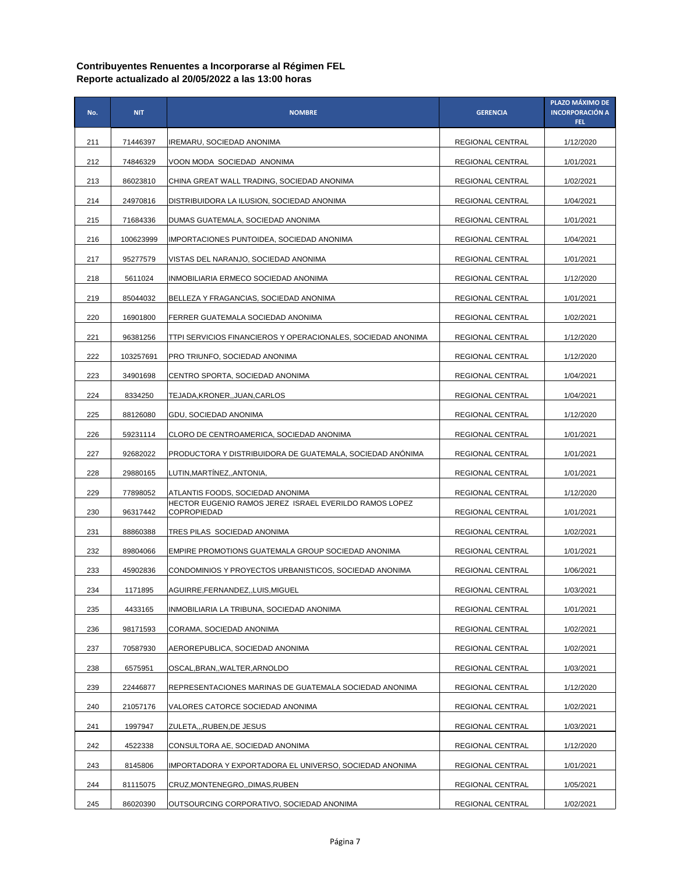| No. | <b>NIT</b> | <b>NOMBRE</b>                                                         | <b>GERENCIA</b>         | PLAZO MÁXIMO DE<br><b>INCORPORACIÓN A</b><br>FEL. |
|-----|------------|-----------------------------------------------------------------------|-------------------------|---------------------------------------------------|
| 211 | 71446397   | IREMARU, SOCIEDAD ANONIMA                                             | REGIONAL CENTRAL        | 1/12/2020                                         |
| 212 | 74846329   | VOON MODA SOCIEDAD ANONIMA                                            | REGIONAL CENTRAL        | 1/01/2021                                         |
| 213 | 86023810   | CHINA GREAT WALL TRADING, SOCIEDAD ANONIMA                            | REGIONAL CENTRAL        | 1/02/2021                                         |
| 214 | 24970816   | DISTRIBUIDORA LA ILUSION, SOCIEDAD ANONIMA                            | REGIONAL CENTRAL        | 1/04/2021                                         |
| 215 | 71684336   | DUMAS GUATEMALA, SOCIEDAD ANONIMA                                     | REGIONAL CENTRAL        | 1/01/2021                                         |
| 216 | 100623999  | IMPORTACIONES PUNTOIDEA, SOCIEDAD ANONIMA                             | <b>REGIONAL CENTRAL</b> | 1/04/2021                                         |
| 217 | 95277579   | VISTAS DEL NARANJO, SOCIEDAD ANONIMA                                  | REGIONAL CENTRAL        | 1/01/2021                                         |
| 218 | 5611024    | INMOBILIARIA ERMECO SOCIEDAD ANONIMA                                  | REGIONAL CENTRAL        | 1/12/2020                                         |
| 219 | 85044032   | BELLEZA Y FRAGANCIAS, SOCIEDAD ANONIMA                                | REGIONAL CENTRAL        | 1/01/2021                                         |
| 220 | 16901800   | FERRER GUATEMALA SOCIEDAD ANONIMA                                     | REGIONAL CENTRAL        | 1/02/2021                                         |
| 221 | 96381256   | TTPI SERVICIOS FINANCIEROS Y OPERACIONALES, SOCIEDAD ANONIMA          | REGIONAL CENTRAL        | 1/12/2020                                         |
| 222 | 103257691  | PRO TRIUNFO, SOCIEDAD ANONIMA                                         | REGIONAL CENTRAL        | 1/12/2020                                         |
| 223 | 34901698   | CENTRO SPORTA, SOCIEDAD ANONIMA                                       | REGIONAL CENTRAL        | 1/04/2021                                         |
| 224 | 8334250    | TEJADA,KRONER,,JUAN,CARLOS                                            | REGIONAL CENTRAL        | 1/04/2021                                         |
| 225 | 88126080   | GDU, SOCIEDAD ANONIMA                                                 | REGIONAL CENTRAL        | 1/12/2020                                         |
| 226 | 59231114   | CLORO DE CENTROAMERICA, SOCIEDAD ANONIMA                              | REGIONAL CENTRAL        | 1/01/2021                                         |
| 227 | 92682022   | PRODUCTORA Y DISTRIBUIDORA DE GUATEMALA, SOCIEDAD ANONIMA             | REGIONAL CENTRAL        | 1/01/2021                                         |
| 228 | 29880165   | LUTIN, MARTINEZ, , ANTONIA,                                           | REGIONAL CENTRAL        | 1/01/2021                                         |
| 229 | 77898052   | ATLANTIS FOODS, SOCIEDAD ANONIMA                                      | REGIONAL CENTRAL        | 1/12/2020                                         |
| 230 | 96317442   | HECTOR EUGENIO RAMOS JEREZ ISRAEL EVERILDO RAMOS LOPEZ<br>COPROPIEDAD | REGIONAL CENTRAL        | 1/01/2021                                         |
| 231 | 88860388   | TRES PILAS SOCIEDAD ANONIMA                                           | REGIONAL CENTRAL        | 1/02/2021                                         |
| 232 | 89804066   | EMPIRE PROMOTIONS GUATEMALA GROUP SOCIEDAD ANONIMA                    | REGIONAL CENTRAL        | 1/01/2021                                         |
| 233 | 45902836   | CONDOMINIOS Y PROYECTOS URBANISTICOS, SOCIEDAD ANONIMA                | REGIONAL CENTRAL        | 1/06/2021                                         |
| 234 | 1171895    | AGUIRRE, FERNANDEZ,, LUIS, MIGUEL                                     | REGIONAL CENTRAL        | 1/03/2021                                         |
| 235 | 4433165    | INMOBILIARIA LA TRIBUNA, SOCIEDAD ANONIMA                             | REGIONAL CENTRAL        | 1/01/2021                                         |
| 236 | 98171593   | CORAMA, SOCIEDAD ANONIMA                                              | REGIONAL CENTRAL        | 1/02/2021                                         |
| 237 | 70587930   | AEROREPUBLICA, SOCIEDAD ANONIMA                                       | REGIONAL CENTRAL        | 1/02/2021                                         |
| 238 | 6575951    | OSCAL,BRAN,,WALTER,ARNOLDO                                            | REGIONAL CENTRAL        | 1/03/2021                                         |
| 239 | 22446877   | REPRESENTACIONES MARINAS DE GUATEMALA SOCIEDAD ANONIMA                | REGIONAL CENTRAL        | 1/12/2020                                         |
| 240 | 21057176   | VALORES CATORCE SOCIEDAD ANONIMA                                      | REGIONAL CENTRAL        | 1/02/2021                                         |
| 241 | 1997947    | ZULETA,,,RUBEN,DE JESUS                                               | REGIONAL CENTRAL        | 1/03/2021                                         |
| 242 | 4522338    | CONSULTORA AE, SOCIEDAD ANONIMA                                       | REGIONAL CENTRAL        | 1/12/2020                                         |
| 243 | 8145806    | IMPORTADORA Y EXPORTADORA EL UNIVERSO, SOCIEDAD ANONIMA               | REGIONAL CENTRAL        | 1/01/2021                                         |
| 244 | 81115075   | CRUZ, MONTENEGRO, , DIMAS, RUBEN                                      | REGIONAL CENTRAL        | 1/05/2021                                         |
| 245 | 86020390   | OUTSOURCING CORPORATIVO, SOCIEDAD ANONIMA                             | REGIONAL CENTRAL        | 1/02/2021                                         |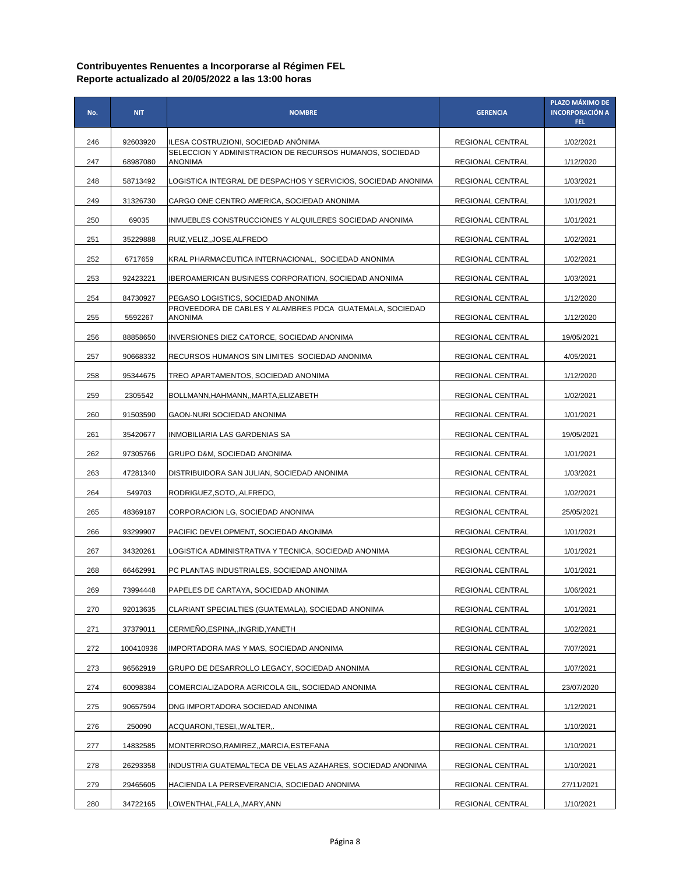| No. | <b>NIT</b> | <b>NOMBRE</b>                                                              | <b>GERENCIA</b>  | PLAZO MÁXIMO DE<br><b>INCORPORACIÓN A</b><br>FEL. |
|-----|------------|----------------------------------------------------------------------------|------------------|---------------------------------------------------|
| 246 | 92603920   | ILESA COSTRUZIONI, SOCIEDAD ANONIMA                                        | REGIONAL CENTRAL | 1/02/2021                                         |
| 247 | 68987080   | SELECCION Y ADMINISTRACION DE RECURSOS HUMANOS, SOCIEDAD<br><b>ANONIMA</b> | REGIONAL CENTRAL | 1/12/2020                                         |
| 248 | 58713492   | LOGISTICA INTEGRAL DE DESPACHOS Y SERVICIOS, SOCIEDAD ANONIMA              | REGIONAL CENTRAL | 1/03/2021                                         |
| 249 | 31326730   | CARGO ONE CENTRO AMERICA, SOCIEDAD ANONIMA                                 | REGIONAL CENTRAL | 1/01/2021                                         |
| 250 | 69035      | INMUEBLES CONSTRUCCIONES Y ALQUILERES SOCIEDAD ANONIMA                     | REGIONAL CENTRAL | 1/01/2021                                         |
| 251 | 35229888   | RUIZ, VELIZ, JOSE, ALFREDO                                                 | REGIONAL CENTRAL | 1/02/2021                                         |
| 252 | 6717659    | KRAL PHARMACEUTICA INTERNACIONAL, SOCIEDAD ANONIMA                         | REGIONAL CENTRAL | 1/02/2021                                         |
| 253 | 92423221   | <b>IBEROAMERICAN BUSINESS CORPORATION, SOCIEDAD ANONIMA</b>                | REGIONAL CENTRAL | 1/03/2021                                         |
| 254 | 84730927   | PEGASO LOGISTICS, SOCIEDAD ANONIMA                                         | REGIONAL CENTRAL | 1/12/2020                                         |
| 255 | 5592267    | PROVEEDORA DE CABLES Y ALAMBRES PDCA GUATEMALA, SOCIEDAD<br><b>ANONIMA</b> | REGIONAL CENTRAL | 1/12/2020                                         |
| 256 | 88858650   | INVERSIONES DIEZ CATORCE, SOCIEDAD ANONIMA                                 | REGIONAL CENTRAL | 19/05/2021                                        |
| 257 | 90668332   | RECURSOS HUMANOS SIN LIMITES SOCIEDAD ANONIMA                              | REGIONAL CENTRAL | 4/05/2021                                         |
| 258 | 95344675   | TREO APARTAMENTOS, SOCIEDAD ANONIMA                                        | REGIONAL CENTRAL | 1/12/2020                                         |
| 259 | 2305542    | BOLLMANN, HAHMANN, , MARTA, ELIZABETH                                      | REGIONAL CENTRAL | 1/02/2021                                         |
| 260 | 91503590   | GAON-NURI SOCIEDAD ANONIMA                                                 | REGIONAL CENTRAL | 1/01/2021                                         |
| 261 | 35420677   | INMOBILIARIA LAS GARDENIAS SA                                              | REGIONAL CENTRAL | 19/05/2021                                        |
| 262 | 97305766   | GRUPO D&M, SOCIEDAD ANONIMA                                                | REGIONAL CENTRAL | 1/01/2021                                         |
| 263 | 47281340   | DISTRIBUIDORA SAN JULIAN, SOCIEDAD ANONIMA                                 | REGIONAL CENTRAL | 1/03/2021                                         |
| 264 | 549703     | RODRIGUEZ,SOTO,,ALFREDO,                                                   | REGIONAL CENTRAL | 1/02/2021                                         |
| 265 | 48369187   | CORPORACION LG, SOCIEDAD ANONIMA                                           | REGIONAL CENTRAL | 25/05/2021                                        |
| 266 | 93299907   | PACIFIC DEVELOPMENT, SOCIEDAD ANONIMA                                      | REGIONAL CENTRAL | 1/01/2021                                         |
| 267 | 34320261   | LOGISTICA ADMINISTRATIVA Y TECNICA, SOCIEDAD ANONIMA                       | REGIONAL CENTRAL | 1/01/2021                                         |
| 268 | 66462991   | PC PLANTAS INDUSTRIALES, SOCIEDAD ANONIMA                                  | REGIONAL CENTRAL | 1/01/2021                                         |
| 269 | 73994448   | PAPELES DE CARTAYA, SOCIEDAD ANONIMA                                       | REGIONAL CENTRAL | 1/06/2021                                         |
| 270 | 92013635   | CLARIANT SPECIALTIES (GUATEMALA), SOCIEDAD ANONIMA                         | REGIONAL CENTRAL | 1/01/2021                                         |
| 271 | 37379011   | CERMEÑO,ESPINA,,INGRID,YANETH                                              | REGIONAL CENTRAL | 1/02/2021                                         |
| 272 | 100410936  | IMPORTADORA MAS Y MAS, SOCIEDAD ANONIMA                                    | REGIONAL CENTRAL | 7/07/2021                                         |
| 273 | 96562919   | GRUPO DE DESARROLLO LEGACY, SOCIEDAD ANONIMA                               | REGIONAL CENTRAL | 1/07/2021                                         |
| 274 | 60098384   | COMERCIALIZADORA AGRICOLA GIL, SOCIEDAD ANONIMA                            | REGIONAL CENTRAL | 23/07/2020                                        |
| 275 | 90657594   | DNG IMPORTADORA SOCIEDAD ANONIMA                                           | REGIONAL CENTRAL | 1/12/2021                                         |
| 276 | 250090     | ACQUARONI,TESEI,,WALTER,.                                                  | REGIONAL CENTRAL | 1/10/2021                                         |
| 277 | 14832585   | MONTERROSO,RAMIREZ,,MARCIA,ESTEFANA                                        | REGIONAL CENTRAL | 1/10/2021                                         |
| 278 | 26293358   | INDUSTRIA GUATEMALTECA DE VELAS AZAHARES, SOCIEDAD ANONIMA                 | REGIONAL CENTRAL | 1/10/2021                                         |
| 279 | 29465605   | HACIENDA LA PERSEVERANCIA, SOCIEDAD ANONIMA                                | REGIONAL CENTRAL | 27/11/2021                                        |
| 280 | 34722165   | LOWENTHAL,FALLA,,MARY,ANN                                                  | REGIONAL CENTRAL | 1/10/2021                                         |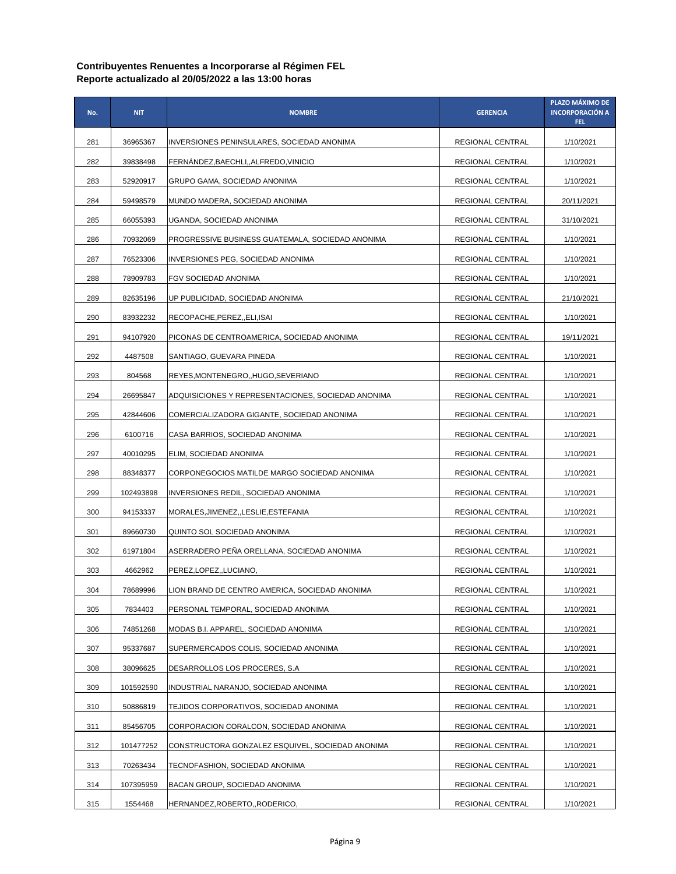| No. | <b>NIT</b> | <b>NOMBRE</b>                                      | <b>GERENCIA</b>  | PLAZO MÁXIMO DE<br><b>INCORPORACIÓN A</b><br>FEL. |
|-----|------------|----------------------------------------------------|------------------|---------------------------------------------------|
| 281 | 36965367   | INVERSIONES PENINSULARES, SOCIEDAD ANONIMA         | REGIONAL CENTRAL | 1/10/2021                                         |
| 282 | 39838498   | FERNANDEZ, BAECHLI, , ALFREDO, VINICIO             | REGIONAL CENTRAL | 1/10/2021                                         |
| 283 | 52920917   | GRUPO GAMA, SOCIEDAD ANONIMA                       | REGIONAL CENTRAL | 1/10/2021                                         |
| 284 | 59498579   | MUNDO MADERA, SOCIEDAD ANONIMA                     | REGIONAL CENTRAL | 20/11/2021                                        |
| 285 | 66055393   | UGANDA, SOCIEDAD ANONIMA                           | REGIONAL CENTRAL | 31/10/2021                                        |
| 286 | 70932069   | PROGRESSIVE BUSINESS GUATEMALA, SOCIEDAD ANONIMA   | REGIONAL CENTRAL | 1/10/2021                                         |
| 287 | 76523306   | INVERSIONES PEG, SOCIEDAD ANONIMA                  | REGIONAL CENTRAL | 1/10/2021                                         |
| 288 | 78909783   | FGV SOCIEDAD ANONIMA                               | REGIONAL CENTRAL | 1/10/2021                                         |
| 289 | 82635196   | UP PUBLICIDAD, SOCIEDAD ANONIMA                    | REGIONAL CENTRAL | 21/10/2021                                        |
| 290 | 83932232   | RECOPACHE, PEREZ, ELI, ISAI                        | REGIONAL CENTRAL | 1/10/2021                                         |
| 291 | 94107920   | PICONAS DE CENTROAMERICA, SOCIEDAD ANONIMA         | REGIONAL CENTRAL | 19/11/2021                                        |
| 292 | 4487508    | SANTIAGO, GUEVARA PINEDA                           | REGIONAL CENTRAL | 1/10/2021                                         |
| 293 | 804568     | REYES, MONTENEGRO, HUGO, SEVERIANO                 | REGIONAL CENTRAL | 1/10/2021                                         |
| 294 | 26695847   | ADQUISICIONES Y REPRESENTACIONES, SOCIEDAD ANONIMA | REGIONAL CENTRAL | 1/10/2021                                         |
| 295 | 42844606   | COMERCIALIZADORA GIGANTE, SOCIEDAD ANONIMA         | REGIONAL CENTRAL | 1/10/2021                                         |
| 296 | 6100716    | CASA BARRIOS, SOCIEDAD ANONIMA                     | REGIONAL CENTRAL | 1/10/2021                                         |
| 297 | 40010295   | ELIM, SOCIEDAD ANONIMA                             | REGIONAL CENTRAL | 1/10/2021                                         |
| 298 | 88348377   | CORPONEGOCIOS MATILDE MARGO SOCIEDAD ANONIMA       | REGIONAL CENTRAL | 1/10/2021                                         |
| 299 | 102493898  | INVERSIONES REDIL, SOCIEDAD ANONIMA                | REGIONAL CENTRAL | 1/10/2021                                         |
| 300 | 94153337   | MORALES,JIMENEZ,,LESLIE,ESTEFANIA                  | REGIONAL CENTRAL | 1/10/2021                                         |
| 301 | 89660730   | QUINTO SOL SOCIEDAD ANONIMA                        | REGIONAL CENTRAL | 1/10/2021                                         |
| 302 | 61971804   | ASERRADERO PEÑA ORELLANA, SOCIEDAD ANONIMA         | REGIONAL CENTRAL | 1/10/2021                                         |
| 303 | 4662962    | PEREZ,LOPEZ,,LUCIANO,                              | REGIONAL CENTRAL | 1/10/2021                                         |
| 304 | 78689996   | LION BRAND DE CENTRO AMERICA, SOCIEDAD ANONIMA     | REGIONAL CENTRAL | 1/10/2021                                         |
| 305 | 7834403    | PERSONAL TEMPORAL, SOCIEDAD ANONIMA                | REGIONAL CENTRAL | 1/10/2021                                         |
| 306 | 74851268   | MODAS B.I. APPAREL, SOCIEDAD ANONIMA               | REGIONAL CENTRAL | 1/10/2021                                         |
| 307 | 95337687   | SUPERMERCADOS COLIS, SOCIEDAD ANONIMA              | REGIONAL CENTRAL | 1/10/2021                                         |
| 308 | 38096625   | DESARROLLOS LOS PROCERES, S.A.                     | REGIONAL CENTRAL | 1/10/2021                                         |
| 309 | 101592590  | INDUSTRIAL NARANJO, SOCIEDAD ANONIMA               | REGIONAL CENTRAL | 1/10/2021                                         |
| 310 | 50886819   | TEJIDOS CORPORATIVOS, SOCIEDAD ANONIMA             | REGIONAL CENTRAL | 1/10/2021                                         |
| 311 | 85456705   | CORPORACION CORALCON, SOCIEDAD ANONIMA             | REGIONAL CENTRAL | 1/10/2021                                         |
| 312 | 101477252  | CONSTRUCTORA GONZALEZ ESQUIVEL, SOCIEDAD ANONIMA   | REGIONAL CENTRAL | 1/10/2021                                         |
| 313 | 70263434   | TECNOFASHION, SOCIEDAD ANONIMA                     | REGIONAL CENTRAL | 1/10/2021                                         |
| 314 | 107395959  | BACAN GROUP, SOCIEDAD ANONIMA                      | REGIONAL CENTRAL | 1/10/2021                                         |
| 315 | 1554468    | HERNANDEZ, ROBERTO, , RODERICO,                    | REGIONAL CENTRAL | 1/10/2021                                         |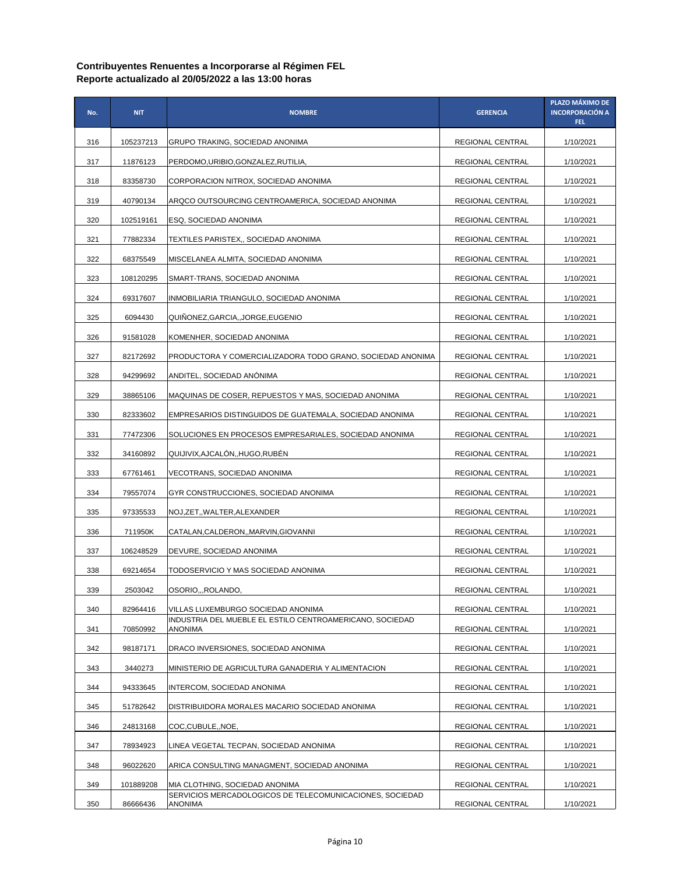| No. | <b>NIT</b> | <b>NOMBRE</b>                                                       | <b>GERENCIA</b>  | PLAZO MÁXIMO DE<br><b>INCORPORACIÓN A</b><br>FEL. |
|-----|------------|---------------------------------------------------------------------|------------------|---------------------------------------------------|
| 316 | 105237213  | GRUPO TRAKING, SOCIEDAD ANONIMA                                     | REGIONAL CENTRAL | 1/10/2021                                         |
| 317 | 11876123   | PERDOMO, URIBIO, GONZALEZ, RUTILIA,                                 | REGIONAL CENTRAL | 1/10/2021                                         |
| 318 | 83358730   | CORPORACION NITROX, SOCIEDAD ANONIMA                                | REGIONAL CENTRAL | 1/10/2021                                         |
| 319 | 40790134   | ARQCO OUTSOURCING CENTROAMERICA, SOCIEDAD ANONIMA                   | REGIONAL CENTRAL | 1/10/2021                                         |
| 320 | 102519161  | ESQ, SOCIEDAD ANONIMA                                               | REGIONAL CENTRAL | 1/10/2021                                         |
| 321 | 77882334   | TEXTILES PARISTEX,, SOCIEDAD ANONIMA                                | REGIONAL CENTRAL | 1/10/2021                                         |
| 322 | 68375549   | MISCELANEA ALMITA, SOCIEDAD ANONIMA                                 | REGIONAL CENTRAL | 1/10/2021                                         |
| 323 | 108120295  | SMART-TRANS, SOCIEDAD ANONIMA                                       | REGIONAL CENTRAL | 1/10/2021                                         |
| 324 | 69317607   | INMOBILIARIA TRIANGULO, SOCIEDAD ANONIMA                            | REGIONAL CENTRAL | 1/10/2021                                         |
| 325 | 6094430    | QUIÑONEZ,GARCIA,,JORGE,EUGENIO                                      | REGIONAL CENTRAL | 1/10/2021                                         |
| 326 | 91581028   | KOMENHER, SOCIEDAD ANONIMA                                          | REGIONAL CENTRAL | 1/10/2021                                         |
| 327 | 82172692   | PRODUCTORA Y COMERCIALIZADORA TODO GRANO, SOCIEDAD ANONIMA          | REGIONAL CENTRAL | 1/10/2021                                         |
| 328 | 94299692   | ANDITEL, SOCIEDAD ANONIMA                                           | REGIONAL CENTRAL | 1/10/2021                                         |
| 329 | 38865106   | MAQUINAS DE COSER, REPUESTOS Y MAS, SOCIEDAD ANONIMA                | REGIONAL CENTRAL | 1/10/2021                                         |
| 330 | 82333602   | EMPRESARIOS DISTINGUIDOS DE GUATEMALA, SOCIEDAD ANONIMA             | REGIONAL CENTRAL | 1/10/2021                                         |
| 331 | 77472306   | SOLUCIONES EN PROCESOS EMPRESARIALES, SOCIEDAD ANONIMA              | REGIONAL CENTRAL | 1/10/2021                                         |
| 332 | 34160892   | QUIJIVIX,AJCALON,,HUGO,RUBEN                                        | REGIONAL CENTRAL | 1/10/2021                                         |
| 333 | 67761461   | VECOTRANS, SOCIEDAD ANONIMA                                         | REGIONAL CENTRAL | 1/10/2021                                         |
| 334 | 79557074   | GYR CONSTRUCCIONES, SOCIEDAD ANONIMA                                | REGIONAL CENTRAL | 1/10/2021                                         |
| 335 | 97335533   | NOJ,ZET,,WALTER,ALEXANDER                                           | REGIONAL CENTRAL | 1/10/2021                                         |
| 336 | 711950K    | CATALAN,CALDERON,,MARVIN,GIOVANNI                                   | REGIONAL CENTRAL | 1/10/2021                                         |
| 337 | 106248529  | DEVURE, SOCIEDAD ANONIMA                                            | REGIONAL CENTRAL | 1/10/2021                                         |
| 338 | 69214654   | TODOSERVICIO Y MAS SOCIEDAD ANONIMA                                 | REGIONAL CENTRAL | 1/10/2021                                         |
| 339 | 2503042    | OSORIO,,,ROLANDO,                                                   | REGIONAL CENTRAL | 1/10/2021                                         |
| 340 | 82964416   | VILLAS LUXEMBURGO SOCIEDAD ANONIMA                                  | REGIONAL CENTRAL | 1/10/2021                                         |
| 341 | 70850992   | INDUSTRIA DEL MUEBLE EL ESTILO CENTROAMERICANO, SOCIEDAD<br>ANONIMA | REGIONAL CENTRAL | 1/10/2021                                         |
| 342 | 98187171   | DRACO INVERSIONES, SOCIEDAD ANONIMA                                 | REGIONAL CENTRAL | 1/10/2021                                         |
| 343 | 3440273    | MINISTERIO DE AGRICULTURA GANADERIA Y ALIMENTACION                  | REGIONAL CENTRAL | 1/10/2021                                         |
| 344 | 94333645   | INTERCOM, SOCIEDAD ANONIMA                                          | REGIONAL CENTRAL | 1/10/2021                                         |
| 345 | 51782642   | DISTRIBUIDORA MORALES MACARIO SOCIEDAD ANONIMA                      | REGIONAL CENTRAL | 1/10/2021                                         |
| 346 | 24813168   | COC,CUBULE,,NOE,                                                    | REGIONAL CENTRAL | 1/10/2021                                         |
| 347 | 78934923   | LINEA VEGETAL TECPAN, SOCIEDAD ANONIMA                              | REGIONAL CENTRAL | 1/10/2021                                         |
| 348 | 96022620   | ARICA CONSULTING MANAGMENT, SOCIEDAD ANONIMA                        | REGIONAL CENTRAL | 1/10/2021                                         |
| 349 | 101889208  | MIA CLOTHING, SOCIEDAD ANONIMA                                      | REGIONAL CENTRAL | 1/10/2021                                         |
| 350 | 86666436   | SERVICIOS MERCADOLOGICOS DE TELECOMUNICACIONES, SOCIEDAD<br>ANONIMA | REGIONAL CENTRAL | 1/10/2021                                         |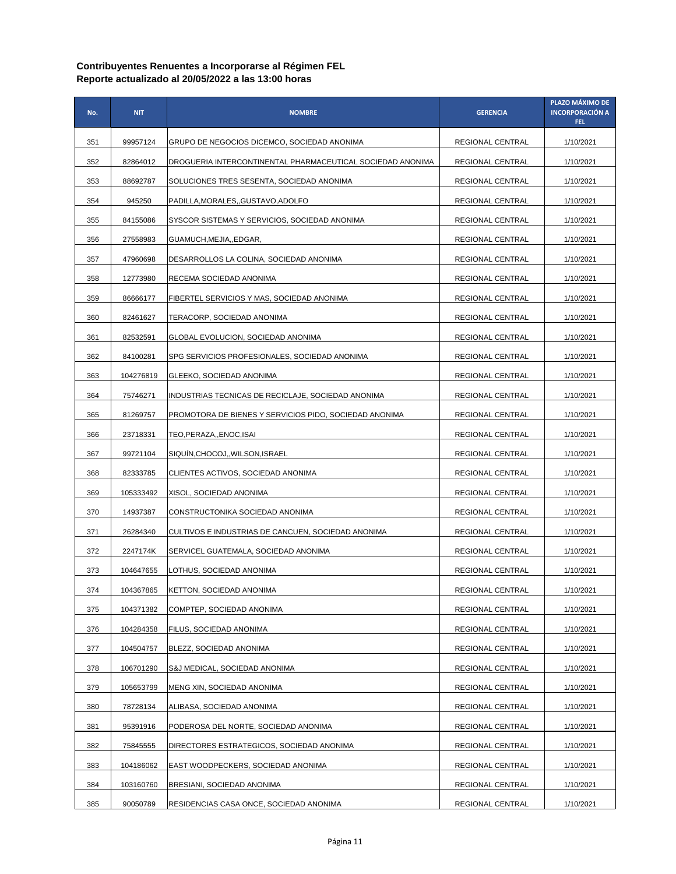| No. | <b>NIT</b> | <b>NOMBRE</b>                                              | <b>GERENCIA</b>  | PLAZO MÁXIMO DE<br><b>INCORPORACIÓN A</b><br>FEL. |
|-----|------------|------------------------------------------------------------|------------------|---------------------------------------------------|
| 351 | 99957124   | GRUPO DE NEGOCIOS DICEMCO, SOCIEDAD ANONIMA                | REGIONAL CENTRAL | 1/10/2021                                         |
| 352 | 82864012   | DROGUERIA INTERCONTINENTAL PHARMACEUTICAL SOCIEDAD ANONIMA | REGIONAL CENTRAL | 1/10/2021                                         |
| 353 | 88692787   | SOLUCIONES TRES SESENTA, SOCIEDAD ANONIMA                  | REGIONAL CENTRAL | 1/10/2021                                         |
| 354 | 945250     | PADILLA, MORALES, GUSTAVO, ADOLFO                          | REGIONAL CENTRAL | 1/10/2021                                         |
| 355 | 84155086   | SYSCOR SISTEMAS Y SERVICIOS, SOCIEDAD ANONIMA              | REGIONAL CENTRAL | 1/10/2021                                         |
| 356 | 27558983   | GUAMUCH, MEJIA, , EDGAR,                                   | REGIONAL CENTRAL | 1/10/2021                                         |
| 357 | 47960698   | DESARROLLOS LA COLINA, SOCIEDAD ANONIMA                    | REGIONAL CENTRAL | 1/10/2021                                         |
| 358 | 12773980   | RECEMA SOCIEDAD ANONIMA                                    | REGIONAL CENTRAL | 1/10/2021                                         |
| 359 | 86666177   | FIBERTEL SERVICIOS Y MAS, SOCIEDAD ANONIMA                 | REGIONAL CENTRAL | 1/10/2021                                         |
| 360 | 82461627   | TERACORP, SOCIEDAD ANONIMA                                 | REGIONAL CENTRAL | 1/10/2021                                         |
| 361 | 82532591   | GLOBAL EVOLUCION, SOCIEDAD ANONIMA                         | REGIONAL CENTRAL | 1/10/2021                                         |
| 362 | 84100281   | SPG SERVICIOS PROFESIONALES, SOCIEDAD ANONIMA              | REGIONAL CENTRAL | 1/10/2021                                         |
| 363 | 104276819  | GLEEKO, SOCIEDAD ANONIMA                                   | REGIONAL CENTRAL | 1/10/2021                                         |
| 364 | 75746271   | INDUSTRIAS TECNICAS DE RECICLAJE, SOCIEDAD ANONIMA         | REGIONAL CENTRAL | 1/10/2021                                         |
| 365 | 81269757   | PROMOTORA DE BIENES Y SERVICIOS PIDO, SOCIEDAD ANONIMA     | REGIONAL CENTRAL | 1/10/2021                                         |
| 366 | 23718331   | TEO, PERAZA, , ENOC, ISAI                                  | REGIONAL CENTRAL | 1/10/2021                                         |
| 367 | 99721104   | SIQUIN, CHOCOJ, WILSON, ISRAEL                             | REGIONAL CENTRAL | 1/10/2021                                         |
| 368 | 82333785   | CLIENTES ACTIVOS, SOCIEDAD ANONIMA                         | REGIONAL CENTRAL | 1/10/2021                                         |
| 369 | 105333492  | XISOL, SOCIEDAD ANONIMA                                    | REGIONAL CENTRAL | 1/10/2021                                         |
| 370 | 14937387   | CONSTRUCTONIKA SOCIEDAD ANONIMA                            | REGIONAL CENTRAL | 1/10/2021                                         |
| 371 | 26284340   | CULTIVOS E INDUSTRIAS DE CANCUEN, SOCIEDAD ANONIMA         | REGIONAL CENTRAL | 1/10/2021                                         |
| 372 | 2247174K   | SERVICEL GUATEMALA, SOCIEDAD ANONIMA                       | REGIONAL CENTRAL | 1/10/2021                                         |
| 373 | 104647655  | LOTHUS, SOCIEDAD ANONIMA                                   | REGIONAL CENTRAL | 1/10/2021                                         |
| 374 | 104367865  | KETTON, SOCIEDAD ANONIMA                                   | REGIONAL CENTRAL | 1/10/2021                                         |
| 375 | 104371382  | COMPTEP, SOCIEDAD ANONIMA                                  | REGIONAL CENTRAL | 1/10/2021                                         |
| 376 | 104284358  | FILUS, SOCIEDAD ANONIMA                                    | REGIONAL CENTRAL | 1/10/2021                                         |
| 377 | 104504757  | BLEZZ, SOCIEDAD ANONIMA                                    | REGIONAL CENTRAL | 1/10/2021                                         |
| 378 | 106701290  | S&J MEDICAL, SOCIEDAD ANONIMA                              | REGIONAL CENTRAL | 1/10/2021                                         |
| 379 | 105653799  | MENG XIN, SOCIEDAD ANONIMA                                 | REGIONAL CENTRAL | 1/10/2021                                         |
| 380 | 78728134   | ALIBASA, SOCIEDAD ANONIMA                                  | REGIONAL CENTRAL | 1/10/2021                                         |
| 381 | 95391916   | PODEROSA DEL NORTE, SOCIEDAD ANONIMA                       | REGIONAL CENTRAL | 1/10/2021                                         |
| 382 | 75845555   | DIRECTORES ESTRATEGICOS, SOCIEDAD ANONIMA                  | REGIONAL CENTRAL | 1/10/2021                                         |
| 383 | 104186062  | EAST WOODPECKERS, SOCIEDAD ANONIMA                         | REGIONAL CENTRAL | 1/10/2021                                         |
| 384 | 103160760  | BRESIANI, SOCIEDAD ANONIMA                                 | REGIONAL CENTRAL | 1/10/2021                                         |
| 385 | 90050789   | RESIDENCIAS CASA ONCE, SOCIEDAD ANONIMA                    | REGIONAL CENTRAL | 1/10/2021                                         |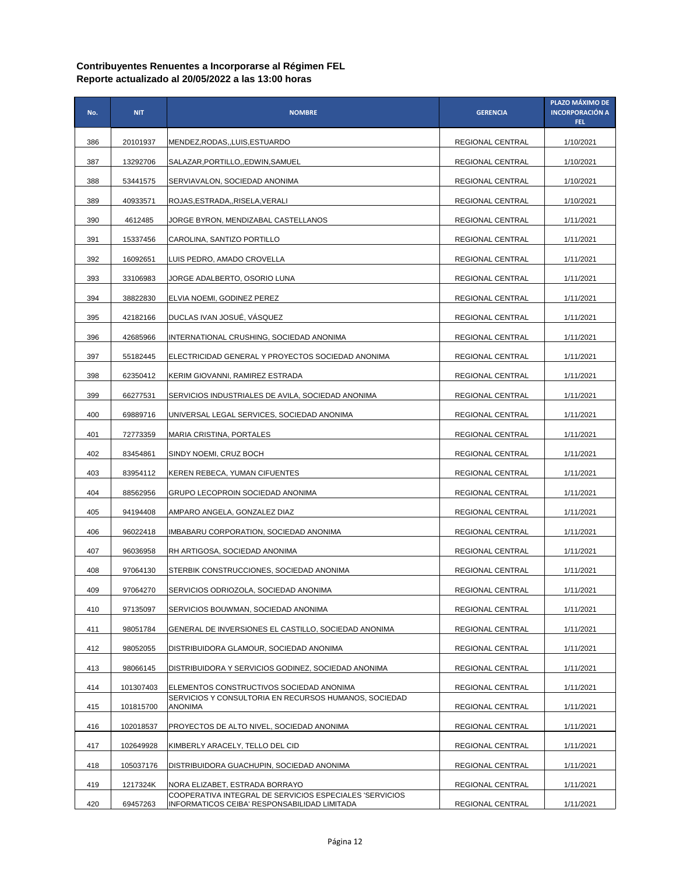| No. | <b>NIT</b> | <b>NOMBRE</b>                                                                                            | <b>GERENCIA</b>  | PLAZO MÁXIMO DE<br><b>INCORPORACIÓN A</b><br>FEL. |
|-----|------------|----------------------------------------------------------------------------------------------------------|------------------|---------------------------------------------------|
| 386 | 20101937   | MENDEZ, RODAS, , LUIS, ESTUARDO                                                                          | REGIONAL CENTRAL | 1/10/2021                                         |
| 387 | 13292706   | SALAZAR, PORTILLO,, EDWIN, SAMUEL                                                                        | REGIONAL CENTRAL | 1/10/2021                                         |
| 388 | 53441575   | SERVIAVALON, SOCIEDAD ANONIMA                                                                            | REGIONAL CENTRAL | 1/10/2021                                         |
| 389 | 40933571   | ROJAS, ESTRADA, , RISELA, VERALI                                                                         | REGIONAL CENTRAL | 1/10/2021                                         |
| 390 | 4612485    | JORGE BYRON, MENDIZABAL CASTELLANOS                                                                      | REGIONAL CENTRAL | 1/11/2021                                         |
| 391 | 15337456   | CAROLINA, SANTIZO PORTILLO                                                                               | REGIONAL CENTRAL | 1/11/2021                                         |
| 392 | 16092651   | LUIS PEDRO, AMADO CROVELLA                                                                               | REGIONAL CENTRAL | 1/11/2021                                         |
| 393 | 33106983   | JORGE ADALBERTO, OSORIO LUNA                                                                             | REGIONAL CENTRAL | 1/11/2021                                         |
| 394 | 38822830   | ELVIA NOEMI, GODINEZ PEREZ                                                                               | REGIONAL CENTRAL | 1/11/2021                                         |
| 395 | 42182166   | DUCLAS IVAN JOSUĖ, VASQUEZ                                                                               | REGIONAL CENTRAL | 1/11/2021                                         |
| 396 | 42685966   | INTERNATIONAL CRUSHING, SOCIEDAD ANONIMA                                                                 | REGIONAL CENTRAL | 1/11/2021                                         |
| 397 | 55182445   | ELECTRICIDAD GENERAL Y PROYECTOS SOCIEDAD ANONIMA                                                        | REGIONAL CENTRAL | 1/11/2021                                         |
| 398 | 62350412   | KERIM GIOVANNI, RAMIREZ ESTRADA                                                                          | REGIONAL CENTRAL | 1/11/2021                                         |
| 399 | 66277531   | SERVICIOS INDUSTRIALES DE AVILA, SOCIEDAD ANONIMA                                                        | REGIONAL CENTRAL | 1/11/2021                                         |
| 400 | 69889716   | UNIVERSAL LEGAL SERVICES, SOCIEDAD ANONIMA                                                               | REGIONAL CENTRAL | 1/11/2021                                         |
| 401 | 72773359   | <b>MARIA CRISTINA, PORTALES</b>                                                                          | REGIONAL CENTRAL | 1/11/2021                                         |
| 402 | 83454861   | SINDY NOEMI, CRUZ BOCH                                                                                   | REGIONAL CENTRAL | 1/11/2021                                         |
| 403 | 83954112   | KEREN REBECA, YUMAN CIFUENTES                                                                            | REGIONAL CENTRAL | 1/11/2021                                         |
| 404 | 88562956   | GRUPO LECOPROIN SOCIEDAD ANONIMA                                                                         | REGIONAL CENTRAL | 1/11/2021                                         |
| 405 | 94194408   | AMPARO ANGELA, GONZALEZ DIAZ                                                                             | REGIONAL CENTRAL | 1/11/2021                                         |
| 406 | 96022418   | IMBABARU CORPORATION, SOCIEDAD ANONIMA                                                                   | REGIONAL CENTRAL | 1/11/2021                                         |
| 407 | 96036958   | RH ARTIGOSA, SOCIEDAD ANONIMA                                                                            | REGIONAL CENTRAL | 1/11/2021                                         |
| 408 | 97064130   | STERBIK CONSTRUCCIONES, SOCIEDAD ANONIMA                                                                 | REGIONAL CENTRAL | 1/11/2021                                         |
| 409 | 97064270   | SERVICIOS ODRIOZOLA, SOCIEDAD ANONIMA                                                                    | REGIONAL CENTRAL | 1/11/2021                                         |
| 410 | 97135097   | SERVICIOS BOUWMAN, SOCIEDAD ANONIMA                                                                      | REGIONAL CENTRAL | 1/11/2021                                         |
| 411 | 98051784   | GENERAL DE INVERSIONES EL CASTILLO, SOCIEDAD ANONIMA                                                     | REGIONAL CENTRAL | 1/11/2021                                         |
| 412 | 98052055   | DISTRIBUIDORA GLAMOUR, SOCIEDAD ANONIMA                                                                  | REGIONAL CENTRAL | 1/11/2021                                         |
| 413 | 98066145   | DISTRIBUIDORA Y SERVICIOS GODINEZ, SOCIEDAD ANONIMA                                                      | REGIONAL CENTRAL | 1/11/2021                                         |
| 414 | 101307403  | ELEMENTOS CONSTRUCTIVOS SOCIEDAD ANONIMA                                                                 | REGIONAL CENTRAL | 1/11/2021                                         |
| 415 | 101815700  | SERVICIOS Y CONSULTORIA EN RECURSOS HUMANOS, SOCIEDAD<br><b>ANONIMA</b>                                  | REGIONAL CENTRAL | 1/11/2021                                         |
| 416 | 102018537  | PROYECTOS DE ALTO NIVEL, SOCIEDAD ANONIMA                                                                | REGIONAL CENTRAL | 1/11/2021                                         |
| 417 | 102649928  | KIMBERLY ARACELY, TELLO DEL CID                                                                          | REGIONAL CENTRAL | 1/11/2021                                         |
| 418 | 105037176  | DISTRIBUIDORA GUACHUPIN, SOCIEDAD ANONIMA                                                                | REGIONAL CENTRAL | 1/11/2021                                         |
| 419 | 1217324K   | NORA ELIZABET, ESTRADA BORRAYO                                                                           | REGIONAL CENTRAL | 1/11/2021                                         |
| 420 | 69457263   | COOPERATIVA INTEGRAL DE SERVICIOS ESPECIALES 'SERVICIOS'<br>INFORMATICOS CEIBA' RESPONSABILIDAD LIMITADA | REGIONAL CENTRAL | 1/11/2021                                         |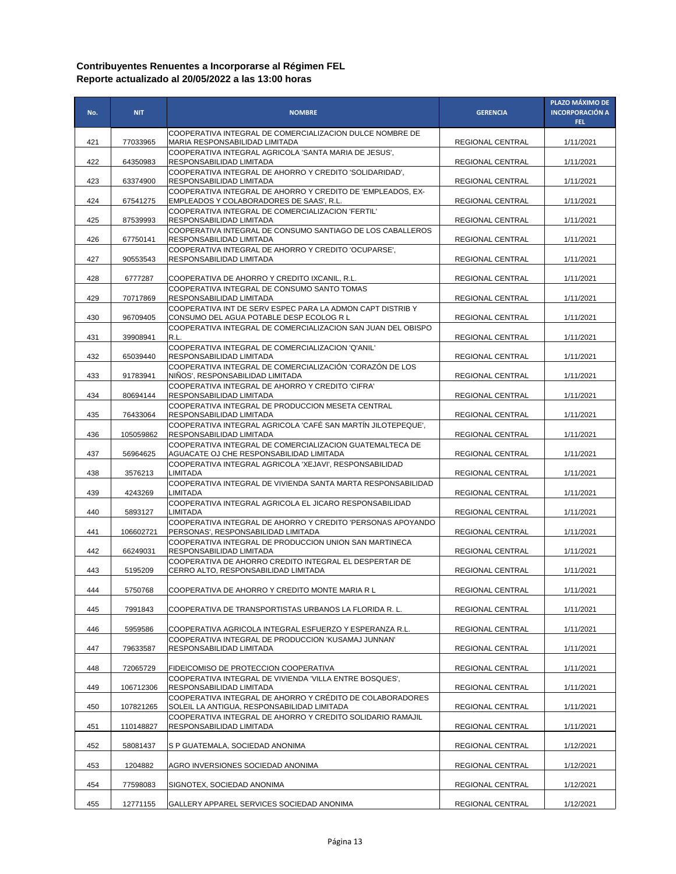| No. | <b>NIT</b> | <b>NOMBRE</b>                                                                                        | <b>GERENCIA</b>  | PLAZO MÁXIMO DE<br><b>INCORPORACIÓN A</b><br>FEL. |
|-----|------------|------------------------------------------------------------------------------------------------------|------------------|---------------------------------------------------|
| 421 | 77033965   | COOPERATIVA INTEGRAL DE COMERCIALIZACION DULCE NOMBRE DE<br>MARIA RESPONSABILIDAD LIMITADA           | REGIONAL CENTRAL | 1/11/2021                                         |
|     |            | COOPERATIVA INTEGRAL AGRICOLA 'SANTA MARIA DE JESUS',                                                |                  |                                                   |
| 422 | 64350983   | RESPONSABILIDAD LIMITADA<br>COOPERATIVA INTEGRAL DE AHORRO Y CREDITO 'SOLIDARIDAD',                  | REGIONAL CENTRAL | 1/11/2021                                         |
| 423 | 63374900   | RESPONSABILIDAD LIMITADA<br>COOPERATIVA INTEGRAL DE AHORRO Y CREDITO DE 'EMPLEADOS, EX-              | REGIONAL CENTRAL | 1/11/2021                                         |
| 424 | 67541275   | EMPLEADOS Y COLABORADORES DE SAAS', R.L.                                                             | REGIONAL CENTRAL | 1/11/2021                                         |
| 425 | 87539993   | COOPERATIVA INTEGRAL DE COMERCIALIZACION 'FERTIL'<br>RESPONSABILIDAD LIMITADA                        | REGIONAL CENTRAL | 1/11/2021                                         |
| 426 | 67750141   | COOPERATIVA INTEGRAL DE CONSUMO SANTIAGO DE LOS CABALLEROS<br>RESPONSABILIDAD LIMITADA               | REGIONAL CENTRAL | 1/11/2021                                         |
| 427 | 90553543   | COOPERATIVA INTEGRAL DE AHORRO Y CREDITO 'OCUPARSE',<br>RESPONSABILIDAD LIMITADA                     | REGIONAL CENTRAL | 1/11/2021                                         |
|     |            |                                                                                                      |                  |                                                   |
| 428 | 6777287    | COOPERATIVA DE AHORRO Y CREDITO IXCANIL, R.L.<br>COOPERATIVA INTEGRAL DE CONSUMO SANTO TOMAS         | REGIONAL CENTRAL | 1/11/2021                                         |
| 429 | 70717869   | RESPONSABILIDAD LIMITADA<br>COOPERATIVA INT DE SERV ESPEC PARA LA ADMON CAPT DISTRIB Y               | REGIONAL CENTRAL | 1/11/2021                                         |
| 430 | 96709405   | CONSUMO DEL AGUA POTABLE DESP ECOLOG R L                                                             | REGIONAL CENTRAL | 1/11/2021                                         |
| 431 | 39908941   | COOPERATIVA INTEGRAL DE COMERCIALIZACION SAN JUAN DEL OBISPO<br>R.L.                                 | REGIONAL CENTRAL | 1/11/2021                                         |
| 432 | 65039440   | COOPERATIVA INTEGRAL DE COMERCIALIZACION 'Q'ANIL'<br>RESPONSABILIDAD LIMITADA                        | REGIONAL CENTRAL | 1/11/2021                                         |
|     |            | COOPERATIVA INTEGRAL DE COMERCIALIZACIÓN 'CORAZÓN DE LOS                                             |                  |                                                   |
| 433 | 91783941   | NIÑOS', RESPONSABILIDAD LIMITADA<br>COOPERATIVA INTEGRAL DE AHORRO Y CREDITO 'CIFRA'                 | REGIONAL CENTRAL | 1/11/2021                                         |
| 434 | 80694144   | RESPONSABILIDAD LIMITADA<br>COOPERATIVA INTEGRAL DE PRODUCCION MESETA CENTRAL                        | REGIONAL CENTRAL | 1/11/2021                                         |
| 435 | 76433064   | RESPONSABILIDAD LIMITADA                                                                             | REGIONAL CENTRAL | 1/11/2021                                         |
| 436 | 105059862  | COOPERATIVA INTEGRAL AGRICOLA 'CAFÉ SAN MARTÍN JILOTEPEQUE',<br>RESPONSABILIDAD LIMITADA             | REGIONAL CENTRAL | 1/11/2021                                         |
| 437 | 56964625   | COOPERATIVA INTEGRAL DE COMERCIALIZACION GUATEMALTECA DE<br>AGUACATE OJ CHE RESPONSABILIDAD LIMITADA | REGIONAL CENTRAL | 1/11/2021                                         |
| 438 | 3576213    | COOPERATIVA INTEGRAL AGRICOLA 'XEJAVI', RESPONSABILIDAD<br><b>LIMITADA</b>                           | REGIONAL CENTRAL | 1/11/2021                                         |
| 439 | 4243269    | COOPERATIVA INTEGRAL DE VIVIENDA SANTA MARTA RESPONSABILIDAD<br><b>LIMITADA</b>                      |                  |                                                   |
|     |            | COOPERATIVA INTEGRAL AGRICOLA EL JICARO RESPONSABILIDAD                                              | REGIONAL CENTRAL | 1/11/2021                                         |
| 440 | 5893127    | LIMITADA<br>COOPERATIVA INTEGRAL DE AHORRO Y CREDITO 'PERSONAS APOYANDO                              | REGIONAL CENTRAL | 1/11/2021                                         |
| 441 | 106602721  | PERSONAS', RESPONSABILIDAD LIMITADA<br>COOPERATIVA INTEGRAL DE PRODUCCION UNION SAN MARTINECA        | REGIONAL CENTRAL | 1/11/2021                                         |
| 442 | 66249031   | RESPONSABILIDAD LIMITADA                                                                             | REGIONAL CENTRAL | 1/11/2021                                         |
| 443 | 5195209    | COOPERATIVA DE AHORRO CREDITO INTEGRAL EL DESPERTAR DE<br>CERRO ALTO, RESPONSABILIDAD LIMITADA       | REGIONAL CENTRAL | 1/11/2021                                         |
| 444 | 5750768    | COOPERATIVA DE AHORRO Y CREDITO MONTE MARIA R L                                                      | REGIONAL CENTRAL | 1/11/2021                                         |
| 445 | 7991843    | COOPERATIVA DE TRANSPORTISTAS URBANOS LA FLORIDA R.L.                                                | REGIONAL CENTRAL | 1/11/2021                                         |
| 446 | 5959586    | COOPERATIVA AGRICOLA INTEGRAL ESFUERZO Y ESPERANZA R.L.                                              | REGIONAL CENTRAL | 1/11/2021                                         |
| 447 | 79633587   | COOPERATIVA INTEGRAL DE PRODUCCION 'KUSAMAJ JUNNAN'<br>RESPONSABILIDAD LIMITADA                      | REGIONAL CENTRAL | 1/11/2021                                         |
|     |            |                                                                                                      |                  |                                                   |
| 448 | 72065729   | FIDEICOMISO DE PROTECCION COOPERATIVA<br>COOPERATIVA INTEGRAL DE VIVIENDA 'VILLA ENTRE BOSQUES',     | REGIONAL CENTRAL | 1/11/2021                                         |
| 449 | 106712306  | RESPONSABILIDAD LIMITADA<br>COOPERATIVA INTEGRAL DE AHORRO Y CRÉDITO DE COLABORADORES                | REGIONAL CENTRAL | 1/11/2021                                         |
| 450 | 107821265  | SOLEIL LA ANTIGUA, RESPONSABILIDAD LIMITADA                                                          | REGIONAL CENTRAL | 1/11/2021                                         |
| 451 | 110148827  | COOPERATIVA INTEGRAL DE AHORRO Y CREDITO SOLIDARIO RAMAJIL<br>RESPONSABILIDAD LIMITADA               | REGIONAL CENTRAL | 1/11/2021                                         |
| 452 | 58081437   | S P GUATEMALA, SOCIEDAD ANONIMA                                                                      | REGIONAL CENTRAL | 1/12/2021                                         |
| 453 | 1204882    | AGRO INVERSIONES SOCIEDAD ANONIMA                                                                    | REGIONAL CENTRAL | 1/12/2021                                         |
| 454 | 77598083   | SIGNOTEX, SOCIEDAD ANONIMA                                                                           | REGIONAL CENTRAL | 1/12/2021                                         |
| 455 | 12771155   | GALLERY APPAREL SERVICES SOCIEDAD ANONIMA                                                            | REGIONAL CENTRAL | 1/12/2021                                         |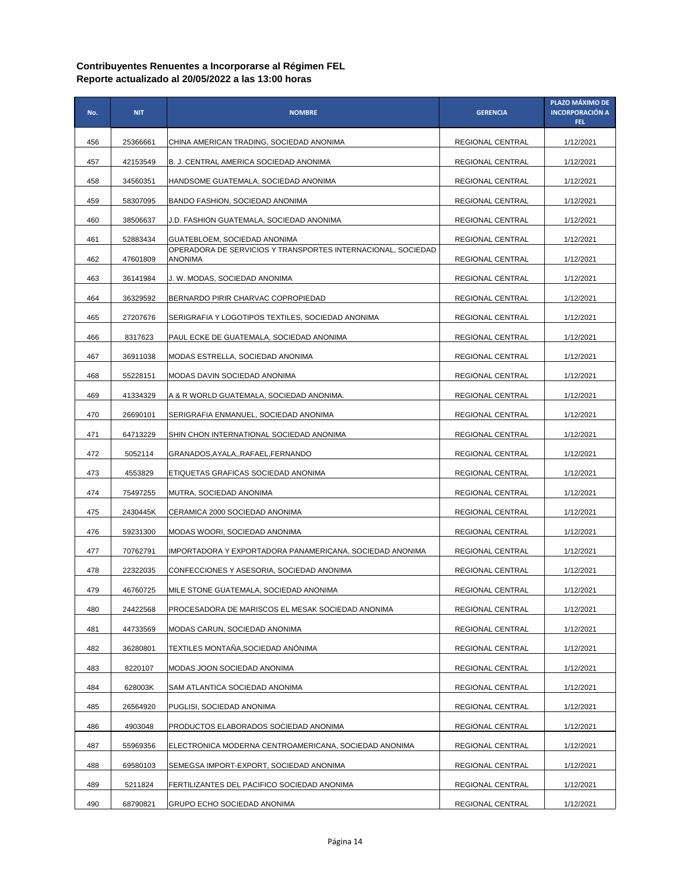| No. | <b>NIT</b> | <b>NOMBRE</b>                                                                  | <b>GERENCIA</b>         | PLAZO MÁXIMO DE<br><b>INCORPORACIÓN A</b><br>FEL. |
|-----|------------|--------------------------------------------------------------------------------|-------------------------|---------------------------------------------------|
| 456 | 25366661   | CHINA AMERICAN TRADING, SOCIEDAD ANONIMA                                       | <b>REGIONAL CENTRAL</b> | 1/12/2021                                         |
| 457 | 42153549   | B. J. CENTRAL AMERICA SOCIEDAD ANONIMA                                         | REGIONAL CENTRAL        | 1/12/2021                                         |
| 458 | 34560351   | HANDSOME GUATEMALA, SOCIEDAD ANONIMA                                           | REGIONAL CENTRAL        | 1/12/2021                                         |
| 459 | 58307095   | <b>BANDO FASHION, SOCIEDAD ANONIMA</b>                                         | REGIONAL CENTRAL        | 1/12/2021                                         |
| 460 | 38506637   | J.D. FASHION GUATEMALA, SOCIEDAD ANONIMA                                       | REGIONAL CENTRAL        | 1/12/2021                                         |
| 461 | 52883434   | GUATEBLOEM. SOCIEDAD ANONIMA                                                   | REGIONAL CENTRAL        | 1/12/2021                                         |
| 462 | 47601809   | OPERADORA DE SERVICIOS Y TRANSPORTES INTERNACIONAL, SOCIEDAD<br><b>ANONIMA</b> | REGIONAL CENTRAL        | 1/12/2021                                         |
| 463 | 36141984   | J. W. MODAS, SOCIEDAD ANONIMA                                                  | REGIONAL CENTRAL        | 1/12/2021                                         |
| 464 | 36329592   | BERNARDO PIRIR CHARVAC COPROPIEDAD                                             | REGIONAL CENTRAL        | 1/12/2021                                         |
| 465 | 27207676   | SERIGRAFIA Y LOGOTIPOS TEXTILES, SOCIEDAD ANONIMA                              | REGIONAL CENTRAL        | 1/12/2021                                         |
| 466 | 8317623    | PAUL ECKE DE GUATEMALA, SOCIEDAD ANONIMA                                       | REGIONAL CENTRAL        | 1/12/2021                                         |
| 467 | 36911038   | MODAS ESTRELLA, SOCIEDAD ANONIMA                                               | REGIONAL CENTRAL        | 1/12/2021                                         |
| 468 | 55228151   | MODAS DAVIN SOCIEDAD ANONIMA                                                   | REGIONAL CENTRAL        | 1/12/2021                                         |
| 469 | 41334329   | A & R WORLD GUATEMALA, SOCIEDAD ANONIMA.                                       | REGIONAL CENTRAL        | 1/12/2021                                         |
| 470 | 26690101   | SERIGRAFIA ENMANUEL, SOCIEDAD ANONIMA                                          | REGIONAL CENTRAL        | 1/12/2021                                         |
| 471 | 64713229   | SHIN CHON INTERNATIONAL SOCIEDAD ANONIMA                                       | REGIONAL CENTRAL        | 1/12/2021                                         |
| 472 | 5052114    | GRANADOS,AYALA,,RAFAEL,FERNANDO                                                | REGIONAL CENTRAL        | 1/12/2021                                         |
| 473 | 4553829    | ETIQUETAS GRAFICAS SOCIEDAD ANONIMA                                            | REGIONAL CENTRAL        | 1/12/2021                                         |
| 474 | 75497255   | MUTRA, SOCIEDAD ANONIMA                                                        | REGIONAL CENTRAL        | 1/12/2021                                         |
| 475 | 2430445K   | CERAMICA 2000 SOCIEDAD ANONIMA                                                 | REGIONAL CENTRAL        | 1/12/2021                                         |
| 476 | 59231300   | MODAS WOORI, SOCIEDAD ANONIMA                                                  | REGIONAL CENTRAL        | 1/12/2021                                         |
| 477 | 70762791   | IMPORTADORA Y EXPORTADORA PANAMERICANA, SOCIEDAD ANONIMA                       | REGIONAL CENTRAL        | 1/12/2021                                         |
| 478 | 22322035   | CONFECCIONES Y ASESORIA, SOCIEDAD ANONIMA                                      | REGIONAL CENTRAL        | 1/12/2021                                         |
| 479 | 46760725   | MILE STONE GUATEMALA, SOCIEDAD ANONIMA                                         | REGIONAL CENTRAL        | 1/12/2021                                         |
| 480 | 24422568   | PROCESADORA DE MARISCOS EL MESAK SOCIEDAD ANONIMA                              | REGIONAL CENTRAL        | 1/12/2021                                         |
| 481 | 44733569   | MODAS CARUN, SOCIEDAD ANONIMA                                                  | REGIONAL CENTRAL        | 1/12/2021                                         |
| 482 | 36280801   | TEXTILES MONTAÑA, SOCIEDAD ANÓNIMA                                             | REGIONAL CENTRAL        | 1/12/2021                                         |
| 483 | 8220107    | MODAS JOON SOCIEDAD ANONIMA                                                    | REGIONAL CENTRAL        | 1/12/2021                                         |
| 484 | 628003K    | SAM ATLANTICA SOCIEDAD ANONIMA                                                 | REGIONAL CENTRAL        | 1/12/2021                                         |
| 485 | 26564920   | PUGLISI, SOCIEDAD ANONIMA                                                      | REGIONAL CENTRAL        | 1/12/2021                                         |
| 486 | 4903048    | PRODUCTOS ELABORADOS SOCIEDAD ANONIMA                                          | REGIONAL CENTRAL        | 1/12/2021                                         |
| 487 | 55969356   | ELECTRONICA MODERNA CENTROAMERICANA, SOCIEDAD ANONIMA                          | REGIONAL CENTRAL        | 1/12/2021                                         |
| 488 | 69580103   | SEMEGSA IMPORT-EXPORT, SOCIEDAD ANONIMA                                        | REGIONAL CENTRAL        | 1/12/2021                                         |
| 489 | 5211824    | FERTILIZANTES DEL PACIFICO SOCIEDAD ANONIMA                                    | REGIONAL CENTRAL        | 1/12/2021                                         |
| 490 | 68790821   | GRUPO ECHO SOCIEDAD ANONIMA                                                    | REGIONAL CENTRAL        | 1/12/2021                                         |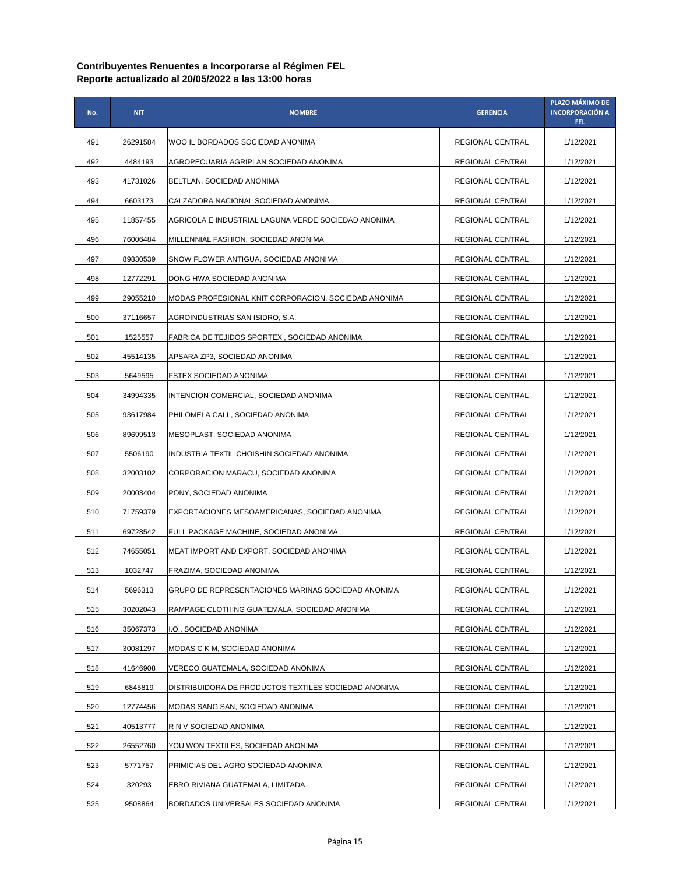| No. | <b>NIT</b> | <b>NOMBRE</b>                                        | <b>GERENCIA</b>  | PLAZO MÁXIMO DE<br><b>INCORPORACIÓN A</b><br>FEL. |
|-----|------------|------------------------------------------------------|------------------|---------------------------------------------------|
| 491 | 26291584   | WOO IL BORDADOS SOCIEDAD ANONIMA                     | REGIONAL CENTRAL | 1/12/2021                                         |
| 492 | 4484193    | AGROPECUARIA AGRIPLAN SOCIEDAD ANONIMA               | REGIONAL CENTRAL | 1/12/2021                                         |
| 493 | 41731026   | BELTLAN, SOCIEDAD ANONIMA                            | REGIONAL CENTRAL | 1/12/2021                                         |
| 494 | 6603173    | CALZADORA NACIONAL SOCIEDAD ANONIMA                  | REGIONAL CENTRAL | 1/12/2021                                         |
| 495 | 11857455   | AGRICOLA E INDUSTRIAL LAGUNA VERDE SOCIEDAD ANONIMA  | REGIONAL CENTRAL | 1/12/2021                                         |
| 496 | 76006484   | MILLENNIAL FASHION, SOCIEDAD ANONIMA                 | REGIONAL CENTRAL | 1/12/2021                                         |
| 497 | 89830539   | SNOW FLOWER ANTIGUA, SOCIEDAD ANONIMA                | REGIONAL CENTRAL | 1/12/2021                                         |
| 498 | 12772291   | DONG HWA SOCIEDAD ANONIMA                            | REGIONAL CENTRAL | 1/12/2021                                         |
| 499 | 29055210   | MODAS PROFESIONAL KNIT CORPORACION, SOCIEDAD ANONIMA | REGIONAL CENTRAL | 1/12/2021                                         |
| 500 | 37116657   | AGROINDUSTRIAS SAN ISIDRO, S.A.                      | REGIONAL CENTRAL | 1/12/2021                                         |
| 501 | 1525557    | FABRICA DE TEJIDOS SPORTEX, SOCIEDAD ANONIMA         | REGIONAL CENTRAL | 1/12/2021                                         |
| 502 | 45514135   | APSARA ZP3, SOCIEDAD ANONIMA                         | REGIONAL CENTRAL | 1/12/2021                                         |
| 503 | 5649595    | <b>FSTEX SOCIEDAD ANONIMA</b>                        | REGIONAL CENTRAL | 1/12/2021                                         |
| 504 | 34994335   | INTENCION COMERCIAL, SOCIEDAD ANONIMA                | REGIONAL CENTRAL | 1/12/2021                                         |
| 505 | 93617984   | PHILOMELA CALL, SOCIEDAD ANONIMA                     | REGIONAL CENTRAL | 1/12/2021                                         |
| 506 | 89699513   | MESOPLAST, SOCIEDAD ANONIMA                          | REGIONAL CENTRAL | 1/12/2021                                         |
| 507 | 5506190    | INDUSTRIA TEXTIL CHOISHIN SOCIEDAD ANONIMA           | REGIONAL CENTRAL | 1/12/2021                                         |
| 508 | 32003102   | CORPORACION MARACU, SOCIEDAD ANONIMA                 | REGIONAL CENTRAL | 1/12/2021                                         |
| 509 | 20003404   | PONY, SOCIEDAD ANONIMA                               | REGIONAL CENTRAL | 1/12/2021                                         |
| 510 | 71759379   | EXPORTACIONES MESOAMERICANAS, SOCIEDAD ANONIMA       | REGIONAL CENTRAL | 1/12/2021                                         |
| 511 | 69728542   | FULL PACKAGE MACHINE, SOCIEDAD ANONIMA               | REGIONAL CENTRAL | 1/12/2021                                         |
| 512 | 74655051   | MEAT IMPORT AND EXPORT, SOCIEDAD ANONIMA             | REGIONAL CENTRAL | 1/12/2021                                         |
| 513 | 1032747    | FRAZIMA, SOCIEDAD ANONIMA                            | REGIONAL CENTRAL | 1/12/2021                                         |
| 514 | 5696313    | GRUPO DE REPRESENTACIONES MARINAS SOCIEDAD ANONIMA   | REGIONAL CENTRAL | 1/12/2021                                         |
| 515 | 30202043   | RAMPAGE CLOTHING GUATEMALA, SOCIEDAD ANONIMA         | REGIONAL CENTRAL | 1/12/2021                                         |
| 516 | 35067373   | I.O., SOCIEDAD ANONIMA                               | REGIONAL CENTRAL | 1/12/2021                                         |
| 517 | 30081297   | MODAS C K M, SOCIEDAD ANONIMA                        | REGIONAL CENTRAL | 1/12/2021                                         |
| 518 | 41646908   | VERECO GUATEMALA, SOCIEDAD ANONIMA                   | REGIONAL CENTRAL | 1/12/2021                                         |
| 519 | 6845819    | DISTRIBUIDORA DE PRODUCTOS TEXTILES SOCIEDAD ANONIMA | REGIONAL CENTRAL | 1/12/2021                                         |
| 520 | 12774456   | MODAS SANG SAN, SOCIEDAD ANONIMA                     | REGIONAL CENTRAL | 1/12/2021                                         |
| 521 | 40513777   | R N V SOCIEDAD ANONIMA                               | REGIONAL CENTRAL | 1/12/2021                                         |
| 522 | 26552760   | YOU WON TEXTILES, SOCIEDAD ANONIMA                   | REGIONAL CENTRAL | 1/12/2021                                         |
| 523 | 5771757    | PRIMICIAS DEL AGRO SOCIEDAD ANONIMA                  | REGIONAL CENTRAL | 1/12/2021                                         |
| 524 | 320293     | EBRO RIVIANA GUATEMALA, LIMITADA                     | REGIONAL CENTRAL | 1/12/2021                                         |
| 525 | 9508864    | BORDADOS UNIVERSALES SOCIEDAD ANONIMA                | REGIONAL CENTRAL | 1/12/2021                                         |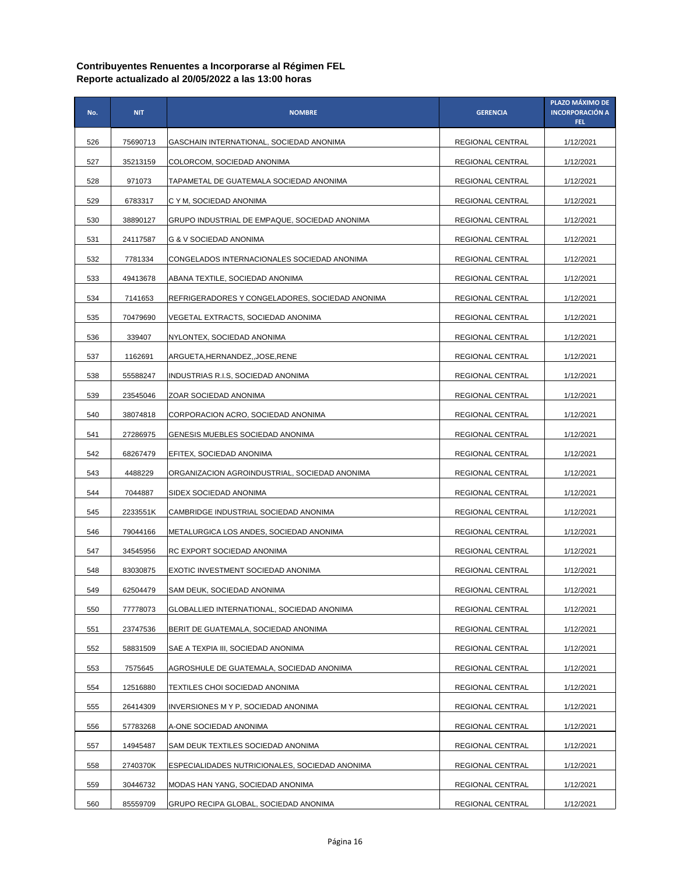| No. | <b>NIT</b> | <b>NOMBRE</b>                                   | <b>GERENCIA</b>  | PLAZO MÁXIMO DE<br><b>INCORPORACIÓN A</b><br>FEL. |
|-----|------------|-------------------------------------------------|------------------|---------------------------------------------------|
| 526 | 75690713   | GASCHAIN INTERNATIONAL, SOCIEDAD ANONIMA        | REGIONAL CENTRAL | 1/12/2021                                         |
| 527 | 35213159   | COLORCOM, SOCIEDAD ANONIMA                      | REGIONAL CENTRAL | 1/12/2021                                         |
| 528 | 971073     | TAPAMETAL DE GUATEMALA SOCIEDAD ANONIMA         | REGIONAL CENTRAL | 1/12/2021                                         |
| 529 | 6783317    | C Y M, SOCIEDAD ANONIMA                         | REGIONAL CENTRAL | 1/12/2021                                         |
| 530 | 38890127   | GRUPO INDUSTRIAL DE EMPAQUE, SOCIEDAD ANONIMA   | REGIONAL CENTRAL | 1/12/2021                                         |
| 531 | 24117587   | G & V SOCIEDAD ANONIMA                          | REGIONAL CENTRAL | 1/12/2021                                         |
| 532 | 7781334    | CONGELADOS INTERNACIONALES SOCIEDAD ANONIMA     | REGIONAL CENTRAL | 1/12/2021                                         |
| 533 | 49413678   | ABANA TEXTILE, SOCIEDAD ANONIMA                 | REGIONAL CENTRAL | 1/12/2021                                         |
| 534 | 7141653    | REFRIGERADORES Y CONGELADORES, SOCIEDAD ANONIMA | REGIONAL CENTRAL | 1/12/2021                                         |
| 535 | 70479690   | VEGETAL EXTRACTS, SOCIEDAD ANONIMA              | REGIONAL CENTRAL | 1/12/2021                                         |
| 536 | 339407     | NYLONTEX, SOCIEDAD ANONIMA                      | REGIONAL CENTRAL | 1/12/2021                                         |
| 537 | 1162691    | ARGUETA,HERNANDEZ,,JOSE,RENE                    | REGIONAL CENTRAL | 1/12/2021                                         |
| 538 | 55588247   | INDUSTRIAS R.I.S, SOCIEDAD ANONIMA              | REGIONAL CENTRAL | 1/12/2021                                         |
| 539 | 23545046   | ZOAR SOCIEDAD ANONIMA                           | REGIONAL CENTRAL | 1/12/2021                                         |
| 540 | 38074818   | CORPORACION ACRO, SOCIEDAD ANONIMA              | REGIONAL CENTRAL | 1/12/2021                                         |
| 541 | 27286975   | GENESIS MUEBLES SOCIEDAD ANONIMA                | REGIONAL CENTRAL | 1/12/2021                                         |
| 542 | 68267479   | EFITEX, SOCIEDAD ANONIMA                        | REGIONAL CENTRAL | 1/12/2021                                         |
| 543 | 4488229    | ORGANIZACION AGROINDUSTRIAL, SOCIEDAD ANONIMA   | REGIONAL CENTRAL | 1/12/2021                                         |
| 544 | 7044887    | SIDEX SOCIEDAD ANONIMA                          | REGIONAL CENTRAL | 1/12/2021                                         |
| 545 | 2233551K   | CAMBRIDGE INDUSTRIAL SOCIEDAD ANONIMA           | REGIONAL CENTRAL | 1/12/2021                                         |
| 546 | 79044166   | METALURGICA LOS ANDES, SOCIEDAD ANONIMA         | REGIONAL CENTRAL | 1/12/2021                                         |
| 547 | 34545956   | RC EXPORT SOCIEDAD ANONIMA                      | REGIONAL CENTRAL | 1/12/2021                                         |
| 548 | 83030875   | EXOTIC INVESTMENT SOCIEDAD ANONIMA              | REGIONAL CENTRAL | 1/12/2021                                         |
| 549 | 62504479   | SAM DEUK, SOCIEDAD ANONIMA                      | REGIONAL CENTRAL | 1/12/2021                                         |
| 550 | 77778073   | GLOBALLIED INTERNATIONAL, SOCIEDAD ANONIMA      | REGIONAL CENTRAL | 1/12/2021                                         |
| 551 | 23747536   | BERIT DE GUATEMALA, SOCIEDAD ANONIMA            | REGIONAL CENTRAL | 1/12/2021                                         |
| 552 | 58831509   | SAE A TEXPIA III, SOCIEDAD ANONIMA              | REGIONAL CENTRAL | 1/12/2021                                         |
| 553 | 7575645    | AGROSHULE DE GUATEMALA, SOCIEDAD ANONIMA        | REGIONAL CENTRAL | 1/12/2021                                         |
| 554 | 12516880   | TEXTILES CHOI SOCIEDAD ANONIMA                  | REGIONAL CENTRAL | 1/12/2021                                         |
| 555 | 26414309   | INVERSIONES MY P, SOCIEDAD ANONIMA              | REGIONAL CENTRAL | 1/12/2021                                         |
| 556 | 57783268   | A-ONE SOCIEDAD ANONIMA                          | REGIONAL CENTRAL | 1/12/2021                                         |
| 557 | 14945487   | SAM DEUK TEXTILES SOCIEDAD ANONIMA              | REGIONAL CENTRAL | 1/12/2021                                         |
| 558 | 2740370K   | ESPECIALIDADES NUTRICIONALES, SOCIEDAD ANONIMA  | REGIONAL CENTRAL | 1/12/2021                                         |
| 559 | 30446732   | MODAS HAN YANG, SOCIEDAD ANONIMA                | REGIONAL CENTRAL | 1/12/2021                                         |
| 560 | 85559709   | GRUPO RECIPA GLOBAL, SOCIEDAD ANONIMA           | REGIONAL CENTRAL | 1/12/2021                                         |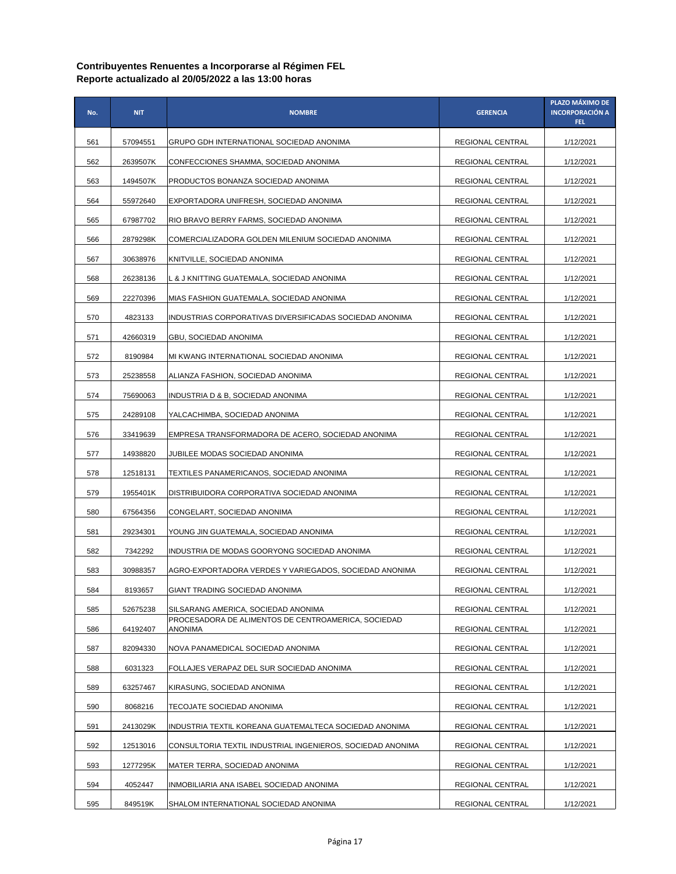| No. | <b>NIT</b> | <b>NOMBRE</b>                                                  | <b>GERENCIA</b>  | PLAZO MÁXIMO DE<br><b>INCORPORACIÓN A</b><br>FEL. |
|-----|------------|----------------------------------------------------------------|------------------|---------------------------------------------------|
| 561 | 57094551   | GRUPO GDH INTERNATIONAL SOCIEDAD ANONIMA                       | REGIONAL CENTRAL | 1/12/2021                                         |
| 562 | 2639507K   | CONFECCIONES SHAMMA, SOCIEDAD ANONIMA                          | REGIONAL CENTRAL | 1/12/2021                                         |
| 563 | 1494507K   | PRODUCTOS BONANZA SOCIEDAD ANONIMA                             | REGIONAL CENTRAL | 1/12/2021                                         |
| 564 | 55972640   | EXPORTADORA UNIFRESH, SOCIEDAD ANONIMA                         | REGIONAL CENTRAL | 1/12/2021                                         |
| 565 | 67987702   | RIO BRAVO BERRY FARMS, SOCIEDAD ANONIMA                        | REGIONAL CENTRAL | 1/12/2021                                         |
| 566 | 2879298K   | COMERCIALIZADORA GOLDEN MILENIUM SOCIEDAD ANONIMA              | REGIONAL CENTRAL | 1/12/2021                                         |
| 567 | 30638976   | KNITVILLE, SOCIEDAD ANONIMA                                    | REGIONAL CENTRAL | 1/12/2021                                         |
| 568 | 26238136   | L & J KNITTING GUATEMALA, SOCIEDAD ANONIMA                     | REGIONAL CENTRAL | 1/12/2021                                         |
| 569 | 22270396   | MIAS FASHION GUATEMALA, SOCIEDAD ANONIMA                       | REGIONAL CENTRAL | 1/12/2021                                         |
| 570 | 4823133    | INDUSTRIAS CORPORATIVAS DIVERSIFICADAS SOCIEDAD ANONIMA        | REGIONAL CENTRAL | 1/12/2021                                         |
| 571 | 42660319   | GBU, SOCIEDAD ANONIMA                                          | REGIONAL CENTRAL | 1/12/2021                                         |
| 572 | 8190984    | MI KWANG INTERNATIONAL SOCIEDAD ANONIMA                        | REGIONAL CENTRAL | 1/12/2021                                         |
| 573 | 25238558   | ALIANZA FASHION, SOCIEDAD ANONIMA                              | REGIONAL CENTRAL | 1/12/2021                                         |
| 574 | 75690063   | INDUSTRIA D & B, SOCIEDAD ANONIMA                              | REGIONAL CENTRAL | 1/12/2021                                         |
| 575 | 24289108   | YALCACHIMBA, SOCIEDAD ANONIMA                                  | REGIONAL CENTRAL | 1/12/2021                                         |
| 576 | 33419639   | EMPRESA TRANSFORMADORA DE ACERO, SOCIEDAD ANONIMA              | REGIONAL CENTRAL | 1/12/2021                                         |
| 577 | 14938820   | JUBILEE MODAS SOCIEDAD ANONIMA                                 | REGIONAL CENTRAL | 1/12/2021                                         |
| 578 | 12518131   | TEXTILES PANAMERICANOS, SOCIEDAD ANONIMA                       | REGIONAL CENTRAL | 1/12/2021                                         |
| 579 | 1955401K   | DISTRIBUIDORA CORPORATIVA SOCIEDAD ANONIMA                     | REGIONAL CENTRAL | 1/12/2021                                         |
| 580 | 67564356   | CONGELART, SOCIEDAD ANONIMA                                    | REGIONAL CENTRAL | 1/12/2021                                         |
| 581 | 29234301   | YOUNG JIN GUATEMALA, SOCIEDAD ANONIMA                          | REGIONAL CENTRAL | 1/12/2021                                         |
| 582 | 7342292    | INDUSTRIA DE MODAS GOORYONG SOCIEDAD ANONIMA                   | REGIONAL CENTRAL | 1/12/2021                                         |
| 583 | 30988357   | AGRO-EXPORTADORA VERDES Y VARIEGADOS, SOCIEDAD ANONIMA         | REGIONAL CENTRAL | 1/12/2021                                         |
| 584 | 8193657    | GIANT TRADING SOCIEDAD ANONIMA                                 | REGIONAL CENTRAL | 1/12/2021                                         |
| 585 | 52675238   | SILSARANG AMERICA, SOCIEDAD ANONIMA                            | REGIONAL CENTRAL | 1/12/2021                                         |
| 586 | 64192407   | PROCESADORA DE ALIMENTOS DE CENTROAMERICA, SOCIEDAD<br>ANONIMA | REGIONAL CENTRAL | 1/12/2021                                         |
| 587 | 82094330   | NOVA PANAMEDICAL SOCIEDAD ANONIMA                              | REGIONAL CENTRAL | 1/12/2021                                         |
| 588 | 6031323    | FOLLAJES VERAPAZ DEL SUR SOCIEDAD ANONIMA                      | REGIONAL CENTRAL | 1/12/2021                                         |
| 589 | 63257467   | KIRASUNG, SOCIEDAD ANONIMA                                     | REGIONAL CENTRAL | 1/12/2021                                         |
| 590 | 8068216    | TECOJATE SOCIEDAD ANONIMA                                      | REGIONAL CENTRAL | 1/12/2021                                         |
| 591 | 2413029K   | INDUSTRIA TEXTIL KOREANA GUATEMALTECA SOCIEDAD ANONIMA         | REGIONAL CENTRAL | 1/12/2021                                         |
| 592 | 12513016   | CONSULTORIA TEXTIL INDUSTRIAL INGENIEROS, SOCIEDAD ANONIMA     | REGIONAL CENTRAL | 1/12/2021                                         |
| 593 | 1277295K   | MATER TERRA, SOCIEDAD ANONIMA                                  | REGIONAL CENTRAL | 1/12/2021                                         |
| 594 | 4052447    | INMOBILIARIA ANA ISABEL SOCIEDAD ANONIMA                       | REGIONAL CENTRAL | 1/12/2021                                         |
| 595 | 849519K    | SHALOM INTERNATIONAL SOCIEDAD ANONIMA                          | REGIONAL CENTRAL | 1/12/2021                                         |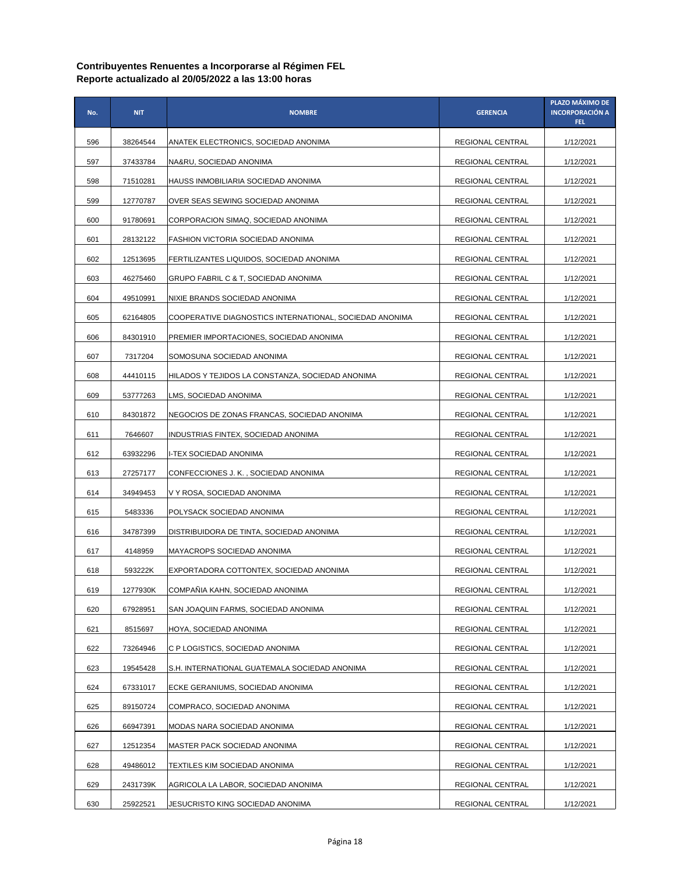| No. | <b>NIT</b> | <b>NOMBRE</b>                                           | <b>GERENCIA</b>         | PLAZO MÁXIMO DE<br><b>INCORPORACIÓN A</b><br><b>FEL</b> |
|-----|------------|---------------------------------------------------------|-------------------------|---------------------------------------------------------|
| 596 | 38264544   | ANATEK ELECTRONICS, SOCIEDAD ANONIMA                    | REGIONAL CENTRAL        | 1/12/2021                                               |
| 597 | 37433784   | NA&RU, SOCIEDAD ANONIMA                                 | REGIONAL CENTRAL        | 1/12/2021                                               |
| 598 | 71510281   | HAUSS INMOBILIARIA SOCIEDAD ANONIMA                     | REGIONAL CENTRAL        | 1/12/2021                                               |
| 599 | 12770787   | OVER SEAS SEWING SOCIEDAD ANONIMA                       | REGIONAL CENTRAL        | 1/12/2021                                               |
| 600 | 91780691   | CORPORACION SIMAQ, SOCIEDAD ANONIMA                     | REGIONAL CENTRAL        | 1/12/2021                                               |
| 601 | 28132122   | FASHION VICTORIA SOCIEDAD ANONIMA                       | REGIONAL CENTRAL        | 1/12/2021                                               |
| 602 | 12513695   | FERTILIZANTES LIQUIDOS, SOCIEDAD ANONIMA                | REGIONAL CENTRAL        | 1/12/2021                                               |
| 603 | 46275460   | GRUPO FABRIL C & T, SOCIEDAD ANONIMA                    | REGIONAL CENTRAL        | 1/12/2021                                               |
| 604 | 49510991   | NIXIE BRANDS SOCIEDAD ANONIMA                           | REGIONAL CENTRAL        | 1/12/2021                                               |
| 605 | 62164805   | COOPERATIVE DIAGNOSTICS INTERNATIONAL, SOCIEDAD ANONIMA | REGIONAL CENTRAL        | 1/12/2021                                               |
| 606 | 84301910   | PREMIER IMPORTACIONES, SOCIEDAD ANONIMA                 | REGIONAL CENTRAL        | 1/12/2021                                               |
| 607 | 7317204    | SOMOSUNA SOCIEDAD ANONIMA                               | REGIONAL CENTRAL        | 1/12/2021                                               |
| 608 | 44410115   | HILADOS Y TEJIDOS LA CONSTANZA, SOCIEDAD ANONIMA        | REGIONAL CENTRAL        | 1/12/2021                                               |
| 609 | 53777263   | LMS, SOCIEDAD ANONIMA                                   | REGIONAL CENTRAL        | 1/12/2021                                               |
| 610 | 84301872   | NEGOCIOS DE ZONAS FRANCAS, SOCIEDAD ANONIMA             | REGIONAL CENTRAL        | 1/12/2021                                               |
| 611 | 7646607    | INDUSTRIAS FINTEX, SOCIEDAD ANONIMA                     | REGIONAL CENTRAL        | 1/12/2021                                               |
| 612 | 63932296   | I-TEX SOCIEDAD ANONIMA                                  | REGIONAL CENTRAL        | 1/12/2021                                               |
| 613 | 27257177   | CONFECCIONES J. K., SOCIEDAD ANONIMA                    | REGIONAL CENTRAL        | 1/12/2021                                               |
| 614 | 34949453   | V Y ROSA, SOCIEDAD ANONIMA                              | REGIONAL CENTRAL        | 1/12/2021                                               |
| 615 | 5483336    | POLYSACK SOCIEDAD ANONIMA                               | REGIONAL CENTRAL        | 1/12/2021                                               |
| 616 | 34787399   | DISTRIBUIDORA DE TINTA, SOCIEDAD ANONIMA                | <b>REGIONAL CENTRAL</b> | 1/12/2021                                               |
| 617 | 4148959    | MAYACROPS SOCIEDAD ANONIMA                              | REGIONAL CENTRAL        | 1/12/2021                                               |
| 618 | 593222K    | EXPORTADORA COTTONTEX, SOCIEDAD ANONIMA                 | REGIONAL CENTRAL        | 1/12/2021                                               |
| 619 | 1277930K   | COMPAÑIA KAHN, SOCIEDAD ANONIMA                         | REGIONAL CENTRAL        | 1/12/2021                                               |
| 620 | 67928951   | SAN JOAQUIN FARMS, SOCIEDAD ANONIMA                     | REGIONAL CENTRAL        | 1/12/2021                                               |
| 621 | 8515697    | HOYA, SOCIEDAD ANONIMA                                  | REGIONAL CENTRAL        | 1/12/2021                                               |
| 622 | 73264946   | C P LOGISTICS, SOCIEDAD ANONIMA                         | REGIONAL CENTRAL        | 1/12/2021                                               |
| 623 | 19545428   | S.H. INTERNATIONAL GUATEMALA SOCIEDAD ANONIMA           | REGIONAL CENTRAL        | 1/12/2021                                               |
| 624 | 67331017   | ECKE GERANIUMS, SOCIEDAD ANONIMA                        | REGIONAL CENTRAL        | 1/12/2021                                               |
| 625 | 89150724   | COMPRACO, SOCIEDAD ANONIMA                              | REGIONAL CENTRAL        | 1/12/2021                                               |
| 626 | 66947391   | MODAS NARA SOCIEDAD ANONIMA                             | REGIONAL CENTRAL        | 1/12/2021                                               |
| 627 | 12512354   | MASTER PACK SOCIEDAD ANONIMA                            | REGIONAL CENTRAL        | 1/12/2021                                               |
| 628 | 49486012   | TEXTILES KIM SOCIEDAD ANONIMA                           | REGIONAL CENTRAL        | 1/12/2021                                               |
| 629 | 2431739K   | AGRICOLA LA LABOR, SOCIEDAD ANONIMA                     | REGIONAL CENTRAL        | 1/12/2021                                               |
| 630 | 25922521   | JESUCRISTO KING SOCIEDAD ANONIMA                        | REGIONAL CENTRAL        | 1/12/2021                                               |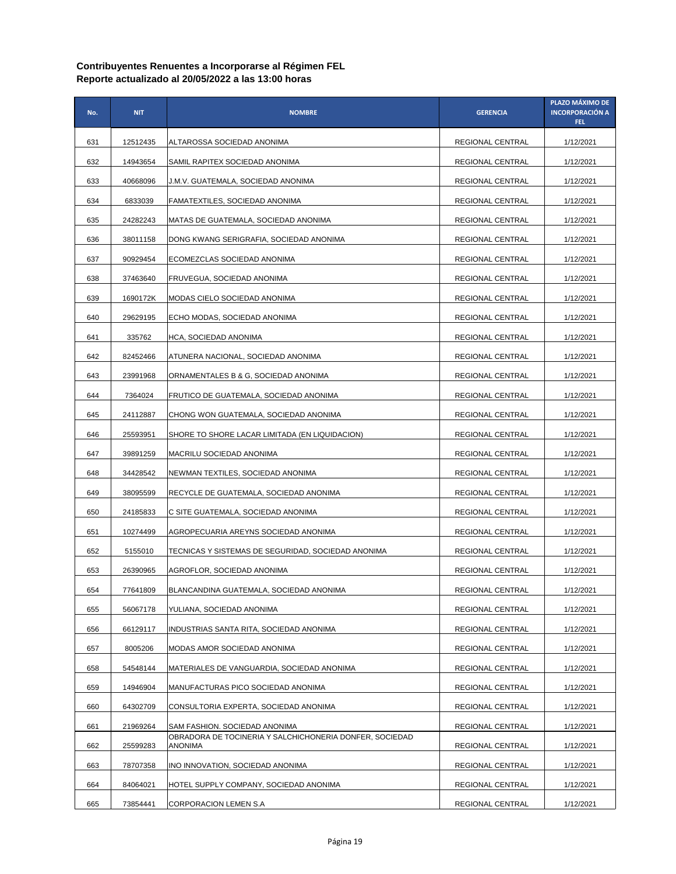| No. | <b>NIT</b> | <b>NOMBRE</b>                                                      | <b>GERENCIA</b>  | PLAZO MÁXIMO DE<br><b>INCORPORACIÓN A</b><br>FEL. |
|-----|------------|--------------------------------------------------------------------|------------------|---------------------------------------------------|
| 631 | 12512435   | ALTAROSSA SOCIEDAD ANONIMA                                         | REGIONAL CENTRAL | 1/12/2021                                         |
| 632 | 14943654   | SAMIL RAPITEX SOCIEDAD ANONIMA                                     | REGIONAL CENTRAL | 1/12/2021                                         |
| 633 | 40668096   | J.M.V. GUATEMALA, SOCIEDAD ANONIMA                                 | REGIONAL CENTRAL | 1/12/2021                                         |
| 634 | 6833039    | FAMATEXTILES, SOCIEDAD ANONIMA                                     | REGIONAL CENTRAL | 1/12/2021                                         |
| 635 | 24282243   | MATAS DE GUATEMALA, SOCIEDAD ANONIMA                               | REGIONAL CENTRAL | 1/12/2021                                         |
| 636 | 38011158   | DONG KWANG SERIGRAFIA, SOCIEDAD ANONIMA                            | REGIONAL CENTRAL | 1/12/2021                                         |
| 637 | 90929454   | ECOMEZCLAS SOCIEDAD ANONIMA                                        | REGIONAL CENTRAL | 1/12/2021                                         |
| 638 | 37463640   | FRUVEGUA, SOCIEDAD ANONIMA                                         | REGIONAL CENTRAL | 1/12/2021                                         |
| 639 | 1690172K   | MODAS CIELO SOCIEDAD ANONIMA                                       | REGIONAL CENTRAL | 1/12/2021                                         |
| 640 | 29629195   | ECHO MODAS, SOCIEDAD ANONIMA                                       | REGIONAL CENTRAL | 1/12/2021                                         |
| 641 | 335762     | HCA, SOCIEDAD ANONIMA                                              | REGIONAL CENTRAL | 1/12/2021                                         |
| 642 | 82452466   | ATUNERA NACIONAL, SOCIEDAD ANONIMA                                 | REGIONAL CENTRAL | 1/12/2021                                         |
| 643 | 23991968   | ORNAMENTALES B & G, SOCIEDAD ANONIMA                               | REGIONAL CENTRAL | 1/12/2021                                         |
| 644 | 7364024    | FRUTICO DE GUATEMALA, SOCIEDAD ANONIMA                             | REGIONAL CENTRAL | 1/12/2021                                         |
| 645 | 24112887   | CHONG WON GUATEMALA, SOCIEDAD ANONIMA                              | REGIONAL CENTRAL | 1/12/2021                                         |
| 646 | 25593951   | SHORE TO SHORE LACAR LIMITADA (EN LIQUIDACION)                     | REGIONAL CENTRAL | 1/12/2021                                         |
| 647 | 39891259   | MACRILU SOCIEDAD ANONIMA                                           | REGIONAL CENTRAL | 1/12/2021                                         |
| 648 | 34428542   | NEWMAN TEXTILES, SOCIEDAD ANONIMA                                  | REGIONAL CENTRAL | 1/12/2021                                         |
| 649 | 38095599   | RECYCLE DE GUATEMALA, SOCIEDAD ANONIMA                             | REGIONAL CENTRAL | 1/12/2021                                         |
| 650 | 24185833   | C SITE GUATEMALA, SOCIEDAD ANONIMA                                 | REGIONAL CENTRAL | 1/12/2021                                         |
| 651 | 10274499   | AGROPECUARIA AREYNS SOCIEDAD ANONIMA                               | REGIONAL CENTRAL | 1/12/2021                                         |
| 652 | 5155010    | TECNICAS Y SISTEMAS DE SEGURIDAD, SOCIEDAD ANONIMA                 | REGIONAL CENTRAL | 1/12/2021                                         |
| 653 | 26390965   | AGROFLOR, SOCIEDAD ANONIMA                                         | REGIONAL CENTRAL | 1/12/2021                                         |
| 654 | 77641809   | BLANCANDINA GUATEMALA, SOCIEDAD ANONIMA                            | REGIONAL CENTRAL | 1/12/2021                                         |
| 655 | 56067178   | YULIANA, SOCIEDAD ANONIMA                                          | REGIONAL CENTRAL | 1/12/2021                                         |
| 656 | 66129117   | INDUSTRIAS SANTA RITA, SOCIEDAD ANONIMA                            | REGIONAL CENTRAL | 1/12/2021                                         |
| 657 | 8005206    | MODAS AMOR SOCIEDAD ANONIMA                                        | REGIONAL CENTRAL | 1/12/2021                                         |
| 658 | 54548144   | MATERIALES DE VANGUARDIA, SOCIEDAD ANONIMA                         | REGIONAL CENTRAL | 1/12/2021                                         |
| 659 | 14946904   | MANUFACTURAS PICO SOCIEDAD ANONIMA                                 | REGIONAL CENTRAL | 1/12/2021                                         |
| 660 | 64302709   | CONSULTORIA EXPERTA, SOCIEDAD ANONIMA                              | REGIONAL CENTRAL | 1/12/2021                                         |
| 661 | 21969264   | SAM FASHION. SOCIEDAD ANONIMA                                      | REGIONAL CENTRAL | 1/12/2021                                         |
| 662 | 25599283   | OBRADORA DE TOCINERIA Y SALCHICHONERIA DONFER, SOCIEDAD<br>ANONIMA | REGIONAL CENTRAL | 1/12/2021                                         |
| 663 | 78707358   | INO INNOVATION, SOCIEDAD ANONIMA                                   | REGIONAL CENTRAL | 1/12/2021                                         |
| 664 | 84064021   | HOTEL SUPPLY COMPANY, SOCIEDAD ANONIMA                             | REGIONAL CENTRAL | 1/12/2021                                         |
| 665 | 73854441   | <b>CORPORACION LEMEN S.A</b>                                       | REGIONAL CENTRAL | 1/12/2021                                         |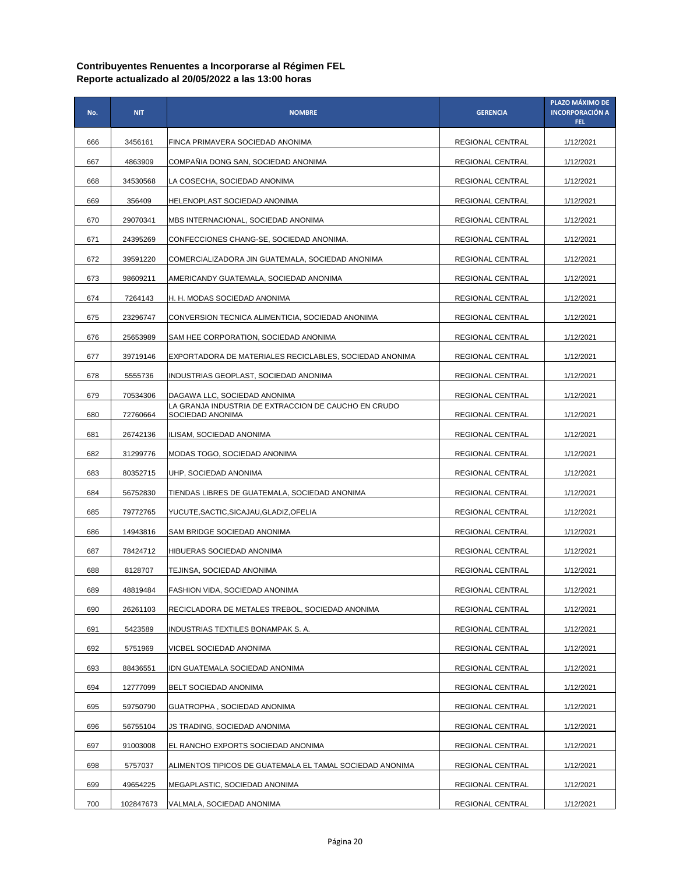| No. | <b>NIT</b> | <b>NOMBRE</b>                                                            | <b>GERENCIA</b>  | PLAZO MÁXIMO DE<br><b>INCORPORACIÓN A</b><br>FEL. |
|-----|------------|--------------------------------------------------------------------------|------------------|---------------------------------------------------|
| 666 | 3456161    | FINCA PRIMAVERA SOCIEDAD ANONIMA                                         | REGIONAL CENTRAL | 1/12/2021                                         |
| 667 | 4863909    | COMPANIA DONG SAN, SOCIEDAD ANONIMA                                      | REGIONAL CENTRAL | 1/12/2021                                         |
| 668 | 34530568   | LA COSECHA, SOCIEDAD ANONIMA                                             | REGIONAL CENTRAL | 1/12/2021                                         |
| 669 | 356409     | HELENOPLAST SOCIEDAD ANONIMA                                             | REGIONAL CENTRAL | 1/12/2021                                         |
| 670 | 29070341   | MBS INTERNACIONAL, SOCIEDAD ANONIMA                                      | REGIONAL CENTRAL | 1/12/2021                                         |
| 671 | 24395269   | CONFECCIONES CHANG-SE, SOCIEDAD ANONIMA.                                 | REGIONAL CENTRAL | 1/12/2021                                         |
| 672 | 39591220   | COMERCIALIZADORA JIN GUATEMALA, SOCIEDAD ANONIMA                         | REGIONAL CENTRAL | 1/12/2021                                         |
| 673 | 98609211   | AMERICANDY GUATEMALA, SOCIEDAD ANONIMA                                   | REGIONAL CENTRAL | 1/12/2021                                         |
| 674 | 7264143    | H. H. MODAS SOCIEDAD ANONIMA                                             | REGIONAL CENTRAL | 1/12/2021                                         |
| 675 | 23296747   | CONVERSION TECNICA ALIMENTICIA, SOCIEDAD ANONIMA                         | REGIONAL CENTRAL | 1/12/2021                                         |
| 676 | 25653989   | SAM HEE CORPORATION, SOCIEDAD ANONIMA                                    | REGIONAL CENTRAL | 1/12/2021                                         |
| 677 | 39719146   | EXPORTADORA DE MATERIALES RECICLABLES, SOCIEDAD ANONIMA                  | REGIONAL CENTRAL | 1/12/2021                                         |
| 678 | 5555736    | INDUSTRIAS GEOPLAST, SOCIEDAD ANONIMA                                    | REGIONAL CENTRAL | 1/12/2021                                         |
| 679 | 70534306   | DAGAWA LLC, SOCIEDAD ANONIMA                                             | REGIONAL CENTRAL | 1/12/2021                                         |
| 680 | 72760664   | LA GRANJA INDUSTRIA DE EXTRACCION DE CAUCHO EN CRUDO<br>SOCIEDAD ANONIMA | REGIONAL CENTRAL | 1/12/2021                                         |
| 681 | 26742136   | ILISAM, SOCIEDAD ANONIMA                                                 | REGIONAL CENTRAL | 1/12/2021                                         |
| 682 | 31299776   | MODAS TOGO, SOCIEDAD ANONIMA                                             | REGIONAL CENTRAL | 1/12/2021                                         |
| 683 | 80352715   | UHP, SOCIEDAD ANONIMA                                                    | REGIONAL CENTRAL | 1/12/2021                                         |
| 684 | 56752830   | TIENDAS LIBRES DE GUATEMALA, SOCIEDAD ANONIMA                            | REGIONAL CENTRAL | 1/12/2021                                         |
| 685 | 79772765   | YUCUTE, SACTIC, SICAJAU, GLADIZ, OFELIA                                  | REGIONAL CENTRAL | 1/12/2021                                         |
| 686 | 14943816   | SAM BRIDGE SOCIEDAD ANONIMA                                              | REGIONAL CENTRAL | 1/12/2021                                         |
| 687 | 78424712   | HIBUERAS SOCIEDAD ANONIMA                                                | REGIONAL CENTRAL | 1/12/2021                                         |
| 688 | 8128707    | TEJINSA, SOCIEDAD ANONIMA                                                | REGIONAL CENTRAL | 1/12/2021                                         |
| 689 | 48819484   | FASHION VIDA, SOCIEDAD ANONIMA                                           | REGIONAL CENTRAL | 1/12/2021                                         |
| 690 | 26261103   | RECICLADORA DE METALES TREBOL, SOCIEDAD ANONIMA                          | REGIONAL CENTRAL | 1/12/2021                                         |
| 691 | 5423589    | INDUSTRIAS TEXTILES BONAMPAK S. A.                                       | REGIONAL CENTRAL | 1/12/2021                                         |
| 692 | 5751969    | VICBEL SOCIEDAD ANONIMA                                                  | REGIONAL CENTRAL | 1/12/2021                                         |
| 693 | 88436551   | IDN GUATEMALA SOCIEDAD ANONIMA                                           | REGIONAL CENTRAL | 1/12/2021                                         |
| 694 | 12777099   | BELT SOCIEDAD ANONIMA                                                    | REGIONAL CENTRAL | 1/12/2021                                         |
| 695 | 59750790   | GUATROPHA, SOCIEDAD ANONIMA                                              | REGIONAL CENTRAL | 1/12/2021                                         |
| 696 | 56755104   | JS TRADING, SOCIEDAD ANONIMA                                             | REGIONAL CENTRAL | 1/12/2021                                         |
| 697 | 91003008   | EL RANCHO EXPORTS SOCIEDAD ANONIMA                                       | REGIONAL CENTRAL | 1/12/2021                                         |
| 698 | 5757037    | ALIMENTOS TIPICOS DE GUATEMALA EL TAMAL SOCIEDAD ANONIMA                 | REGIONAL CENTRAL | 1/12/2021                                         |
| 699 | 49654225   | MEGAPLASTIC, SOCIEDAD ANONIMA                                            | REGIONAL CENTRAL | 1/12/2021                                         |
| 700 | 102847673  | VALMALA, SOCIEDAD ANONIMA                                                | REGIONAL CENTRAL | 1/12/2021                                         |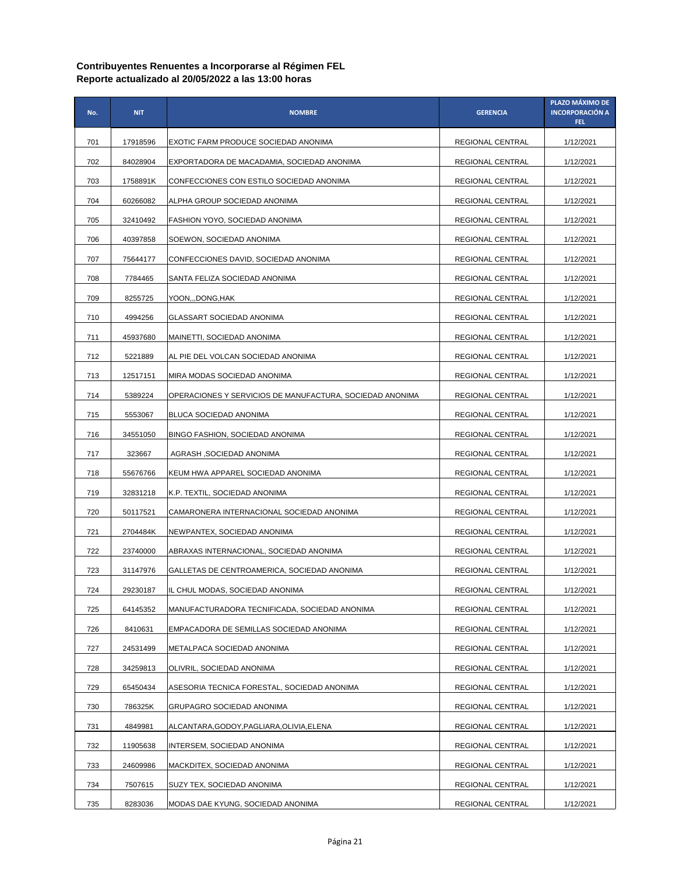| No. | <b>NIT</b> | <b>NOMBRE</b>                                            | <b>GERENCIA</b>  | PLAZO MÁXIMO DE<br><b>INCORPORACIÓN A</b><br>FEL. |
|-----|------------|----------------------------------------------------------|------------------|---------------------------------------------------|
| 701 | 17918596   | EXOTIC FARM PRODUCE SOCIEDAD ANONIMA                     | REGIONAL CENTRAL | 1/12/2021                                         |
| 702 | 84028904   | EXPORTADORA DE MACADAMIA, SOCIEDAD ANONIMA               | REGIONAL CENTRAL | 1/12/2021                                         |
| 703 | 1758891K   | CONFECCIONES CON ESTILO SOCIEDAD ANONIMA                 | REGIONAL CENTRAL | 1/12/2021                                         |
| 704 | 60266082   | ALPHA GROUP SOCIEDAD ANONIMA                             | REGIONAL CENTRAL | 1/12/2021                                         |
| 705 | 32410492   | FASHION YOYO, SOCIEDAD ANONIMA                           | REGIONAL CENTRAL | 1/12/2021                                         |
| 706 | 40397858   | SOEWON, SOCIEDAD ANONIMA                                 | REGIONAL CENTRAL | 1/12/2021                                         |
| 707 | 75644177   | CONFECCIONES DAVID, SOCIEDAD ANONIMA                     | REGIONAL CENTRAL | 1/12/2021                                         |
| 708 | 7784465    | SANTA FELIZA SOCIEDAD ANONIMA                            | REGIONAL CENTRAL | 1/12/2021                                         |
| 709 | 8255725    | YOON,,,DONG,HAK                                          | REGIONAL CENTRAL | 1/12/2021                                         |
| 710 | 4994256    | GLASSART SOCIEDAD ANONIMA                                | REGIONAL CENTRAL | 1/12/2021                                         |
| 711 | 45937680   | MAINETTI, SOCIEDAD ANONIMA                               | REGIONAL CENTRAL | 1/12/2021                                         |
| 712 | 5221889    | AL PIE DEL VOLCAN SOCIEDAD ANONIMA                       | REGIONAL CENTRAL | 1/12/2021                                         |
| 713 | 12517151   | MIRA MODAS SOCIEDAD ANONIMA                              | REGIONAL CENTRAL | 1/12/2021                                         |
| 714 | 5389224    | OPERACIONES Y SERVICIOS DE MANUFACTURA, SOCIEDAD ANONIMA | REGIONAL CENTRAL | 1/12/2021                                         |
| 715 | 5553067    | BLUCA SOCIEDAD ANONIMA                                   | REGIONAL CENTRAL | 1/12/2021                                         |
| 716 | 34551050   | BINGO FASHION, SOCIEDAD ANONIMA                          | REGIONAL CENTRAL | 1/12/2021                                         |
| 717 | 323667     | AGRASH , SOCIEDAD ANONIMA                                | REGIONAL CENTRAL | 1/12/2021                                         |
| 718 | 55676766   | KEUM HWA APPAREL SOCIEDAD ANONIMA                        | REGIONAL CENTRAL | 1/12/2021                                         |
| 719 | 32831218   | K.P. TEXTIL, SOCIEDAD ANONIMA                            | REGIONAL CENTRAL | 1/12/2021                                         |
| 720 | 50117521   | CAMARONERA INTERNACIONAL SOCIEDAD ANONIMA                | REGIONAL CENTRAL | 1/12/2021                                         |
| 721 | 2704484K   | NEWPANTEX, SOCIEDAD ANONIMA                              | REGIONAL CENTRAL | 1/12/2021                                         |
| 722 | 23740000   | ABRAXAS INTERNACIONAL, SOCIEDAD ANONIMA                  | REGIONAL CENTRAL | 1/12/2021                                         |
| 723 | 31147976   | GALLETAS DE CENTROAMERICA, SOCIEDAD ANONIMA              | REGIONAL CENTRAL | 1/12/2021                                         |
| 724 | 29230187   | IL CHUL MODAS, SOCIEDAD ANONIMA                          | REGIONAL CENTRAL | 1/12/2021                                         |
| 725 | 64145352   | MANUFACTURADORA TECNIFICADA, SOCIEDAD ANONIMA            | REGIONAL CENTRAL | 1/12/2021                                         |
| 726 | 8410631    | EMPACADORA DE SEMILLAS SOCIEDAD ANONIMA                  | REGIONAL CENTRAL | 1/12/2021                                         |
| 727 | 24531499   | METALPACA SOCIEDAD ANONIMA                               | REGIONAL CENTRAL | 1/12/2021                                         |
| 728 | 34259813   | OLIVRIL, SOCIEDAD ANONIMA                                | REGIONAL CENTRAL | 1/12/2021                                         |
| 729 | 65450434   | ASESORIA TECNICA FORESTAL, SOCIEDAD ANONIMA              | REGIONAL CENTRAL | 1/12/2021                                         |
| 730 | 786325K    | GRUPAGRO SOCIEDAD ANONIMA                                | REGIONAL CENTRAL | 1/12/2021                                         |
| 731 | 4849981    | ALCANTARA,GODOY,PAGLIARA,OLIVIA,ELENA                    | REGIONAL CENTRAL | 1/12/2021                                         |
| 732 | 11905638   | INTERSEM, SOCIEDAD ANONIMA                               | REGIONAL CENTRAL | 1/12/2021                                         |
| 733 | 24609986   | MACKDITEX, SOCIEDAD ANONIMA                              | REGIONAL CENTRAL | 1/12/2021                                         |
| 734 | 7507615    | SUZY TEX, SOCIEDAD ANONIMA                               | REGIONAL CENTRAL | 1/12/2021                                         |
| 735 | 8283036    | MODAS DAE KYUNG, SOCIEDAD ANONIMA                        | REGIONAL CENTRAL | 1/12/2021                                         |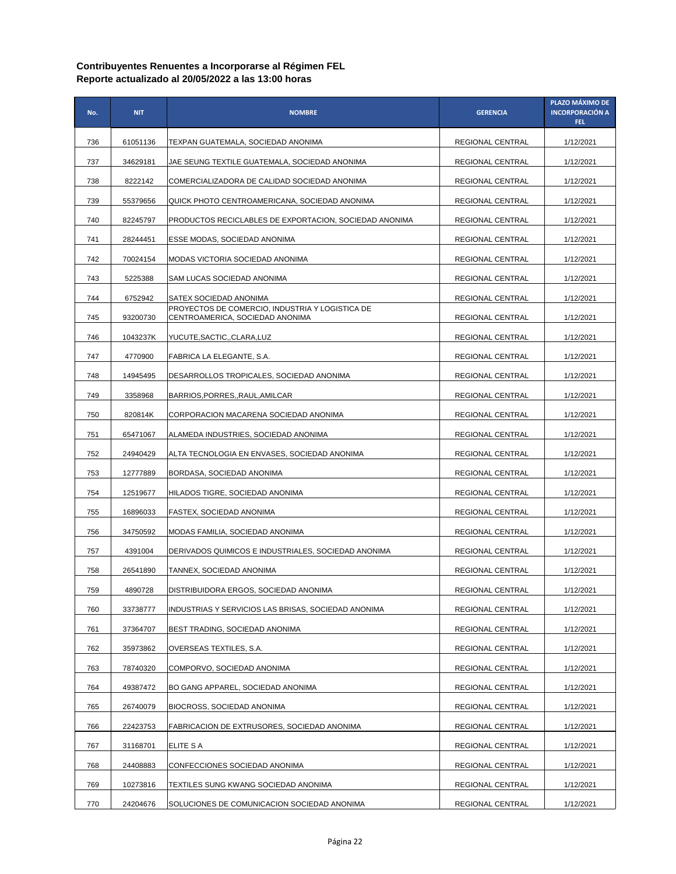| No. | <b>NIT</b> | <b>NOMBRE</b>                                                                      | <b>GERENCIA</b>  | PLAZO MÁXIMO DE<br><b>INCORPORACIÓN A</b><br>FEL. |
|-----|------------|------------------------------------------------------------------------------------|------------------|---------------------------------------------------|
| 736 | 61051136   | TEXPAN GUATEMALA, SOCIEDAD ANONIMA                                                 | REGIONAL CENTRAL | 1/12/2021                                         |
| 737 | 34629181   | JAE SEUNG TEXTILE GUATEMALA, SOCIEDAD ANONIMA                                      | REGIONAL CENTRAL | 1/12/2021                                         |
| 738 | 8222142    | COMERCIALIZADORA DE CALIDAD SOCIEDAD ANONIMA                                       | REGIONAL CENTRAL | 1/12/2021                                         |
| 739 | 55379656   | QUICK PHOTO CENTROAMERICANA, SOCIEDAD ANONIMA                                      | REGIONAL CENTRAL | 1/12/2021                                         |
| 740 | 82245797   | PRODUCTOS RECICLABLES DE EXPORTACION, SOCIEDAD ANONIMA                             | REGIONAL CENTRAL | 1/12/2021                                         |
| 741 | 28244451   | ESSE MODAS, SOCIEDAD ANONIMA                                                       | REGIONAL CENTRAL | 1/12/2021                                         |
| 742 | 70024154   | MODAS VICTORIA SOCIEDAD ANONIMA                                                    | REGIONAL CENTRAL | 1/12/2021                                         |
| 743 | 5225388    | SAM LUCAS SOCIEDAD ANONIMA                                                         | REGIONAL CENTRAL | 1/12/2021                                         |
| 744 | 6752942    | SATEX SOCIEDAD ANONIMA                                                             | REGIONAL CENTRAL | 1/12/2021                                         |
| 745 | 93200730   | PROYECTOS DE COMERCIO, INDUSTRIA Y LOGISTICA DE<br>CENTROAMERICA, SOCIEDAD ANONIMA | REGIONAL CENTRAL | 1/12/2021                                         |
| 746 | 1043237K   | YUCUTE, SACTIC, , CLARA, LUZ                                                       | REGIONAL CENTRAL | 1/12/2021                                         |
| 747 | 4770900    | FABRICA LA ELEGANTE, S.A.                                                          | REGIONAL CENTRAL | 1/12/2021                                         |
| 748 | 14945495   | DESARROLLOS TROPICALES, SOCIEDAD ANONIMA                                           | REGIONAL CENTRAL | 1/12/2021                                         |
| 749 | 3358968    | BARRIOS, PORRES, , RAUL, AMILCAR                                                   | REGIONAL CENTRAL | 1/12/2021                                         |
| 750 | 820814K    | CORPORACION MACARENA SOCIEDAD ANONIMA                                              | REGIONAL CENTRAL | 1/12/2021                                         |
| 751 | 65471067   | ALAMEDA INDUSTRIES, SOCIEDAD ANONIMA                                               | REGIONAL CENTRAL | 1/12/2021                                         |
| 752 | 24940429   | ALTA TECNOLOGIA EN ENVASES, SOCIEDAD ANONIMA                                       | REGIONAL CENTRAL | 1/12/2021                                         |
| 753 | 12777889   | BORDASA, SOCIEDAD ANONIMA                                                          | REGIONAL CENTRAL | 1/12/2021                                         |
| 754 | 12519677   | HILADOS TIGRE, SOCIEDAD ANONIMA                                                    | REGIONAL CENTRAL | 1/12/2021                                         |
| 755 | 16896033   | FASTEX, SOCIEDAD ANONIMA                                                           | REGIONAL CENTRAL | 1/12/2021                                         |
| 756 | 34750592   | MODAS FAMILIA, SOCIEDAD ANONIMA                                                    | REGIONAL CENTRAL | 1/12/2021                                         |
| 757 | 4391004    | DERIVADOS QUIMICOS E INDUSTRIALES, SOCIEDAD ANONIMA                                | REGIONAL CENTRAL | 1/12/2021                                         |
| 758 | 26541890   | TANNEX, SOCIEDAD ANONIMA                                                           | REGIONAL CENTRAL | 1/12/2021                                         |
| 759 | 4890728    | DISTRIBUIDORA ERGOS, SOCIEDAD ANONIMA                                              | REGIONAL CENTRAL | 1/12/2021                                         |
| 760 | 33738777   | INDUSTRIAS Y SERVICIOS LAS BRISAS, SOCIEDAD ANONIMA                                | REGIONAL CENTRAL | 1/12/2021                                         |
| 761 | 37364707   | BEST TRADING, SOCIEDAD ANONIMA                                                     | REGIONAL CENTRAL | 1/12/2021                                         |
| 762 | 35973862   | OVERSEAS TEXTILES, S.A.                                                            | REGIONAL CENTRAL | 1/12/2021                                         |
| 763 | 78740320   | COMPORVO, SOCIEDAD ANONIMA                                                         | REGIONAL CENTRAL | 1/12/2021                                         |
| 764 | 49387472   | BO GANG APPAREL, SOCIEDAD ANONIMA                                                  | REGIONAL CENTRAL | 1/12/2021                                         |
| 765 | 26740079   | BIOCROSS, SOCIEDAD ANONIMA                                                         | REGIONAL CENTRAL | 1/12/2021                                         |
| 766 | 22423753   | FABRICACION DE EXTRUSORES, SOCIEDAD ANONIMA                                        | REGIONAL CENTRAL | 1/12/2021                                         |
| 767 | 31168701   | ELITE S A                                                                          | REGIONAL CENTRAL | 1/12/2021                                         |
| 768 | 24408883   | CONFECCIONES SOCIEDAD ANONIMA                                                      | REGIONAL CENTRAL | 1/12/2021                                         |
| 769 | 10273816   | TEXTILES SUNG KWANG SOCIEDAD ANONIMA                                               | REGIONAL CENTRAL | 1/12/2021                                         |
| 770 | 24204676   | SOLUCIONES DE COMUNICACION SOCIEDAD ANONIMA                                        | REGIONAL CENTRAL | 1/12/2021                                         |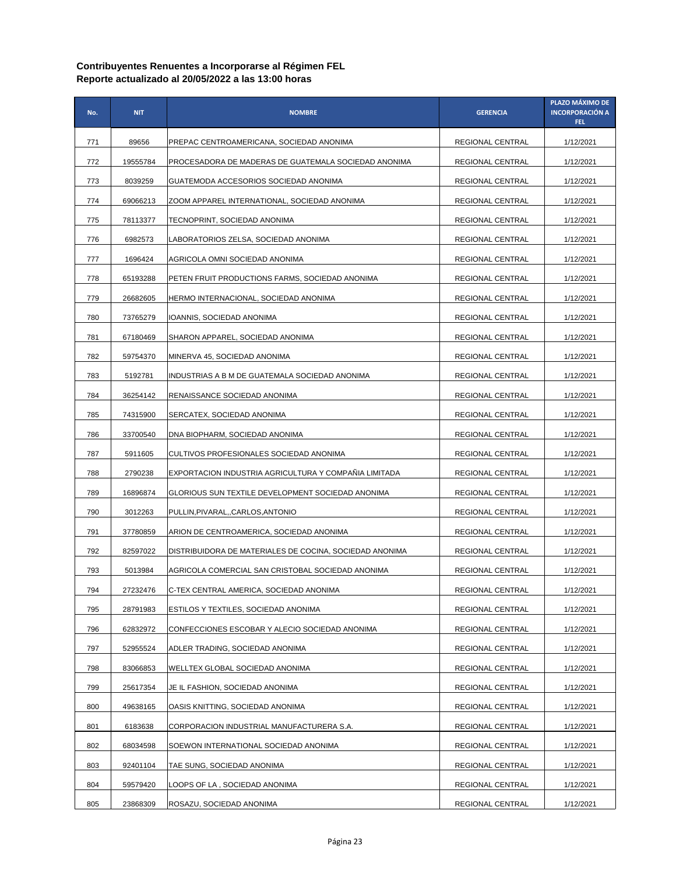| No. | <b>NIT</b> | <b>NOMBRE</b>                                           | <b>GERENCIA</b>  | PLAZO MÁXIMO DE<br><b>INCORPORACIÓN A</b><br>FEL. |
|-----|------------|---------------------------------------------------------|------------------|---------------------------------------------------|
| 771 | 89656      | PREPAC CENTROAMERICANA, SOCIEDAD ANONIMA                | REGIONAL CENTRAL | 1/12/2021                                         |
| 772 | 19555784   | PROCESADORA DE MADERAS DE GUATEMALA SOCIEDAD ANONIMA    | REGIONAL CENTRAL | 1/12/2021                                         |
| 773 | 8039259    | GUATEMODA ACCESORIOS SOCIEDAD ANONIMA                   | REGIONAL CENTRAL | 1/12/2021                                         |
| 774 | 69066213   | ZOOM APPAREL INTERNATIONAL, SOCIEDAD ANONIMA            | REGIONAL CENTRAL | 1/12/2021                                         |
| 775 | 78113377   | TECNOPRINT, SOCIEDAD ANONIMA                            | REGIONAL CENTRAL | 1/12/2021                                         |
| 776 | 6982573    | LABORATORIOS ZELSA, SOCIEDAD ANONIMA                    | REGIONAL CENTRAL | 1/12/2021                                         |
| 777 | 1696424    | AGRICOLA OMNI SOCIEDAD ANONIMA                          | REGIONAL CENTRAL | 1/12/2021                                         |
| 778 | 65193288   | PETEN FRUIT PRODUCTIONS FARMS, SOCIEDAD ANONIMA         | REGIONAL CENTRAL | 1/12/2021                                         |
| 779 | 26682605   | HERMO INTERNACIONAL, SOCIEDAD ANONIMA                   | REGIONAL CENTRAL | 1/12/2021                                         |
| 780 | 73765279   | IOANNIS, SOCIEDAD ANONIMA                               | REGIONAL CENTRAL | 1/12/2021                                         |
| 781 | 67180469   | SHARON APPAREL, SOCIEDAD ANONIMA                        | REGIONAL CENTRAL | 1/12/2021                                         |
| 782 | 59754370   | MINERVA 45, SOCIEDAD ANONIMA                            | REGIONAL CENTRAL | 1/12/2021                                         |
| 783 | 5192781    | INDUSTRIAS A B M DE GUATEMALA SOCIEDAD ANONIMA          | REGIONAL CENTRAL | 1/12/2021                                         |
| 784 | 36254142   | RENAISSANCE SOCIEDAD ANONIMA                            | REGIONAL CENTRAL | 1/12/2021                                         |
| 785 | 74315900   | SERCATEX, SOCIEDAD ANONIMA                              | REGIONAL CENTRAL | 1/12/2021                                         |
| 786 | 33700540   | DNA BIOPHARM, SOCIEDAD ANONIMA                          | REGIONAL CENTRAL | 1/12/2021                                         |
| 787 | 5911605    | CULTIVOS PROFESIONALES SOCIEDAD ANONIMA                 | REGIONAL CENTRAL | 1/12/2021                                         |
| 788 | 2790238    | EXPORTACION INDUSTRIA AGRICULTURA Y COMPANIA LIMITADA   | REGIONAL CENTRAL | 1/12/2021                                         |
| 789 | 16896874   | GLORIOUS SUN TEXTILE DEVELOPMENT SOCIEDAD ANONIMA       | REGIONAL CENTRAL | 1/12/2021                                         |
| 790 | 3012263    | PULLIN, PIVARAL, , CARLOS, ANTONIO                      | REGIONAL CENTRAL | 1/12/2021                                         |
| 791 | 37780859   | ARION DE CENTROAMERICA, SOCIEDAD ANONIMA                | REGIONAL CENTRAL | 1/12/2021                                         |
| 792 | 82597022   | DISTRIBUIDORA DE MATERIALES DE COCINA, SOCIEDAD ANONIMA | REGIONAL CENTRAL | 1/12/2021                                         |
| 793 | 5013984    | AGRICOLA COMERCIAL SAN CRISTOBAL SOCIEDAD ANONIMA       | REGIONAL CENTRAL | 1/12/2021                                         |
| 794 | 27232476   | C-TEX CENTRAL AMERICA, SOCIEDAD ANONIMA                 | REGIONAL CENTRAL | 1/12/2021                                         |
| 795 | 28791983   | ESTILOS Y TEXTILES, SOCIEDAD ANONIMA                    | REGIONAL CENTRAL | 1/12/2021                                         |
| 796 | 62832972   | CONFECCIONES ESCOBAR Y ALECIO SOCIEDAD ANONIMA          | REGIONAL CENTRAL | 1/12/2021                                         |
| 797 | 52955524   | ADLER TRADING, SOCIEDAD ANONIMA                         | REGIONAL CENTRAL | 1/12/2021                                         |
| 798 | 83066853   | WELLTEX GLOBAL SOCIEDAD ANONIMA                         | REGIONAL CENTRAL | 1/12/2021                                         |
| 799 | 25617354   | JE IL FASHION, SOCIEDAD ANONIMA                         | REGIONAL CENTRAL | 1/12/2021                                         |
| 800 | 49638165   | OASIS KNITTING, SOCIEDAD ANONIMA                        | REGIONAL CENTRAL | 1/12/2021                                         |
| 801 | 6183638    | CORPORACION INDUSTRIAL MANUFACTURERA S.A.               | REGIONAL CENTRAL | 1/12/2021                                         |
| 802 | 68034598   | SOEWON INTERNATIONAL SOCIEDAD ANONIMA                   | REGIONAL CENTRAL | 1/12/2021                                         |
| 803 | 92401104   | TAE SUNG, SOCIEDAD ANONIMA                              | REGIONAL CENTRAL | 1/12/2021                                         |
| 804 | 59579420   | LOOPS OF LA , SOCIEDAD ANONIMA                          | REGIONAL CENTRAL | 1/12/2021                                         |
| 805 | 23868309   | ROSAZU, SOCIEDAD ANONIMA                                | REGIONAL CENTRAL | 1/12/2021                                         |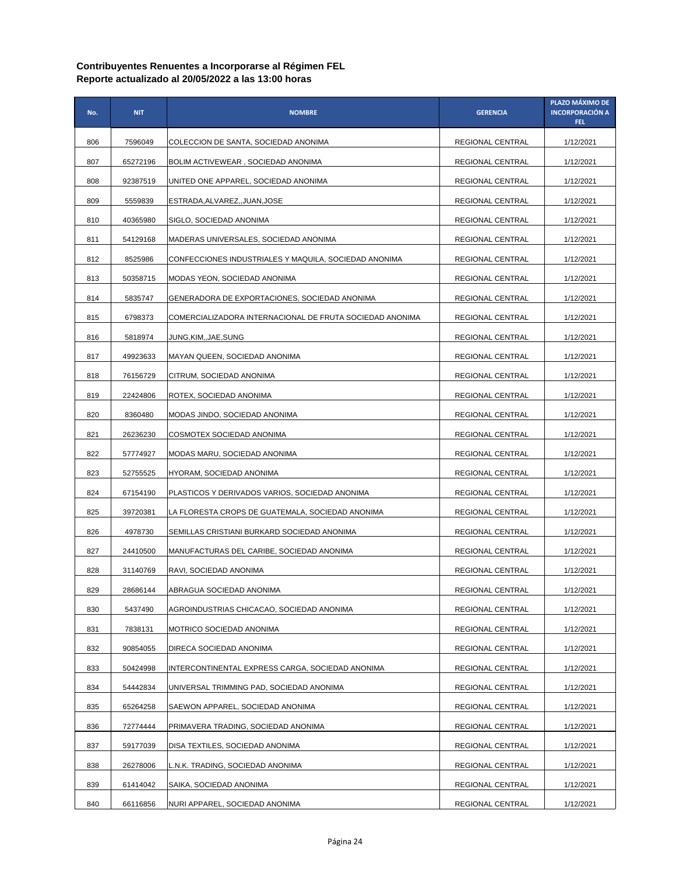| No. | <b>NIT</b> | <b>NOMBRE</b>                                            | <b>GERENCIA</b>  | PLAZO MÁXIMO DE<br><b>INCORPORACIÓN A</b><br>FEL. |
|-----|------------|----------------------------------------------------------|------------------|---------------------------------------------------|
| 806 | 7596049    | COLECCION DE SANTA, SOCIEDAD ANONIMA                     | REGIONAL CENTRAL | 1/12/2021                                         |
| 807 | 65272196   | BOLIM ACTIVEWEAR, SOCIEDAD ANONIMA                       | REGIONAL CENTRAL | 1/12/2021                                         |
| 808 | 92387519   | UNITED ONE APPAREL, SOCIEDAD ANONIMA                     | REGIONAL CENTRAL | 1/12/2021                                         |
| 809 | 5559839    | ESTRADA, ALVAREZ, , JUAN, JOSE                           | REGIONAL CENTRAL | 1/12/2021                                         |
| 810 | 40365980   | SIGLO, SOCIEDAD ANONIMA                                  | REGIONAL CENTRAL | 1/12/2021                                         |
| 811 | 54129168   | MADERAS UNIVERSALES, SOCIEDAD ANONIMA                    | REGIONAL CENTRAL | 1/12/2021                                         |
| 812 | 8525986    | CONFECCIONES INDUSTRIALES Y MAQUILA, SOCIEDAD ANONIMA    | REGIONAL CENTRAL | 1/12/2021                                         |
| 813 | 50358715   | MODAS YEON, SOCIEDAD ANONIMA                             | REGIONAL CENTRAL | 1/12/2021                                         |
| 814 | 5835747    | GENERADORA DE EXPORTACIONES, SOCIEDAD ANONIMA            | REGIONAL CENTRAL | 1/12/2021                                         |
| 815 | 6798373    | COMERCIALIZADORA INTERNACIONAL DE FRUTA SOCIEDAD ANONIMA | REGIONAL CENTRAL | 1/12/2021                                         |
| 816 | 5818974    | JUNG,KIM,,JAE,SUNG                                       | REGIONAL CENTRAL | 1/12/2021                                         |
| 817 | 49923633   | MAYAN QUEEN, SOCIEDAD ANONIMA                            | REGIONAL CENTRAL | 1/12/2021                                         |
| 818 | 76156729   | CITRUM, SOCIEDAD ANONIMA                                 | REGIONAL CENTRAL | 1/12/2021                                         |
| 819 | 22424806   | ROTEX, SOCIEDAD ANONIMA                                  | REGIONAL CENTRAL | 1/12/2021                                         |
| 820 | 8360480    | MODAS JINDO, SOCIEDAD ANONIMA                            | REGIONAL CENTRAL | 1/12/2021                                         |
| 821 | 26236230   | COSMOTEX SOCIEDAD ANONIMA                                | REGIONAL CENTRAL | 1/12/2021                                         |
| 822 | 57774927   | MODAS MARU, SOCIEDAD ANONIMA                             | REGIONAL CENTRAL | 1/12/2021                                         |
| 823 | 52755525   | HYORAM, SOCIEDAD ANONIMA                                 | REGIONAL CENTRAL | 1/12/2021                                         |
| 824 | 67154190   | PLASTICOS Y DERIVADOS VARIOS, SOCIEDAD ANONIMA           | REGIONAL CENTRAL | 1/12/2021                                         |
| 825 | 39720381   | LA FLORESTA CROPS DE GUATEMALA, SOCIEDAD ANONIMA         | REGIONAL CENTRAL | 1/12/2021                                         |
| 826 | 4978730    | SEMILLAS CRISTIANI BURKARD SOCIEDAD ANONIMA              | REGIONAL CENTRAL | 1/12/2021                                         |
| 827 | 24410500   | MANUFACTURAS DEL CARIBE, SOCIEDAD ANONIMA                | REGIONAL CENTRAL | 1/12/2021                                         |
| 828 | 31140769   | RAVI, SOCIEDAD ANONIMA                                   | REGIONAL CENTRAL | 1/12/2021                                         |
| 829 | 28686144   | ABRAGUA SOCIEDAD ANONIMA                                 | REGIONAL CENTRAL | 1/12/2021                                         |
| 830 | 5437490    | AGROINDUSTRIAS CHICACAO, SOCIEDAD ANONIMA                | REGIONAL CENTRAL | 1/12/2021                                         |
| 831 | 7838131    | MOTRICO SOCIEDAD ANONIMA                                 | REGIONAL CENTRAL | 1/12/2021                                         |
| 832 | 90854055   | DIRECA SOCIEDAD ANONIMA                                  | REGIONAL CENTRAL | 1/12/2021                                         |
| 833 | 50424998   | INTERCONTINENTAL EXPRESS CARGA, SOCIEDAD ANONIMA         | REGIONAL CENTRAL | 1/12/2021                                         |
| 834 | 54442834   | UNIVERSAL TRIMMING PAD, SOCIEDAD ANONIMA                 | REGIONAL CENTRAL | 1/12/2021                                         |
| 835 | 65264258   | SAEWON APPAREL, SOCIEDAD ANONIMA                         | REGIONAL CENTRAL | 1/12/2021                                         |
| 836 | 72774444   | PRIMAVERA TRADING, SOCIEDAD ANONIMA                      | REGIONAL CENTRAL | 1/12/2021                                         |
| 837 | 59177039   | DISA TEXTILES, SOCIEDAD ANONIMA                          | REGIONAL CENTRAL | 1/12/2021                                         |
| 838 | 26278006   | L.N.K. TRADING, SOCIEDAD ANONIMA                         | REGIONAL CENTRAL | 1/12/2021                                         |
| 839 | 61414042   | SAIKA, SOCIEDAD ANONIMA                                  | REGIONAL CENTRAL | 1/12/2021                                         |
| 840 | 66116856   | NURI APPAREL, SOCIEDAD ANONIMA                           | REGIONAL CENTRAL | 1/12/2021                                         |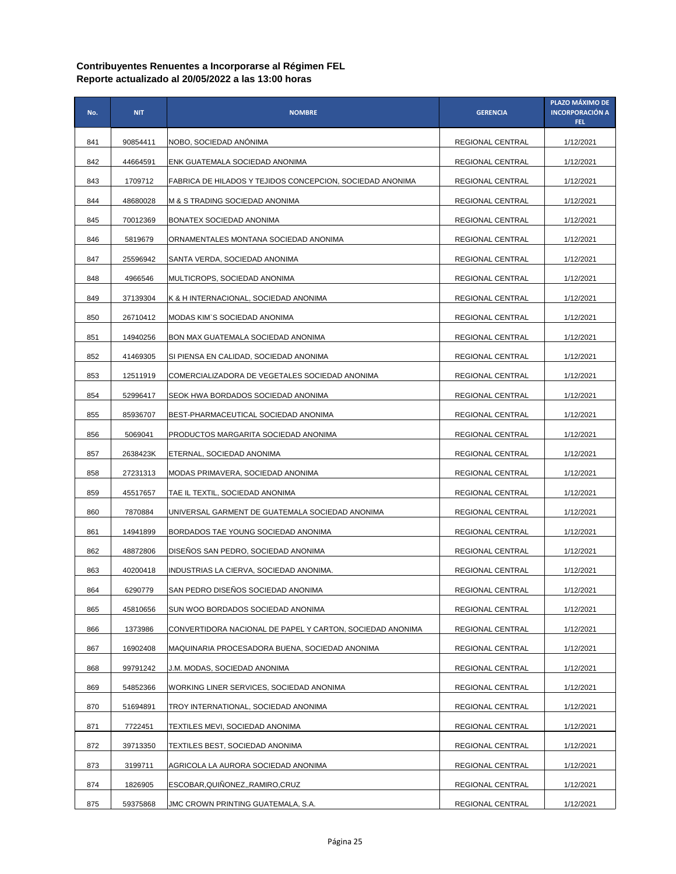| No. | <b>NIT</b> | <b>NOMBRE</b>                                             | <b>GERENCIA</b>  | PLAZO MÁXIMO DE<br><b>INCORPORACIÓN A</b><br>FEL. |
|-----|------------|-----------------------------------------------------------|------------------|---------------------------------------------------|
| 841 | 90854411   | NOBO, SOCIEDAD ANÓNIMA                                    | REGIONAL CENTRAL | 1/12/2021                                         |
| 842 | 44664591   | ENK GUATEMALA SOCIEDAD ANONIMA                            | REGIONAL CENTRAL | 1/12/2021                                         |
| 843 | 1709712    | FABRICA DE HILADOS Y TEJIDOS CONCEPCION, SOCIEDAD ANONIMA | REGIONAL CENTRAL | 1/12/2021                                         |
| 844 | 48680028   | M & S TRADING SOCIEDAD ANONIMA                            | REGIONAL CENTRAL | 1/12/2021                                         |
| 845 | 70012369   | BONATEX SOCIEDAD ANONIMA                                  | REGIONAL CENTRAL | 1/12/2021                                         |
| 846 | 5819679    | ORNAMENTALES MONTANA SOCIEDAD ANONIMA                     | REGIONAL CENTRAL | 1/12/2021                                         |
| 847 | 25596942   | SANTA VERDA, SOCIEDAD ANONIMA                             | REGIONAL CENTRAL | 1/12/2021                                         |
| 848 | 4966546    | MULTICROPS, SOCIEDAD ANONIMA                              | REGIONAL CENTRAL | 1/12/2021                                         |
| 849 | 37139304   | K & H INTERNACIONAL, SOCIEDAD ANONIMA                     | REGIONAL CENTRAL | 1/12/2021                                         |
| 850 | 26710412   | MODAS KIM'S SOCIEDAD ANONIMA                              | REGIONAL CENTRAL | 1/12/2021                                         |
| 851 | 14940256   | BON MAX GUATEMALA SOCIEDAD ANONIMA                        | REGIONAL CENTRAL | 1/12/2021                                         |
| 852 | 41469305   | SI PIENSA EN CALIDAD, SOCIEDAD ANONIMA                    | REGIONAL CENTRAL | 1/12/2021                                         |
| 853 | 12511919   | COMERCIALIZADORA DE VEGETALES SOCIEDAD ANONIMA            | REGIONAL CENTRAL | 1/12/2021                                         |
| 854 | 52996417   | SEOK HWA BORDADOS SOCIEDAD ANONIMA                        | REGIONAL CENTRAL | 1/12/2021                                         |
| 855 | 85936707   | BEST-PHARMACEUTICAL SOCIEDAD ANONIMA                      | REGIONAL CENTRAL | 1/12/2021                                         |
| 856 | 5069041    | PRODUCTOS MARGARITA SOCIEDAD ANONIMA                      | REGIONAL CENTRAL | 1/12/2021                                         |
| 857 | 2638423K   | ETERNAL, SOCIEDAD ANONIMA                                 | REGIONAL CENTRAL | 1/12/2021                                         |
| 858 | 27231313   | MODAS PRIMAVERA, SOCIEDAD ANONIMA                         | REGIONAL CENTRAL | 1/12/2021                                         |
| 859 | 45517657   | TAE IL TEXTIL, SOCIEDAD ANONIMA                           | REGIONAL CENTRAL | 1/12/2021                                         |
| 860 | 7870884    | UNIVERSAL GARMENT DE GUATEMALA SOCIEDAD ANONIMA           | REGIONAL CENTRAL | 1/12/2021                                         |
| 861 | 14941899   | BORDADOS TAE YOUNG SOCIEDAD ANONIMA                       | REGIONAL CENTRAL | 1/12/2021                                         |
| 862 | 48872806   | DISENOS SAN PEDRO, SOCIEDAD ANONIMA                       | REGIONAL CENTRAL | 1/12/2021                                         |
| 863 | 40200418   | INDUSTRIAS LA CIERVA, SOCIEDAD ANONIMA.                   | REGIONAL CENTRAL | 1/12/2021                                         |
| 864 | 6290779    | SAN PEDRO DISEÑOS SOCIEDAD ANONIMA                        | REGIONAL CENTRAL | 1/12/2021                                         |
| 865 | 45810656   | SUN WOO BORDADOS SOCIEDAD ANONIMA                         | REGIONAL CENTRAL | 1/12/2021                                         |
| 866 | 1373986    | CONVERTIDORA NACIONAL DE PAPEL Y CARTON, SOCIEDAD ANONIMA | REGIONAL CENTRAL | 1/12/2021                                         |
| 867 | 16902408   | MAQUINARIA PROCESADORA BUENA, SOCIEDAD ANONIMA            | REGIONAL CENTRAL | 1/12/2021                                         |
| 868 | 99791242   | J.M. MODAS, SOCIEDAD ANONIMA                              | REGIONAL CENTRAL | 1/12/2021                                         |
| 869 | 54852366   | WORKING LINER SERVICES, SOCIEDAD ANONIMA                  | REGIONAL CENTRAL | 1/12/2021                                         |
| 870 | 51694891   | TROY INTERNATIONAL, SOCIEDAD ANONIMA                      | REGIONAL CENTRAL | 1/12/2021                                         |
| 871 | 7722451    | TEXTILES MEVI, SOCIEDAD ANONIMA                           | REGIONAL CENTRAL | 1/12/2021                                         |
| 872 | 39713350   | TEXTILES BEST, SOCIEDAD ANONIMA                           | REGIONAL CENTRAL | 1/12/2021                                         |
| 873 | 3199711    | AGRICOLA LA AURORA SOCIEDAD ANONIMA                       | REGIONAL CENTRAL | 1/12/2021                                         |
| 874 | 1826905    | ESCOBAR, QUINONEZ,, RAMIRO, CRUZ                          | REGIONAL CENTRAL | 1/12/2021                                         |
| 875 | 59375868   | JMC CROWN PRINTING GUATEMALA, S.A.                        | REGIONAL CENTRAL | 1/12/2021                                         |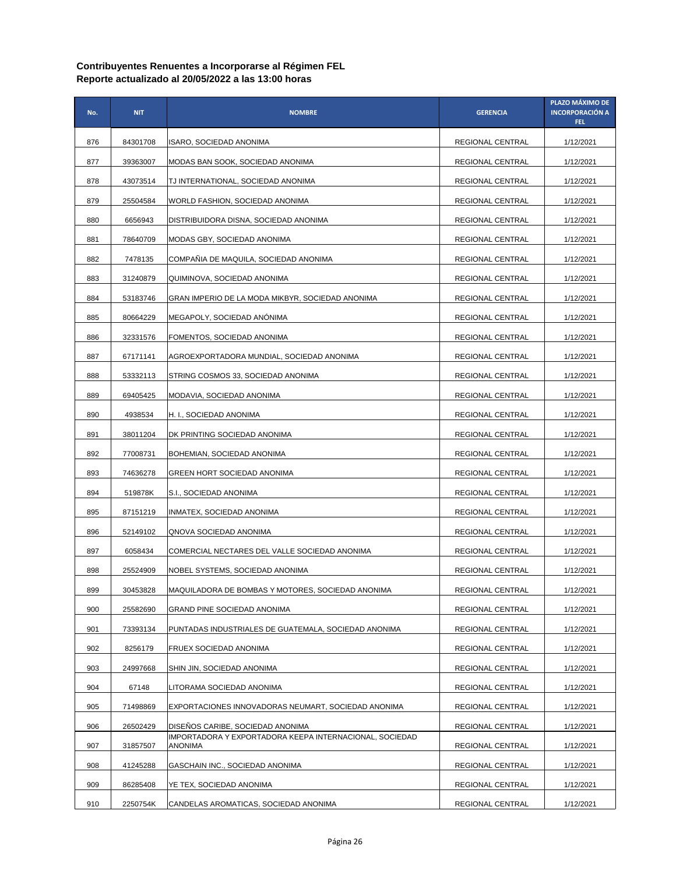| No. | <b>NIT</b> | <b>NOMBRE</b>                                                      | <b>GERENCIA</b>  | PLAZO MÁXIMO DE<br><b>INCORPORACIÓN A</b><br>FEL. |
|-----|------------|--------------------------------------------------------------------|------------------|---------------------------------------------------|
| 876 | 84301708   | ISARO, SOCIEDAD ANONIMA                                            | REGIONAL CENTRAL | 1/12/2021                                         |
| 877 | 39363007   | MODAS BAN SOOK, SOCIEDAD ANONIMA                                   | REGIONAL CENTRAL | 1/12/2021                                         |
| 878 | 43073514   | TJ INTERNATIONAL, SOCIEDAD ANONIMA                                 | REGIONAL CENTRAL | 1/12/2021                                         |
| 879 | 25504584   | WORLD FASHION, SOCIEDAD ANONIMA                                    | REGIONAL CENTRAL | 1/12/2021                                         |
| 880 | 6656943    | DISTRIBUIDORA DISNA, SOCIEDAD ANONIMA                              | REGIONAL CENTRAL | 1/12/2021                                         |
| 881 | 78640709   | MODAS GBY, SOCIEDAD ANONIMA                                        | REGIONAL CENTRAL | 1/12/2021                                         |
| 882 | 7478135    | COMPAÑIA DE MAQUILA, SOCIEDAD ANONIMA                              | REGIONAL CENTRAL | 1/12/2021                                         |
| 883 | 31240879   | QUIMINOVA, SOCIEDAD ANONIMA                                        | REGIONAL CENTRAL | 1/12/2021                                         |
| 884 | 53183746   | GRAN IMPERIO DE LA MODA MIKBYR, SOCIEDAD ANONIMA                   | REGIONAL CENTRAL | 1/12/2021                                         |
| 885 | 80664229   | MEGAPOLY, SOCIEDAD ANONIMA                                         | REGIONAL CENTRAL | 1/12/2021                                         |
| 886 | 32331576   | FOMENTOS, SOCIEDAD ANONIMA                                         | REGIONAL CENTRAL | 1/12/2021                                         |
| 887 | 67171141   | AGROEXPORTADORA MUNDIAL, SOCIEDAD ANONIMA                          | REGIONAL CENTRAL | 1/12/2021                                         |
| 888 | 53332113   | STRING COSMOS 33, SOCIEDAD ANONIMA                                 | REGIONAL CENTRAL | 1/12/2021                                         |
| 889 | 69405425   | MODAVIA, SOCIEDAD ANONIMA                                          | REGIONAL CENTRAL | 1/12/2021                                         |
| 890 | 4938534    | H. I., SOCIEDAD ANONIMA                                            | REGIONAL CENTRAL | 1/12/2021                                         |
| 891 | 38011204   | DK PRINTING SOCIEDAD ANONIMA                                       | REGIONAL CENTRAL | 1/12/2021                                         |
| 892 | 77008731   | BOHEMIAN, SOCIEDAD ANONIMA                                         | REGIONAL CENTRAL | 1/12/2021                                         |
| 893 | 74636278   | GREEN HORT SOCIEDAD ANONIMA                                        | REGIONAL CENTRAL | 1/12/2021                                         |
| 894 | 519878K    | S.I., SOCIEDAD ANONIMA                                             | REGIONAL CENTRAL | 1/12/2021                                         |
| 895 | 87151219   | INMATEX, SOCIEDAD ANONIMA                                          | REGIONAL CENTRAL | 1/12/2021                                         |
| 896 | 52149102   | QNOVA SOCIEDAD ANONIMA                                             | REGIONAL CENTRAL | 1/12/2021                                         |
| 897 | 6058434    | COMERCIAL NECTARES DEL VALLE SOCIEDAD ANONIMA                      | REGIONAL CENTRAL | 1/12/2021                                         |
| 898 | 25524909   | NOBEL SYSTEMS, SOCIEDAD ANONIMA                                    | REGIONAL CENTRAL | 1/12/2021                                         |
| 899 | 30453828   | MAQUILADORA DE BOMBAS Y MOTORES, SOCIEDAD ANONIMA                  | REGIONAL CENTRAL | 1/12/2021                                         |
| 900 | 25582690   | <b>GRAND PINE SOCIEDAD ANONIMA</b>                                 | REGIONAL CENTRAL | 1/12/2021                                         |
| 901 | 73393134   | PUNTADAS INDUSTRIALES DE GUATEMALA, SOCIEDAD ANONIMA               | REGIONAL CENTRAL | 1/12/2021                                         |
| 902 | 8256179    | FRUEX SOCIEDAD ANONIMA                                             | REGIONAL CENTRAL | 1/12/2021                                         |
| 903 | 24997668   | SHIN JIN, SOCIEDAD ANONIMA                                         | REGIONAL CENTRAL | 1/12/2021                                         |
| 904 | 67148      | LITORAMA SOCIEDAD ANONIMA                                          | REGIONAL CENTRAL | 1/12/2021                                         |
| 905 | 71498869   | EXPORTACIONES INNOVADORAS NEUMART, SOCIEDAD ANONIMA                | REGIONAL CENTRAL | 1/12/2021                                         |
| 906 | 26502429   | DISENOS CARIBE, SOCIEDAD ANONIMA                                   | REGIONAL CENTRAL | 1/12/2021                                         |
| 907 | 31857507   | IMPORTADORA Y EXPORTADORA KEEPA INTERNACIONAL, SOCIEDAD<br>ANONIMA | REGIONAL CENTRAL | 1/12/2021                                         |
| 908 | 41245288   | GASCHAIN INC., SOCIEDAD ANONIMA                                    | REGIONAL CENTRAL | 1/12/2021                                         |
| 909 | 86285408   | YE TEX, SOCIEDAD ANONIMA                                           | REGIONAL CENTRAL | 1/12/2021                                         |
| 910 | 2250754K   | CANDELAS AROMATICAS, SOCIEDAD ANONIMA                              | REGIONAL CENTRAL | 1/12/2021                                         |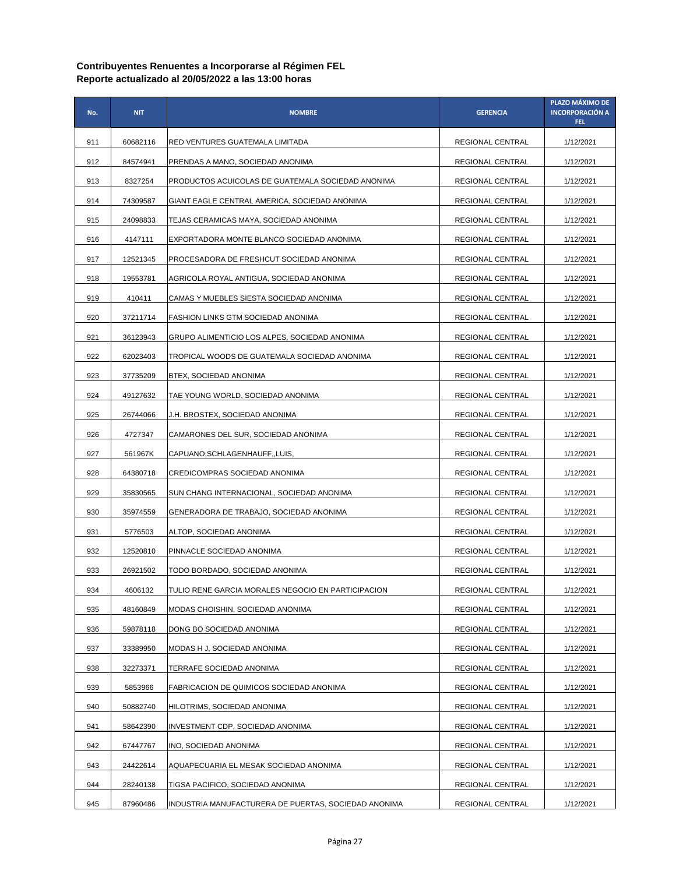| No. | <b>NIT</b> | <b>NOMBRE</b>                                        | <b>GERENCIA</b>  | PLAZO MÁXIMO DE<br><b>INCORPORACIÓN A</b><br>FEL. |
|-----|------------|------------------------------------------------------|------------------|---------------------------------------------------|
| 911 | 60682116   | RED VENTURES GUATEMALA LIMITADA                      | REGIONAL CENTRAL | 1/12/2021                                         |
| 912 | 84574941   | PRENDAS A MANO, SOCIEDAD ANONIMA                     | REGIONAL CENTRAL | 1/12/2021                                         |
| 913 | 8327254    | PRODUCTOS ACUICOLAS DE GUATEMALA SOCIEDAD ANONIMA    | REGIONAL CENTRAL | 1/12/2021                                         |
| 914 | 74309587   | GIANT EAGLE CENTRAL AMERICA, SOCIEDAD ANONIMA        | REGIONAL CENTRAL | 1/12/2021                                         |
| 915 | 24098833   | TEJAS CERAMICAS MAYA, SOCIEDAD ANONIMA               | REGIONAL CENTRAL | 1/12/2021                                         |
| 916 | 4147111    | EXPORTADORA MONTE BLANCO SOCIEDAD ANONIMA            | REGIONAL CENTRAL | 1/12/2021                                         |
| 917 | 12521345   | PROCESADORA DE FRESHCUT SOCIEDAD ANONIMA             | REGIONAL CENTRAL | 1/12/2021                                         |
| 918 | 19553781   | AGRICOLA ROYAL ANTIGUA, SOCIEDAD ANONIMA             | REGIONAL CENTRAL | 1/12/2021                                         |
| 919 | 410411     | CAMAS Y MUEBLES SIESTA SOCIEDAD ANONIMA              | REGIONAL CENTRAL | 1/12/2021                                         |
| 920 | 37211714   | FASHION LINKS GTM SOCIEDAD ANONIMA                   | REGIONAL CENTRAL | 1/12/2021                                         |
| 921 | 36123943   | GRUPO ALIMENTICIO LOS ALPES, SOCIEDAD ANONIMA        | REGIONAL CENTRAL | 1/12/2021                                         |
| 922 | 62023403   | TROPICAL WOODS DE GUATEMALA SOCIEDAD ANONIMA         | REGIONAL CENTRAL | 1/12/2021                                         |
| 923 | 37735209   | BTEX, SOCIEDAD ANONIMA                               | REGIONAL CENTRAL | 1/12/2021                                         |
| 924 | 49127632   | TAE YOUNG WORLD, SOCIEDAD ANONIMA                    | REGIONAL CENTRAL | 1/12/2021                                         |
| 925 | 26744066   | J.H. BROSTEX, SOCIEDAD ANONIMA                       | REGIONAL CENTRAL | 1/12/2021                                         |
| 926 | 4727347    | CAMARONES DEL SUR, SOCIEDAD ANONIMA                  | REGIONAL CENTRAL | 1/12/2021                                         |
| 927 | 561967K    | CAPUANO, SCHLAGENHAUFF, ,LUIS,                       | REGIONAL CENTRAL | 1/12/2021                                         |
| 928 | 64380718   | CREDICOMPRAS SOCIEDAD ANONIMA                        | REGIONAL CENTRAL | 1/12/2021                                         |
| 929 | 35830565   | SUN CHANG INTERNACIONAL, SOCIEDAD ANONIMA            | REGIONAL CENTRAL | 1/12/2021                                         |
| 930 | 35974559   | GENERADORA DE TRABAJO, SOCIEDAD ANONIMA              | REGIONAL CENTRAL | 1/12/2021                                         |
| 931 | 5776503    | ALTOP, SOCIEDAD ANONIMA                              | REGIONAL CENTRAL | 1/12/2021                                         |
| 932 | 12520810   | PINNACLE SOCIEDAD ANONIMA                            | REGIONAL CENTRAL | 1/12/2021                                         |
| 933 | 26921502   | TODO BORDADO, SOCIEDAD ANONIMA                       | REGIONAL CENTRAL | 1/12/2021                                         |
| 934 | 4606132    | TULIO RENE GARCIA MORALES NEGOCIO EN PARTICIPACION   | REGIONAL CENTRAL | 1/12/2021                                         |
| 935 | 48160849   | MODAS CHOISHIN, SOCIEDAD ANONIMA                     | REGIONAL CENTRAL | 1/12/2021                                         |
| 936 | 59878118   | DONG BO SOCIEDAD ANONIMA                             | REGIONAL CENTRAL | 1/12/2021                                         |
| 937 | 33389950   | MODAS H J, SOCIEDAD ANONIMA                          | REGIONAL CENTRAL | 1/12/2021                                         |
| 938 | 32273371   | TERRAFE SOCIEDAD ANONIMA                             | REGIONAL CENTRAL | 1/12/2021                                         |
| 939 | 5853966    | FABRICACION DE QUIMICOS SOCIEDAD ANONIMA             | REGIONAL CENTRAL | 1/12/2021                                         |
| 940 | 50882740   | HILOTRIMS, SOCIEDAD ANONIMA                          | REGIONAL CENTRAL | 1/12/2021                                         |
| 941 | 58642390   | INVESTMENT CDP, SOCIEDAD ANONIMA                     | REGIONAL CENTRAL | 1/12/2021                                         |
| 942 | 67447767   | INO, SOCIEDAD ANONIMA                                | REGIONAL CENTRAL | 1/12/2021                                         |
| 943 | 24422614   | AQUAPECUARIA EL MESAK SOCIEDAD ANONIMA               | REGIONAL CENTRAL | 1/12/2021                                         |
| 944 | 28240138   | TIGSA PACIFICO, SOCIEDAD ANONIMA                     | REGIONAL CENTRAL | 1/12/2021                                         |
| 945 | 87960486   | INDUSTRIA MANUFACTURERA DE PUERTAS, SOCIEDAD ANONIMA | REGIONAL CENTRAL | 1/12/2021                                         |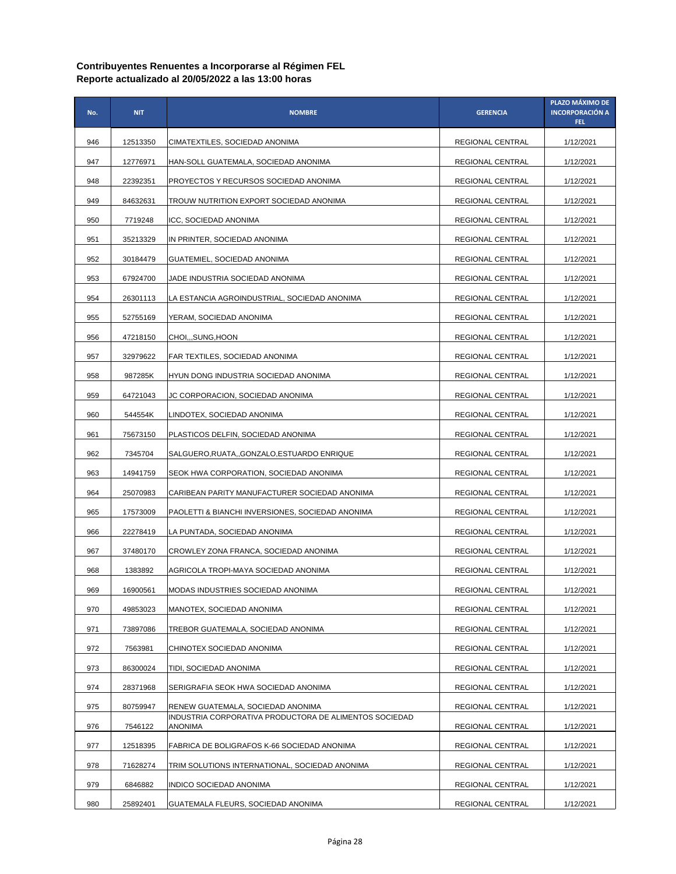| No. | <b>NIT</b> | <b>NOMBRE</b>                                                            | <b>GERENCIA</b>  | PLAZO MÁXIMO DE<br><b>INCORPORACIÓN A</b><br>FEL. |
|-----|------------|--------------------------------------------------------------------------|------------------|---------------------------------------------------|
| 946 | 12513350   | CIMATEXTILES, SOCIEDAD ANONIMA                                           | REGIONAL CENTRAL | 1/12/2021                                         |
| 947 | 12776971   | HAN-SOLL GUATEMALA, SOCIEDAD ANONIMA                                     | REGIONAL CENTRAL | 1/12/2021                                         |
| 948 | 22392351   | PROYECTOS Y RECURSOS SOCIEDAD ANONIMA                                    | REGIONAL CENTRAL | 1/12/2021                                         |
| 949 | 84632631   | TROUW NUTRITION EXPORT SOCIEDAD ANONIMA                                  | REGIONAL CENTRAL | 1/12/2021                                         |
| 950 | 7719248    | ICC, SOCIEDAD ANONIMA                                                    | REGIONAL CENTRAL | 1/12/2021                                         |
| 951 | 35213329   | IN PRINTER, SOCIEDAD ANONIMA                                             | REGIONAL CENTRAL | 1/12/2021                                         |
| 952 | 30184479   | GUATEMIEL, SOCIEDAD ANONIMA                                              | REGIONAL CENTRAL | 1/12/2021                                         |
| 953 | 67924700   | JADE INDUSTRIA SOCIEDAD ANONIMA                                          | REGIONAL CENTRAL | 1/12/2021                                         |
| 954 | 26301113   | LA ESTANCIA AGROINDUSTRIAL, SOCIEDAD ANONIMA                             | REGIONAL CENTRAL | 1/12/2021                                         |
| 955 | 52755169   | YERAM, SOCIEDAD ANONIMA                                                  | REGIONAL CENTRAL | 1/12/2021                                         |
| 956 | 47218150   | CHOI,,,SUNG,HOON                                                         | REGIONAL CENTRAL | 1/12/2021                                         |
| 957 | 32979622   | FAR TEXTILES, SOCIEDAD ANONIMA                                           | REGIONAL CENTRAL | 1/12/2021                                         |
| 958 | 987285K    | HYUN DONG INDUSTRIA SOCIEDAD ANONIMA                                     | REGIONAL CENTRAL | 1/12/2021                                         |
| 959 | 64721043   | JC CORPORACION, SOCIEDAD ANONIMA                                         | REGIONAL CENTRAL | 1/12/2021                                         |
| 960 | 544554K    | LINDOTEX, SOCIEDAD ANONIMA                                               | REGIONAL CENTRAL | 1/12/2021                                         |
| 961 | 75673150   | PLASTICOS DELFIN, SOCIEDAD ANONIMA                                       | REGIONAL CENTRAL | 1/12/2021                                         |
| 962 | 7345704    | SALGUERO,RUATA,,GONZALO,ESTUARDO ENRIQUE                                 | REGIONAL CENTRAL | 1/12/2021                                         |
| 963 | 14941759   | SEOK HWA CORPORATION, SOCIEDAD ANONIMA                                   | REGIONAL CENTRAL | 1/12/2021                                         |
| 964 | 25070983   | CARIBEAN PARITY MANUFACTURER SOCIEDAD ANONIMA                            | REGIONAL CENTRAL | 1/12/2021                                         |
| 965 | 17573009   | PAOLETTI & BIANCHI INVERSIONES, SOCIEDAD ANONIMA                         | REGIONAL CENTRAL | 1/12/2021                                         |
| 966 | 22278419   | LA PUNTADA, SOCIEDAD ANONIMA                                             | REGIONAL CENTRAL | 1/12/2021                                         |
| 967 | 37480170   | CROWLEY ZONA FRANCA, SOCIEDAD ANONIMA                                    | REGIONAL CENTRAL | 1/12/2021                                         |
| 968 | 1383892    | AGRICOLA TROPI-MAYA SOCIEDAD ANONIMA                                     | REGIONAL CENTRAL | 1/12/2021                                         |
| 969 | 16900561   | MODAS INDUSTRIES SOCIEDAD ANONIMA                                        | REGIONAL CENTRAL | 1/12/2021                                         |
| 970 | 49853023   | MANOTEX, SOCIEDAD ANONIMA                                                | REGIONAL CENTRAL | 1/12/2021                                         |
| 971 | 73897086   | TREBOR GUATEMALA, SOCIEDAD ANONIMA                                       | REGIONAL CENTRAL | 1/12/2021                                         |
| 972 | 7563981    | CHINOTEX SOCIEDAD ANONIMA                                                | REGIONAL CENTRAL | 1/12/2021                                         |
| 973 | 86300024   | TIDI, SOCIEDAD ANONIMA                                                   | REGIONAL CENTRAL | 1/12/2021                                         |
| 974 | 28371968   | SERIGRAFIA SEOK HWA SOCIEDAD ANONIMA                                     | REGIONAL CENTRAL | 1/12/2021                                         |
| 975 | 80759947   | RENEW GUATEMALA, SOCIEDAD ANONIMA                                        | REGIONAL CENTRAL | 1/12/2021                                         |
| 976 | 7546122    | INDUSTRIA CORPORATIVA PRODUCTORA DE ALIMENTOS SOCIEDAD<br><b>ANONIMA</b> | REGIONAL CENTRAL | 1/12/2021                                         |
| 977 | 12518395   | FABRICA DE BOLIGRAFOS K-66 SOCIEDAD ANONIMA                              | REGIONAL CENTRAL | 1/12/2021                                         |
| 978 | 71628274   | TRIM SOLUTIONS INTERNATIONAL, SOCIEDAD ANONIMA                           | REGIONAL CENTRAL | 1/12/2021                                         |
| 979 | 6846882    | INDICO SOCIEDAD ANONIMA                                                  | REGIONAL CENTRAL | 1/12/2021                                         |
| 980 | 25892401   | GUATEMALA FLEURS, SOCIEDAD ANONIMA                                       | REGIONAL CENTRAL | 1/12/2021                                         |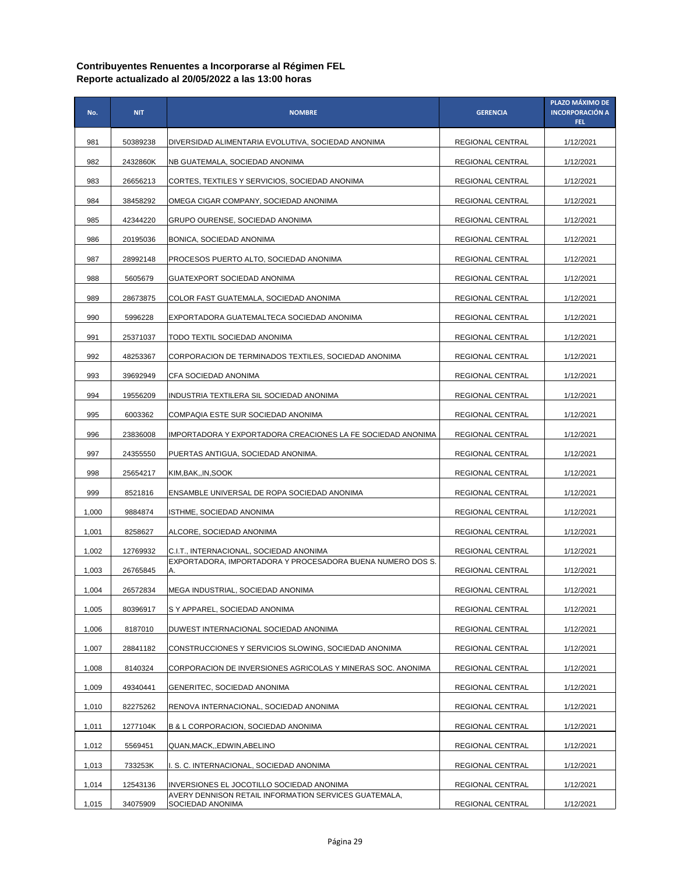| No.   | <b>NIT</b> | <b>NOMBRE</b>                                                             | <b>GERENCIA</b>  | PLAZO MÁXIMO DE<br><b>INCORPORACIÓN A</b><br>FEL. |
|-------|------------|---------------------------------------------------------------------------|------------------|---------------------------------------------------|
| 981   | 50389238   | DIVERSIDAD ALIMENTARIA EVOLUTIVA, SOCIEDAD ANONIMA                        | REGIONAL CENTRAL | 1/12/2021                                         |
| 982   | 2432860K   | NB GUATEMALA, SOCIEDAD ANONIMA                                            | REGIONAL CENTRAL | 1/12/2021                                         |
| 983   | 26656213   | CORTES, TEXTILES Y SERVICIOS, SOCIEDAD ANONIMA                            | REGIONAL CENTRAL | 1/12/2021                                         |
| 984   | 38458292   | OMEGA CIGAR COMPANY, SOCIEDAD ANONIMA                                     | REGIONAL CENTRAL | 1/12/2021                                         |
| 985   | 42344220   | GRUPO OURENSE, SOCIEDAD ANONIMA                                           | REGIONAL CENTRAL | 1/12/2021                                         |
| 986   | 20195036   | BONICA, SOCIEDAD ANONIMA                                                  | REGIONAL CENTRAL | 1/12/2021                                         |
| 987   | 28992148   | PROCESOS PUERTO ALTO, SOCIEDAD ANONIMA                                    | REGIONAL CENTRAL | 1/12/2021                                         |
| 988   | 5605679    | GUATEXPORT SOCIEDAD ANONIMA                                               | REGIONAL CENTRAL | 1/12/2021                                         |
| 989   | 28673875   | COLOR FAST GUATEMALA, SOCIEDAD ANONIMA                                    | REGIONAL CENTRAL | 1/12/2021                                         |
| 990   | 5996228    | EXPORTADORA GUATEMALTECA SOCIEDAD ANONIMA                                 | REGIONAL CENTRAL | 1/12/2021                                         |
| 991   | 25371037   | TODO TEXTIL SOCIEDAD ANONIMA                                              | REGIONAL CENTRAL | 1/12/2021                                         |
| 992   | 48253367   | CORPORACION DE TERMINADOS TEXTILES, SOCIEDAD ANONIMA                      | REGIONAL CENTRAL | 1/12/2021                                         |
| 993   | 39692949   | CFA SOCIEDAD ANONIMA                                                      | REGIONAL CENTRAL | 1/12/2021                                         |
| 994   | 19556209   | INDUSTRIA TEXTILERA SIL SOCIEDAD ANONIMA                                  | REGIONAL CENTRAL | 1/12/2021                                         |
| 995   | 6003362    | COMPAQIA ESTE SUR SOCIEDAD ANONIMA                                        | REGIONAL CENTRAL | 1/12/2021                                         |
| 996   | 23836008   | IMPORTADORA Y EXPORTADORA CREACIONES LA FE SOCIEDAD ANONIMA               | REGIONAL CENTRAL | 1/12/2021                                         |
| 997   | 24355550   | PUERTAS ANTIGUA, SOCIEDAD ANONIMA.                                        | REGIONAL CENTRAL | 1/12/2021                                         |
| 998   | 25654217   | KIM,BAK,,IN,SOOK                                                          | REGIONAL CENTRAL | 1/12/2021                                         |
| 999   | 8521816    | ENSAMBLE UNIVERSAL DE ROPA SOCIEDAD ANONIMA                               | REGIONAL CENTRAL | 1/12/2021                                         |
| 1,000 | 9884874    | ISTHME, SOCIEDAD ANONIMA                                                  | REGIONAL CENTRAL | 1/12/2021                                         |
| 1,001 | 8258627    | ALCORE, SOCIEDAD ANONIMA                                                  | REGIONAL CENTRAL | 1/12/2021                                         |
| 1,002 | 12769932   | C.I.T., INTERNACIONAL, SOCIEDAD ANONIMA                                   | REGIONAL CENTRAL | 1/12/2021                                         |
| 1,003 | 26765845   | EXPORTADORA, IMPORTADORA Y PROCESADORA BUENA NUMERO DOS S.<br>Α.          | REGIONAL CENTRAL | 1/12/2021                                         |
| 1,004 | 26572834   | MEGA INDUSTRIAL, SOCIEDAD ANONIMA                                         | REGIONAL CENTRAL | 1/12/2021                                         |
| 1,005 | 80396917   | S Y APPAREL, SOCIEDAD ANONIMA                                             | REGIONAL CENTRAL | 1/12/2021                                         |
| 1,006 | 8187010    | DUWEST INTERNACIONAL SOCIEDAD ANONIMA                                     | REGIONAL CENTRAL | 1/12/2021                                         |
| 1,007 | 28841182   | CONSTRUCCIONES Y SERVICIOS SLOWING, SOCIEDAD ANONIMA                      | REGIONAL CENTRAL | 1/12/2021                                         |
| 1,008 | 8140324    | CORPORACION DE INVERSIONES AGRICOLAS Y MINERAS SOC. ANONIMA               | REGIONAL CENTRAL | 1/12/2021                                         |
| 1,009 | 49340441   | GENERITEC, SOCIEDAD ANONIMA                                               | REGIONAL CENTRAL | 1/12/2021                                         |
| 1,010 | 82275262   | RENOVA INTERNACIONAL, SOCIEDAD ANONIMA                                    | REGIONAL CENTRAL | 1/12/2021                                         |
| 1,011 | 1277104K   | <b>B &amp; L CORPORACION, SOCIEDAD ANONIMA</b>                            | REGIONAL CENTRAL | 1/12/2021                                         |
| 1,012 | 5569451    | QUAN, MACK, , EDWIN, ABELINO                                              | REGIONAL CENTRAL | 1/12/2021                                         |
| 1,013 | 733253K    | I. S. C. INTERNACIONAL, SOCIEDAD ANONIMA                                  | REGIONAL CENTRAL | 1/12/2021                                         |
| 1,014 | 12543136   | INVERSIONES EL JOCOTILLO SOCIEDAD ANONIMA                                 | REGIONAL CENTRAL | 1/12/2021                                         |
| 1,015 | 34075909   | AVERY DENNISON RETAIL INFORMATION SERVICES GUATEMALA,<br>SOCIEDAD ANONIMA | REGIONAL CENTRAL | 1/12/2021                                         |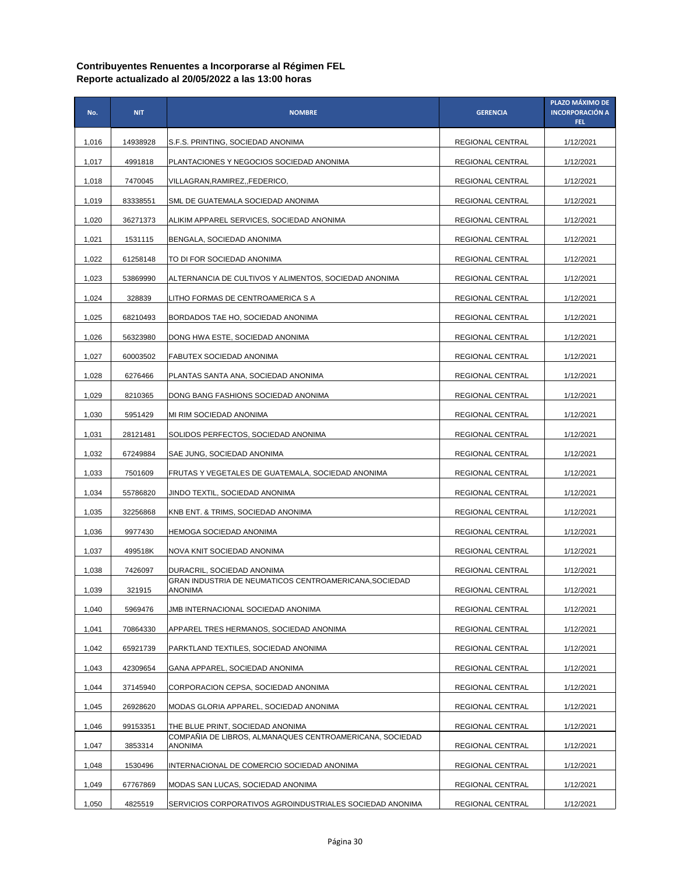| No.   | <b>NIT</b> | <b>NOMBRE</b>                                                              | <b>GERENCIA</b>  | PLAZO MÁXIMO DE<br><b>INCORPORACIÓN A</b><br>FEL. |
|-------|------------|----------------------------------------------------------------------------|------------------|---------------------------------------------------|
| 1,016 | 14938928   | S.F.S. PRINTING, SOCIEDAD ANONIMA                                          | REGIONAL CENTRAL | 1/12/2021                                         |
| 1,017 | 4991818    | PLANTACIONES Y NEGOCIOS SOCIEDAD ANONIMA                                   | REGIONAL CENTRAL | 1/12/2021                                         |
| 1,018 | 7470045    | VILLAGRAN,RAMIREZ,,FEDERICO,                                               | REGIONAL CENTRAL | 1/12/2021                                         |
| 1,019 | 83338551   | SML DE GUATEMALA SOCIEDAD ANONIMA                                          | REGIONAL CENTRAL | 1/12/2021                                         |
| 1,020 | 36271373   | ALIKIM APPAREL SERVICES, SOCIEDAD ANONIMA                                  | REGIONAL CENTRAL | 1/12/2021                                         |
| 1,021 | 1531115    | BENGALA, SOCIEDAD ANONIMA                                                  | REGIONAL CENTRAL | 1/12/2021                                         |
| 1,022 | 61258148   | TO DI FOR SOCIEDAD ANONIMA                                                 | REGIONAL CENTRAL | 1/12/2021                                         |
| 1,023 | 53869990   | ALTERNANCIA DE CULTIVOS Y ALIMENTOS, SOCIEDAD ANONIMA                      | REGIONAL CENTRAL | 1/12/2021                                         |
| 1,024 | 328839     | LITHO FORMAS DE CENTROAMERICA S A                                          | REGIONAL CENTRAL | 1/12/2021                                         |
| 1,025 | 68210493   | BORDADOS TAE HO, SOCIEDAD ANONIMA                                          | REGIONAL CENTRAL | 1/12/2021                                         |
| 1,026 | 56323980   | DONG HWA ESTE, SOCIEDAD ANONIMA                                            | REGIONAL CENTRAL | 1/12/2021                                         |
| 1,027 | 60003502   | FABUTEX SOCIEDAD ANONIMA                                                   | REGIONAL CENTRAL | 1/12/2021                                         |
| 1,028 | 6276466    | PLANTAS SANTA ANA, SOCIEDAD ANONIMA                                        | REGIONAL CENTRAL | 1/12/2021                                         |
| 1,029 | 8210365    | DONG BANG FASHIONS SOCIEDAD ANONIMA                                        | REGIONAL CENTRAL | 1/12/2021                                         |
| 1,030 | 5951429    | MI RIM SOCIEDAD ANONIMA                                                    | REGIONAL CENTRAL | 1/12/2021                                         |
| 1,031 | 28121481   | SOLIDOS PERFECTOS, SOCIEDAD ANONIMA                                        | REGIONAL CENTRAL | 1/12/2021                                         |
| 1,032 | 67249884   | SAE JUNG, SOCIEDAD ANONIMA                                                 | REGIONAL CENTRAL | 1/12/2021                                         |
| 1,033 | 7501609    | FRUTAS Y VEGETALES DE GUATEMALA, SOCIEDAD ANONIMA                          | REGIONAL CENTRAL | 1/12/2021                                         |
| 1,034 | 55786820   | JINDO TEXTIL, SOCIEDAD ANONIMA                                             | REGIONAL CENTRAL | 1/12/2021                                         |
| 1,035 | 32256868   | KNB ENT. & TRIMS, SOCIEDAD ANONIMA                                         | REGIONAL CENTRAL | 1/12/2021                                         |
| 1,036 | 9977430    | HEMOGA SOCIEDAD ANONIMA                                                    | REGIONAL CENTRAL | 1/12/2021                                         |
| 1,037 | 499518K    | NOVA KNIT SOCIEDAD ANONIMA                                                 | REGIONAL CENTRAL | 1/12/2021                                         |
| 1,038 | 7426097    | DURACRIL, SOCIEDAD ANONIMA                                                 | REGIONAL CENTRAL | 1/12/2021                                         |
| 1,039 | 321915     | GRAN INDUSTRIA DE NEUMATICOS CENTROAMERICANA, SOCIEDAD<br>ANONIMA          | REGIONAL CENTRAL | 1/12/2021                                         |
| 1,040 | 5969476    | JMB INTERNACIONAL SOCIEDAD ANONIMA                                         | REGIONAL CENTRAL | 1/12/2021                                         |
| 1,041 | 70864330   | APPAREL TRES HERMANOS, SOCIEDAD ANONIMA                                    | REGIONAL CENTRAL | 1/12/2021                                         |
| 1,042 | 65921739   | PARKTLAND TEXTILES, SOCIEDAD ANONIMA                                       | REGIONAL CENTRAL | 1/12/2021                                         |
| 1,043 | 42309654   | GANA APPAREL, SOCIEDAD ANONIMA                                             | REGIONAL CENTRAL | 1/12/2021                                         |
| 1,044 | 37145940   | CORPORACION CEPSA, SOCIEDAD ANONIMA                                        | REGIONAL CENTRAL | 1/12/2021                                         |
| 1,045 | 26928620   | MODAS GLORIA APPAREL, SOCIEDAD ANONIMA                                     | REGIONAL CENTRAL | 1/12/2021                                         |
| 1,046 | 99153351   | THE BLUE PRINT, SOCIEDAD ANONIMA                                           | REGIONAL CENTRAL | 1/12/2021                                         |
| 1,047 | 3853314    | COMPAÑIA DE LIBROS, ALMANAQUES CENTROAMERICANA, SOCIEDAD<br><b>ANONIMA</b> | REGIONAL CENTRAL | 1/12/2021                                         |
| 1,048 | 1530496    | INTERNACIONAL DE COMERCIO SOCIEDAD ANONIMA                                 | REGIONAL CENTRAL | 1/12/2021                                         |
| 1,049 | 67767869   | MODAS SAN LUCAS, SOCIEDAD ANONIMA                                          | REGIONAL CENTRAL | 1/12/2021                                         |
| 1,050 | 4825519    | SERVICIOS CORPORATIVOS AGROINDUSTRIALES SOCIEDAD ANONIMA                   | REGIONAL CENTRAL | 1/12/2021                                         |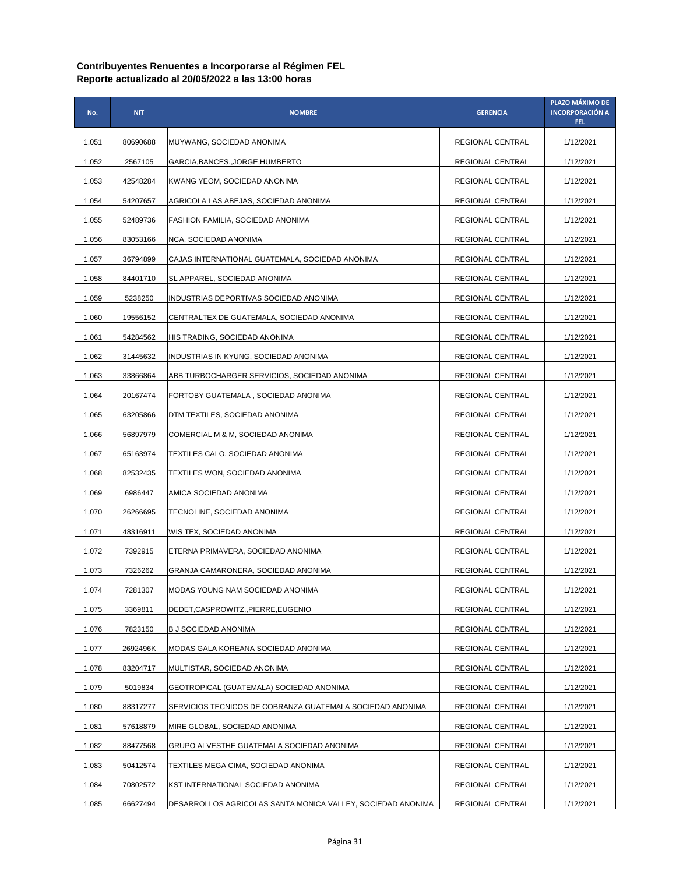| No.   | <b>NIT</b> | <b>NOMBRE</b>                                               | <b>GERENCIA</b>  | PLAZO MÁXIMO DE<br><b>INCORPORACIÓN A</b><br>FEL. |
|-------|------------|-------------------------------------------------------------|------------------|---------------------------------------------------|
| 1,051 | 80690688   | MUYWANG, SOCIEDAD ANONIMA                                   | REGIONAL CENTRAL | 1/12/2021                                         |
| 1,052 | 2567105    | GARCIA, BANCES, , JORGE, HUMBERTO                           | REGIONAL CENTRAL | 1/12/2021                                         |
| 1,053 | 42548284   | KWANG YEOM, SOCIEDAD ANONIMA                                | REGIONAL CENTRAL | 1/12/2021                                         |
| 1,054 | 54207657   | AGRICOLA LAS ABEJAS, SOCIEDAD ANONIMA                       | REGIONAL CENTRAL | 1/12/2021                                         |
| 1,055 | 52489736   | FASHION FAMILIA, SOCIEDAD ANONIMA                           | REGIONAL CENTRAL | 1/12/2021                                         |
| 1,056 | 83053166   | NCA, SOCIEDAD ANONIMA                                       | REGIONAL CENTRAL | 1/12/2021                                         |
| 1,057 | 36794899   | CAJAS INTERNATIONAL GUATEMALA, SOCIEDAD ANONIMA             | REGIONAL CENTRAL | 1/12/2021                                         |
| 1,058 | 84401710   | SL APPAREL, SOCIEDAD ANONIMA                                | REGIONAL CENTRAL | 1/12/2021                                         |
| 1,059 | 5238250    | INDUSTRIAS DEPORTIVAS SOCIEDAD ANONIMA                      | REGIONAL CENTRAL | 1/12/2021                                         |
| 1,060 | 19556152   | CENTRALTEX DE GUATEMALA, SOCIEDAD ANONIMA                   | REGIONAL CENTRAL | 1/12/2021                                         |
| 1,061 | 54284562   | HIS TRADING, SOCIEDAD ANONIMA                               | REGIONAL CENTRAL | 1/12/2021                                         |
| 1,062 | 31445632   | INDUSTRIAS IN KYUNG, SOCIEDAD ANONIMA                       | REGIONAL CENTRAL | 1/12/2021                                         |
| 1,063 | 33866864   | ABB TURBOCHARGER SERVICIOS, SOCIEDAD ANONIMA                | REGIONAL CENTRAL | 1/12/2021                                         |
| 1,064 | 20167474   | FORTOBY GUATEMALA, SOCIEDAD ANONIMA                         | REGIONAL CENTRAL | 1/12/2021                                         |
| 1,065 | 63205866   | DTM TEXTILES, SOCIEDAD ANONIMA                              | REGIONAL CENTRAL | 1/12/2021                                         |
| 1,066 | 56897979   | COMERCIAL M & M, SOCIEDAD ANONIMA                           | REGIONAL CENTRAL | 1/12/2021                                         |
| 1,067 | 65163974   | TEXTILES CALO, SOCIEDAD ANONIMA                             | REGIONAL CENTRAL | 1/12/2021                                         |
| 1,068 | 82532435   | TEXTILES WON, SOCIEDAD ANONIMA                              | REGIONAL CENTRAL | 1/12/2021                                         |
| 1,069 | 6986447    | AMICA SOCIEDAD ANONIMA                                      | REGIONAL CENTRAL | 1/12/2021                                         |
| 1,070 | 26266695   | TECNOLINE, SOCIEDAD ANONIMA                                 | REGIONAL CENTRAL | 1/12/2021                                         |
| 1,071 | 48316911   | WIS TEX, SOCIEDAD ANONIMA                                   | REGIONAL CENTRAL | 1/12/2021                                         |
| 1,072 | 7392915    | ETERNA PRIMAVERA, SOCIEDAD ANONIMA                          | REGIONAL CENTRAL | 1/12/2021                                         |
| 1,073 | 7326262    | GRANJA CAMARONERA, SOCIEDAD ANONIMA                         | REGIONAL CENTRAL | 1/12/2021                                         |
| 1,074 | 7281307    | MODAS YOUNG NAM SOCIEDAD ANONIMA                            | REGIONAL CENTRAL | 1/12/2021                                         |
| 1,075 | 3369811    | DEDET,CASPROWITZ,,PIERRE,EUGENIO                            | REGIONAL CENTRAL | 1/12/2021                                         |
| 1,076 | 7823150    | <b>B J SOCIEDAD ANONIMA</b>                                 | REGIONAL CENTRAL | 1/12/2021                                         |
| 1,077 | 2692496K   | MODAS GALA KOREANA SOCIEDAD ANONIMA                         | REGIONAL CENTRAL | 1/12/2021                                         |
| 1,078 | 83204717   | MULTISTAR, SOCIEDAD ANONIMA                                 | REGIONAL CENTRAL | 1/12/2021                                         |
| 1,079 | 5019834    | GEOTROPICAL (GUATEMALA) SOCIEDAD ANONIMA                    | REGIONAL CENTRAL | 1/12/2021                                         |
| 1,080 | 88317277   | SERVICIOS TECNICOS DE COBRANZA GUATEMALA SOCIEDAD ANONIMA   | REGIONAL CENTRAL | 1/12/2021                                         |
| 1,081 | 57618879   | MIRE GLOBAL, SOCIEDAD ANONIMA                               | REGIONAL CENTRAL | 1/12/2021                                         |
| 1,082 | 88477568   | GRUPO ALVESTHE GUATEMALA SOCIEDAD ANONIMA                   | REGIONAL CENTRAL | 1/12/2021                                         |
| 1,083 | 50412574   | TEXTILES MEGA CIMA, SOCIEDAD ANONIMA                        | REGIONAL CENTRAL | 1/12/2021                                         |
| 1,084 | 70802572   | KST INTERNATIONAL SOCIEDAD ANONIMA                          | REGIONAL CENTRAL | 1/12/2021                                         |
| 1,085 | 66627494   | DESARROLLOS AGRICOLAS SANTA MONICA VALLEY, SOCIEDAD ANONIMA | REGIONAL CENTRAL | 1/12/2021                                         |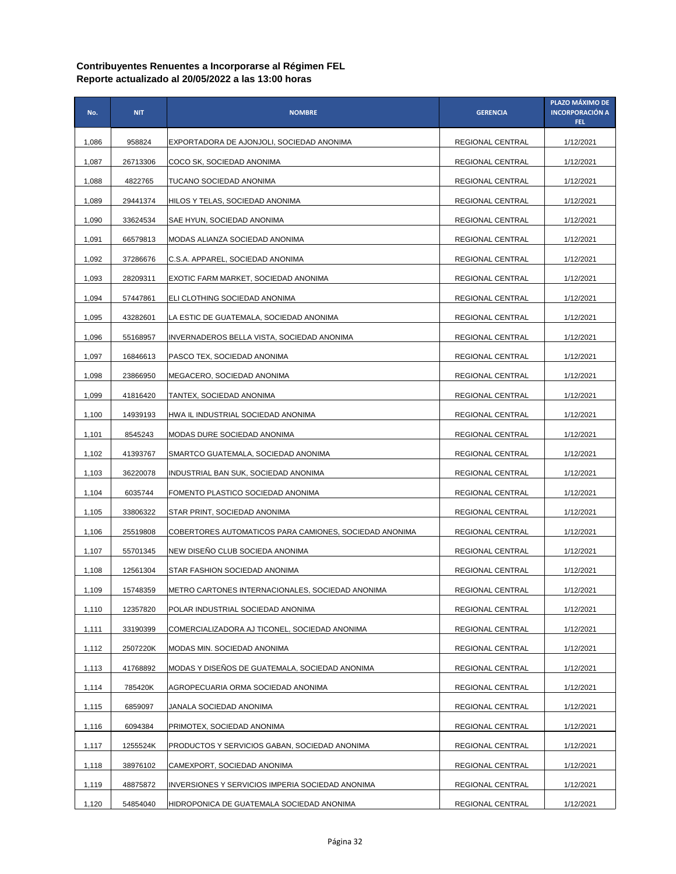| No.   | <b>NIT</b> | <b>NOMBRE</b>                                          | <b>GERENCIA</b>  | PLAZO MÁXIMO DE<br><b>INCORPORACIÓN A</b><br>FEL. |
|-------|------------|--------------------------------------------------------|------------------|---------------------------------------------------|
| 1,086 | 958824     | EXPORTADORA DE AJONJOLI, SOCIEDAD ANONIMA              | REGIONAL CENTRAL | 1/12/2021                                         |
| 1,087 | 26713306   | COCO SK, SOCIEDAD ANONIMA                              | REGIONAL CENTRAL | 1/12/2021                                         |
| 1,088 | 4822765    | TUCANO SOCIEDAD ANONIMA                                | REGIONAL CENTRAL | 1/12/2021                                         |
| 1,089 | 29441374   | HILOS Y TELAS, SOCIEDAD ANONIMA                        | REGIONAL CENTRAL | 1/12/2021                                         |
| 1,090 | 33624534   | SAE HYUN, SOCIEDAD ANONIMA                             | REGIONAL CENTRAL | 1/12/2021                                         |
| 1,091 | 66579813   | MODAS ALIANZA SOCIEDAD ANONIMA                         | REGIONAL CENTRAL | 1/12/2021                                         |
| 1,092 | 37286676   | C.S.A. APPAREL, SOCIEDAD ANONIMA                       | REGIONAL CENTRAL | 1/12/2021                                         |
| 1,093 | 28209311   | EXOTIC FARM MARKET, SOCIEDAD ANONIMA                   | REGIONAL CENTRAL | 1/12/2021                                         |
| 1,094 | 57447861   | ELI CLOTHING SOCIEDAD ANONIMA                          | REGIONAL CENTRAL | 1/12/2021                                         |
| 1,095 | 43282601   | LA ESTIC DE GUATEMALA, SOCIEDAD ANONIMA                | REGIONAL CENTRAL | 1/12/2021                                         |
| 1,096 | 55168957   | INVERNADEROS BELLA VISTA, SOCIEDAD ANONIMA             | REGIONAL CENTRAL | 1/12/2021                                         |
| 1,097 | 16846613   | PASCO TEX, SOCIEDAD ANONIMA                            | REGIONAL CENTRAL | 1/12/2021                                         |
| 1,098 | 23866950   | MEGACERO, SOCIEDAD ANONIMA                             | REGIONAL CENTRAL | 1/12/2021                                         |
| 1,099 | 41816420   | TANTEX, SOCIEDAD ANONIMA                               | REGIONAL CENTRAL | 1/12/2021                                         |
| 1,100 | 14939193   | HWA IL INDUSTRIAL SOCIEDAD ANONIMA                     | REGIONAL CENTRAL | 1/12/2021                                         |
| 1,101 | 8545243    | MODAS DURE SOCIEDAD ANONIMA                            | REGIONAL CENTRAL | 1/12/2021                                         |
| 1,102 | 41393767   | SMARTCO GUATEMALA, SOCIEDAD ANONIMA                    | REGIONAL CENTRAL | 1/12/2021                                         |
| 1,103 | 36220078   | INDUSTRIAL BAN SUK, SOCIEDAD ANONIMA                   | REGIONAL CENTRAL | 1/12/2021                                         |
| 1,104 | 6035744    | FOMENTO PLASTICO SOCIEDAD ANONIMA                      | REGIONAL CENTRAL | 1/12/2021                                         |
| 1,105 | 33806322   | STAR PRINT, SOCIEDAD ANONIMA                           | REGIONAL CENTRAL | 1/12/2021                                         |
| 1,106 | 25519808   | COBERTORES AUTOMATICOS PARA CAMIONES, SOCIEDAD ANONIMA | REGIONAL CENTRAL | 1/12/2021                                         |
| 1,107 | 55701345   | NEW DISENO CLUB SOCIEDA ANONIMA                        | REGIONAL CENTRAL | 1/12/2021                                         |
| 1,108 | 12561304   | STAR FASHION SOCIEDAD ANONIMA                          | REGIONAL CENTRAL | 1/12/2021                                         |
| 1,109 | 15748359   | METRO CARTONES INTERNACIONALES, SOCIEDAD ANONIMA       | REGIONAL CENTRAL | 1/12/2021                                         |
| 1,110 | 12357820   | POLAR INDUSTRIAL SOCIEDAD ANONIMA                      | REGIONAL CENTRAL | 1/12/2021                                         |
| 1,111 | 33190399   | COMERCIALIZADORA AJ TICONEL, SOCIEDAD ANONIMA          | REGIONAL CENTRAL | 1/12/2021                                         |
| 1,112 | 2507220K   | MODAS MIN. SOCIEDAD ANONIMA                            | REGIONAL CENTRAL | 1/12/2021                                         |
| 1,113 | 41768892   | MODAS Y DISEÑOS DE GUATEMALA, SOCIEDAD ANONIMA         | REGIONAL CENTRAL | 1/12/2021                                         |
| 1,114 | 785420K    | AGROPECUARIA ORMA SOCIEDAD ANONIMA                     | REGIONAL CENTRAL | 1/12/2021                                         |
| 1,115 | 6859097    | JANALA SOCIEDAD ANONIMA                                | REGIONAL CENTRAL | 1/12/2021                                         |
| 1,116 | 6094384    | PRIMOTEX, SOCIEDAD ANONIMA                             | REGIONAL CENTRAL | 1/12/2021                                         |
| 1,117 | 1255524K   | PRODUCTOS Y SERVICIOS GABAN, SOCIEDAD ANONIMA          | REGIONAL CENTRAL | 1/12/2021                                         |
| 1,118 | 38976102   | CAMEXPORT, SOCIEDAD ANONIMA                            | REGIONAL CENTRAL | 1/12/2021                                         |
| 1,119 | 48875872   | INVERSIONES Y SERVICIOS IMPERIA SOCIEDAD ANONIMA       | REGIONAL CENTRAL | 1/12/2021                                         |
| 1,120 | 54854040   | HIDROPONICA DE GUATEMALA SOCIEDAD ANONIMA              | REGIONAL CENTRAL | 1/12/2021                                         |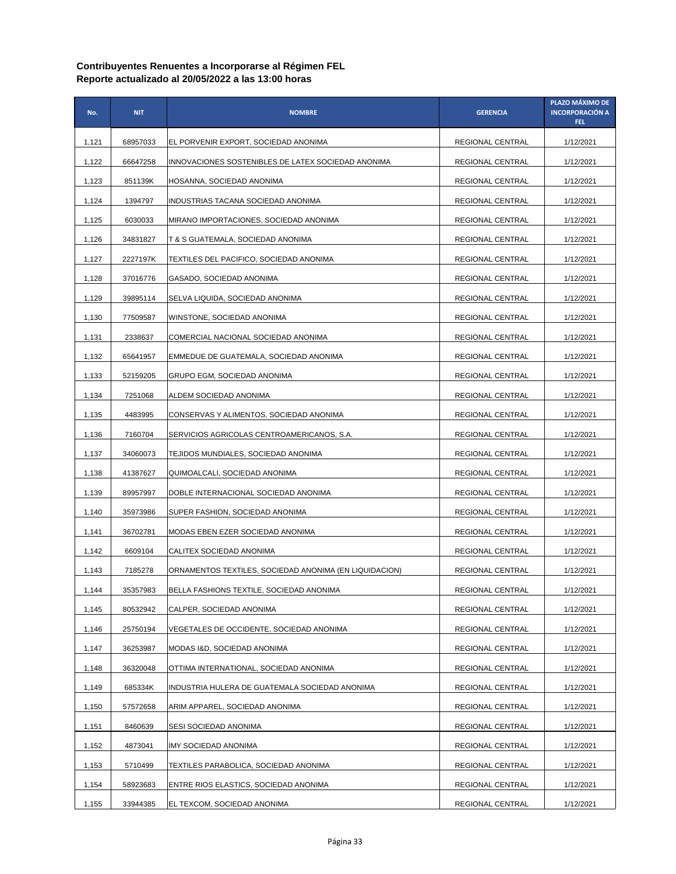| No.   | <b>NIT</b> | <b>NOMBRE</b>                                          | <b>GERENCIA</b>         | PLAZO MÁXIMO DE<br><b>INCORPORACIÓN A</b><br>FEL. |
|-------|------------|--------------------------------------------------------|-------------------------|---------------------------------------------------|
| 1,121 | 68957033   | EL PORVENIR EXPORT, SOCIEDAD ANONIMA                   | REGIONAL CENTRAL        | 1/12/2021                                         |
| 1,122 | 66647258   | INNOVACIONES SOSTENIBLES DE LATEX SOCIEDAD ANONIMA     | REGIONAL CENTRAL        | 1/12/2021                                         |
| 1,123 | 851139K    | HOSANNA, SOCIEDAD ANONIMA                              | REGIONAL CENTRAL        | 1/12/2021                                         |
| 1,124 | 1394797    | INDUSTRIAS TACANA SOCIEDAD ANONIMA                     | REGIONAL CENTRAL        | 1/12/2021                                         |
| 1,125 | 6030033    | MIRANO IMPORTACIONES, SOCIEDAD ANONIMA                 | REGIONAL CENTRAL        | 1/12/2021                                         |
| 1,126 | 34831827   | T & S GUATEMALA, SOCIEDAD ANONIMA                      | REGIONAL CENTRAL        | 1/12/2021                                         |
| 1,127 | 2227197K   | TEXTILES DEL PACIFICO, SOCIEDAD ANONIMA                | REGIONAL CENTRAL        | 1/12/2021                                         |
| 1,128 | 37016776   | GASADO, SOCIEDAD ANONIMA                               | REGIONAL CENTRAL        | 1/12/2021                                         |
| 1,129 | 39895114   | SELVA LIQUIDA, SOCIEDAD ANONIMA                        | REGIONAL CENTRAL        | 1/12/2021                                         |
| 1,130 | 77509587   | WINSTONE, SOCIEDAD ANONIMA                             | REGIONAL CENTRAL        | 1/12/2021                                         |
| 1,131 | 2338637    | COMERCIAL NACIONAL SOCIEDAD ANONIMA                    | REGIONAL CENTRAL        | 1/12/2021                                         |
| 1,132 | 65641957   | EMMEDUE DE GUATEMALA, SOCIEDAD ANONIMA                 | REGIONAL CENTRAL        | 1/12/2021                                         |
| 1,133 | 52159205   | GRUPO EGM, SOCIEDAD ANONIMA                            | REGIONAL CENTRAL        | 1/12/2021                                         |
| 1,134 | 7251068    | ALDEM SOCIEDAD ANONIMA                                 | REGIONAL CENTRAL        | 1/12/2021                                         |
| 1,135 | 4483995    | CONSERVAS Y ALIMENTOS, SOCIEDAD ANONIMA                | REGIONAL CENTRAL        | 1/12/2021                                         |
| 1,136 | 7160704    | SERVICIOS AGRICOLAS CENTROAMERICANOS, S.A.             | REGIONAL CENTRAL        | 1/12/2021                                         |
| 1,137 | 34060073   | TEJIDOS MUNDIALES, SOCIEDAD ANONIMA                    | REGIONAL CENTRAL        | 1/12/2021                                         |
| 1,138 | 41387627   | QUIMOALCALI, SOCIEDAD ANONIMA                          | REGIONAL CENTRAL        | 1/12/2021                                         |
| 1,139 | 89957997   | DOBLE INTERNACIONAL SOCIEDAD ANONIMA                   | REGIONAL CENTRAL        | 1/12/2021                                         |
| 1,140 | 35973986   | SUPER FASHION, SOCIEDAD ANONIMA                        | REGIONAL CENTRAL        | 1/12/2021                                         |
| 1,141 | 36702781   | MODAS EBEN EZER SOCIEDAD ANONIMA                       | REGIONAL CENTRAL        | 1/12/2021                                         |
| 1,142 | 6609104    | CALITEX SOCIEDAD ANONIMA                               | REGIONAL CENTRAL        | 1/12/2021                                         |
| 1,143 | 7185278    | ORNAMENTOS TEXTILES, SOCIEDAD ANONIMA (EN LIQUIDACION) | <b>REGIONAL CENTRAL</b> | 1/12/2021                                         |
| 1,144 | 35357983   | BELLA FASHIONS TEXTILE, SOCIEDAD ANONIMA               | REGIONAL CENTRAL        | 1/12/2021                                         |
| 1,145 | 80532942   | CALPER, SOCIEDAD ANONIMA                               | REGIONAL CENTRAL        | 1/12/2021                                         |
| 1,146 | 25750194   | VEGETALES DE OCCIDENTE, SOCIEDAD ANONIMA               | REGIONAL CENTRAL        | 1/12/2021                                         |
| 1,147 | 36253987   | MODAS I&D, SOCIEDAD ANONIMA                            | REGIONAL CENTRAL        | 1/12/2021                                         |
| 1,148 | 36320048   | OTTIMA INTERNATIONAL, SOCIEDAD ANONIMA                 | REGIONAL CENTRAL        | 1/12/2021                                         |
| 1,149 | 685334K    | INDUSTRIA HULERA DE GUATEMALA SOCIEDAD ANONIMA         | REGIONAL CENTRAL        | 1/12/2021                                         |
| 1,150 | 57572658   | ARIM APPAREL, SOCIEDAD ANONIMA                         | REGIONAL CENTRAL        | 1/12/2021                                         |
| 1,151 | 8460639    | SESI SOCIEDAD ANONIMA                                  | REGIONAL CENTRAL        | 1/12/2021                                         |
| 1,152 | 4873041    | IMY SOCIEDAD ANONIMA                                   | REGIONAL CENTRAL        | 1/12/2021                                         |
| 1,153 | 5710499    | TEXTILES PARABOLICA, SOCIEDAD ANONIMA                  | REGIONAL CENTRAL        | 1/12/2021                                         |
| 1,154 | 58923683   | ENTRE RIOS ELASTICS, SOCIEDAD ANONIMA                  | REGIONAL CENTRAL        | 1/12/2021                                         |
| 1,155 | 33944385   | EL TEXCOM, SOCIEDAD ANONIMA                            | REGIONAL CENTRAL        | 1/12/2021                                         |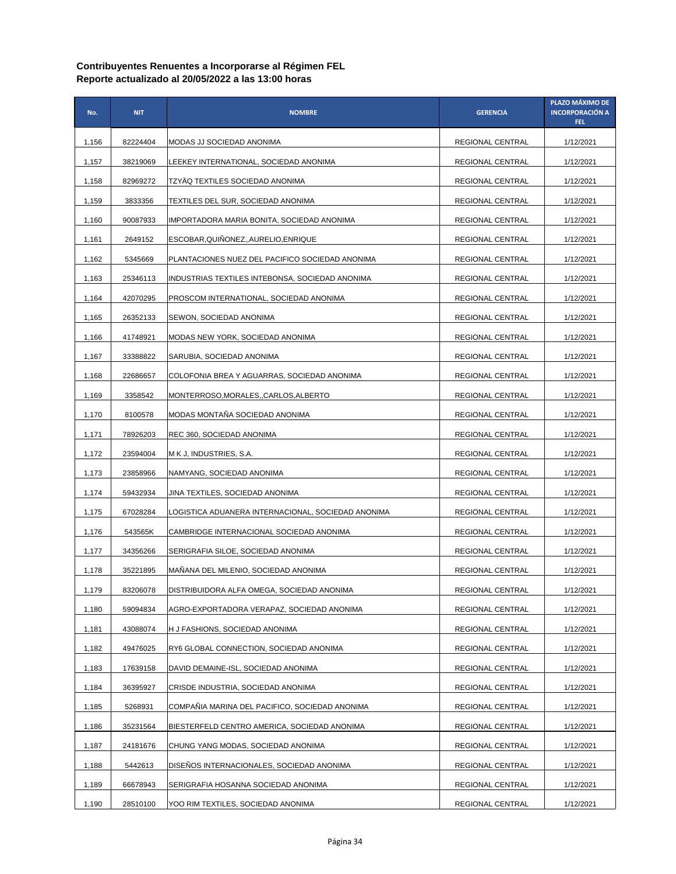| No.   | <b>NIT</b> | <b>NOMBRE</b>                                      | <b>GERENCIA</b>  | PLAZO MÁXIMO DE<br><b>INCORPORACIÓN A</b><br><b>FEL</b> |
|-------|------------|----------------------------------------------------|------------------|---------------------------------------------------------|
| 1,156 | 82224404   | MODAS JJ SOCIEDAD ANONIMA                          | REGIONAL CENTRAL | 1/12/2021                                               |
| 1,157 | 38219069   | LEEKEY INTERNATIONAL, SOCIEDAD ANONIMA             | REGIONAL CENTRAL | 1/12/2021                                               |
| 1,158 | 82969272   | TZYAQ TEXTILES SOCIEDAD ANONIMA                    | REGIONAL CENTRAL | 1/12/2021                                               |
| 1,159 | 3833356    | TEXTILES DEL SUR, SOCIEDAD ANONIMA                 | REGIONAL CENTRAL | 1/12/2021                                               |
| 1,160 | 90087933   | IMPORTADORA MARIA BONITA, SOCIEDAD ANONIMA         | REGIONAL CENTRAL | 1/12/2021                                               |
| 1,161 | 2649152    | ESCOBAR,QUINONEZ,,AURELIO,ENRIQUE                  | REGIONAL CENTRAL | 1/12/2021                                               |
| 1,162 | 5345669    | PLANTACIONES NUEZ DEL PACIFICO SOCIEDAD ANONIMA    | REGIONAL CENTRAL | 1/12/2021                                               |
| 1,163 | 25346113   | INDUSTRIAS TEXTILES INTEBONSA, SOCIEDAD ANONIMA    | REGIONAL CENTRAL | 1/12/2021                                               |
| 1,164 | 42070295   | PROSCOM INTERNATIONAL, SOCIEDAD ANONIMA            | REGIONAL CENTRAL | 1/12/2021                                               |
| 1,165 | 26352133   | SEWON, SOCIEDAD ANONIMA                            | REGIONAL CENTRAL | 1/12/2021                                               |
| 1,166 | 41748921   | MODAS NEW YORK, SOCIEDAD ANONIMA                   | REGIONAL CENTRAL | 1/12/2021                                               |
| 1,167 | 33388822   | SARUBIA, SOCIEDAD ANONIMA                          | REGIONAL CENTRAL | 1/12/2021                                               |
| 1,168 | 22686657   | COLOFONIA BREA Y AGUARRAS, SOCIEDAD ANONIMA        | REGIONAL CENTRAL | 1/12/2021                                               |
| 1,169 | 3358542    | MONTERROSO, MORALES, , CARLOS, ALBERTO             | REGIONAL CENTRAL | 1/12/2021                                               |
| 1,170 | 8100578    | MODAS MONTAÑA SOCIEDAD ANONIMA                     | REGIONAL CENTRAL | 1/12/2021                                               |
| 1,171 | 78926203   | REC 360, SOCIEDAD ANONIMA                          | REGIONAL CENTRAL | 1/12/2021                                               |
| 1,172 | 23594004   | M K J, INDUSTRIES, S.A.                            | REGIONAL CENTRAL | 1/12/2021                                               |
| 1,173 | 23858966   | NAMYANG, SOCIEDAD ANONIMA                          | REGIONAL CENTRAL | 1/12/2021                                               |
| 1,174 | 59432934   | JINA TEXTILES, SOCIEDAD ANONIMA                    | REGIONAL CENTRAL | 1/12/2021                                               |
| 1,175 | 67028284   | LOGISTICA ADUANERA INTERNACIONAL, SOCIEDAD ANONIMA | REGIONAL CENTRAL | 1/12/2021                                               |
| 1,176 | 543565K    | CAMBRIDGE INTERNACIONAL SOCIEDAD ANONIMA           | REGIONAL CENTRAL | 1/12/2021                                               |
| 1,177 | 34356266   | SERIGRAFIA SILOE, SOCIEDAD ANONIMA                 | REGIONAL CENTRAL | 1/12/2021                                               |
| 1,178 | 35221895   | MAÑANA DEL MILENIO, SOCIEDAD ANONIMA               | REGIONAL CENTRAL | 1/12/2021                                               |
| 1,179 | 83206078   | DISTRIBUIDORA ALFA OMEGA, SOCIEDAD ANONIMA         | REGIONAL CENTRAL | 1/12/2021                                               |
| 1,180 | 59094834   | AGRO-EXPORTADORA VERAPAZ, SOCIEDAD ANONIMA         | REGIONAL CENTRAL | 1/12/2021                                               |
| 1,181 | 43088074   | H J FASHIONS, SOCIEDAD ANONIMA                     | REGIONAL CENTRAL | 1/12/2021                                               |
| 1,182 | 49476025   | RY6 GLOBAL CONNECTION, SOCIEDAD ANONIMA            | REGIONAL CENTRAL | 1/12/2021                                               |
| 1,183 | 17639158   | DAVID DEMAINE-ISL, SOCIEDAD ANONIMA                | REGIONAL CENTRAL | 1/12/2021                                               |
| 1,184 | 36395927   | CRISDE INDUSTRIA, SOCIEDAD ANONIMA                 | REGIONAL CENTRAL | 1/12/2021                                               |
| 1,185 | 5268931    | COMPANIA MARINA DEL PACIFICO, SOCIEDAD ANONIMA     | REGIONAL CENTRAL | 1/12/2021                                               |
| 1,186 | 35231564   | BIESTERFELD CENTRO AMERICA, SOCIEDAD ANONIMA       | REGIONAL CENTRAL | 1/12/2021                                               |
| 1,187 | 24181676   | CHUNG YANG MODAS, SOCIEDAD ANONIMA                 | REGIONAL CENTRAL | 1/12/2021                                               |
| 1,188 | 5442613    | DISEÑOS INTERNACIONALES, SOCIEDAD ANONIMA          | REGIONAL CENTRAL | 1/12/2021                                               |
| 1,189 | 66678943   | SERIGRAFIA HOSANNA SOCIEDAD ANONIMA                | REGIONAL CENTRAL | 1/12/2021                                               |
| 1,190 | 28510100   | YOO RIM TEXTILES, SOCIEDAD ANONIMA                 | REGIONAL CENTRAL | 1/12/2021                                               |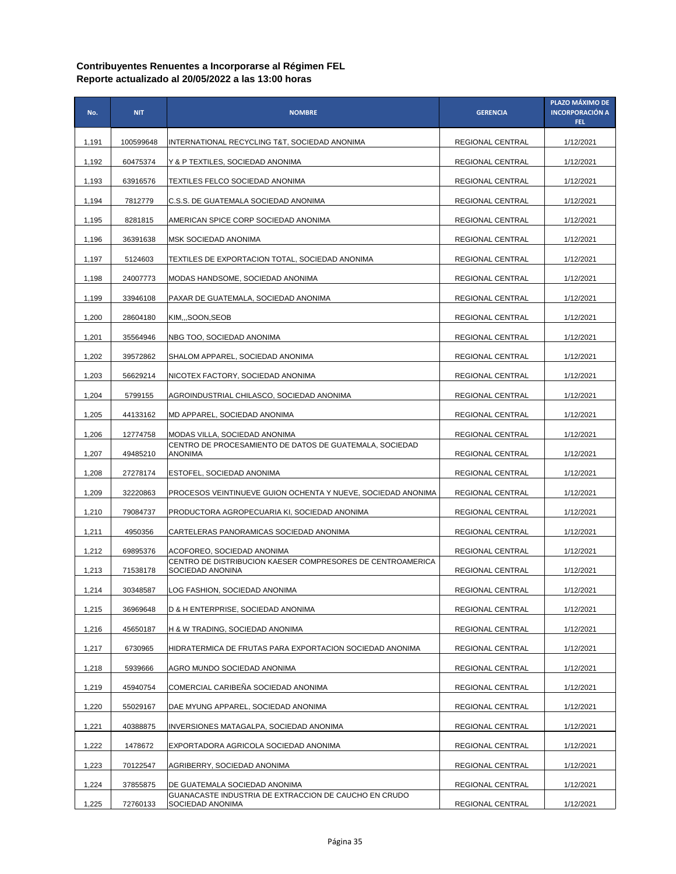| No.   | <b>NIT</b> | <b>NOMBRE</b>                                                                  | <b>GERENCIA</b>         | PLAZO MÁXIMO DE<br><b>INCORPORACIÓN A</b><br>FEL. |
|-------|------------|--------------------------------------------------------------------------------|-------------------------|---------------------------------------------------|
| 1,191 | 100599648  | INTERNATIONAL RECYCLING T&T, SOCIEDAD ANONIMA                                  | REGIONAL CENTRAL        | 1/12/2021                                         |
| 1,192 | 60475374   | Y & P TEXTILES, SOCIEDAD ANONIMA                                               | REGIONAL CENTRAL        | 1/12/2021                                         |
| 1,193 | 63916576   | TEXTILES FELCO SOCIEDAD ANONIMA                                                | REGIONAL CENTRAL        | 1/12/2021                                         |
| 1,194 | 7812779    | C.S.S. DE GUATEMALA SOCIEDAD ANONIMA                                           | REGIONAL CENTRAL        | 1/12/2021                                         |
| 1,195 | 8281815    | AMERICAN SPICE CORP SOCIEDAD ANONIMA                                           | <b>REGIONAL CENTRAL</b> | 1/12/2021                                         |
| 1,196 | 36391638   | MSK SOCIEDAD ANONIMA                                                           | REGIONAL CENTRAL        | 1/12/2021                                         |
| 1,197 | 5124603    | TEXTILES DE EXPORTACION TOTAL, SOCIEDAD ANONIMA                                | REGIONAL CENTRAL        | 1/12/2021                                         |
| 1,198 | 24007773   | MODAS HANDSOME, SOCIEDAD ANONIMA                                               | REGIONAL CENTRAL        | 1/12/2021                                         |
| 1,199 | 33946108   | PAXAR DE GUATEMALA, SOCIEDAD ANONIMA                                           | REGIONAL CENTRAL        | 1/12/2021                                         |
| 1,200 | 28604180   | KIM,,,SOON,SEOB                                                                | REGIONAL CENTRAL        | 1/12/2021                                         |
| 1,201 | 35564946   | NBG TOO. SOCIEDAD ANONIMA                                                      | REGIONAL CENTRAL        | 1/12/2021                                         |
| 1,202 | 39572862   | SHALOM APPAREL, SOCIEDAD ANONIMA                                               | REGIONAL CENTRAL        | 1/12/2021                                         |
| 1,203 | 56629214   | NICOTEX FACTORY, SOCIEDAD ANONIMA                                              | <b>REGIONAL CENTRAL</b> | 1/12/2021                                         |
| 1,204 | 5799155    | AGROINDUSTRIAL CHILASCO, SOCIEDAD ANONIMA                                      | REGIONAL CENTRAL        | 1/12/2021                                         |
| 1,205 | 44133162   | MD APPAREL, SOCIEDAD ANONIMA                                                   | REGIONAL CENTRAL        | 1/12/2021                                         |
| 1,206 | 12774758   | MODAS VILLA, SOCIEDAD ANONIMA                                                  | REGIONAL CENTRAL        | 1/12/2021                                         |
| 1,207 | 49485210   | CENTRO DE PROCESAMIENTO DE DATOS DE GUATEMALA, SOCIEDAD<br><b>ANONIMA</b>      | REGIONAL CENTRAL        | 1/12/2021                                         |
| 1,208 | 27278174   | ESTOFEL, SOCIEDAD ANONIMA                                                      | REGIONAL CENTRAL        | 1/12/2021                                         |
| 1,209 | 32220863   | PROCESOS VEINTINUEVE GUION OCHENTA Y NUEVE, SOCIEDAD ANONIMA                   | REGIONAL CENTRAL        | 1/12/2021                                         |
| 1,210 | 79084737   | PRODUCTORA AGROPECUARIA KI, SOCIEDAD ANONIMA                                   | REGIONAL CENTRAL        | 1/12/2021                                         |
| 1,211 | 4950356    | CARTELERAS PANORAMICAS SOCIEDAD ANONIMA                                        | <b>REGIONAL CENTRAL</b> | 1/12/2021                                         |
| 1,212 | 69895376   | ACOFOREO, SOCIEDAD ANONIMA                                                     | REGIONAL CENTRAL        | 1/12/2021                                         |
| 1,213 | 71538178   | CENTRO DE DISTRIBUCION KAESER COMPRESORES DE CENTROAMERICA<br>SOCIEDAD ANONINA | <b>REGIONAL CENTRAL</b> | 1/12/2021                                         |
| 1,214 | 30348587   | LOG FASHION, SOCIEDAD ANONIMA                                                  | REGIONAL CENTRAL        | 1/12/2021                                         |
| 1,215 | 36969648   | D & H ENTERPRISE, SOCIEDAD ANONIMA                                             | REGIONAL CENTRAL        | 1/12/2021                                         |
| 1,216 | 45650187   | H & W TRADING, SOCIEDAD ANONIMA                                                | REGIONAL CENTRAL        | 1/12/2021                                         |
| 1,217 | 6730965    | HIDRATERMICA DE FRUTAS PARA EXPORTACION SOCIEDAD ANONIMA                       | REGIONAL CENTRAL        | 1/12/2021                                         |
| 1,218 | 5939666    | AGRO MUNDO SOCIEDAD ANONIMA                                                    | REGIONAL CENTRAL        | 1/12/2021                                         |
| 1,219 | 45940754   | COMERCIAL CARIBEÑA SOCIEDAD ANONIMA                                            | REGIONAL CENTRAL        | 1/12/2021                                         |
| 1,220 | 55029167   | DAE MYUNG APPAREL, SOCIEDAD ANONIMA                                            | REGIONAL CENTRAL        | 1/12/2021                                         |
| 1,221 | 40388875   | INVERSIONES MATAGALPA, SOCIEDAD ANONIMA                                        | REGIONAL CENTRAL        | 1/12/2021                                         |
| 1,222 | 1478672    | EXPORTADORA AGRICOLA SOCIEDAD ANONIMA                                          | REGIONAL CENTRAL        | 1/12/2021                                         |
| 1,223 | 70122547   | AGRIBERRY, SOCIEDAD ANONIMA                                                    | REGIONAL CENTRAL        | 1/12/2021                                         |
| 1,224 | 37855875   | DE GUATEMALA SOCIEDAD ANONIMA                                                  | REGIONAL CENTRAL        | 1/12/2021                                         |
| 1,225 | 72760133   | GUANACASTE INDUSTRIA DE EXTRACCION DE CAUCHO EN CRUDO<br>SOCIEDAD ANONIMA      | REGIONAL CENTRAL        | 1/12/2021                                         |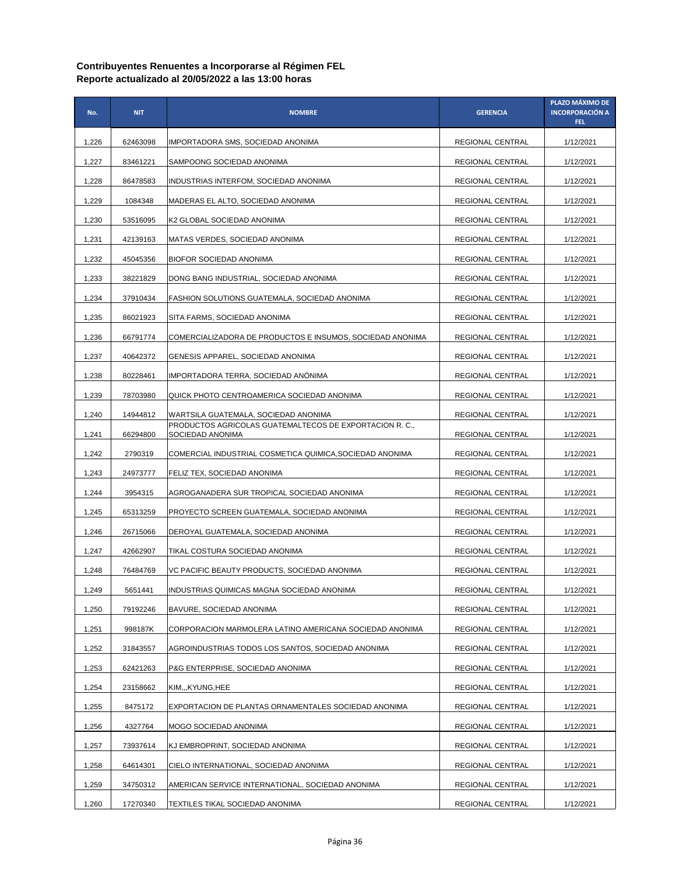| No.   | <b>NIT</b> | <b>NOMBRE</b>                                                              | <b>GERENCIA</b>  | PLAZO MÁXIMO DE<br><b>INCORPORACIÓN A</b><br>FEL: |
|-------|------------|----------------------------------------------------------------------------|------------------|---------------------------------------------------|
| 1,226 | 62463098   | IMPORTADORA SMS, SOCIEDAD ANONIMA                                          | REGIONAL CENTRAL | 1/12/2021                                         |
| 1,227 | 83461221   | SAMPOONG SOCIEDAD ANONIMA                                                  | REGIONAL CENTRAL | 1/12/2021                                         |
| 1,228 | 86478583   | INDUSTRIAS INTERFOM, SOCIEDAD ANONIMA                                      | REGIONAL CENTRAL | 1/12/2021                                         |
| 1,229 | 1084348    | MADERAS EL ALTO, SOCIEDAD ANONIMA                                          | REGIONAL CENTRAL | 1/12/2021                                         |
| 1,230 | 53516095   | K2 GLOBAL SOCIEDAD ANONIMA                                                 | REGIONAL CENTRAL | 1/12/2021                                         |
| 1,231 | 42139163   | MATAS VERDES, SOCIEDAD ANONIMA                                             | REGIONAL CENTRAL | 1/12/2021                                         |
| 1,232 | 45045356   | <b>BIOFOR SOCIEDAD ANONIMA</b>                                             | REGIONAL CENTRAL | 1/12/2021                                         |
| 1,233 | 38221829   | DONG BANG INDUSTRIAL, SOCIEDAD ANONIMA                                     | REGIONAL CENTRAL | 1/12/2021                                         |
| 1,234 | 37910434   | FASHION SOLUTIONS GUATEMALA, SOCIEDAD ANONIMA                              | REGIONAL CENTRAL | 1/12/2021                                         |
| 1,235 | 86021923   | SITA FARMS, SOCIEDAD ANONIMA                                               | REGIONAL CENTRAL | 1/12/2021                                         |
| 1,236 | 66791774   | COMERCIALIZADORA DE PRODUCTOS E INSUMOS, SOCIEDAD ANONIMA                  | REGIONAL CENTRAL | 1/12/2021                                         |
| 1,237 | 40642372   | GENESIS APPAREL, SOCIEDAD ANONIMA                                          | REGIONAL CENTRAL | 1/12/2021                                         |
| 1,238 | 80228461   | IMPORTADORA TERRA, SOCIEDAD ANONIMA                                        | REGIONAL CENTRAL | 1/12/2021                                         |
| 1,239 | 78703980   | QUICK PHOTO CENTROAMERICA SOCIEDAD ANONIMA                                 | REGIONAL CENTRAL | 1/12/2021                                         |
| 1,240 | 14944812   | WARTSILA GUATEMALA, SOCIEDAD ANONIMA                                       | REGIONAL CENTRAL | 1/12/2021                                         |
| 1,241 | 66294800   | PRODUCTOS AGRICOLAS GUATEMALTECOS DE EXPORTACION R.C.,<br>SOCIEDAD ANONIMA | REGIONAL CENTRAL | 1/12/2021                                         |
| 1,242 | 2790319    | COMERCIAL INDUSTRIAL COSMETICA QUIMICA,SOCIEDAD ANONIMA                    | REGIONAL CENTRAL | 1/12/2021                                         |
| 1,243 | 24973777   | FELIZ TEX, SOCIEDAD ANONIMA                                                | REGIONAL CENTRAL | 1/12/2021                                         |
| 1,244 | 3954315    | AGROGANADERA SUR TROPICAL SOCIEDAD ANONIMA                                 | REGIONAL CENTRAL | 1/12/2021                                         |
| 1,245 | 65313259   | PROYECTO SCREEN GUATEMALA, SOCIEDAD ANONIMA                                | REGIONAL CENTRAL | 1/12/2021                                         |
| 1,246 | 26715066   | DEROYAL GUATEMALA, SOCIEDAD ANONIMA                                        | REGIONAL CENTRAL | 1/12/2021                                         |
| 1,247 | 42662907   | TIKAL COSTURA SOCIEDAD ANONIMA                                             | REGIONAL CENTRAL | 1/12/2021                                         |
| 1,248 | 76484769   | VC PACIFIC BEAUTY PRODUCTS, SOCIEDAD ANONIMA                               | REGIONAL CENTRAL | 1/12/2021                                         |
| 1,249 | 5651441    | INDUSTRIAS QUIMICAS MAGNA SOCIEDAD ANONIMA                                 | REGIONAL CENTRAL | 1/12/2021                                         |
| 1,250 | 79192246   | BAVURE, SOCIEDAD ANONIMA                                                   | REGIONAL CENTRAL | 1/12/2021                                         |
| 1,251 | 998187K    | CORPORACION MARMOLERA LATINO AMERICANA SOCIEDAD ANONIMA                    | REGIONAL CENTRAL | 1/12/2021                                         |
| 1,252 | 31843557   | AGROINDUSTRIAS TODOS LOS SANTOS, SOCIEDAD ANONIMA                          | REGIONAL CENTRAL | 1/12/2021                                         |
| 1,253 | 62421263   | P&G ENTERPRISE, SOCIEDAD ANONIMA                                           | REGIONAL CENTRAL | 1/12/2021                                         |
| 1,254 | 23158662   | KIM,,,KYUNG,HEE                                                            | REGIONAL CENTRAL | 1/12/2021                                         |
| 1,255 | 8475172    | EXPORTACION DE PLANTAS ORNAMENTALES SOCIEDAD ANONIMA                       | REGIONAL CENTRAL | 1/12/2021                                         |
| 1,256 | 4327764    | MOGO SOCIEDAD ANONIMA                                                      | REGIONAL CENTRAL | 1/12/2021                                         |
| 1,257 | 73937614   | KJ EMBROPRINT, SOCIEDAD ANONIMA                                            | REGIONAL CENTRAL | 1/12/2021                                         |
| 1,258 | 64614301   | CIELO INTERNATIONAL, SOCIEDAD ANONIMA                                      | REGIONAL CENTRAL | 1/12/2021                                         |
| 1,259 | 34750312   | AMERICAN SERVICE INTERNATIONAL, SOCIEDAD ANONIMA                           | REGIONAL CENTRAL | 1/12/2021                                         |
| 1,260 | 17270340   | TEXTILES TIKAL SOCIEDAD ANONIMA                                            | REGIONAL CENTRAL | 1/12/2021                                         |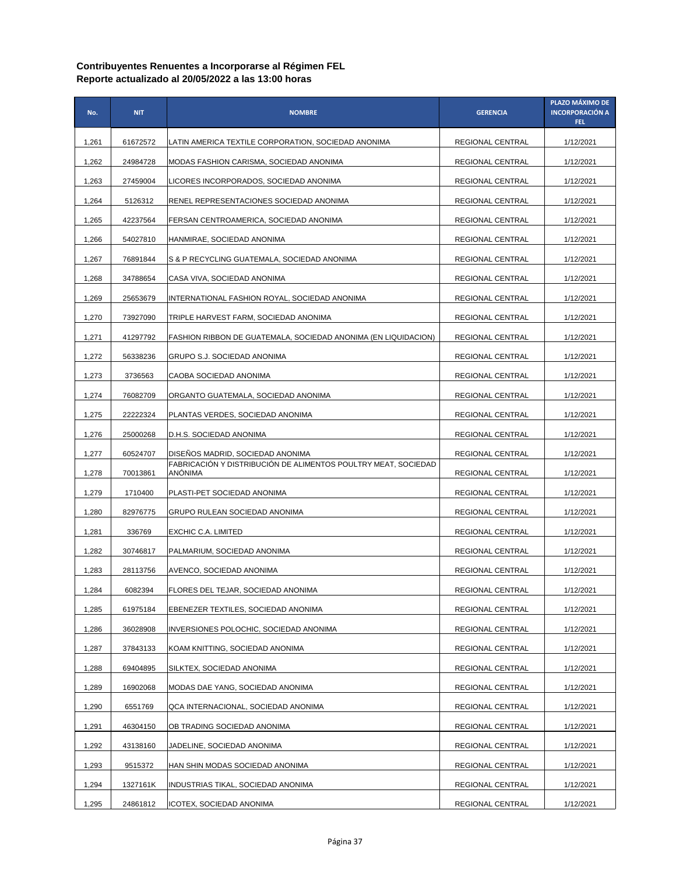| No.   | <b>NIT</b> | <b>NOMBRE</b>                                                                    | <b>GERENCIA</b>         | PLAZO MÁXIMO DE<br><b>INCORPORACIÓN A</b><br><b>FEL</b> |
|-------|------------|----------------------------------------------------------------------------------|-------------------------|---------------------------------------------------------|
| 1,261 | 61672572   | LATIN AMERICA TEXTILE CORPORATION, SOCIEDAD ANONIMA                              | REGIONAL CENTRAL        | 1/12/2021                                               |
| 1,262 | 24984728   | MODAS FASHION CARISMA, SOCIEDAD ANONIMA                                          | <b>REGIONAL CENTRAL</b> | 1/12/2021                                               |
| 1,263 | 27459004   | LICORES INCORPORADOS, SOCIEDAD ANONIMA                                           | REGIONAL CENTRAL        | 1/12/2021                                               |
| 1,264 | 5126312    | RENEL REPRESENTACIONES SOCIEDAD ANONIMA                                          | REGIONAL CENTRAL        | 1/12/2021                                               |
| 1,265 | 42237564   | FERSAN CENTROAMERICA, SOCIEDAD ANONIMA                                           | <b>REGIONAL CENTRAL</b> | 1/12/2021                                               |
| 1,266 | 54027810   | HANMIRAE, SOCIEDAD ANONIMA                                                       | REGIONAL CENTRAL        | 1/12/2021                                               |
| 1,267 | 76891844   | S & P RECYCLING GUATEMALA, SOCIEDAD ANONIMA                                      | REGIONAL CENTRAL        | 1/12/2021                                               |
| 1,268 | 34788654   | CASA VIVA, SOCIEDAD ANONIMA                                                      | REGIONAL CENTRAL        | 1/12/2021                                               |
| 1,269 | 25653679   | INTERNATIONAL FASHION ROYAL, SOCIEDAD ANONIMA                                    | REGIONAL CENTRAL        | 1/12/2021                                               |
| 1,270 | 73927090   | TRIPLE HARVEST FARM, SOCIEDAD ANONIMA                                            | REGIONAL CENTRAL        | 1/12/2021                                               |
| 1,271 | 41297792   | FASHION RIBBON DE GUATEMALA, SOCIEDAD ANONIMA (EN LIQUIDACION)                   | REGIONAL CENTRAL        | 1/12/2021                                               |
| 1,272 | 56338236   | GRUPO S.J. SOCIEDAD ANONIMA                                                      | REGIONAL CENTRAL        | 1/12/2021                                               |
| 1,273 | 3736563    | CAOBA SOCIEDAD ANONIMA                                                           | <b>REGIONAL CENTRAL</b> | 1/12/2021                                               |
| 1,274 | 76082709   | ORGANTO GUATEMALA, SOCIEDAD ANONIMA                                              | REGIONAL CENTRAL        | 1/12/2021                                               |
| 1,275 | 22222324   | PLANTAS VERDES, SOCIEDAD ANONIMA                                                 | REGIONAL CENTRAL        | 1/12/2021                                               |
| 1,276 | 25000268   | D.H.S. SOCIEDAD ANONIMA                                                          | REGIONAL CENTRAL        | 1/12/2021                                               |
| 1,277 | 60524707   | DISEÑOS MADRID, SOCIEDAD ANONIMA                                                 | REGIONAL CENTRAL        | 1/12/2021                                               |
| 1,278 | 70013861   | FABRICACIÓN Y DISTRIBUCIÓN DE ALIMENTOS POULTRY MEAT, SOCIEDAD<br><b>ANÓNIMA</b> | REGIONAL CENTRAL        | 1/12/2021                                               |
| 1,279 | 1710400    | PLASTI-PET SOCIEDAD ANONIMA                                                      | REGIONAL CENTRAL        | 1/12/2021                                               |
| 1,280 | 82976775   | GRUPO RULEAN SOCIEDAD ANONIMA                                                    | REGIONAL CENTRAL        | 1/12/2021                                               |
| 1,281 | 336769     | EXCHIC C.A. LIMITED                                                              | REGIONAL CENTRAL        | 1/12/2021                                               |
| 1,282 | 30746817   | PALMARIUM, SOCIEDAD ANONIMA                                                      | REGIONAL CENTRAL        | 1/12/2021                                               |
| 1,283 | 28113756   | AVENCO, SOCIEDAD ANONIMA                                                         | REGIONAL CENTRAL        | 1/12/2021                                               |
| 1,284 | 6082394    | FLORES DEL TEJAR, SOCIEDAD ANONIMA                                               | REGIONAL CENTRAL        | 1/12/2021                                               |
| 1,285 | 61975184   | EBENEZER TEXTILES, SOCIEDAD ANONIMA                                              | REGIONAL CENTRAL        | 1/12/2021                                               |
| 1,286 | 36028908   | INVERSIONES POLOCHIC, SOCIEDAD ANONIMA                                           | REGIONAL CENTRAL        | 1/12/2021                                               |
| 1,287 | 37843133   | KOAM KNITTING, SOCIEDAD ANONIMA                                                  | REGIONAL CENTRAL        | 1/12/2021                                               |
| 1,288 | 69404895   | SILKTEX, SOCIEDAD ANONIMA                                                        | REGIONAL CENTRAL        | 1/12/2021                                               |
| 1,289 | 16902068   | MODAS DAE YANG, SOCIEDAD ANONIMA                                                 | REGIONAL CENTRAL        | 1/12/2021                                               |
| 1,290 | 6551769    | QCA INTERNACIONAL, SOCIEDAD ANONIMA                                              | REGIONAL CENTRAL        | 1/12/2021                                               |
| 1,291 | 46304150   | OB TRADING SOCIEDAD ANONIMA                                                      | REGIONAL CENTRAL        | 1/12/2021                                               |
| 1,292 | 43138160   | JADELINE, SOCIEDAD ANONIMA                                                       | REGIONAL CENTRAL        | 1/12/2021                                               |
| 1,293 | 9515372    | HAN SHIN MODAS SOCIEDAD ANONIMA                                                  | REGIONAL CENTRAL        | 1/12/2021                                               |
| 1,294 | 1327161K   | INDUSTRIAS TIKAL, SOCIEDAD ANONIMA                                               | REGIONAL CENTRAL        | 1/12/2021                                               |
| 1,295 | 24861812   | ICOTEX, SOCIEDAD ANONIMA                                                         | REGIONAL CENTRAL        | 1/12/2021                                               |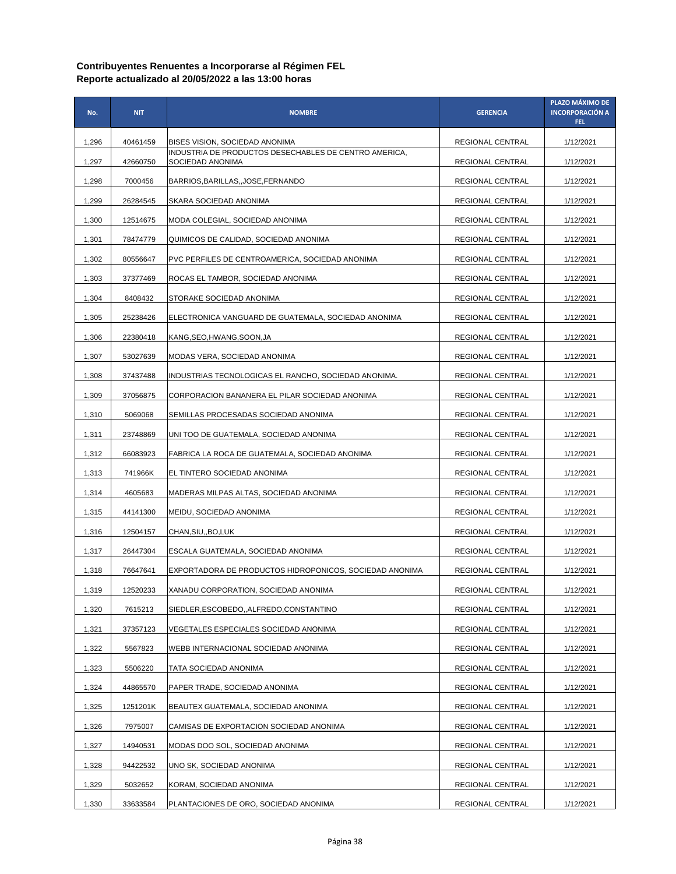| No.   | <b>NIT</b> | <b>NOMBRE</b>                                                             | <b>GERENCIA</b>  | PLAZO MÁXIMO DE<br><b>INCORPORACIÓN A</b><br>FEL. |
|-------|------------|---------------------------------------------------------------------------|------------------|---------------------------------------------------|
| 1,296 | 40461459   | BISES VISION, SOCIEDAD ANONIMA                                            | REGIONAL CENTRAL | 1/12/2021                                         |
| 1,297 | 42660750   | INDUSTRIA DE PRODUCTOS DESECHABLES DE CENTRO AMERICA,<br>SOCIEDAD ANONIMA | REGIONAL CENTRAL | 1/12/2021                                         |
| 1,298 | 7000456    | BARRIOS, BARILLAS, , JOSE, FERNANDO                                       | REGIONAL CENTRAL | 1/12/2021                                         |
| 1,299 | 26284545   | SKARA SOCIEDAD ANONIMA                                                    | REGIONAL CENTRAL | 1/12/2021                                         |
| 1,300 | 12514675   | MODA COLEGIAL, SOCIEDAD ANONIMA                                           | REGIONAL CENTRAL | 1/12/2021                                         |
| 1,301 | 78474779   | QUIMICOS DE CALIDAD, SOCIEDAD ANONIMA                                     | REGIONAL CENTRAL | 1/12/2021                                         |
| 1,302 | 80556647   | PVC PERFILES DE CENTROAMERICA, SOCIEDAD ANONIMA                           | REGIONAL CENTRAL | 1/12/2021                                         |
| 1,303 | 37377469   | ROCAS EL TAMBOR, SOCIEDAD ANONIMA                                         | REGIONAL CENTRAL | 1/12/2021                                         |
| 1,304 | 8408432    | STORAKE SOCIEDAD ANONIMA                                                  | REGIONAL CENTRAL | 1/12/2021                                         |
| 1,305 | 25238426   | ELECTRONICA VANGUARD DE GUATEMALA, SOCIEDAD ANONIMA                       | REGIONAL CENTRAL | 1/12/2021                                         |
| 1,306 | 22380418   | KANG, SEO, HWANG, SOON, JA                                                | REGIONAL CENTRAL | 1/12/2021                                         |
| 1,307 | 53027639   | MODAS VERA, SOCIEDAD ANONIMA                                              | REGIONAL CENTRAL | 1/12/2021                                         |
| 1,308 | 37437488   | INDUSTRIAS TECNOLOGICAS EL RANCHO, SOCIEDAD ANONIMA.                      | REGIONAL CENTRAL | 1/12/2021                                         |
| 1,309 | 37056875   | CORPORACION BANANERA EL PILAR SOCIEDAD ANONIMA                            | REGIONAL CENTRAL | 1/12/2021                                         |
| 1,310 | 5069068    | SEMILLAS PROCESADAS SOCIEDAD ANONIMA                                      | REGIONAL CENTRAL | 1/12/2021                                         |
| 1,311 | 23748869   | UNI TOO DE GUATEMALA, SOCIEDAD ANONIMA                                    | REGIONAL CENTRAL | 1/12/2021                                         |
| 1,312 | 66083923   | FABRICA LA ROCA DE GUATEMALA, SOCIEDAD ANONIMA                            | REGIONAL CENTRAL | 1/12/2021                                         |
| 1,313 | 741966K    | EL TINTERO SOCIEDAD ANONIMA                                               | REGIONAL CENTRAL | 1/12/2021                                         |
| 1,314 | 4605683    | MADERAS MILPAS ALTAS, SOCIEDAD ANONIMA                                    | REGIONAL CENTRAL | 1/12/2021                                         |
| 1,315 | 44141300   | MEIDU, SOCIEDAD ANONIMA                                                   | REGIONAL CENTRAL | 1/12/2021                                         |
| 1,316 | 12504157   | CHAN, SIU, BO, LUK                                                        | REGIONAL CENTRAL | 1/12/2021                                         |
| 1,317 | 26447304   | ESCALA GUATEMALA, SOCIEDAD ANONIMA                                        | REGIONAL CENTRAL | 1/12/2021                                         |
| 1,318 | 76647641   | EXPORTADORA DE PRODUCTOS HIDROPONICOS, SOCIEDAD ANONIMA                   | REGIONAL CENTRAL | 1/12/2021                                         |
| 1,319 | 12520233   | XANADU CORPORATION, SOCIEDAD ANONIMA                                      | REGIONAL CENTRAL | 1/12/2021                                         |
| 1,320 | 7615213    | SIEDLER, ESCOBEDO, , ALFREDO, CONSTANTINO                                 | REGIONAL CENTRAL | 1/12/2021                                         |
| 1,321 | 37357123   | VEGETALES ESPECIALES SOCIEDAD ANONIMA                                     | REGIONAL CENTRAL | 1/12/2021                                         |
| 1,322 | 5567823    | WEBB INTERNACIONAL SOCIEDAD ANONIMA                                       | REGIONAL CENTRAL | 1/12/2021                                         |
| 1,323 | 5506220    | TATA SOCIEDAD ANONIMA                                                     | REGIONAL CENTRAL | 1/12/2021                                         |
| 1,324 | 44865570   | PAPER TRADE, SOCIEDAD ANONIMA                                             | REGIONAL CENTRAL | 1/12/2021                                         |
| 1,325 | 1251201K   | BEAUTEX GUATEMALA, SOCIEDAD ANONIMA                                       | REGIONAL CENTRAL | 1/12/2021                                         |
| 1,326 | 7975007    | CAMISAS DE EXPORTACION SOCIEDAD ANONIMA                                   | REGIONAL CENTRAL | 1/12/2021                                         |
| 1,327 | 14940531   | MODAS DOO SOL, SOCIEDAD ANONIMA                                           | REGIONAL CENTRAL | 1/12/2021                                         |
| 1,328 | 94422532   | UNO SK, SOCIEDAD ANONIMA                                                  | REGIONAL CENTRAL | 1/12/2021                                         |
| 1,329 | 5032652    | KORAM, SOCIEDAD ANONIMA                                                   | REGIONAL CENTRAL | 1/12/2021                                         |
| 1,330 | 33633584   | PLANTACIONES DE ORO, SOCIEDAD ANONIMA                                     | REGIONAL CENTRAL | 1/12/2021                                         |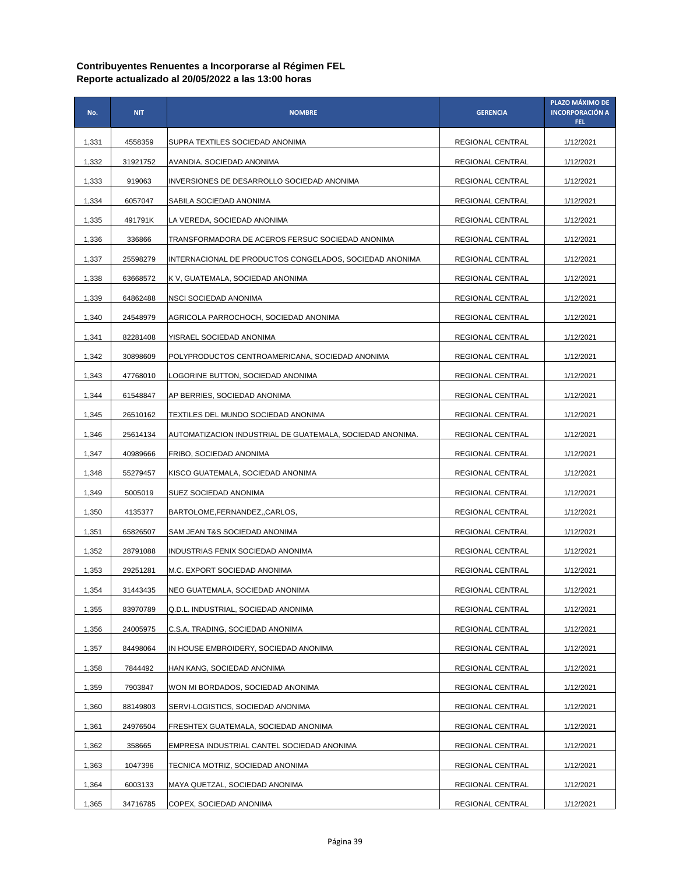| No.   | <b>NIT</b> | <b>NOMBRE</b>                                             | <b>GERENCIA</b>         | PLAZO MÁXIMO DE<br><b>INCORPORACIÓN A</b><br>FEL. |
|-------|------------|-----------------------------------------------------------|-------------------------|---------------------------------------------------|
| 1,331 | 4558359    | SUPRA TEXTILES SOCIEDAD ANONIMA                           | REGIONAL CENTRAL        | 1/12/2021                                         |
| 1,332 | 31921752   | AVANDIA, SOCIEDAD ANONIMA                                 | REGIONAL CENTRAL        | 1/12/2021                                         |
| 1,333 | 919063     | INVERSIONES DE DESARROLLO SOCIEDAD ANONIMA                | REGIONAL CENTRAL        | 1/12/2021                                         |
| 1,334 | 6057047    | SABILA SOCIEDAD ANONIMA                                   | REGIONAL CENTRAL        | 1/12/2021                                         |
| 1,335 | 491791K    | LA VEREDA, SOCIEDAD ANONIMA                               | REGIONAL CENTRAL        | 1/12/2021                                         |
| 1,336 | 336866     | TRANSFORMADORA DE ACEROS FERSUC SOCIEDAD ANONIMA          | REGIONAL CENTRAL        | 1/12/2021                                         |
| 1,337 | 25598279   | INTERNACIONAL DE PRODUCTOS CONGELADOS, SOCIEDAD ANONIMA   | REGIONAL CENTRAL        | 1/12/2021                                         |
| 1,338 | 63668572   | K V, GUATEMALA, SOCIEDAD ANONIMA                          | REGIONAL CENTRAL        | 1/12/2021                                         |
| 1,339 | 64862488   | NSCI SOCIEDAD ANONIMA                                     | REGIONAL CENTRAL        | 1/12/2021                                         |
| 1,340 | 24548979   | AGRICOLA PARROCHOCH, SOCIEDAD ANONIMA                     | REGIONAL CENTRAL        | 1/12/2021                                         |
| 1,341 | 82281408   | YISRAEL SOCIEDAD ANONIMA                                  | REGIONAL CENTRAL        | 1/12/2021                                         |
| 1,342 | 30898609   | POLYPRODUCTOS CENTROAMERICANA, SOCIEDAD ANONIMA           | <b>REGIONAL CENTRAL</b> | 1/12/2021                                         |
| 1,343 | 47768010   | LOGORINE BUTTON, SOCIEDAD ANONIMA                         | REGIONAL CENTRAL        | 1/12/2021                                         |
| 1,344 | 61548847   | AP BERRIES, SOCIEDAD ANONIMA                              | REGIONAL CENTRAL        | 1/12/2021                                         |
| 1,345 | 26510162   | TEXTILES DEL MUNDO SOCIEDAD ANONIMA                       | REGIONAL CENTRAL        | 1/12/2021                                         |
| 1,346 | 25614134   | AUTOMATIZACION INDUSTRIAL DE GUATEMALA, SOCIEDAD ANONIMA. | REGIONAL CENTRAL        | 1/12/2021                                         |
| 1,347 | 40989666   | FRIBO, SOCIEDAD ANONIMA                                   | REGIONAL CENTRAL        | 1/12/2021                                         |
| 1,348 | 55279457   | KISCO GUATEMALA, SOCIEDAD ANONIMA                         | REGIONAL CENTRAL        | 1/12/2021                                         |
| 1,349 | 5005019    | SUEZ SOCIEDAD ANONIMA                                     | REGIONAL CENTRAL        | 1/12/2021                                         |
| 1,350 | 4135377    | BARTOLOME,FERNANDEZ,,CARLOS,                              | REGIONAL CENTRAL        | 1/12/2021                                         |
| 1,351 | 65826507   | SAM JEAN T&S SOCIEDAD ANONIMA                             | REGIONAL CENTRAL        | 1/12/2021                                         |
| 1,352 | 28791088   | INDUSTRIAS FENIX SOCIEDAD ANONIMA                         | REGIONAL CENTRAL        | 1/12/2021                                         |
| 1,353 | 29251281   | M.C. EXPORT SOCIEDAD ANONIMA                              | REGIONAL CENTRAL        | 1/12/2021                                         |
| 1,354 | 31443435   | NEO GUATEMALA, SOCIEDAD ANONIMA                           | REGIONAL CENTRAL        | 1/12/2021                                         |
| 1,355 | 83970789   | Q.D.L. INDUSTRIAL, SOCIEDAD ANONIMA                       | REGIONAL CENTRAL        | 1/12/2021                                         |
| 1,356 | 24005975   | C.S.A. TRADING, SOCIEDAD ANONIMA                          | REGIONAL CENTRAL        | 1/12/2021                                         |
| 1,357 | 84498064   | IN HOUSE EMBROIDERY, SOCIEDAD ANONIMA                     | REGIONAL CENTRAL        | 1/12/2021                                         |
| 1,358 | 7844492    | HAN KANG, SOCIEDAD ANONIMA                                | REGIONAL CENTRAL        | 1/12/2021                                         |
| 1,359 | 7903847    | WON MI BORDADOS, SOCIEDAD ANONIMA                         | REGIONAL CENTRAL        | 1/12/2021                                         |
| 1,360 | 88149803   | SERVI-LOGISTICS, SOCIEDAD ANONIMA                         | REGIONAL CENTRAL        | 1/12/2021                                         |
| 1,361 | 24976504   | FRESHTEX GUATEMALA, SOCIEDAD ANONIMA                      | REGIONAL CENTRAL        | 1/12/2021                                         |
| 1,362 | 358665     | EMPRESA INDUSTRIAL CANTEL SOCIEDAD ANONIMA                | REGIONAL CENTRAL        | 1/12/2021                                         |
| 1,363 | 1047396    | TECNICA MOTRIZ, SOCIEDAD ANONIMA                          | REGIONAL CENTRAL        | 1/12/2021                                         |
| 1,364 | 6003133    | MAYA QUETZAL, SOCIEDAD ANONIMA                            | REGIONAL CENTRAL        | 1/12/2021                                         |
| 1,365 | 34716785   | COPEX, SOCIEDAD ANONIMA                                   | REGIONAL CENTRAL        | 1/12/2021                                         |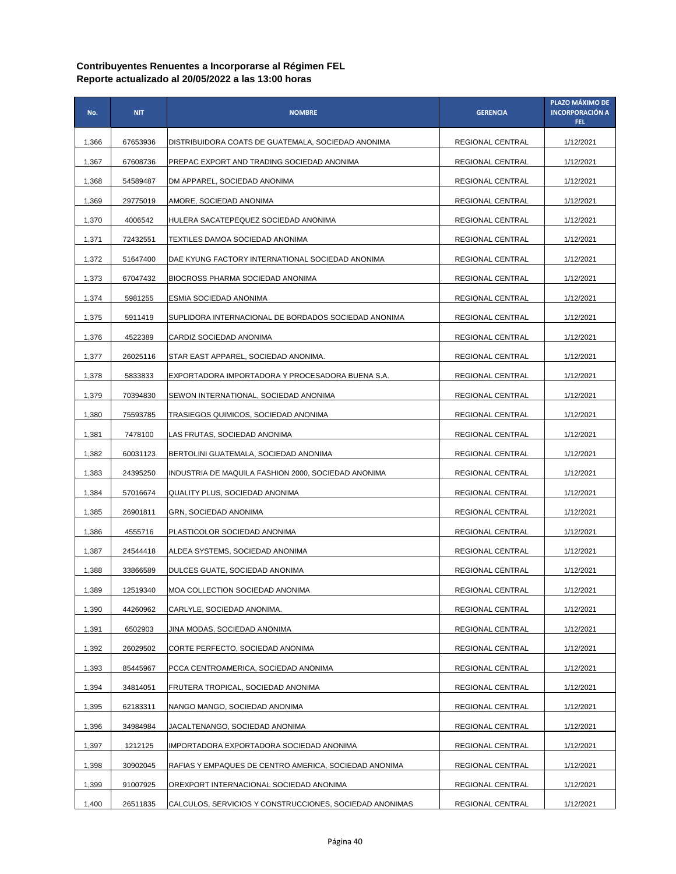| No.   | <b>NIT</b> | <b>NOMBRE</b>                                           | <b>GERENCIA</b>         | PLAZO MÁXIMO DE<br><b>INCORPORACIÓN A</b><br>FEL. |
|-------|------------|---------------------------------------------------------|-------------------------|---------------------------------------------------|
| 1,366 | 67653936   | DISTRIBUIDORA COATS DE GUATEMALA, SOCIEDAD ANONIMA      | REGIONAL CENTRAL        | 1/12/2021                                         |
| 1,367 | 67608736   | PREPAC EXPORT AND TRADING SOCIEDAD ANONIMA              | REGIONAL CENTRAL        | 1/12/2021                                         |
| 1,368 | 54589487   | DM APPAREL, SOCIEDAD ANONIMA                            | REGIONAL CENTRAL        | 1/12/2021                                         |
| 1,369 | 29775019   | AMORE, SOCIEDAD ANONIMA                                 | REGIONAL CENTRAL        | 1/12/2021                                         |
| 1,370 | 4006542    | HULERA SACATEPEQUEZ SOCIEDAD ANONIMA                    | REGIONAL CENTRAL        | 1/12/2021                                         |
| 1,371 | 72432551   | TEXTILES DAMOA SOCIEDAD ANONIMA                         | REGIONAL CENTRAL        | 1/12/2021                                         |
| 1,372 | 51647400   | DAE KYUNG FACTORY INTERNATIONAL SOCIEDAD ANONIMA        | REGIONAL CENTRAL        | 1/12/2021                                         |
| 1,373 | 67047432   | BIOCROSS PHARMA SOCIEDAD ANONIMA                        | REGIONAL CENTRAL        | 1/12/2021                                         |
| 1,374 | 5981255    | ESMIA SOCIEDAD ANONIMA                                  | REGIONAL CENTRAL        | 1/12/2021                                         |
| 1,375 | 5911419    | SUPLIDORA INTERNACIONAL DE BORDADOS SOCIEDAD ANONIMA    | REGIONAL CENTRAL        | 1/12/2021                                         |
| 1,376 | 4522389    | CARDIZ SOCIEDAD ANONIMA                                 | REGIONAL CENTRAL        | 1/12/2021                                         |
| 1,377 | 26025116   | STAR EAST APPAREL, SOCIEDAD ANONIMA.                    | <b>REGIONAL CENTRAL</b> | 1/12/2021                                         |
| 1,378 | 5833833    | EXPORTADORA IMPORTADORA Y PROCESADORA BUENA S.A.        | REGIONAL CENTRAL        | 1/12/2021                                         |
| 1,379 | 70394830   | SEWON INTERNATIONAL, SOCIEDAD ANONIMA                   | REGIONAL CENTRAL        | 1/12/2021                                         |
| 1,380 | 75593785   | TRASIEGOS QUIMICOS, SOCIEDAD ANONIMA                    | REGIONAL CENTRAL        | 1/12/2021                                         |
| 1,381 | 7478100    | LAS FRUTAS, SOCIEDAD ANONIMA                            | REGIONAL CENTRAL        | 1/12/2021                                         |
| 1,382 | 60031123   | BERTOLINI GUATEMALA, SOCIEDAD ANONIMA                   | REGIONAL CENTRAL        | 1/12/2021                                         |
| 1,383 | 24395250   | INDUSTRIA DE MAQUILA FASHION 2000, SOCIEDAD ANONIMA     | REGIONAL CENTRAL        | 1/12/2021                                         |
| 1,384 | 57016674   | QUALITY PLUS, SOCIEDAD ANONIMA                          | REGIONAL CENTRAL        | 1/12/2021                                         |
| 1,385 | 26901811   | GRN, SOCIEDAD ANONIMA                                   | REGIONAL CENTRAL        | 1/12/2021                                         |
| 1,386 | 4555716    | PLASTICOLOR SOCIEDAD ANONIMA                            | REGIONAL CENTRAL        | 1/12/2021                                         |
| 1,387 | 24544418   | ALDEA SYSTEMS, SOCIEDAD ANONIMA                         | REGIONAL CENTRAL        | 1/12/2021                                         |
| 1,388 | 33866589   | DULCES GUATE, SOCIEDAD ANONIMA                          | REGIONAL CENTRAL        | 1/12/2021                                         |
| 1,389 | 12519340   | MOA COLLECTION SOCIEDAD ANONIMA                         | REGIONAL CENTRAL        | 1/12/2021                                         |
| 1,390 | 44260962   | CARLYLE, SOCIEDAD ANONIMA.                              | REGIONAL CENTRAL        | 1/12/2021                                         |
| 1,391 | 6502903    | JINA MODAS, SOCIEDAD ANONIMA                            | REGIONAL CENTRAL        | 1/12/2021                                         |
| 1,392 | 26029502   | CORTE PERFECTO, SOCIEDAD ANONIMA                        | REGIONAL CENTRAL        | 1/12/2021                                         |
| 1,393 | 85445967   | PCCA CENTROAMERICA, SOCIEDAD ANONIMA                    | REGIONAL CENTRAL        | 1/12/2021                                         |
| 1,394 | 34814051   | FRUTERA TROPICAL, SOCIEDAD ANONIMA                      | REGIONAL CENTRAL        | 1/12/2021                                         |
| 1,395 | 62183311   | NANGO MANGO, SOCIEDAD ANONIMA                           | REGIONAL CENTRAL        | 1/12/2021                                         |
| 1,396 | 34984984   | JACALTENANGO, SOCIEDAD ANONIMA                          | REGIONAL CENTRAL        | 1/12/2021                                         |
| 1,397 | 1212125    | IMPORTADORA EXPORTADORA SOCIEDAD ANONIMA                | REGIONAL CENTRAL        | 1/12/2021                                         |
| 1,398 | 30902045   | RAFIAS Y EMPAQUES DE CENTRO AMERICA, SOCIEDAD ANONIMA   | REGIONAL CENTRAL        | 1/12/2021                                         |
| 1,399 | 91007925   | OREXPORT INTERNACIONAL SOCIEDAD ANONIMA                 | REGIONAL CENTRAL        | 1/12/2021                                         |
| 1,400 | 26511835   | CALCULOS, SERVICIOS Y CONSTRUCCIONES, SOCIEDAD ANONIMAS | REGIONAL CENTRAL        | 1/12/2021                                         |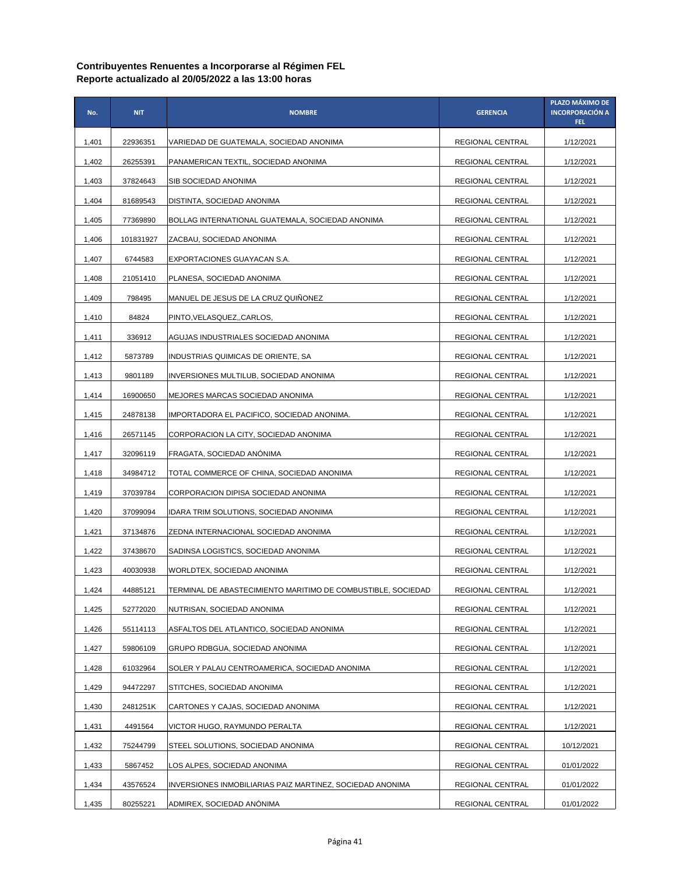| No.   | <b>NIT</b> | <b>NOMBRE</b>                                                | <b>GERENCIA</b>         | <b>PLAZO MÁXIMO DE</b><br><b>INCORPORACIÓN A</b><br>FEL. |
|-------|------------|--------------------------------------------------------------|-------------------------|----------------------------------------------------------|
| 1,401 | 22936351   | VARIEDAD DE GUATEMALA, SOCIEDAD ANONIMA                      | REGIONAL CENTRAL        | 1/12/2021                                                |
| 1,402 | 26255391   | PANAMERICAN TEXTIL, SOCIEDAD ANONIMA                         | <b>REGIONAL CENTRAL</b> | 1/12/2021                                                |
| 1,403 | 37824643   | SIB SOCIEDAD ANONIMA                                         | REGIONAL CENTRAL        | 1/12/2021                                                |
| 1,404 | 81689543   | DISTINTA, SOCIEDAD ANONIMA                                   | REGIONAL CENTRAL        | 1/12/2021                                                |
| 1,405 | 77369890   | BOLLAG INTERNATIONAL GUATEMALA, SOCIEDAD ANONIMA             | REGIONAL CENTRAL        | 1/12/2021                                                |
| 1,406 | 101831927  | ZACBAU, SOCIEDAD ANONIMA                                     | REGIONAL CENTRAL        | 1/12/2021                                                |
| 1,407 | 6744583    | EXPORTACIONES GUAYACAN S.A.                                  | REGIONAL CENTRAL        | 1/12/2021                                                |
| 1,408 | 21051410   | PLANESA, SOCIEDAD ANONIMA                                    | REGIONAL CENTRAL        | 1/12/2021                                                |
| 1,409 | 798495     | MANUEL DE JESUS DE LA CRUZ QUINONEZ                          | REGIONAL CENTRAL        | 1/12/2021                                                |
| 1,410 | 84824      | PINTO, VELASQUEZ, CARLOS,                                    | REGIONAL CENTRAL        | 1/12/2021                                                |
| 1,411 | 336912     | AGUJAS INDUSTRIALES SOCIEDAD ANONIMA                         | REGIONAL CENTRAL        | 1/12/2021                                                |
| 1,412 | 5873789    | INDUSTRIAS QUIMICAS DE ORIENTE, SA                           | REGIONAL CENTRAL        | 1/12/2021                                                |
| 1,413 | 9801189    | INVERSIONES MULTILUB, SOCIEDAD ANONIMA                       | REGIONAL CENTRAL        | 1/12/2021                                                |
| 1,414 | 16900650   | MEJORES MARCAS SOCIEDAD ANONIMA                              | REGIONAL CENTRAL        | 1/12/2021                                                |
| 1,415 | 24878138   | IMPORTADORA EL PACIFICO, SOCIEDAD ANONIMA.                   | REGIONAL CENTRAL        | 1/12/2021                                                |
| 1,416 | 26571145   | CORPORACION LA CITY, SOCIEDAD ANONIMA                        | REGIONAL CENTRAL        | 1/12/2021                                                |
| 1,417 | 32096119   | FRAGATA, SOCIEDAD ANONIMA                                    | REGIONAL CENTRAL        | 1/12/2021                                                |
| 1,418 | 34984712   | TOTAL COMMERCE OF CHINA, SOCIEDAD ANONIMA                    | REGIONAL CENTRAL        | 1/12/2021                                                |
| 1,419 | 37039784   | CORPORACION DIPISA SOCIEDAD ANONIMA                          | REGIONAL CENTRAL        | 1/12/2021                                                |
| 1,420 | 37099094   | IDARA TRIM SOLUTIONS, SOCIEDAD ANONIMA                       | REGIONAL CENTRAL        | 1/12/2021                                                |
| 1,421 | 37134876   | ZEDNA INTERNACIONAL SOCIEDAD ANONIMA                         | REGIONAL CENTRAL        | 1/12/2021                                                |
| 1,422 | 37438670   | SADINSA LOGISTICS, SOCIEDAD ANONIMA                          | REGIONAL CENTRAL        | 1/12/2021                                                |
| 1,423 | 40030938   | WORLDTEX, SOCIEDAD ANONIMA                                   | REGIONAL CENTRAL        | 1/12/2021                                                |
| 1,424 | 44885121   | TERMINAL DE ABASTECIMIENTO MARITIMO DE COMBUSTIBLE, SOCIEDAD | REGIONAL CENTRAL        | 1/12/2021                                                |
| 1,425 | 52772020   | NUTRISAN, SOCIEDAD ANONIMA                                   | REGIONAL CENTRAL        | 1/12/2021                                                |
| 1,426 | 55114113   | ASFALTOS DEL ATLANTICO, SOCIEDAD ANONIMA                     | REGIONAL CENTRAL        | 1/12/2021                                                |
| 1,427 | 59806109   | GRUPO RDBGUA, SOCIEDAD ANONIMA                               | REGIONAL CENTRAL        | 1/12/2021                                                |
| 1,428 | 61032964   | SOLER Y PALAU CENTROAMERICA, SOCIEDAD ANONIMA                | REGIONAL CENTRAL        | 1/12/2021                                                |
| 1,429 | 94472297   | STITCHES, SOCIEDAD ANONIMA                                   | REGIONAL CENTRAL        | 1/12/2021                                                |
| 1,430 | 2481251K   | CARTONES Y CAJAS, SOCIEDAD ANONIMA                           | REGIONAL CENTRAL        | 1/12/2021                                                |
| 1,431 | 4491564    | VICTOR HUGO, RAYMUNDO PERALTA                                | REGIONAL CENTRAL        | 1/12/2021                                                |
| 1,432 | 75244799   | STEEL SOLUTIONS, SOCIEDAD ANONIMA                            | REGIONAL CENTRAL        | 10/12/2021                                               |
| 1,433 | 5867452    | LOS ALPES, SOCIEDAD ANONIMA                                  | REGIONAL CENTRAL        | 01/01/2022                                               |
| 1,434 | 43576524   | INVERSIONES INMOBILIARIAS PAIZ MARTINEZ, SOCIEDAD ANONIMA    | REGIONAL CENTRAL        | 01/01/2022                                               |
| 1,435 | 80255221   | ADMIREX, SOCIEDAD ANÓNIMA                                    | REGIONAL CENTRAL        | 01/01/2022                                               |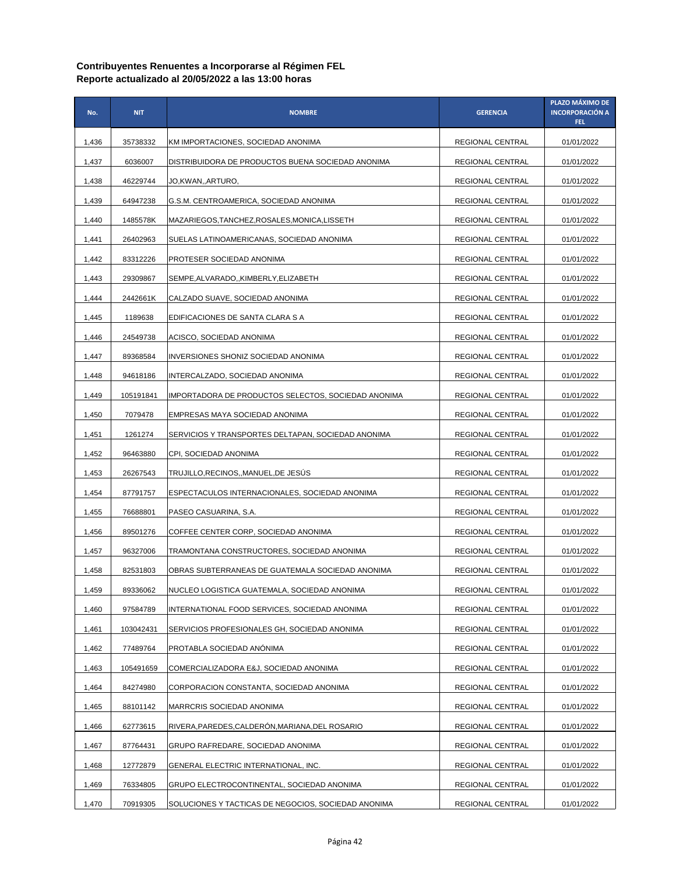| No.   | <b>NIT</b> | <b>NOMBRE</b>                                       | <b>GERENCIA</b>  | PLAZO MÁXIMO DE<br><b>INCORPORACIÓN A</b><br>FEL. |
|-------|------------|-----------------------------------------------------|------------------|---------------------------------------------------|
| 1,436 | 35738332   | KM IMPORTACIONES, SOCIEDAD ANONIMA                  | REGIONAL CENTRAL | 01/01/2022                                        |
| 1,437 | 6036007    | DISTRIBUIDORA DE PRODUCTOS BUENA SOCIEDAD ANONIMA   | REGIONAL CENTRAL | 01/01/2022                                        |
| 1,438 | 46229744   | JO,KWAN,,ARTURO,                                    | REGIONAL CENTRAL | 01/01/2022                                        |
| 1,439 | 64947238   | G.S.M. CENTROAMERICA, SOCIEDAD ANONIMA              | REGIONAL CENTRAL | 01/01/2022                                        |
| 1,440 | 1485578K   | MAZARIEGOS, TANCHEZ, ROSALES, MONICA, LISSETH       | REGIONAL CENTRAL | 01/01/2022                                        |
| 1,441 | 26402963   | SUELAS LATINOAMERICANAS, SOCIEDAD ANONIMA           | REGIONAL CENTRAL | 01/01/2022                                        |
| 1,442 | 83312226   | PROTESER SOCIEDAD ANONIMA                           | REGIONAL CENTRAL | 01/01/2022                                        |
| 1,443 | 29309867   | SEMPE, ALVARADO, , KIMBERLY, ELIZABETH              | REGIONAL CENTRAL | 01/01/2022                                        |
| 1,444 | 2442661K   | CALZADO SUAVE, SOCIEDAD ANONIMA                     | REGIONAL CENTRAL | 01/01/2022                                        |
| 1,445 | 1189638    | EDIFICACIONES DE SANTA CLARA S A                    | REGIONAL CENTRAL | 01/01/2022                                        |
| 1,446 | 24549738   | ACISCO, SOCIEDAD ANONIMA                            | REGIONAL CENTRAL | 01/01/2022                                        |
| 1,447 | 89368584   | INVERSIONES SHONIZ SOCIEDAD ANONIMA                 | REGIONAL CENTRAL | 01/01/2022                                        |
| 1,448 | 94618186   | INTERCALZADO, SOCIEDAD ANONIMA                      | REGIONAL CENTRAL | 01/01/2022                                        |
| 1,449 | 105191841  | IMPORTADORA DE PRODUCTOS SELECTOS, SOCIEDAD ANONIMA | REGIONAL CENTRAL | 01/01/2022                                        |
| 1,450 | 7079478    | EMPRESAS MAYA SOCIEDAD ANONIMA                      | REGIONAL CENTRAL | 01/01/2022                                        |
| 1,451 | 1261274    | SERVICIOS Y TRANSPORTES DELTAPAN, SOCIEDAD ANONIMA  | REGIONAL CENTRAL | 01/01/2022                                        |
| 1,452 | 96463880   | CPI, SOCIEDAD ANONIMA                               | REGIONAL CENTRAL | 01/01/2022                                        |
| 1,453 | 26267543   | TRUJILLO,RECINOS,,MANUEL,DE JESUS                   | REGIONAL CENTRAL | 01/01/2022                                        |
| 1,454 | 87791757   | ESPECTACULOS INTERNACIONALES, SOCIEDAD ANONIMA      | REGIONAL CENTRAL | 01/01/2022                                        |
| 1,455 | 76688801   | PASEO CASUARINA, S.A.                               | REGIONAL CENTRAL | 01/01/2022                                        |
| 1,456 | 89501276   | COFFEE CENTER CORP, SOCIEDAD ANONIMA                | REGIONAL CENTRAL | 01/01/2022                                        |
| 1,457 | 96327006   | TRAMONTANA CONSTRUCTORES, SOCIEDAD ANONIMA          | REGIONAL CENTRAL | 01/01/2022                                        |
| 1,458 | 82531803   | OBRAS SUBTERRANEAS DE GUATEMALA SOCIEDAD ANONIMA    | REGIONAL CENTRAL | 01/01/2022                                        |
| 1,459 | 89336062   | NUCLEO LOGISTICA GUATEMALA, SOCIEDAD ANONIMA        | REGIONAL CENTRAL | 01/01/2022                                        |
| 1,460 | 97584789   | INTERNATIONAL FOOD SERVICES, SOCIEDAD ANONIMA       | REGIONAL CENTRAL | 01/01/2022                                        |
| 1,461 | 103042431  | SERVICIOS PROFESIONALES GH, SOCIEDAD ANONIMA        | REGIONAL CENTRAL | 01/01/2022                                        |
| 1,462 | 77489764   | PROTABLA SOCIEDAD ANONIMA                           | REGIONAL CENTRAL | 01/01/2022                                        |
| 1,463 | 105491659  | COMERCIALIZADORA E&J, SOCIEDAD ANONIMA              | REGIONAL CENTRAL | 01/01/2022                                        |
| 1,464 | 84274980   | CORPORACION CONSTANTA, SOCIEDAD ANONIMA             | REGIONAL CENTRAL | 01/01/2022                                        |
| 1,465 | 88101142   | MARRCRIS SOCIEDAD ANONIMA                           | REGIONAL CENTRAL | 01/01/2022                                        |
| 1,466 | 62773615   | RIVERA, PAREDES, CALDERON, MARIANA, DEL ROSARIO     | REGIONAL CENTRAL | 01/01/2022                                        |
| 1,467 | 87764431   | GRUPO RAFREDARE, SOCIEDAD ANONIMA                   | REGIONAL CENTRAL | 01/01/2022                                        |
| 1,468 | 12772879   | GENERAL ELECTRIC INTERNATIONAL, INC.                | REGIONAL CENTRAL | 01/01/2022                                        |
| 1,469 | 76334805   | GRUPO ELECTROCONTINENTAL, SOCIEDAD ANONIMA          | REGIONAL CENTRAL | 01/01/2022                                        |
| 1,470 | 70919305   | SOLUCIONES Y TACTICAS DE NEGOCIOS, SOCIEDAD ANONIMA | REGIONAL CENTRAL | 01/01/2022                                        |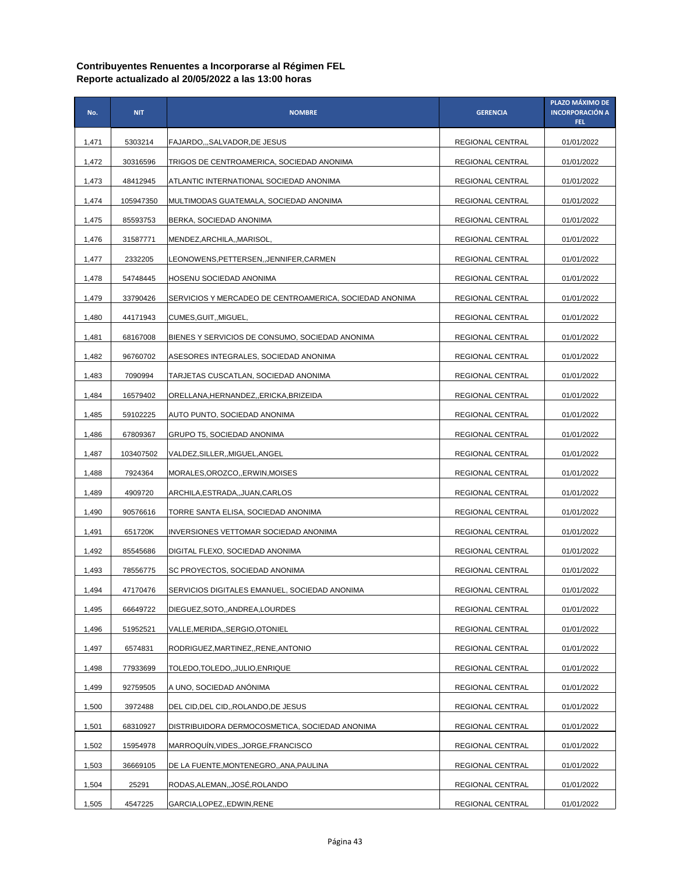| No.   | <b>NIT</b> | <b>NOMBRE</b>                                           | <b>GERENCIA</b>         | PLAZO MÁXIMO DE<br><b>INCORPORACIÓN A</b><br>FEL. |
|-------|------------|---------------------------------------------------------|-------------------------|---------------------------------------------------|
| 1,471 | 5303214    | FAJARDO,,,SALVADOR,DE JESUS                             | REGIONAL CENTRAL        | 01/01/2022                                        |
| 1,472 | 30316596   | TRIGOS DE CENTROAMERICA, SOCIEDAD ANONIMA               | REGIONAL CENTRAL        | 01/01/2022                                        |
| 1,473 | 48412945   | ATLANTIC INTERNATIONAL SOCIEDAD ANONIMA                 | REGIONAL CENTRAL        | 01/01/2022                                        |
| 1,474 | 105947350  | MULTIMODAS GUATEMALA, SOCIEDAD ANONIMA                  | REGIONAL CENTRAL        | 01/01/2022                                        |
| 1,475 | 85593753   | BERKA, SOCIEDAD ANONIMA                                 | <b>REGIONAL CENTRAL</b> | 01/01/2022                                        |
| 1,476 | 31587771   | MENDEZ, ARCHILA,, MARISOL,                              | REGIONAL CENTRAL        | 01/01/2022                                        |
| 1,477 | 2332205    | LEONOWENS, PETTERSEN, , JENNIFER, CARMEN                | REGIONAL CENTRAL        | 01/01/2022                                        |
| 1,478 | 54748445   | HOSENU SOCIEDAD ANONIMA                                 | REGIONAL CENTRAL        | 01/01/2022                                        |
| 1,479 | 33790426   | SERVICIOS Y MERCADEO DE CENTROAMERICA, SOCIEDAD ANONIMA | REGIONAL CENTRAL        | 01/01/2022                                        |
| 1,480 | 44171943   | CUMES, GUIT, MIGUEL,                                    | REGIONAL CENTRAL        | 01/01/2022                                        |
| 1,481 | 68167008   | BIENES Y SERVICIOS DE CONSUMO, SOCIEDAD ANONIMA         | REGIONAL CENTRAL        | 01/01/2022                                        |
| 1,482 | 96760702   | ASESORES INTEGRALES, SOCIEDAD ANONIMA                   | REGIONAL CENTRAL        | 01/01/2022                                        |
| 1,483 | 7090994    | TARJETAS CUSCATLAN, SOCIEDAD ANONIMA                    | REGIONAL CENTRAL        | 01/01/2022                                        |
| 1,484 | 16579402   | ORELLANA, HERNANDEZ, ERICKA, BRIZEIDA                   | REGIONAL CENTRAL        | 01/01/2022                                        |
| 1,485 | 59102225   | AUTO PUNTO, SOCIEDAD ANONIMA                            | REGIONAL CENTRAL        | 01/01/2022                                        |
| 1,486 | 67809367   | GRUPO T5, SOCIEDAD ANONIMA                              | REGIONAL CENTRAL        | 01/01/2022                                        |
| 1,487 | 103407502  | VALDEZ,SILLER,,MIGUEL,ANGEL                             | REGIONAL CENTRAL        | 01/01/2022                                        |
| 1,488 | 7924364    | MORALES, OROZCO, , ERWIN, MOISES                        | REGIONAL CENTRAL        | 01/01/2022                                        |
| 1,489 | 4909720    | ARCHILA,ESTRADA,,JUAN,CARLOS                            | REGIONAL CENTRAL        | 01/01/2022                                        |
| 1,490 | 90576616   | TORRE SANTA ELISA, SOCIEDAD ANONIMA                     | REGIONAL CENTRAL        | 01/01/2022                                        |
| 1,491 | 651720K    | INVERSIONES VETTOMAR SOCIEDAD ANONIMA                   | REGIONAL CENTRAL        | 01/01/2022                                        |
| 1,492 | 85545686   | DIGITAL FLEXO, SOCIEDAD ANONIMA                         | REGIONAL CENTRAL        | 01/01/2022                                        |
| 1,493 | 78556775   | SC PROYECTOS, SOCIEDAD ANONIMA                          | REGIONAL CENTRAL        | 01/01/2022                                        |
| 1,494 | 47170476   | SERVICIOS DIGITALES EMANUEL, SOCIEDAD ANONIMA           | REGIONAL CENTRAL        | 01/01/2022                                        |
| 1,495 | 66649722   | DIEGUEZ, SOTO,, ANDREA, LOURDES                         | REGIONAL CENTRAL        | 01/01/2022                                        |
| 1,496 | 51952521   | VALLE, MERIDA, , SERGIO, OTONIEL                        | REGIONAL CENTRAL        | 01/01/2022                                        |
| 1,497 | 6574831    | RODRIGUEZ, MARTINEZ, , RENE, ANTONIO                    | REGIONAL CENTRAL        | 01/01/2022                                        |
| 1,498 | 77933699   | TOLEDO,TOLEDO,,JULIO,ENRIQUE                            | REGIONAL CENTRAL        | 01/01/2022                                        |
| 1,499 | 92759505   | A UNO, SOCIEDAD ANÓNIMA                                 | REGIONAL CENTRAL        | 01/01/2022                                        |
| 1,500 | 3972488    | DEL CID, DEL CID, ROLANDO, DE JESUS                     | REGIONAL CENTRAL        | 01/01/2022                                        |
| 1,501 | 68310927   | DISTRIBUIDORA DERMOCOSMETICA, SOCIEDAD ANONIMA          | REGIONAL CENTRAL        | 01/01/2022                                        |
| 1,502 | 15954978   | MARROQUIN, VIDES, , JORGE, FRANCISCO                    | REGIONAL CENTRAL        | 01/01/2022                                        |
| 1,503 | 36669105   | DE LA FUENTE, MONTENEGRO, , ANA, PAULINA                | REGIONAL CENTRAL        | 01/01/2022                                        |
| 1,504 | 25291      | RODAS, ALEMAN, , JOSÉ, ROLANDO                          | REGIONAL CENTRAL        | 01/01/2022                                        |
| 1,505 | 4547225    | GARCIA,LOPEZ,,EDWIN,RENE                                | REGIONAL CENTRAL        | 01/01/2022                                        |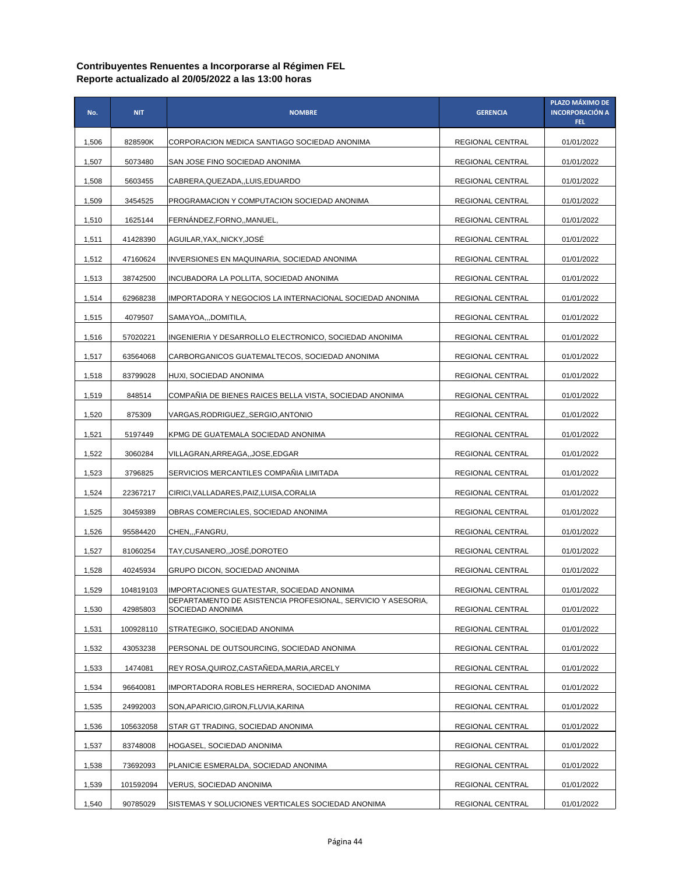| No.   | <b>NIT</b> | <b>NOMBRE</b>                                                                    | <b>GERENCIA</b>         | PLAZO MÁXIMO DE<br><b>INCORPORACIÓN A</b><br>FEL. |
|-------|------------|----------------------------------------------------------------------------------|-------------------------|---------------------------------------------------|
| 1,506 | 828590K    | CORPORACION MEDICA SANTIAGO SOCIEDAD ANONIMA                                     | REGIONAL CENTRAL        | 01/01/2022                                        |
| 1,507 | 5073480    | SAN JOSE FINO SOCIEDAD ANONIMA                                                   | REGIONAL CENTRAL        | 01/01/2022                                        |
| 1,508 | 5603455    | CABRERA, QUEZADA,, LUIS, EDUARDO                                                 | REGIONAL CENTRAL        | 01/01/2022                                        |
| 1,509 | 3454525    | PROGRAMACION Y COMPUTACION SOCIEDAD ANONIMA                                      | REGIONAL CENTRAL        | 01/01/2022                                        |
| 1,510 | 1625144    | FERNANDEZ,FORNO,,MANUEL,                                                         | REGIONAL CENTRAL        | 01/01/2022                                        |
| 1,511 | 41428390   | AGUILAR, YAX, , NICKY, JOSE                                                      | <b>REGIONAL CENTRAL</b> | 01/01/2022                                        |
| 1,512 | 47160624   | INVERSIONES EN MAQUINARIA, SOCIEDAD ANONIMA                                      | REGIONAL CENTRAL        | 01/01/2022                                        |
| 1,513 | 38742500   | INCUBADORA LA POLLITA, SOCIEDAD ANONIMA                                          | REGIONAL CENTRAL        | 01/01/2022                                        |
| 1,514 | 62968238   | IMPORTADORA Y NEGOCIOS LA INTERNACIONAL SOCIEDAD ANONIMA                         | REGIONAL CENTRAL        | 01/01/2022                                        |
| 1,515 | 4079507    | SAMAYOA,,,DOMITILA,                                                              | REGIONAL CENTRAL        | 01/01/2022                                        |
| 1,516 | 57020221   | INGENIERIA Y DESARROLLO ELECTRONICO, SOCIEDAD ANONIMA                            | REGIONAL CENTRAL        | 01/01/2022                                        |
| 1,517 | 63564068   | CARBORGANICOS GUATEMALTECOS, SOCIEDAD ANONIMA                                    | REGIONAL CENTRAL        | 01/01/2022                                        |
| 1,518 | 83799028   | HUXI, SOCIEDAD ANONIMA                                                           | REGIONAL CENTRAL        | 01/01/2022                                        |
| 1,519 | 848514     | COMPAÑIA DE BIENES RAICES BELLA VISTA, SOCIEDAD ANONIMA                          | REGIONAL CENTRAL        | 01/01/2022                                        |
| 1,520 | 875309     | VARGAS, RODRIGUEZ, SERGIO, ANTONIO                                               | REGIONAL CENTRAL        | 01/01/2022                                        |
| 1,521 | 5197449    | KPMG DE GUATEMALA SOCIEDAD ANONIMA                                               | REGIONAL CENTRAL        | 01/01/2022                                        |
| 1,522 | 3060284    | VILLAGRAN,ARREAGA,,JOSE,EDGAR                                                    | REGIONAL CENTRAL        | 01/01/2022                                        |
| 1,523 | 3796825    | SERVICIOS MERCANTILES COMPANIA LIMITADA                                          | REGIONAL CENTRAL        | 01/01/2022                                        |
| 1,524 | 22367217   | CIRICI, VALLADARES, PAIZ, LUISA, CORALIA                                         | REGIONAL CENTRAL        | 01/01/2022                                        |
| 1,525 | 30459389   | OBRAS COMERCIALES, SOCIEDAD ANONIMA                                              | REGIONAL CENTRAL        | 01/01/2022                                        |
| 1,526 | 95584420   | CHEN,,,FANGRU,                                                                   | REGIONAL CENTRAL        | 01/01/2022                                        |
| 1,527 | 81060254   | TAY,CUSANERO,,JOSÉ,DOROTEO                                                       | REGIONAL CENTRAL        | 01/01/2022                                        |
| 1,528 | 40245934   | GRUPO DICON, SOCIEDAD ANONIMA                                                    | REGIONAL CENTRAL        | 01/01/2022                                        |
| 1,529 | 104819103  | IMPORTACIONES GUATESTAR, SOCIEDAD ANONIMA                                        | REGIONAL CENTRAL        | 01/01/2022                                        |
| 1,530 | 42985803   | DEPARTAMENTO DE ASISTENCIA PROFESIONAL, SERVICIO Y ASESORIA,<br>SOCIEDAD ANONIMA | REGIONAL CENTRAL        | 01/01/2022                                        |
| 1,531 | 100928110  | STRATEGIKO, SOCIEDAD ANONIMA                                                     | REGIONAL CENTRAL        | 01/01/2022                                        |
| 1,532 | 43053238   | PERSONAL DE OUTSOURCING, SOCIEDAD ANONIMA                                        | REGIONAL CENTRAL        | 01/01/2022                                        |
| 1,533 | 1474081    | REY ROSA, QUIROZ, CASTAÑ EDA, MARIA, ARCELY                                      | REGIONAL CENTRAL        | 01/01/2022                                        |
| 1,534 | 96640081   | IMPORTADORA ROBLES HERRERA, SOCIEDAD ANONIMA                                     | REGIONAL CENTRAL        | 01/01/2022                                        |
| 1,535 | 24992003   | SON, APARICIO, GIRON, FLUVIA, KARINA                                             | REGIONAL CENTRAL        | 01/01/2022                                        |
| 1,536 | 105632058  | STAR GT TRADING, SOCIEDAD ANONIMA                                                | REGIONAL CENTRAL        | 01/01/2022                                        |
| 1,537 | 83748008   | HOGASEL, SOCIEDAD ANONIMA                                                        | REGIONAL CENTRAL        | 01/01/2022                                        |
| 1,538 | 73692093   | PLANICIE ESMERALDA, SOCIEDAD ANONIMA                                             | REGIONAL CENTRAL        | 01/01/2022                                        |
| 1,539 | 101592094  | VERUS, SOCIEDAD ANONIMA                                                          | REGIONAL CENTRAL        | 01/01/2022                                        |
| 1,540 | 90785029   | SISTEMAS Y SOLUCIONES VERTICALES SOCIEDAD ANONIMA                                | REGIONAL CENTRAL        | 01/01/2022                                        |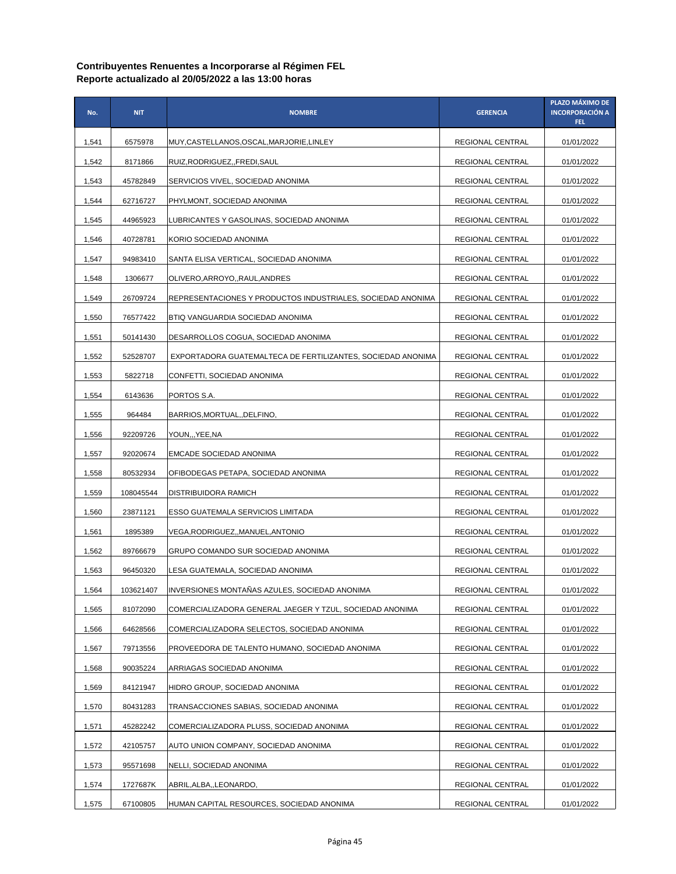| No.   | <b>NIT</b> | <b>NOMBRE</b>                                               | <b>GERENCIA</b>         | PLAZO MÁXIMO DE<br><b>INCORPORACIÓN A</b><br>FEL. |
|-------|------------|-------------------------------------------------------------|-------------------------|---------------------------------------------------|
| 1,541 | 6575978    | MUY,CASTELLANOS,OSCAL,MARJORIE,LINLEY                       | REGIONAL CENTRAL        | 01/01/2022                                        |
| 1,542 | 8171866    | RUIZ, RODRIGUEZ, , FREDI, SAUL                              | <b>REGIONAL CENTRAL</b> | 01/01/2022                                        |
| 1,543 | 45782849   | SERVICIOS VIVEL, SOCIEDAD ANONIMA                           | REGIONAL CENTRAL        | 01/01/2022                                        |
| 1,544 | 62716727   | PHYLMONT, SOCIEDAD ANONIMA                                  | REGIONAL CENTRAL        | 01/01/2022                                        |
| 1,545 | 44965923   | LUBRICANTES Y GASOLINAS, SOCIEDAD ANONIMA                   | REGIONAL CENTRAL        | 01/01/2022                                        |
| 1,546 | 40728781   | KORIO SOCIEDAD ANONIMA                                      | REGIONAL CENTRAL        | 01/01/2022                                        |
| 1,547 | 94983410   | SANTA ELISA VERTICAL, SOCIEDAD ANONIMA                      | REGIONAL CENTRAL        | 01/01/2022                                        |
| 1,548 | 1306677    | OLIVERO, ARROYO, , RAUL, ANDRES                             | REGIONAL CENTRAL        | 01/01/2022                                        |
| 1,549 | 26709724   | REPRESENTACIONES Y PRODUCTOS INDUSTRIALES, SOCIEDAD ANONIMA | REGIONAL CENTRAL        | 01/01/2022                                        |
| 1,550 | 76577422   | BTIQ VANGUARDIA SOCIEDAD ANONIMA                            | REGIONAL CENTRAL        | 01/01/2022                                        |
| 1,551 | 50141430   | DESARROLLOS COGUA, SOCIEDAD ANONIMA                         | REGIONAL CENTRAL        | 01/01/2022                                        |
| 1,552 | 52528707   | EXPORTADORA GUATEMALTECA DE FERTILIZANTES, SOCIEDAD ANONIMA | <b>REGIONAL CENTRAL</b> | 01/01/2022                                        |
| 1,553 | 5822718    | CONFETTI, SOCIEDAD ANONIMA                                  | REGIONAL CENTRAL        | 01/01/2022                                        |
| 1,554 | 6143636    | PORTOS S.A.                                                 | REGIONAL CENTRAL        | 01/01/2022                                        |
| 1,555 | 964484     | BARRIOS, MORTUAL, DELFINO,                                  | REGIONAL CENTRAL        | 01/01/2022                                        |
| 1,556 | 92209726   | YOUN,,,YEE,NA                                               | REGIONAL CENTRAL        | 01/01/2022                                        |
| 1,557 | 92020674   | EMCADE SOCIEDAD ANONIMA                                     | REGIONAL CENTRAL        | 01/01/2022                                        |
| 1,558 | 80532934   | OFIBODEGAS PETAPA, SOCIEDAD ANONIMA                         | REGIONAL CENTRAL        | 01/01/2022                                        |
| 1,559 | 108045544  | DISTRIBUIDORA RAMICH                                        | REGIONAL CENTRAL        | 01/01/2022                                        |
| 1,560 | 23871121   | ESSO GUATEMALA SERVICIOS LIMITADA                           | REGIONAL CENTRAL        | 01/01/2022                                        |
| 1,561 | 1895389    | VEGA, RODRIGUEZ, , MANUEL, ANTONIO                          | REGIONAL CENTRAL        | 01/01/2022                                        |
| 1,562 | 89766679   | GRUPO COMANDO SUR SOCIEDAD ANONIMA                          | REGIONAL CENTRAL        | 01/01/2022                                        |
| 1,563 | 96450320   | LESA GUATEMALA, SOCIEDAD ANONIMA                            | REGIONAL CENTRAL        | 01/01/2022                                        |
| 1,564 | 103621407  | INVERSIONES MONTAÑAS AZULES, SOCIEDAD ANONIMA               | REGIONAL CENTRAL        | 01/01/2022                                        |
| 1,565 | 81072090   | COMERCIALIZADORA GENERAL JAEGER Y TZUL, SOCIEDAD ANONIMA    | REGIONAL CENTRAL        | 01/01/2022                                        |
| 1,566 | 64628566   | COMERCIALIZADORA SELECTOS, SOCIEDAD ANONIMA                 | REGIONAL CENTRAL        | 01/01/2022                                        |
| 1,567 | 79713556   | PROVEEDORA DE TALENTO HUMANO, SOCIEDAD ANONIMA              | REGIONAL CENTRAL        | 01/01/2022                                        |
| 1,568 | 90035224   | ARRIAGAS SOCIEDAD ANONIMA                                   | REGIONAL CENTRAL        | 01/01/2022                                        |
| 1,569 | 84121947   | HIDRO GROUP, SOCIEDAD ANONIMA                               | REGIONAL CENTRAL        | 01/01/2022                                        |
| 1,570 | 80431283   | TRANSACCIONES SABIAS, SOCIEDAD ANONIMA                      | REGIONAL CENTRAL        | 01/01/2022                                        |
| 1,571 | 45282242   | COMERCIALIZADORA PLUSS, SOCIEDAD ANONIMA                    | REGIONAL CENTRAL        | 01/01/2022                                        |
| 1,572 | 42105757   | AUTO UNION COMPANY, SOCIEDAD ANONIMA                        | REGIONAL CENTRAL        | 01/01/2022                                        |
| 1,573 | 95571698   | NELLI, SOCIEDAD ANONIMA                                     | REGIONAL CENTRAL        | 01/01/2022                                        |
| 1,574 | 1727687K   | ABRIL, ALBA,, LEONARDO,                                     | REGIONAL CENTRAL        | 01/01/2022                                        |
| 1,575 | 67100805   | HUMAN CAPITAL RESOURCES, SOCIEDAD ANONIMA                   | REGIONAL CENTRAL        | 01/01/2022                                        |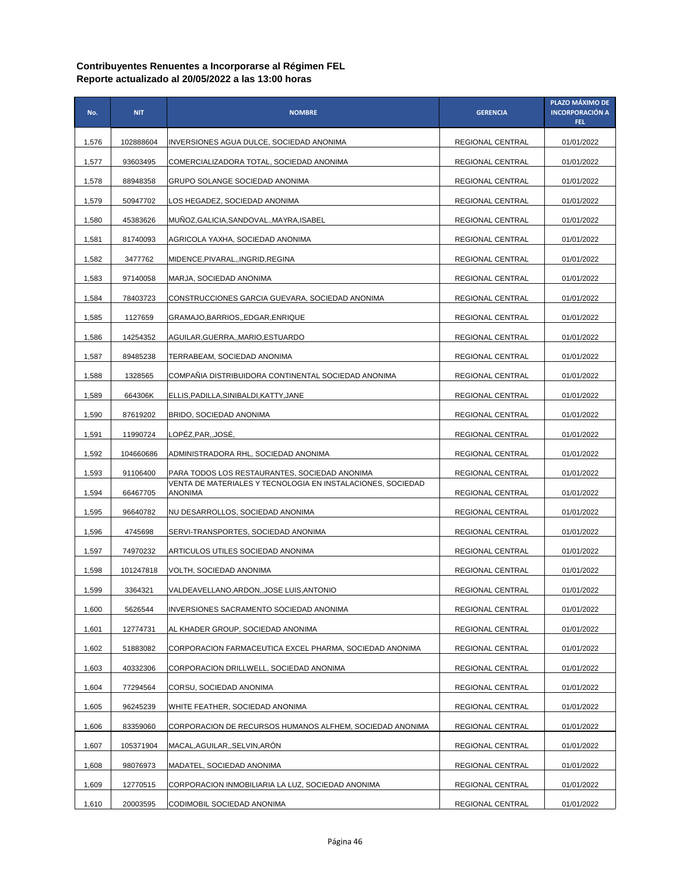| No.   | <b>NIT</b> | <b>NOMBRE</b>                                                                 | <b>GERENCIA</b>  | PLAZO MÁXIMO DE<br><b>INCORPORACIÓN A</b><br>FEL. |
|-------|------------|-------------------------------------------------------------------------------|------------------|---------------------------------------------------|
| 1,576 | 102888604  | INVERSIONES AGUA DULCE, SOCIEDAD ANONIMA                                      | REGIONAL CENTRAL | 01/01/2022                                        |
| 1,577 | 93603495   | COMERCIALIZADORA TOTAL, SOCIEDAD ANONIMA                                      | REGIONAL CENTRAL | 01/01/2022                                        |
| 1,578 | 88948358   | GRUPO SOLANGE SOCIEDAD ANONIMA                                                | REGIONAL CENTRAL | 01/01/2022                                        |
| 1,579 | 50947702   | LOS HEGADEZ, SOCIEDAD ANONIMA                                                 | REGIONAL CENTRAL | 01/01/2022                                        |
| 1,580 | 45383626   | MUÑOZ, GALICIA, SANDOVAL., MAYRA, ISABEL                                      | REGIONAL CENTRAL | 01/01/2022                                        |
| 1,581 | 81740093   | AGRICOLA YAXHA, SOCIEDAD ANONIMA                                              | REGIONAL CENTRAL | 01/01/2022                                        |
| 1,582 | 3477762    | MIDENCE, PIVARAL, , INGRID, REGINA                                            | REGIONAL CENTRAL | 01/01/2022                                        |
| 1,583 | 97140058   | MARJA, SOCIEDAD ANONIMA                                                       | REGIONAL CENTRAL | 01/01/2022                                        |
| 1,584 | 78403723   | CONSTRUCCIONES GARCIA GUEVARA, SOCIEDAD ANONIMA                               | REGIONAL CENTRAL | 01/01/2022                                        |
| 1,585 | 1127659    | GRAMAJO, BARRIOS, , EDGAR, ENRIQUE                                            | REGIONAL CENTRAL | 01/01/2022                                        |
| 1,586 | 14254352   | AGUILAR,GUERRA,,MARIO,ESTUARDO                                                | REGIONAL CENTRAL | 01/01/2022                                        |
| 1,587 | 89485238   | TERRABEAM, SOCIEDAD ANONIMA                                                   | REGIONAL CENTRAL | 01/01/2022                                        |
| 1,588 | 1328565    | COMPANIA DISTRIBUIDORA CONTINENTAL SOCIEDAD ANONIMA                           | REGIONAL CENTRAL | 01/01/2022                                        |
| 1,589 | 664306K    | ELLIS, PADILLA, SINIBALDI, KATTY, JANE                                        | REGIONAL CENTRAL | 01/01/2022                                        |
| 1,590 | 87619202   | BRIDO, SOCIEDAD ANONIMA                                                       | REGIONAL CENTRAL | 01/01/2022                                        |
| 1,591 | 11990724   | LOPĖZ,PAR,,JOSĖ,                                                              | REGIONAL CENTRAL | 01/01/2022                                        |
| 1,592 | 104660686  | ADMINISTRADORA RHL, SOCIEDAD ANONIMA                                          | REGIONAL CENTRAL | 01/01/2022                                        |
| 1,593 | 91106400   | PARA TODOS LOS RESTAURANTES, SOCIEDAD ANONIMA                                 | REGIONAL CENTRAL | 01/01/2022                                        |
| 1,594 | 66467705   | VENTA DE MATERIALES Y TECNOLOGIA EN INSTALACIONES, SOCIEDAD<br><b>ANONIMA</b> | REGIONAL CENTRAL | 01/01/2022                                        |
| 1,595 | 96640782   | NU DESARROLLOS, SOCIEDAD ANONIMA                                              | REGIONAL CENTRAL | 01/01/2022                                        |
| 1,596 | 4745698    | SERVI-TRANSPORTES, SOCIEDAD ANONIMA                                           | REGIONAL CENTRAL | 01/01/2022                                        |
| 1,597 | 74970232   | ARTICULOS UTILES SOCIEDAD ANONIMA                                             | REGIONAL CENTRAL | 01/01/2022                                        |
| 1,598 | 101247818  | VOLTH, SOCIEDAD ANONIMA                                                       | REGIONAL CENTRAL | 01/01/2022                                        |
| 1,599 | 3364321    | VALDEAVELLANO, ARDON, , JOSE LUIS, ANTONIO                                    | REGIONAL CENTRAL | 01/01/2022                                        |
| 1,600 | 5626544    | INVERSIONES SACRAMENTO SOCIEDAD ANONIMA                                       | REGIONAL CENTRAL | 01/01/2022                                        |
| 1,601 | 12774731   | AL KHADER GROUP, SOCIEDAD ANONIMA                                             | REGIONAL CENTRAL | 01/01/2022                                        |
| 1,602 | 51883082   | CORPORACION FARMACEUTICA EXCEL PHARMA, SOCIEDAD ANONIMA                       | REGIONAL CENTRAL | 01/01/2022                                        |
| 1,603 | 40332306   | CORPORACION DRILLWELL, SOCIEDAD ANONIMA                                       | REGIONAL CENTRAL | 01/01/2022                                        |
| 1,604 | 77294564   | CORSU, SOCIEDAD ANONIMA                                                       | REGIONAL CENTRAL | 01/01/2022                                        |
| 1,605 | 96245239   | WHITE FEATHER, SOCIEDAD ANONIMA                                               | REGIONAL CENTRAL | 01/01/2022                                        |
| 1,606 | 83359060   | CORPORACION DE RECURSOS HUMANOS ALFHEM, SOCIEDAD ANONIMA                      | REGIONAL CENTRAL | 01/01/2022                                        |
| 1,607 | 105371904  | MACAL, AGUILAR, , SELVIN, ARON                                                | REGIONAL CENTRAL | 01/01/2022                                        |
| 1,608 | 98076973   | MADATEL, SOCIEDAD ANONIMA                                                     | REGIONAL CENTRAL | 01/01/2022                                        |
| 1,609 | 12770515   | CORPORACION INMOBILIARIA LA LUZ, SOCIEDAD ANONIMA                             | REGIONAL CENTRAL | 01/01/2022                                        |
| 1,610 | 20003595   | CODIMOBIL SOCIEDAD ANONIMA                                                    | REGIONAL CENTRAL | 01/01/2022                                        |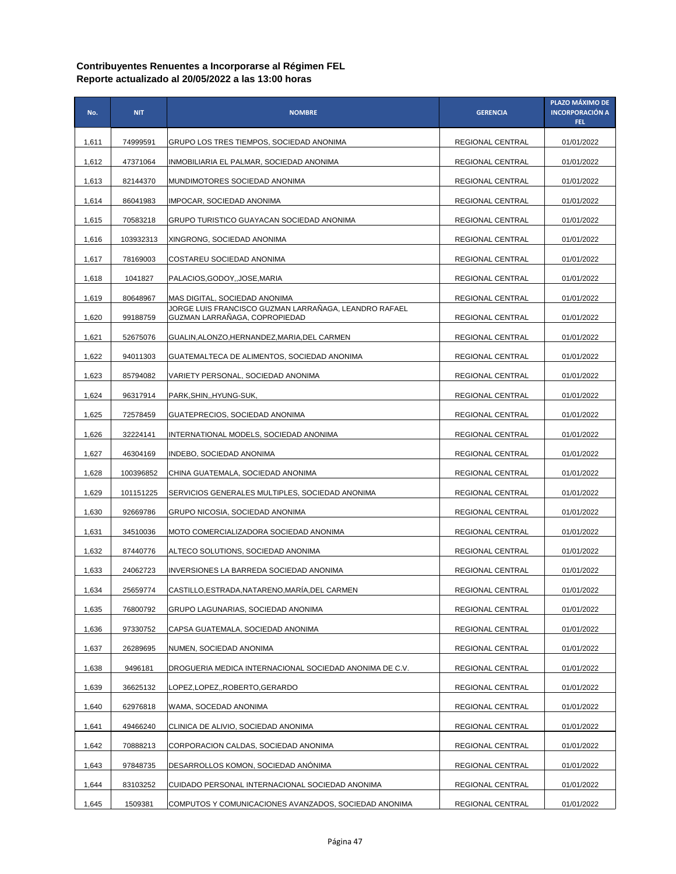| No.   | <b>NIT</b> | <b>NOMBRE</b>                                                                          | <b>GERENCIA</b>  | PLAZO MÁXIMO DE<br><b>INCORPORACIÓN A</b><br>FEL. |
|-------|------------|----------------------------------------------------------------------------------------|------------------|---------------------------------------------------|
| 1,611 | 74999591   | GRUPO LOS TRES TIEMPOS, SOCIEDAD ANONIMA                                               | REGIONAL CENTRAL | 01/01/2022                                        |
| 1,612 | 47371064   | INMOBILIARIA EL PALMAR, SOCIEDAD ANONIMA                                               | REGIONAL CENTRAL | 01/01/2022                                        |
| 1,613 | 82144370   | MUNDIMOTORES SOCIEDAD ANONIMA                                                          | REGIONAL CENTRAL | 01/01/2022                                        |
| 1,614 | 86041983   | IMPOCAR, SOCIEDAD ANONIMA                                                              | REGIONAL CENTRAL | 01/01/2022                                        |
| 1,615 | 70583218   | GRUPO TURISTICO GUAYACAN SOCIEDAD ANONIMA                                              | REGIONAL CENTRAL | 01/01/2022                                        |
| 1,616 | 103932313  | XINGRONG, SOCIEDAD ANONIMA                                                             | REGIONAL CENTRAL | 01/01/2022                                        |
| 1,617 | 78169003   | COSTAREU SOCIEDAD ANONIMA                                                              | REGIONAL CENTRAL | 01/01/2022                                        |
| 1,618 | 1041827    | PALACIOS, GODOY, , JOSE, MARIA                                                         | REGIONAL CENTRAL | 01/01/2022                                        |
| 1,619 | 80648967   | MAS DIGITAL, SOCIEDAD ANONIMA                                                          | REGIONAL CENTRAL | 01/01/2022                                        |
| 1,620 | 99188759   | JORGE LUIS FRANCISCO GUZMAN LARRAÑAGA, LEANDRO RAFAEL<br>GUZMAN LARRANAGA, COPROPIEDAD | REGIONAL CENTRAL | 01/01/2022                                        |
| 1,621 | 52675076   | GUALIN, ALONZO, HERNANDEZ, MARIA, DEL CARMEN                                           | REGIONAL CENTRAL | 01/01/2022                                        |
| 1,622 | 94011303   | GUATEMALTECA DE ALIMENTOS, SOCIEDAD ANONIMA                                            | REGIONAL CENTRAL | 01/01/2022                                        |
| 1,623 | 85794082   | VARIETY PERSONAL, SOCIEDAD ANONIMA                                                     | REGIONAL CENTRAL | 01/01/2022                                        |
| 1,624 | 96317914   | PARK, SHIN, HYUNG-SUK,                                                                 | REGIONAL CENTRAL | 01/01/2022                                        |
| 1,625 | 72578459   | GUATEPRECIOS, SOCIEDAD ANONIMA                                                         | REGIONAL CENTRAL | 01/01/2022                                        |
| 1,626 | 32224141   | INTERNATIONAL MODELS, SOCIEDAD ANONIMA                                                 | REGIONAL CENTRAL | 01/01/2022                                        |
| 1,627 | 46304169   | INDEBO, SOCIEDAD ANONIMA                                                               | REGIONAL CENTRAL | 01/01/2022                                        |
| 1,628 | 100396852  | CHINA GUATEMALA, SOCIEDAD ANONIMA                                                      | REGIONAL CENTRAL | 01/01/2022                                        |
| 1,629 | 101151225  | SERVICIOS GENERALES MULTIPLES, SOCIEDAD ANONIMA                                        | REGIONAL CENTRAL | 01/01/2022                                        |
| 1,630 | 92669786   | GRUPO NICOSIA, SOCIEDAD ANONIMA                                                        | REGIONAL CENTRAL | 01/01/2022                                        |
| 1,631 | 34510036   | MOTO COMERCIALIZADORA SOCIEDAD ANONIMA                                                 | REGIONAL CENTRAL | 01/01/2022                                        |
| 1,632 | 87440776   | ALTECO SOLUTIONS, SOCIEDAD ANONIMA                                                     | REGIONAL CENTRAL | 01/01/2022                                        |
| 1,633 | 24062723   | INVERSIONES LA BARREDA SOCIEDAD ANONIMA                                                | REGIONAL CENTRAL | 01/01/2022                                        |
| 1,634 | 25659774   | CASTILLO,ESTRADA,NATARENO,MARÍA,DEL CARMEN                                             | REGIONAL CENTRAL | 01/01/2022                                        |
| 1,635 | 76800792   | GRUPO LAGUNARIAS, SOCIEDAD ANONIMA                                                     | REGIONAL CENTRAL | 01/01/2022                                        |
| 1,636 | 97330752   | CAPSA GUATEMALA, SOCIEDAD ANONIMA                                                      | REGIONAL CENTRAL | 01/01/2022                                        |
| 1,637 | 26289695   | NUMEN, SOCIEDAD ANONIMA                                                                | REGIONAL CENTRAL | 01/01/2022                                        |
| 1,638 | 9496181    | DROGUERIA MEDICA INTERNACIONAL SOCIEDAD ANONIMA DE C.V.                                | REGIONAL CENTRAL | 01/01/2022                                        |
| 1,639 | 36625132   | LOPEZ,LOPEZ,,ROBERTO,GERARDO                                                           | REGIONAL CENTRAL | 01/01/2022                                        |
| 1,640 | 62976818   | WAMA, SOCEDAD ANONIMA                                                                  | REGIONAL CENTRAL | 01/01/2022                                        |
| 1,641 | 49466240   | CLINICA DE ALIVIO, SOCIEDAD ANONIMA                                                    | REGIONAL CENTRAL | 01/01/2022                                        |
| 1,642 | 70888213   | CORPORACION CALDAS, SOCIEDAD ANONIMA                                                   | REGIONAL CENTRAL | 01/01/2022                                        |
| 1,643 | 97848735   | DESARROLLOS KOMON, SOCIEDAD ANONIMA                                                    | REGIONAL CENTRAL | 01/01/2022                                        |
| 1,644 | 83103252   | CUIDADO PERSONAL INTERNACIONAL SOCIEDAD ANONIMA                                        | REGIONAL CENTRAL | 01/01/2022                                        |
| 1,645 | 1509381    | COMPUTOS Y COMUNICACIONES AVANZADOS, SOCIEDAD ANONIMA                                  | REGIONAL CENTRAL | 01/01/2022                                        |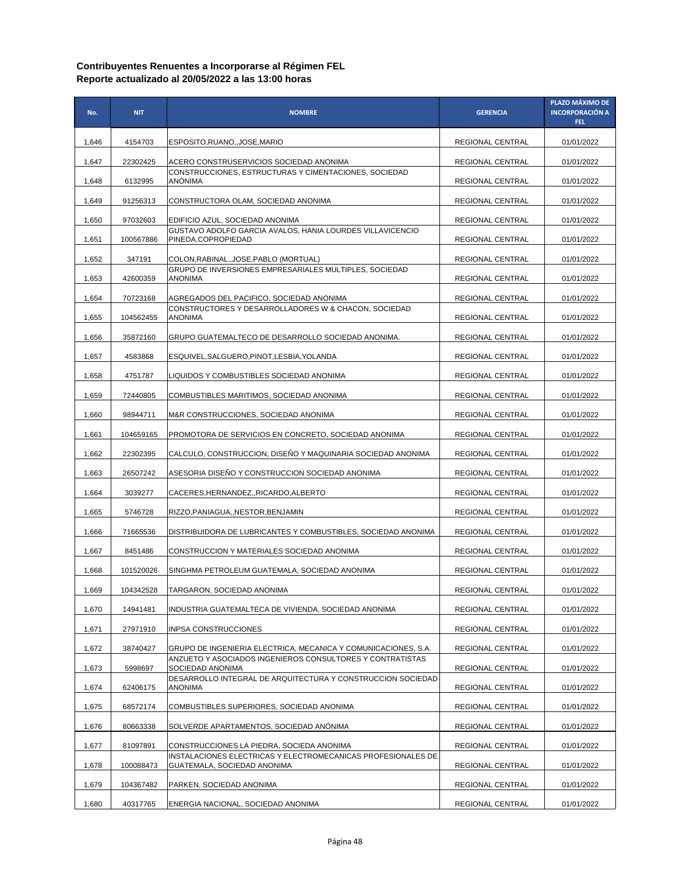| No.   | <b>NIT</b>            | <b>NOMBRE</b>                                                                                    | <b>GERENCIA</b>         | PLAZO MÁXIMO DE<br><b>INCORPORACIÓN A</b><br>FEL. |
|-------|-----------------------|--------------------------------------------------------------------------------------------------|-------------------------|---------------------------------------------------|
| 1,646 | 4154703               | ESPOSITO, RUANO, JOSE, MARIO                                                                     | REGIONAL CENTRAL        | 01/01/2022                                        |
| 1,647 | 22302425              | ACERO CONSTRUSERVICIOS SOCIEDAD ANONIMA                                                          | <b>REGIONAL CENTRAL</b> | 01/01/2022                                        |
| 1,648 | 6132995               | CONSTRUCCIONES, ESTRUCTURAS Y CIMENTACIONES, SOCIEDAD<br><b>ANÓNIMA</b>                          | REGIONAL CENTRAL        | 01/01/2022                                        |
| 1,649 | 91256313              | CONSTRUCTORA OLAM, SOCIEDAD ANONIMA                                                              | REGIONAL CENTRAL        | 01/01/2022                                        |
| 1,650 | 97032603              | EDIFICIO AZUL, SOCIEDAD ANONIMA                                                                  | REGIONAL CENTRAL        | 01/01/2022                                        |
| 1,651 | 100567886             | GUSTAVO ADOLFO GARCIA AVALOS, HANIA LOURDES VILLAVICENCIO<br>PINEDA, COPROPIEDAD                 | REGIONAL CENTRAL        | 01/01/2022                                        |
| 1,652 | 347191                | COLON, RABINAL, JOSE, PABLO (MORTUAL)                                                            | REGIONAL CENTRAL        | 01/01/2022                                        |
| 1,653 | 42600359              | GRUPO DE INVERSIONES EMPRESARIALES MULTIPLES, SOCIEDAD<br>ANONIMA                                | REGIONAL CENTRAL        | 01/01/2022                                        |
|       |                       |                                                                                                  |                         |                                                   |
| 1,654 | 70723168<br>104562455 | AGREGADOS DEL PACIFICO, SOCIEDAD ANONIMA<br>CONSTRUCTORES Y DESARROLLADORES W & CHACON, SOCIEDAD | REGIONAL CENTRAL        | 01/01/2022                                        |
| 1,655 |                       | ANONIMA                                                                                          | REGIONAL CENTRAL        | 01/01/2022                                        |
| 1,656 | 35872160              | GRUPO GUATEMALTECO DE DESARROLLO SOCIEDAD ANONIMA.                                               | REGIONAL CENTRAL        | 01/01/2022                                        |
| 1,657 | 4583868               | ESQUIVEL, SALGUERO, PINOT, LESBIA, YOLANDA                                                       | REGIONAL CENTRAL        | 01/01/2022                                        |
| 1,658 | 4751787               | LIQUIDOS Y COMBUSTIBLES SOCIEDAD ANONIMA                                                         | REGIONAL CENTRAL        | 01/01/2022                                        |
| 1,659 | 72440805              | COMBUSTIBLES MARITIMOS, SOCIEDAD ANONIMA                                                         | REGIONAL CENTRAL        | 01/01/2022                                        |
| 1,660 | 98944711              | M&R CONSTRUCCIONES, SOCIEDAD ANONIMA                                                             | REGIONAL CENTRAL        | 01/01/2022                                        |
| 1,661 | 104659165             | PROMOTORA DE SERVICIOS EN CONCRETO, SOCIEDAD ANONIMA                                             | REGIONAL CENTRAL        | 01/01/2022                                        |
| 1,662 | 22302395              | CALCULO, CONSTRUCCION, DISENO Y MAQUINARIA SOCIEDAD ANONIMA                                      | REGIONAL CENTRAL        | 01/01/2022                                        |
| 1,663 | 26507242              | ASESORIA DISENO Y CONSTRUCCION SOCIEDAD ANONIMA                                                  | REGIONAL CENTRAL        | 01/01/2022                                        |
| 1,664 | 3039277               | CACERES, HERNANDEZ, , RICARDO, ALBERTO                                                           | REGIONAL CENTRAL        | 01/01/2022                                        |
| 1,665 | 5746728               | RIZZO, PANIAGUA, NESTOR, BENJAMIN                                                                | REGIONAL CENTRAL        | 01/01/2022                                        |
| 1,666 | 71665536              | DISTRIBUIDORA DE LUBRICANTES Y COMBUSTIBLES, SOCIEDAD ANONIMA                                    | REGIONAL CENTRAL        | 01/01/2022                                        |
| 1,667 | 8451486               | CONSTRUCCION Y MATERIALES SOCIEDAD ANONIMA                                                       | <b>REGIONAL CENTRAL</b> | 01/01/2022                                        |
| 1,668 | 101520026             | SINGHMA PETROLEUM GUATEMALA, SOCIEDAD ANONIMA                                                    | REGIONAL CENTRAL        | 01/01/2022                                        |
| 1,669 | 104342528             | TARGARON, SOCIEDAD ANONIMA                                                                       | REGIONAL CENTRAL        | 01/01/2022                                        |
| 1,670 | 14941481              | INDUSTRIA GUATEMALTECA DE VIVIENDA, SOCIEDAD ANONIMA                                             | REGIONAL CENTRAL        | 01/01/2022                                        |
| 1,671 | 27971910              | <b>INPSA CONSTRUCCIONES</b>                                                                      | REGIONAL CENTRAL        | 01/01/2022                                        |
| 1,672 | 38740427              | GRUPO DE INGENIERIA ELECTRICA, MECANICA Y COMUNICACIONES, S.A.                                   | REGIONAL CENTRAL        | 01/01/2022                                        |
| 1,673 | 5998697               | ANZUETO Y ASOCIADOS INGENIEROS CONSULTORES Y CONTRATISTAS<br>SOCIEDAD ANONIMA                    | REGIONAL CENTRAL        | 01/01/2022                                        |
| 1,674 | 62406175              | DESARROLLO INTEGRAL DE ARQUITECTURA Y CONSTRUCCION SOCIEDAD<br>ANONIMA                           | REGIONAL CENTRAL        | 01/01/2022                                        |
| 1,675 | 68572174              | COMBUSTIBLES SUPERIORES, SOCIEDAD ANONIMA                                                        | REGIONAL CENTRAL        | 01/01/2022                                        |
| 1,676 | 80663338              | SOLVERDE APARTAMENTOS, SOCIEDAD ANÓNIMA                                                          | REGIONAL CENTRAL        | 01/01/2022                                        |
| 1,677 | 81097891              | CONSTRUCCIONES LA PIEDRA, SOCIEDA ANONIMA                                                        | REGIONAL CENTRAL        | 01/01/2022                                        |
| 1,678 | 100088473             | INSTALACIONES ELECTRICAS Y ELECTROMECANICAS PROFESIONALES DE<br>GUATEMALA, SOCIEDAD ANONIMA      | REGIONAL CENTRAL        | 01/01/2022                                        |
| 1,679 | 104367482             | PARKEN, SOCIEDAD ANONIMA                                                                         | REGIONAL CENTRAL        | 01/01/2022                                        |
| 1,680 | 40317765              | ENERGIA NACIONAL, SOCIEDAD ANONIMA                                                               | REGIONAL CENTRAL        | 01/01/2022                                        |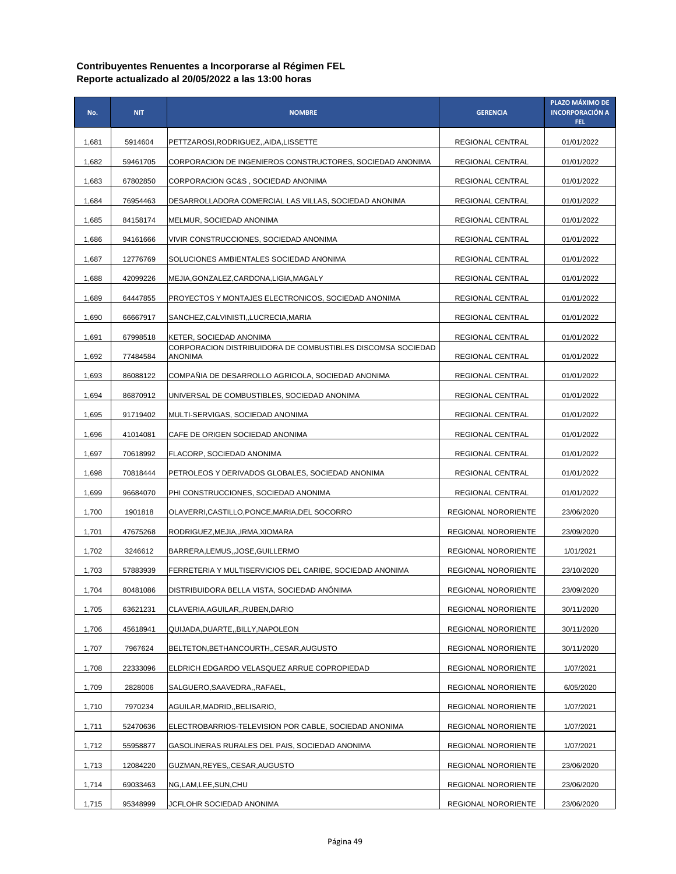| No.   | <b>NIT</b> | <b>NOMBRE</b>                                                                 | <b>GERENCIA</b>            | PLAZO MÁXIMO DE<br><b>INCORPORACIÓN A</b><br>FEL. |
|-------|------------|-------------------------------------------------------------------------------|----------------------------|---------------------------------------------------|
| 1,681 | 5914604    | PETTZAROSI, RODRIGUEZ, , AIDA, LISSETTE                                       | REGIONAL CENTRAL           | 01/01/2022                                        |
| 1,682 | 59461705   | CORPORACION DE INGENIEROS CONSTRUCTORES, SOCIEDAD ANONIMA                     | REGIONAL CENTRAL           | 01/01/2022                                        |
| 1,683 | 67802850   | CORPORACION GC&S, SOCIEDAD ANONIMA                                            | REGIONAL CENTRAL           | 01/01/2022                                        |
| 1,684 | 76954463   | DESARROLLADORA COMERCIAL LAS VILLAS, SOCIEDAD ANONIMA                         | REGIONAL CENTRAL           | 01/01/2022                                        |
| 1,685 | 84158174   | MELMUR, SOCIEDAD ANONIMA                                                      | REGIONAL CENTRAL           | 01/01/2022                                        |
| 1,686 | 94161666   | VIVIR CONSTRUCCIONES, SOCIEDAD ANONIMA                                        | REGIONAL CENTRAL           | 01/01/2022                                        |
| 1,687 | 12776769   | SOLUCIONES AMBIENTALES SOCIEDAD ANONIMA                                       | REGIONAL CENTRAL           | 01/01/2022                                        |
| 1,688 | 42099226   | MEJIA, GONZALEZ, CARDONA, LIGIA, MAGALY                                       | REGIONAL CENTRAL           | 01/01/2022                                        |
| 1,689 | 64447855   | PROYECTOS Y MONTAJES ELECTRONICOS, SOCIEDAD ANONIMA                           | REGIONAL CENTRAL           | 01/01/2022                                        |
| 1,690 | 66667917   | SANCHEZ,CALVINISTI,,LUCRECIA,MARIA                                            | REGIONAL CENTRAL           | 01/01/2022                                        |
| 1,691 | 67998518   | KETER, SOCIEDAD ANONIMA                                                       | REGIONAL CENTRAL           | 01/01/2022                                        |
| 1,692 | 77484584   | CORPORACION DISTRIBUIDORA DE COMBUSTIBLES DISCOMSA SOCIEDAD<br><b>ANONIMA</b> | REGIONAL CENTRAL           | 01/01/2022                                        |
| 1,693 | 86088122   | COMPANIA DE DESARROLLO AGRICOLA, SOCIEDAD ANONIMA                             | REGIONAL CENTRAL           | 01/01/2022                                        |
| 1,694 | 86870912   | UNIVERSAL DE COMBUSTIBLES, SOCIEDAD ANONIMA                                   | REGIONAL CENTRAL           | 01/01/2022                                        |
| 1,695 | 91719402   | MULTI-SERVIGAS, SOCIEDAD ANONIMA                                              | REGIONAL CENTRAL           | 01/01/2022                                        |
| 1,696 | 41014081   | CAFE DE ORIGEN SOCIEDAD ANONIMA                                               | REGIONAL CENTRAL           | 01/01/2022                                        |
| 1,697 | 70618992   | FLACORP, SOCIEDAD ANONIMA                                                     | REGIONAL CENTRAL           | 01/01/2022                                        |
| 1,698 | 70818444   | PETROLEOS Y DERIVADOS GLOBALES, SOCIEDAD ANONIMA                              | REGIONAL CENTRAL           | 01/01/2022                                        |
| 1,699 | 96684070   | PHI CONSTRUCCIONES, SOCIEDAD ANONIMA                                          | REGIONAL CENTRAL           | 01/01/2022                                        |
| 1,700 | 1901818    | OLAVERRI,CASTILLO,PONCE,MARIA,DEL SOCORRO                                     | REGIONAL NORORIENTE        | 23/06/2020                                        |
| 1,701 | 47675268   | RODRIGUEZ, MEJIA,, IRMA, XIOMARA                                              | <b>REGIONAL NORORIENTE</b> | 23/09/2020                                        |
| 1,702 | 3246612    | BARRERA, LEMUS, , JOSE, GUILLERMO                                             | <b>REGIONAL NORORIENTE</b> | 1/01/2021                                         |
| 1,703 | 57883939   | FERRETERIA Y MULTISERVICIOS DEL CARIBE, SOCIEDAD ANONIMA                      | <b>REGIONAL NORORIENTE</b> | 23/10/2020                                        |
| 1,704 | 80481086   | DISTRIBUIDORA BELLA VISTA, SOCIEDAD ANÓNIMA                                   | REGIONAL NORORIENTE        | 23/09/2020                                        |
| 1,705 | 63621231   | CLAVERIA, AGUILAR, , RUBEN, DARIO                                             | <b>REGIONAL NORORIENTE</b> | 30/11/2020                                        |
| 1,706 | 45618941   | QUIJADA, DUARTE, BILLY, NAPOLEON                                              | <b>REGIONAL NORORIENTE</b> | 30/11/2020                                        |
| 1,707 | 7967624    | BELTETON, BETHANCOURTH, , CESAR, AUGUSTO                                      | REGIONAL NORORIENTE        | 30/11/2020                                        |
| 1,708 | 22333096   | ELDRICH EDGARDO VELASQUEZ ARRUE COPROPIEDAD                                   | REGIONAL NORORIENTE        | 1/07/2021                                         |
| 1,709 | 2828006    | SALGUERO, SAAVEDRA,, RAFAEL,                                                  | REGIONAL NORORIENTE        | 6/05/2020                                         |
| 1,710 | 7970234    | AGUILAR,MADRID,,BELISARIO,                                                    | <b>REGIONAL NORORIENTE</b> | 1/07/2021                                         |
| 1,711 | 52470636   | ELECTROBARRIOS-TELEVISION POR CABLE, SOCIEDAD ANONIMA                         | REGIONAL NORORIENTE        | 1/07/2021                                         |
| 1,712 | 55958877   | GASOLINERAS RURALES DEL PAIS, SOCIEDAD ANONIMA                                | <b>REGIONAL NORORIENTE</b> | 1/07/2021                                         |
| 1,713 | 12084220   | GUZMAN, REYES, , CESAR, AUGUSTO                                               | REGIONAL NORORIENTE        | 23/06/2020                                        |
| 1,714 | 69033463   | NG,LAM,LEE,SUN,CHU                                                            | REGIONAL NORORIENTE        | 23/06/2020                                        |
| 1,715 | 95348999   | JCFLOHR SOCIEDAD ANONIMA                                                      | REGIONAL NORORIENTE        | 23/06/2020                                        |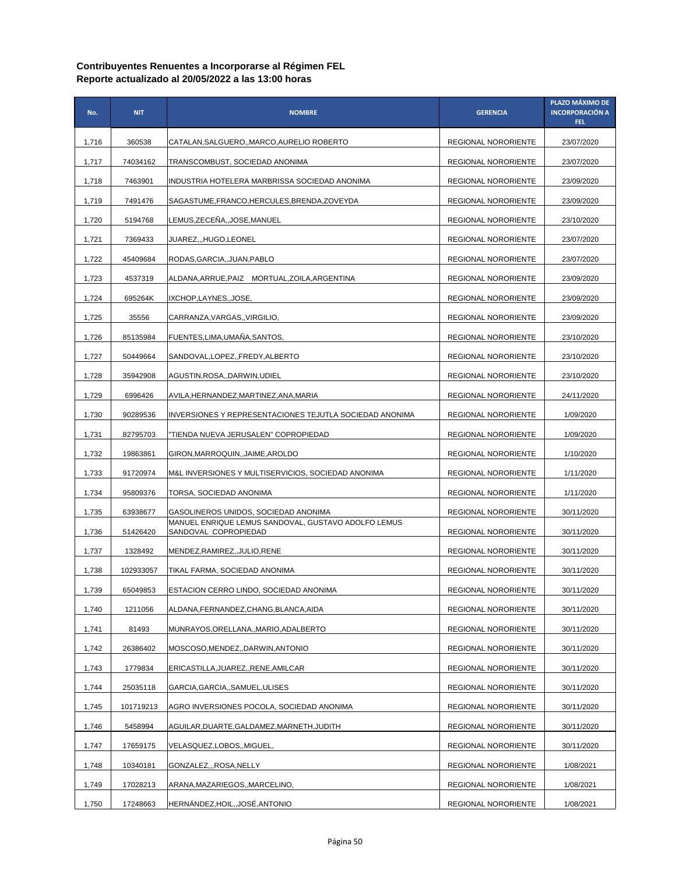| No.   | <b>NIT</b> | <b>NOMBRE</b>                                                               | <b>GERENCIA</b>            | PLAZO MÁXIMO DE<br><b>INCORPORACIÓN A</b><br>FEL. |
|-------|------------|-----------------------------------------------------------------------------|----------------------------|---------------------------------------------------|
| 1,716 | 360538     | CATALAN, SALGUERO,, MARCO, AURELIO ROBERTO                                  | <b>REGIONAL NORORIENTE</b> | 23/07/2020                                        |
| 1,717 | 74034162   | TRANSCOMBUST, SOCIEDAD ANONIMA                                              | <b>REGIONAL NORORIENTE</b> | 23/07/2020                                        |
| 1,718 | 7463901    | INDUSTRIA HOTELERA MARBRISSA SOCIEDAD ANONIMA                               | <b>REGIONAL NORORIENTE</b> | 23/09/2020                                        |
| 1,719 | 7491476    | SAGASTUME, FRANCO, HERCULES, BRENDA, ZOVEYDA                                | <b>REGIONAL NORORIENTE</b> | 23/09/2020                                        |
| 1,720 | 5194768    | LEMUS,ZECEÑA,,JOSE,MANUEL                                                   | <b>REGIONAL NORORIENTE</b> | 23/10/2020                                        |
| 1,721 | 7369433    | JUAREZHUGO.LEONEL                                                           | <b>REGIONAL NORORIENTE</b> | 23/07/2020                                        |
| 1,722 | 45409684   | RODAS, GARCIA, , JUAN, PABLO                                                | <b>REGIONAL NORORIENTE</b> | 23/07/2020                                        |
| 1,723 | 4537319    | ALDANA, ARRUE, PAIZ MORTUAL, ZOILA, ARGENTINA                               | <b>REGIONAL NORORIENTE</b> | 23/09/2020                                        |
| 1,724 | 695264K    | IXCHOP,LAYNES,,JOSE,                                                        | <b>REGIONAL NORORIENTE</b> | 23/09/2020                                        |
| 1,725 | 35556      | CARRANZA, VARGAS,, VIRGILIO,                                                | REGIONAL NORORIENTE        | 23/09/2020                                        |
| 1,726 | 85135984   | FUENTES, LIMA, UMANA, SANTOS,                                               | <b>REGIONAL NORORIENTE</b> | 23/10/2020                                        |
| 1,727 | 50449664   | SANDOVAL,LOPEZ,,FREDY,ALBERTO                                               | REGIONAL NORORIENTE        | 23/10/2020                                        |
| 1,728 | 35942908   | AGUSTIN, ROSA, , DARWIN, UDIEL                                              | <b>REGIONAL NORORIENTE</b> | 23/10/2020                                        |
| 1,729 | 6996426    | AVILA,HERNANDEZ,MARTINEZ,ANA,MARIA                                          | <b>REGIONAL NORORIENTE</b> | 24/11/2020                                        |
| 1,730 | 90289536   | INVERSIONES Y REPRESENTACIONES TEJUTLA SOCIEDAD ANONIMA                     | REGIONAL NORORIENTE        | 1/09/2020                                         |
| 1,731 | 82795703   | "TIENDA NUEVA JERUSALEN" COPROPIEDAD                                        | <b>REGIONAL NORORIENTE</b> | 1/09/2020                                         |
| 1,732 | 19863861   | GIRON, MARROQUIN, , JAIME, AROLDO                                           | <b>REGIONAL NORORIENTE</b> | 1/10/2020                                         |
| 1,733 | 91720974   | M&L INVERSIONES Y MULTISERVICIOS, SOCIEDAD ANONIMA                          | <b>REGIONAL NORORIENTE</b> | 1/11/2020                                         |
| 1,734 | 95809376   | TORSA, SOCIEDAD ANONIMA                                                     | <b>REGIONAL NORORIENTE</b> | 1/11/2020                                         |
| 1,735 | 63938677   | GASOLINEROS UNIDOS, SOCIEDAD ANONIMA                                        | <b>REGIONAL NORORIENTE</b> | 30/11/2020                                        |
| 1,736 | 51426420   | MANUEL ENRIQUE LEMUS SANDOVAL, GUSTAVO ADOLFO LEMUS<br>SANDOVAL COPROPIEDAD | <b>REGIONAL NORORIENTE</b> | 30/11/2020                                        |
| 1,737 | 1328492    | MENDEZ, RAMIREZ, , JULIO, RENE                                              | <b>REGIONAL NORORIENTE</b> | 30/11/2020                                        |
| 1,738 | 102933057  | TIKAL FARMA, SOCIEDAD ANONIMA                                               | <b>REGIONAL NORORIENTE</b> | 30/11/2020                                        |
| 1,739 | 65049853   | ESTACION CERRO LINDO, SOCIEDAD ANONIMA                                      | REGIONAL NORORIENTE        | 30/11/2020                                        |
| 1,740 | 1211056    | ALDANA, FERNANDEZ, CHANG, BLANCA, AIDA                                      | <b>REGIONAL NORORIENTE</b> | 30/11/2020                                        |
| 1,741 | 81493      | MUNRAYOS, ORELLANA, , MARIO, ADALBERTO                                      | <b>REGIONAL NORORIENTE</b> | 30/11/2020                                        |
| 1,742 | 26386402   | MOSCOSO, MENDEZ, DARWIN, ANTONIO                                            | <b>REGIONAL NORORIENTE</b> | 30/11/2020                                        |
| 1,743 | 1779834    | ERICASTILLA, JUAREZ, RENE, AMILCAR                                          | REGIONAL NORORIENTE        | 30/11/2020                                        |
| 1,744 | 25035118   | GARCIA, GARCIA,, SAMUEL, ULISES                                             | REGIONAL NORORIENTE        | 30/11/2020                                        |
| 1,745 | 101719213  | AGRO INVERSIONES POCOLA, SOCIEDAD ANONIMA                                   | REGIONAL NORORIENTE        | 30/11/2020                                        |
| 1,746 | 5458994    | AGUILAR, DUARTE, GALDAMEZ, MARNETH, JUDITH                                  | <b>REGIONAL NORORIENTE</b> | 30/11/2020                                        |
| 1,747 | 17659175   | VELASQUEZ,LOBOS,,MIGUEL,                                                    | <b>REGIONAL NORORIENTE</b> | 30/11/2020                                        |
| 1,748 | 10340181   | GONZALEZ,,,ROSA,NELLY                                                       | <b>REGIONAL NORORIENTE</b> | 1/08/2021                                         |
| 1,749 | 17028213   | ARANA, MAZARIEGOS, , MARCELINO,                                             | REGIONAL NORORIENTE        | 1/08/2021                                         |
| 1,750 | 17248663   | HERNANDEZ, HOIL,, JOSÉ, ANTONIO                                             | REGIONAL NORORIENTE        | 1/08/2021                                         |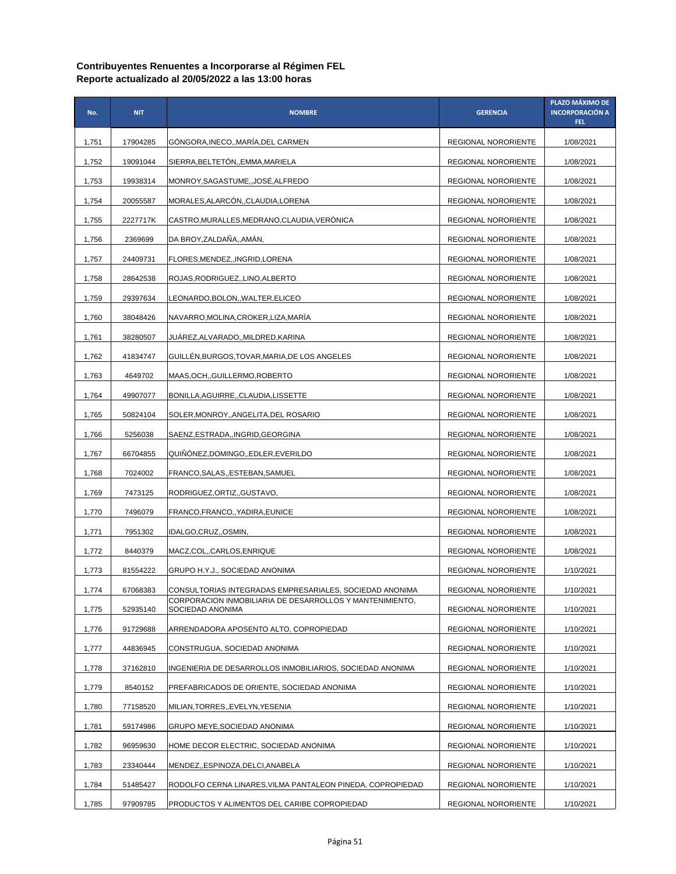| No.   | <b>NIT</b> | <b>NOMBRE</b>                                                                | <b>GERENCIA</b>            | PLAZO MÁXIMO DE<br><b>INCORPORACIÓN A</b><br>FEL. |
|-------|------------|------------------------------------------------------------------------------|----------------------------|---------------------------------------------------|
| 1,751 | 17904285   | GÓNGORA, INECO,, MARÍA, DEL CARMEN                                           | <b>REGIONAL NORORIENTE</b> | 1/08/2021                                         |
| 1,752 | 19091044   | SIERRA, BELTETON, , EMMA, MARIELA                                            | <b>REGIONAL NORORIENTE</b> | 1/08/2021                                         |
| 1,753 | 19938314   | MONROY, SAGASTUME, , JOSÉ, ALFREDO                                           | <b>REGIONAL NORORIENTE</b> | 1/08/2021                                         |
| 1,754 | 20055587   | MORALES, ALARCÓN, , CLAUDIA, LORENA                                          | <b>REGIONAL NORORIENTE</b> | 1/08/2021                                         |
| 1,755 | 2227717K   | CASTRO, MURALLES, MEDRANO, CLAUDIA, VERONICA                                 | REGIONAL NORORIENTE        | 1/08/2021                                         |
| 1,756 | 2369699    | DA BROY,ZALDAÑA,,AMÁN,                                                       | <b>REGIONAL NORORIENTE</b> | 1/08/2021                                         |
| 1,757 | 24409731   | FLORES, MENDEZ, , INGRID, LORENA                                             | <b>REGIONAL NORORIENTE</b> | 1/08/2021                                         |
| 1,758 | 28642538   | ROJAS, RODRIGUEZ, , LINO, ALBERTO                                            | <b>REGIONAL NORORIENTE</b> | 1/08/2021                                         |
| 1,759 | 29397634   | LEONARDO,BOLON,,WALTER,ELICEO                                                | <b>REGIONAL NORORIENTE</b> | 1/08/2021                                         |
| 1,760 | 38048426   | NAVARRO, MOLINA, CROKER, LIZA, MARIA                                         | <b>REGIONAL NORORIENTE</b> | 1/08/2021                                         |
| 1,761 | 38280507   | JUAREZ,ALVARADO,,MILDRED,KARINA                                              | <b>REGIONAL NORORIENTE</b> | 1/08/2021                                         |
| 1,762 | 41834747   | GUILLEN, BURGOS, TOVAR, MARIA, DE LOS ANGELES                                | REGIONAL NORORIENTE        | 1/08/2021                                         |
| 1,763 | 4649702    | MAAS, OCH, GUILLERMO, ROBERTO                                                | <b>REGIONAL NORORIENTE</b> | 1/08/2021                                         |
| 1,764 | 49907077   | BONILLA, AGUIRRE, , CLAUDIA, LISSETTE                                        | <b>REGIONAL NORORIENTE</b> | 1/08/2021                                         |
| 1,765 | 50824104   | SOLER, MONROY, , ANGELITA, DEL ROSARIO                                       | <b>REGIONAL NORORIENTE</b> | 1/08/2021                                         |
| 1,766 | 5256038    | SAENZ, ESTRADA,, INGRID, GEORGINA                                            | <b>REGIONAL NORORIENTE</b> | 1/08/2021                                         |
| 1,767 | 66704855   | QUIÑÓNEZ,DOMINGO,,EDLER,EVERILDO                                             | <b>REGIONAL NORORIENTE</b> | 1/08/2021                                         |
| 1,768 | 7024002    | FRANCO, SALAS, , ESTEBAN, SAMUEL                                             | <b>REGIONAL NORORIENTE</b> | 1/08/2021                                         |
| 1,769 | 7473125    | RODRIGUEZ, ORTIZ, , GUSTAVO,                                                 | <b>REGIONAL NORORIENTE</b> | 1/08/2021                                         |
| 1,770 | 7496079    | FRANCO, FRANCO,, YADIRA, EUNICE                                              | <b>REGIONAL NORORIENTE</b> | 1/08/2021                                         |
| 1,771 | 7951302    | IDALGO,CRUZ,,OSMIN,                                                          | REGIONAL NORORIENTE        | 1/08/2021                                         |
| 1,772 | 8440379    | MACZ,COL,,CARLOS,ENRIQUE                                                     | <b>REGIONAL NORORIENTE</b> | 1/08/2021                                         |
| 1,773 | 81554222   | GRUPO H.Y.J., SOCIEDAD ANONIMA                                               | <b>REGIONAL NORORIENTE</b> | 1/10/2021                                         |
| 1,774 | 67068383   | CONSULTORIAS INTEGRADAS EMPRESARIALES, SOCIEDAD ANONIMA                      | REGIONAL NORORIENTE        | 1/10/2021                                         |
| 1,775 | 52935140   | CORPORACION INMOBILIARIA DE DESARROLLOS Y MANTENIMIENTO,<br>SOCIEDAD ANONIMA | <b>REGIONAL NORORIENTE</b> | 1/10/2021                                         |
| 1,776 | 91729688   | ARRENDADORA APOSENTO ALTO, COPROPIEDAD                                       | REGIONAL NORORIENTE        | 1/10/2021                                         |
| 1,777 | 44836945   | CONSTRUGUA, SOCIEDAD ANONIMA                                                 | <b>REGIONAL NORORIENTE</b> | 1/10/2021                                         |
| 1,778 | 37162810   | INGENIERIA DE DESARROLLOS INMOBILIARIOS, SOCIEDAD ANONIMA                    | REGIONAL NORORIENTE        | 1/10/2021                                         |
| 1,779 | 8540152    | PREFABRICADOS DE ORIENTE, SOCIEDAD ANONIMA                                   | REGIONAL NORORIENTE        | 1/10/2021                                         |
| 1,780 | 77158520   | MILIAN, TORRES, , EVELYN, YESENIA                                            | REGIONAL NORORIENTE        | 1/10/2021                                         |
| 1,781 | 59174986   | GRUPO MEYE, SOCIEDAD ANONIMA                                                 | <b>REGIONAL NORORIENTE</b> | 1/10/2021                                         |
| 1,782 | 96959630   | HOME DECOR ELECTRIC, SOCIEDAD ANONIMA                                        | <b>REGIONAL NORORIENTE</b> | 1/10/2021                                         |
| 1,783 | 23340444   | MENDEZ,,ESPINOZA,DELCI,ANABELA                                               | REGIONAL NORORIENTE        | 1/10/2021                                         |
| 1,784 | 51485427   | RODOLFO CERNA LINARES, VILMA PANTALEON PINEDA, COPROPIEDAD                   | REGIONAL NORORIENTE        | 1/10/2021                                         |
| 1,785 | 97909785   | PRODUCTOS Y ALIMENTOS DEL CARIBE COPROPIEDAD                                 | REGIONAL NORORIENTE        | 1/10/2021                                         |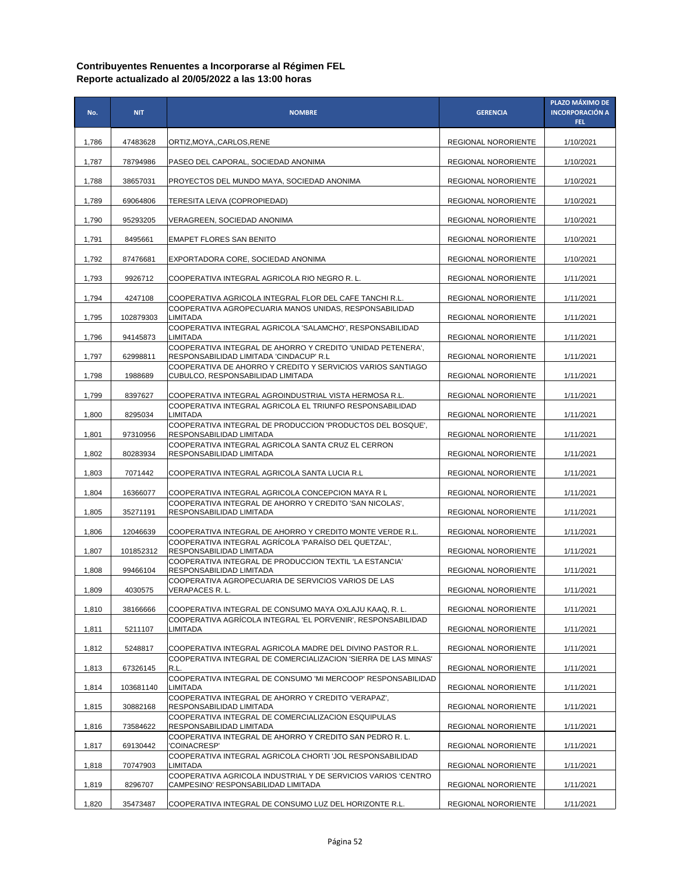| No.   | <b>NIT</b> | <b>NOMBRE</b>                                                                                                     | <b>GERENCIA</b>            | PLAZO MÁXIMO DE<br><b>INCORPORACIÓN A</b><br>FEL. |
|-------|------------|-------------------------------------------------------------------------------------------------------------------|----------------------------|---------------------------------------------------|
| 1,786 | 47483628   | ORTIZ, MOYA, , CARLOS, RENE                                                                                       | <b>REGIONAL NORORIENTE</b> | 1/10/2021                                         |
| 1,787 | 78794986   | PASEO DEL CAPORAL, SOCIEDAD ANONIMA                                                                               | <b>REGIONAL NORORIENTE</b> | 1/10/2021                                         |
| 1,788 | 38657031   | PROYECTOS DEL MUNDO MAYA, SOCIEDAD ANONIMA                                                                        | <b>REGIONAL NORORIENTE</b> | 1/10/2021                                         |
| 1,789 | 69064806   | TERESITA LEIVA (COPROPIEDAD)                                                                                      | REGIONAL NORORIENTE        | 1/10/2021                                         |
| 1,790 | 95293205   | VERAGREEN, SOCIEDAD ANONIMA                                                                                       | REGIONAL NORORIENTE        | 1/10/2021                                         |
| 1,791 | 8495661    | <b>EMAPET FLORES SAN BENITO</b>                                                                                   | <b>REGIONAL NORORIENTE</b> | 1/10/2021                                         |
| 1,792 | 87476681   | EXPORTADORA CORE, SOCIEDAD ANONIMA                                                                                | <b>REGIONAL NORORIENTE</b> | 1/10/2021                                         |
| 1,793 | 9926712    | COOPERATIVA INTEGRAL AGRICOLA RIO NEGRO R. L.                                                                     | REGIONAL NORORIENTE        | 1/11/2021                                         |
| 1,794 | 4247108    | COOPERATIVA AGRICOLA INTEGRAL FLOR DEL CAFE TANCHI R.L.<br>COOPERATIVA AGROPECUARIA MANOS UNIDAS, RESPONSABILIDAD | <b>REGIONAL NORORIENTE</b> | 1/11/2021                                         |
| 1,795 | 102879303  | <b>LIMITADA</b>                                                                                                   | REGIONAL NORORIENTE        | 1/11/2021                                         |
| 1,796 | 94145873   | COOPERATIVA INTEGRAL AGRICOLA 'SALAMCHO', RESPONSABILIDAD<br><b>LIMITADA</b>                                      | <b>REGIONAL NORORIENTE</b> | 1/11/2021                                         |
| 1,797 | 62998811   | COOPERATIVA INTEGRAL DE AHORRO Y CREDITO 'UNIDAD PETENERA',<br>RESPONSABILIDAD LIMITADA 'CINDACUP' R.L            | <b>REGIONAL NORORIENTE</b> | 1/11/2021                                         |
| 1,798 | 1988689    | COOPERATIVA DE AHORRO Y CREDITO Y SERVICIOS VARIOS SANTIAGO<br>CUBULCO, RESPONSABILIDAD LIMITADA                  | <b>REGIONAL NORORIENTE</b> | 1/11/2021                                         |
| 1,799 | 8397627    | COOPERATIVA INTEGRAL AGROINDUSTRIAL VISTA HERMOSA R.L.                                                            | <b>REGIONAL NORORIENTE</b> | 1/11/2021                                         |
| 1,800 | 8295034    | COOPERATIVA INTEGRAL AGRICOLA EL TRIUNFO RESPONSABILIDAD<br><b>LIMITADA</b>                                       | <b>REGIONAL NORORIENTE</b> | 1/11/2021                                         |
| 1,801 | 97310956   | COOPERATIVA INTEGRAL DE PRODUCCION 'PRODUCTOS DEL BOSQUE',<br>RESPONSABILIDAD LIMITADA                            | REGIONAL NORORIENTE        | 1/11/2021                                         |
| 1,802 | 80283934   | COOPERATIVA INTEGRAL AGRICOLA SANTA CRUZ EL CERRON<br>RESPONSABILIDAD LIMITADA                                    | <b>REGIONAL NORORIENTE</b> | 1/11/2021                                         |
| 1,803 | 7071442    | COOPERATIVA INTEGRAL AGRICOLA SANTA LUCIA R.L                                                                     | REGIONAL NORORIENTE        | 1/11/2021                                         |
| 1,804 | 16366077   | COOPERATIVA INTEGRAL AGRICOLA CONCEPCION MAYA R L                                                                 | <b>REGIONAL NORORIENTE</b> | 1/11/2021                                         |
| 1,805 | 35271191   | COOPERATIVA INTEGRAL DE AHORRO Y CREDITO 'SAN NICOLAS',<br>RESPONSABILIDAD LIMITADA                               | REGIONAL NORORIENTE        | 1/11/2021                                         |
| 1,806 | 12046639   | COOPERATIVA INTEGRAL DE AHORRO Y CREDITO MONTE VERDE R.L.                                                         | <b>REGIONAL NORORIENTE</b> | 1/11/2021                                         |
| 1,807 | 101852312  | COOPERATIVA INTEGRAL AGRÍCOLA 'PARAÍSO DEL QUETZAL'.<br>RESPONSABILIDAD LIMITADA                                  | <b>REGIONAL NORORIENTE</b> | 1/11/2021                                         |
| 1,808 | 99466104   | COOPERATIVA INTEGRAL DE PRODUCCION TEXTIL 'LA ESTANCIA'<br>RESPONSABILIDAD LIMITADA                               | <b>REGIONAL NORORIENTE</b> | 1/11/2021                                         |
| 1,809 | 4030575    | COOPERATIVA AGROPECUARIA DE SERVICIOS VARIOS DE LAS<br><b>VERAPACES R.L.</b>                                      | REGIONAL NORORIENTE        | 1/11/2021                                         |
| 1,810 | 38166666   | COOPERATIVA INTEGRAL DE CONSUMO MAYA OXLAJU KAAQ, R. L.                                                           | <b>REGIONAL NORORIENTE</b> | 1/11/2021                                         |
| 1,811 | 5211107    | COOPERATIVA AGRÍCOLA INTEGRAL 'EL PORVENIR', RESPONSABILIDAD<br>LIMITADA                                          | REGIONAL NORORIENTE        | 1/11/2021                                         |
| 1,812 | 5248817    | COOPERATIVA INTEGRAL AGRICOLA MADRE DEL DIVINO PASTOR R.L.                                                        | REGIONAL NORORIENTE        | 1/11/2021                                         |
| 1,813 | 67326145   | COOPERATIVA INTEGRAL DE COMERCIALIZACION 'SIERRA DE LAS MINAS'<br>R.L.                                            | REGIONAL NORORIENTE        | 1/11/2021                                         |
| 1,814 | 103681140  | COOPERATIVA INTEGRAL DE CONSUMO 'MI MERCOOP' RESPONSABILIDAD<br>LIMITADA                                          | REGIONAL NORORIENTE        | 1/11/2021                                         |
| 1,815 | 30882168   | COOPERATIVA INTEGRAL DE AHORRO Y CREDITO 'VERAPAZ',<br>RESPONSABILIDAD LIMITADA                                   | <b>REGIONAL NORORIENTE</b> | 1/11/2021                                         |
| 1,816 | 73584622   | COOPERATIVA INTEGRAL DE COMERCIALIZACION ESQUIPULAS<br>RESPONSABILIDAD LIMITADA                                   | <b>REGIONAL NORORIENTE</b> | 1/11/2021                                         |
| 1,817 | 69130442   | COOPERATIVA INTEGRAL DE AHORRO Y CREDITO SAN PEDRO R. L.<br>'COINACRESP'                                          | <b>REGIONAL NORORIENTE</b> | 1/11/2021                                         |
| 1,818 | 70747903   | COOPERATIVA INTEGRAL AGRICOLA CHORTI 'JOL RESPONSABILIDAD<br>LIMITADA                                             | REGIONAL NORORIENTE        | 1/11/2021                                         |
| 1,819 | 8296707    | COOPERATIVA AGRICOLA INDUSTRIAL Y DE SERVICIOS VARIOS 'CENTRO<br>CAMPESINO' RESPONSABILIDAD LIMITADA              | <b>REGIONAL NORORIENTE</b> | 1/11/2021                                         |
| 1,820 | 35473487   | COOPERATIVA INTEGRAL DE CONSUMO LUZ DEL HORIZONTE R.L.                                                            | REGIONAL NORORIENTE        | 1/11/2021                                         |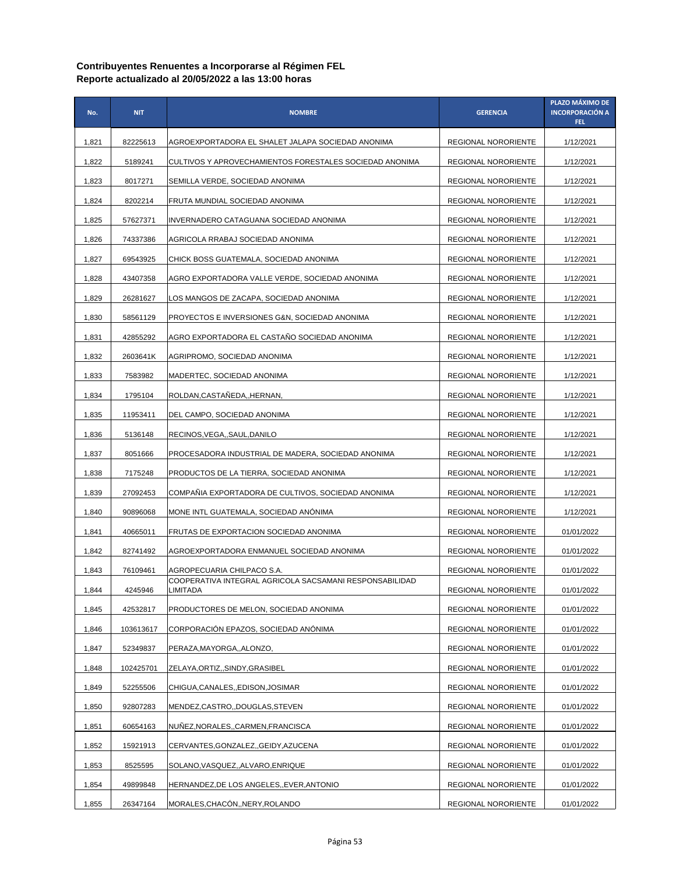| No.   | <b>NIT</b> | <b>NOMBRE</b>                                                              | <b>GERENCIA</b>            | PLAZO MÁXIMO DE<br><b>INCORPORACIÓN A</b><br>FEL. |
|-------|------------|----------------------------------------------------------------------------|----------------------------|---------------------------------------------------|
| 1,821 | 82225613   | AGROEXPORTADORA EL SHALET JALAPA SOCIEDAD ANONIMA                          | REGIONAL NORORIENTE        | 1/12/2021                                         |
| 1,822 | 5189241    | CULTIVOS Y APROVECHAMIENTOS FORESTALES SOCIEDAD ANONIMA                    | <b>REGIONAL NORORIENTE</b> | 1/12/2021                                         |
| 1,823 | 8017271    | SEMILLA VERDE, SOCIEDAD ANONIMA                                            | <b>REGIONAL NORORIENTE</b> | 1/12/2021                                         |
| 1,824 | 8202214    | FRUTA MUNDIAL SOCIEDAD ANONIMA                                             | <b>REGIONAL NORORIENTE</b> | 1/12/2021                                         |
| 1,825 | 57627371   | INVERNADERO CATAGUANA SOCIEDAD ANONIMA                                     | <b>REGIONAL NORORIENTE</b> | 1/12/2021                                         |
| 1,826 | 74337386   | AGRICOLA RRABAJ SOCIEDAD ANONIMA                                           | <b>REGIONAL NORORIENTE</b> | 1/12/2021                                         |
| 1,827 | 69543925   | CHICK BOSS GUATEMALA, SOCIEDAD ANONIMA                                     | <b>REGIONAL NORORIENTE</b> | 1/12/2021                                         |
| 1,828 | 43407358   | AGRO EXPORTADORA VALLE VERDE, SOCIEDAD ANONIMA                             | <b>REGIONAL NORORIENTE</b> | 1/12/2021                                         |
| 1,829 | 26281627   | LOS MANGOS DE ZACAPA, SOCIEDAD ANONIMA                                     | <b>REGIONAL NORORIENTE</b> | 1/12/2021                                         |
| 1,830 | 58561129   | PROYECTOS E INVERSIONES G&N, SOCIEDAD ANONIMA                              | REGIONAL NORORIENTE        | 1/12/2021                                         |
| 1,831 | 42855292   | AGRO EXPORTADORA EL CASTAÑO SOCIEDAD ANONIMA                               | REGIONAL NORORIENTE        | 1/12/2021                                         |
| 1,832 | 2603641K   | AGRIPROMO, SOCIEDAD ANONIMA                                                | REGIONAL NORORIENTE        | 1/12/2021                                         |
| 1,833 | 7583982    | MADERTEC, SOCIEDAD ANONIMA                                                 | <b>REGIONAL NORORIENTE</b> | 1/12/2021                                         |
| 1,834 | 1795104    | ROLDAN, CASTANEDA, HERNAN,                                                 | <b>REGIONAL NORORIENTE</b> | 1/12/2021                                         |
| 1,835 | 11953411   | DEL CAMPO, SOCIEDAD ANONIMA                                                | <b>REGIONAL NORORIENTE</b> | 1/12/2021                                         |
| 1,836 | 5136148    | RECINOS, VEGA,, SAUL, DANILO                                               | <b>REGIONAL NORORIENTE</b> | 1/12/2021                                         |
| 1,837 | 8051666    | PROCESADORA INDUSTRIAL DE MADERA, SOCIEDAD ANONIMA                         | <b>REGIONAL NORORIENTE</b> | 1/12/2021                                         |
| 1,838 | 7175248    | PRODUCTOS DE LA TIERRA, SOCIEDAD ANONIMA                                   | <b>REGIONAL NORORIENTE</b> | 1/12/2021                                         |
| 1,839 | 27092453   | COMPANIA EXPORTADORA DE CULTIVOS, SOCIEDAD ANONIMA                         | <b>REGIONAL NORORIENTE</b> | 1/12/2021                                         |
| 1,840 | 90896068   | MONE INTL GUATEMALA, SOCIEDAD ANONIMA                                      | <b>REGIONAL NORORIENTE</b> | 1/12/2021                                         |
| 1,841 | 40665011   | FRUTAS DE EXPORTACION SOCIEDAD ANONIMA                                     | <b>REGIONAL NORORIENTE</b> | 01/01/2022                                        |
| 1,842 | 82741492   | AGROEXPORTADORA ENMANUEL SOCIEDAD ANONIMA                                  | <b>REGIONAL NORORIENTE</b> | 01/01/2022                                        |
| 1,843 | 76109461   | AGROPECUARIA CHILPACO S.A.                                                 | <b>REGIONAL NORORIENTE</b> | 01/01/2022                                        |
| 1,844 | 4245946    | COOPERATIVA INTEGRAL AGRICOLA SACSAMANI RESPONSABILIDAD<br><b>LIMITADA</b> | REGIONAL NORORIENTE        | 01/01/2022                                        |
| 1,845 | 42532817   | PRODUCTORES DE MELON, SOCIEDAD ANONIMA                                     | <b>REGIONAL NORORIENTE</b> | 01/01/2022                                        |
| 1,846 | 103613617  | CORPORACIÓN EPAZOS, SOCIEDAD ANÓNIMA                                       | <b>REGIONAL NORORIENTE</b> | 01/01/2022                                        |
| 1,847 | 52349837   | PERAZA, MAYORGA, , ALONZO,                                                 | <b>REGIONAL NORORIENTE</b> | 01/01/2022                                        |
| 1,848 | 102425701  | ZELAYA,ORTIZ,,SINDY,GRASIBEL                                               | <b>REGIONAL NORORIENTE</b> | 01/01/2022                                        |
| 1,849 | 52255506   | CHIGUA,CANALES,,EDISON,JOSIMAR                                             | REGIONAL NORORIENTE        | 01/01/2022                                        |
| 1,850 | 92807283   | MENDEZ, CASTRO, DOUGLAS, STEVEN                                            | REGIONAL NORORIENTE        | 01/01/2022                                        |
| 1,851 | 60654163   | NUNEZ, NORALES, , CARMEN, FRANCISCA                                        | <b>REGIONAL NORORIENTE</b> | 01/01/2022                                        |
| 1,852 | 15921913   | CERVANTES, GONZALEZ, , GEIDY, AZUCENA                                      | <b>REGIONAL NORORIENTE</b> | 01/01/2022                                        |
| 1,853 | 8525595    | SOLANO,VASQUEZ,,ALVARO,ENRIQUE                                             | <b>REGIONAL NORORIENTE</b> | 01/01/2022                                        |
| 1,854 | 49899848   | HERNANDEZ, DE LOS ANGELES, , EVER, ANTONIO                                 | REGIONAL NORORIENTE        | 01/01/2022                                        |
| 1,855 | 26347164   | MORALES, CHACÓN, NERY, ROLANDO                                             | REGIONAL NORORIENTE        | 01/01/2022                                        |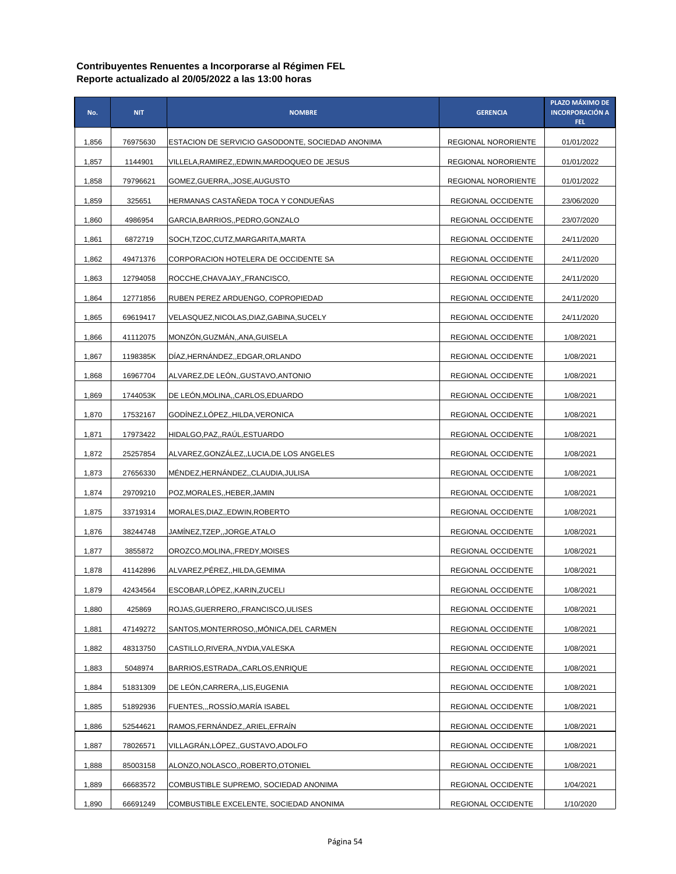| No.   | <b>NIT</b> | <b>NOMBRE</b>                                    | <b>GERENCIA</b>            | PLAZO MÁXIMO DE<br><b>INCORPORACIÓN A</b><br>FEL. |
|-------|------------|--------------------------------------------------|----------------------------|---------------------------------------------------|
| 1,856 | 76975630   | ESTACION DE SERVICIO GASODONTE, SOCIEDAD ANONIMA | REGIONAL NORORIENTE        | 01/01/2022                                        |
| 1,857 | 1144901    | VILLELA, RAMIREZ,, EDWIN, MARDOQUEO DE JESUS     | <b>REGIONAL NORORIENTE</b> | 01/01/2022                                        |
| 1,858 | 79796621   | GOMEZ, GUERRA,, JOSE, AUGUSTO                    | <b>REGIONAL NORORIENTE</b> | 01/01/2022                                        |
| 1,859 | 325651     | HERMANAS CASTANEDA TOCA Y CONDUENAS              | REGIONAL OCCIDENTE         | 23/06/2020                                        |
| 1,860 | 4986954    | GARCIA, BARRIOS, PEDRO, GONZALO                  | <b>REGIONAL OCCIDENTE</b>  | 23/07/2020                                        |
| 1,861 | 6872719    | SOCH, TZOC, CUTZ, MARGARITA, MARTA               | REGIONAL OCCIDENTE         | 24/11/2020                                        |
| 1,862 | 49471376   | CORPORACION HOTELERA DE OCCIDENTE SA             | REGIONAL OCCIDENTE         | 24/11/2020                                        |
| 1,863 | 12794058   | ROCCHE, CHAVAJAY, , FRANCISCO,                   | REGIONAL OCCIDENTE         | 24/11/2020                                        |
| 1,864 | 12771856   | RUBEN PEREZ ARDUENGO, COPROPIEDAD                | REGIONAL OCCIDENTE         | 24/11/2020                                        |
| 1,865 | 69619417   | VELASQUEZ, NICOLAS, DIAZ, GABINA, SUCELY         | REGIONAL OCCIDENTE         | 24/11/2020                                        |
| 1,866 | 41112075   | MONZÓN, GUZMÁN, , ANA, GUISELA                   | REGIONAL OCCIDENTE         | 1/08/2021                                         |
| 1,867 | 1198385K   | DIAZ, HERNANDEZ, , EDGAR, ORLANDO                | REGIONAL OCCIDENTE         | 1/08/2021                                         |
| 1,868 | 16967704   | ALVAREZ, DE LEON, GUSTAVO, ANTONIO               | <b>REGIONAL OCCIDENTE</b>  | 1/08/2021                                         |
| 1,869 | 1744053K   | DE LEON, MOLINA, , CARLOS, EDUARDO               | <b>REGIONAL OCCIDENTE</b>  | 1/08/2021                                         |
| 1,870 | 17532167   | GODİNEZ,LOPEZ,,HILDA,VERONICA                    | REGIONAL OCCIDENTE         | 1/08/2021                                         |
| 1,871 | 17973422   | HIDALGO, PAZ,, RAUL, ESTUARDO                    | REGIONAL OCCIDENTE         | 1/08/2021                                         |
| 1,872 | 25257854   | ALVAREZ,GONZALEZ,,LUCIA,DE LOS ANGELES           | <b>REGIONAL OCCIDENTE</b>  | 1/08/2021                                         |
| 1,873 | 27656330   | MENDEZ, HERNANDEZ, , CLAUDIA, JULISA             | <b>REGIONAL OCCIDENTE</b>  | 1/08/2021                                         |
| 1,874 | 29709210   | POZ, MORALES, HEBER, JAMIN                       | <b>REGIONAL OCCIDENTE</b>  | 1/08/2021                                         |
| 1,875 | 33719314   | MORALES, DIAZ, EDWIN, ROBERTO                    | <b>REGIONAL OCCIDENTE</b>  | 1/08/2021                                         |
| 1,876 | 38244748   | JAMINEZ,TZEP,,JORGE,ATALO                        | REGIONAL OCCIDENTE         | 1/08/2021                                         |
| 1,877 | 3855872    | OROZCO, MOLINA, , FREDY, MOISES                  | <b>REGIONAL OCCIDENTE</b>  | 1/08/2021                                         |
| 1,878 | 41142896   | ALVAREZ, PÉREZ, HILDA, GEMIMA                    | REGIONAL OCCIDENTE         | 1/08/2021                                         |
| 1,879 | 42434564   | ESCOBAR,LÓPEZ,,KARIN,ZUCELI                      | REGIONAL OCCIDENTE         | 1/08/2021                                         |
| 1,880 | 425869     | ROJAS, GUERRERO, FRANCISCO, ULISES               | REGIONAL OCCIDENTE         | 1/08/2021                                         |
| 1,881 | 47149272   | SANTOS, MONTERROSO, , MÓNICA, DEL CARMEN         | REGIONAL OCCIDENTE         | 1/08/2021                                         |
| 1,882 | 48313750   | CASTILLO, RIVERA, , NYDIA, VALESKA               | REGIONAL OCCIDENTE         | 1/08/2021                                         |
| 1,883 | 5048974    | BARRIOS, ESTRADA, , CARLOS, ENRIQUE              | REGIONAL OCCIDENTE         | 1/08/2021                                         |
| 1,884 | 51831309   | DE LEÓN, CARRERA, LIS, EUGENIA                   | REGIONAL OCCIDENTE         | 1/08/2021                                         |
| 1,885 | 51892936   | FUENTES, ,, ROSSIO, MARIA ISABEL                 | REGIONAL OCCIDENTE         | 1/08/2021                                         |
| 1,886 | 52544621   | RAMOS, FERNÁNDEZ, , ARIEL, EFRAÍN                | REGIONAL OCCIDENTE         | 1/08/2021                                         |
| 1,887 | 78026571   | VILLAGRÁN,LÓPEZ,,GUSTAVO,ADOLFO                  | REGIONAL OCCIDENTE         | 1/08/2021                                         |
| 1,888 | 85003158   | ALONZO,NOLASCO,,ROBERTO,OTONIEL                  | REGIONAL OCCIDENTE         | 1/08/2021                                         |
| 1,889 | 66683572   | COMBUSTIBLE SUPREMO, SOCIEDAD ANONIMA            | REGIONAL OCCIDENTE         | 1/04/2021                                         |
| 1,890 | 66691249   | COMBUSTIBLE EXCELENTE, SOCIEDAD ANONIMA          | REGIONAL OCCIDENTE         | 1/10/2020                                         |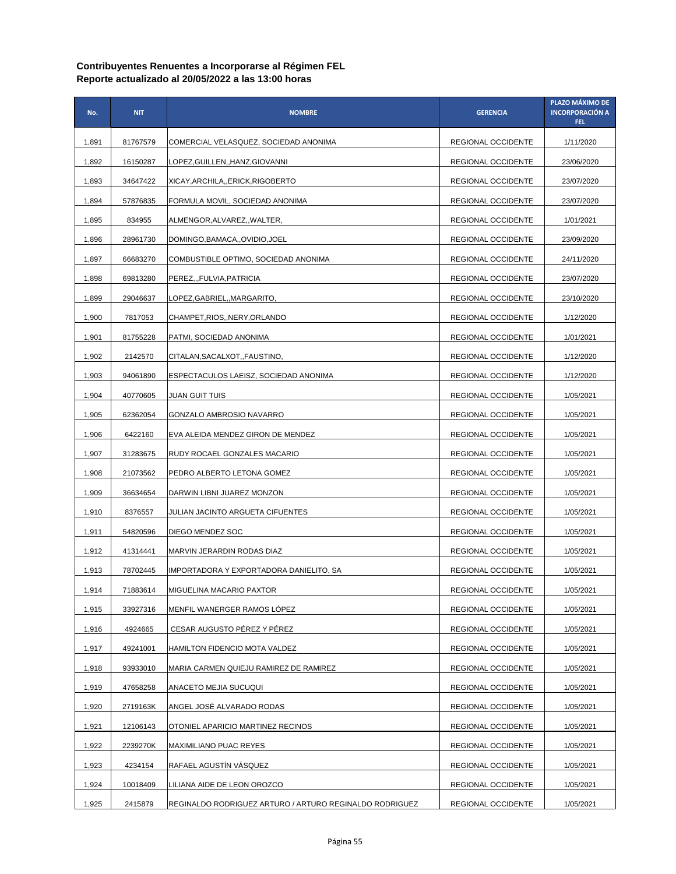| No.   | <b>NIT</b> | <b>NOMBRE</b>                                           | <b>GERENCIA</b>           | PLAZO MÁXIMO DE<br><b>INCORPORACIÓN A</b><br>FEL. |
|-------|------------|---------------------------------------------------------|---------------------------|---------------------------------------------------|
| 1,891 | 81767579   | COMERCIAL VELASQUEZ, SOCIEDAD ANONIMA                   | REGIONAL OCCIDENTE        | 1/11/2020                                         |
| 1,892 | 16150287   | LOPEZ,GUILLEN,,HANZ,GIOVANNI                            | REGIONAL OCCIDENTE        | 23/06/2020                                        |
| 1,893 | 34647422   | XICAY, ARCHILA, , ERICK, RIGOBERTO                      | REGIONAL OCCIDENTE        | 23/07/2020                                        |
| 1,894 | 57876835   | FORMULA MOVIL, SOCIEDAD ANONIMA                         | REGIONAL OCCIDENTE        | 23/07/2020                                        |
| 1,895 | 834955     | ALMENGOR, ALVAREZ, , WALTER,                            | REGIONAL OCCIDENTE        | 1/01/2021                                         |
| 1,896 | 28961730   | DOMINGO,BAMACA,,OVIDIO,JOEL                             | REGIONAL OCCIDENTE        | 23/09/2020                                        |
| 1,897 | 66683270   | COMBUSTIBLE OPTIMO, SOCIEDAD ANONIMA                    | REGIONAL OCCIDENTE        | 24/11/2020                                        |
| 1,898 | 69813280   | PEREZ,,,FULVIA,PATRICIA                                 | REGIONAL OCCIDENTE        | 23/07/2020                                        |
| 1,899 | 29046637   | LOPEZ, GABRIEL, , MARGARITO,                            | REGIONAL OCCIDENTE        | 23/10/2020                                        |
| 1,900 | 7817053    | CHAMPET, RIOS, , NERY, ORLANDO                          | REGIONAL OCCIDENTE        | 1/12/2020                                         |
| 1,901 | 81755228   | PATMI, SOCIEDAD ANONIMA                                 | REGIONAL OCCIDENTE        | 1/01/2021                                         |
| 1,902 | 2142570    | CITALAN, SACALXOT, , FAUSTINO,                          | REGIONAL OCCIDENTE        | 1/12/2020                                         |
| 1,903 | 94061890   | ESPECTACULOS LAEISZ, SOCIEDAD ANONIMA                   | REGIONAL OCCIDENTE        | 1/12/2020                                         |
| 1,904 | 40770605   | JUAN GUIT TUIS                                          | REGIONAL OCCIDENTE        | 1/05/2021                                         |
| 1,905 | 62362054   | GONZALO AMBROSIO NAVARRO                                | REGIONAL OCCIDENTE        | 1/05/2021                                         |
| 1,906 | 6422160    | EVA ALEIDA MENDEZ GIRON DE MENDEZ                       | REGIONAL OCCIDENTE        | 1/05/2021                                         |
| 1,907 | 31283675   | RUDY ROCAEL GONZALES MACARIO                            | REGIONAL OCCIDENTE        | 1/05/2021                                         |
| 1,908 | 21073562   | PEDRO ALBERTO LETONA GOMEZ                              | REGIONAL OCCIDENTE        | 1/05/2021                                         |
| 1,909 | 36634654   | DARWIN LIBNI JUAREZ MONZON                              | REGIONAL OCCIDENTE        | 1/05/2021                                         |
| 1,910 | 8376557    | JULIAN JACINTO ARGUETA CIFUENTES                        | REGIONAL OCCIDENTE        | 1/05/2021                                         |
| 1,911 | 54820596   | DIEGO MENDEZ SOC                                        | REGIONAL OCCIDENTE        | 1/05/2021                                         |
| 1,912 | 41314441   | MARVIN JERARDIN RODAS DIAZ                              | REGIONAL OCCIDENTE        | 1/05/2021                                         |
| 1,913 | 78702445   | IMPORTADORA Y EXPORTADORA DANIELITO, SA                 | <b>REGIONAL OCCIDENTE</b> | 1/05/2021                                         |
| 1,914 | 71883614   | MIGUELINA MACARIO PAXTOR                                | REGIONAL OCCIDENTE        | 1/05/2021                                         |
| 1,915 | 33927316   | MENFIL WANERGER RAMOS LOPEZ                             | REGIONAL OCCIDENTE        | 1/05/2021                                         |
| 1,916 | 4924665    | CESAR AUGUSTO PÉREZ Y PÉREZ                             | REGIONAL OCCIDENTE        | 1/05/2021                                         |
| 1,917 | 49241001   | HAMILTON FIDENCIO MOTA VALDEZ                           | REGIONAL OCCIDENTE        | 1/05/2021                                         |
| 1,918 | 93933010   | MARIA CARMEN QUIEJU RAMIREZ DE RAMIREZ                  | REGIONAL OCCIDENTE        | 1/05/2021                                         |
| 1,919 | 47658258   | ANACETO MEJIA SUCUQUI                                   | REGIONAL OCCIDENTE        | 1/05/2021                                         |
| 1,920 | 2719163K   | ANGEL JOSÉ ALVARADO RODAS                               | REGIONAL OCCIDENTE        | 1/05/2021                                         |
| 1,921 | 12106143   | OTONIEL APARICIO MARTINEZ RECINOS                       | REGIONAL OCCIDENTE        | 1/05/2021                                         |
| 1,922 | 2239270K   | MAXIMILIANO PUAC REYES                                  | REGIONAL OCCIDENTE        | 1/05/2021                                         |
| 1,923 | 4234154    | RAFAEL AGUSTIN VASQUEZ                                  | REGIONAL OCCIDENTE        | 1/05/2021                                         |
| 1,924 | 10018409   | LILIANA AIDE DE LEON OROZCO                             | REGIONAL OCCIDENTE        | 1/05/2021                                         |
| 1,925 | 2415879    | REGINALDO RODRIGUEZ ARTURO / ARTURO REGINALDO RODRIGUEZ | REGIONAL OCCIDENTE        | 1/05/2021                                         |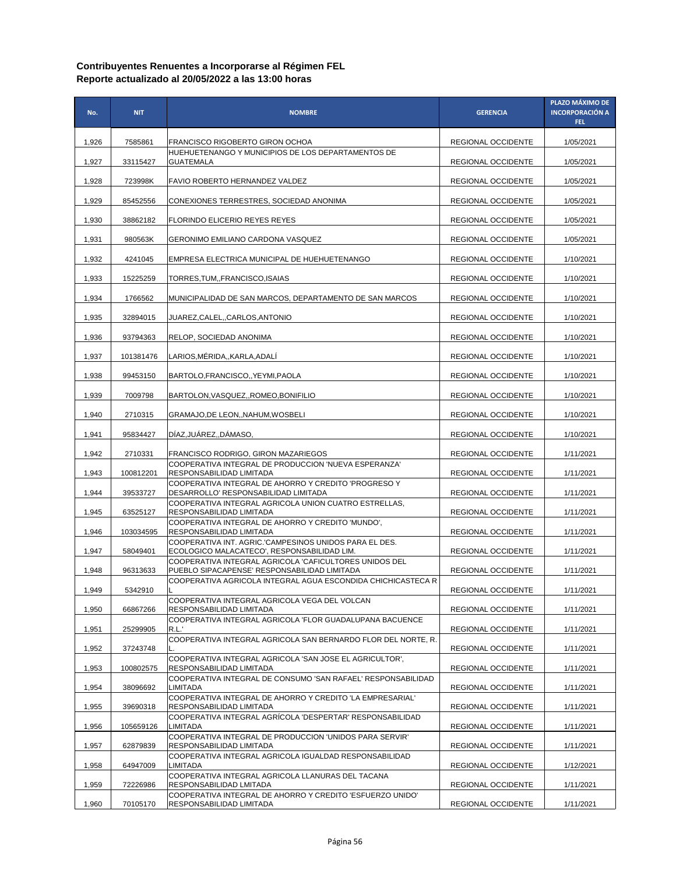| No.   | <b>NIT</b> | <b>NOMBRE</b>                                                                                          | <b>GERENCIA</b>                          | PLAZO MÁXIMO DE<br><b>INCORPORACIÓN A</b><br>FEL. |
|-------|------------|--------------------------------------------------------------------------------------------------------|------------------------------------------|---------------------------------------------------|
| 1,926 | 7585861    | FRANCISCO RIGOBERTO GIRON OCHOA                                                                        | <b>REGIONAL OCCIDENTE</b>                | 1/05/2021                                         |
| 1,927 | 33115427   | HUEHUETENANGO Y MUNICIPIOS DE LOS DEPARTAMENTOS DE<br><b>GUATEMALA</b>                                 | <b>REGIONAL OCCIDENTE</b>                | 1/05/2021                                         |
| 1,928 | 723998K    | FAVIO ROBERTO HERNANDEZ VALDEZ                                                                         | REGIONAL OCCIDENTE                       | 1/05/2021                                         |
| 1,929 | 85452556   | CONEXIONES TERRESTRES, SOCIEDAD ANONIMA                                                                | REGIONAL OCCIDENTE                       | 1/05/2021                                         |
| 1,930 | 38862182   | FLORINDO ELICERIO REYES REYES                                                                          | REGIONAL OCCIDENTE                       | 1/05/2021                                         |
| 1,931 | 980563K    | GERONIMO EMILIANO CARDONA VASQUEZ                                                                      | REGIONAL OCCIDENTE                       | 1/05/2021                                         |
| 1,932 | 4241045    | EMPRESA ELECTRICA MUNICIPAL DE HUEHUETENANGO                                                           | REGIONAL OCCIDENTE                       | 1/10/2021                                         |
| 1,933 | 15225259   | TORRES, TUM, FRANCISCO, ISAIAS                                                                         | REGIONAL OCCIDENTE                       | 1/10/2021                                         |
| 1,934 | 1766562    | MUNICIPALIDAD DE SAN MARCOS, DEPARTAMENTO DE SAN MARCOS                                                | REGIONAL OCCIDENTE                       | 1/10/2021                                         |
| 1,935 | 32894015   | JUAREZ,CALEL,,CARLOS,ANTONIO                                                                           | REGIONAL OCCIDENTE                       | 1/10/2021                                         |
| 1,936 | 93794363   | RELOP, SOCIEDAD ANONIMA                                                                                | <b>REGIONAL OCCIDENTE</b>                | 1/10/2021                                         |
| 1,937 | 101381476  | LARIOS, MERIDA, , KARLA, ADALI                                                                         | REGIONAL OCCIDENTE                       | 1/10/2021                                         |
| 1,938 | 99453150   | BARTOLO, FRANCISCO,, YEYMI, PAOLA                                                                      | REGIONAL OCCIDENTE                       | 1/10/2021                                         |
| 1,939 | 7009798    | BARTOLON, VASQUEZ,, ROMEO, BONIFILIO                                                                   | REGIONAL OCCIDENTE                       | 1/10/2021                                         |
| 1,940 | 2710315    | GRAMAJO,DE LEON,,NAHUM,WOSBELI                                                                         | <b>REGIONAL OCCIDENTE</b>                | 1/10/2021                                         |
| 1,941 | 95834427   | DÍAZ, JUÁREZ, DÁMASO,                                                                                  | REGIONAL OCCIDENTE                       | 1/10/2021                                         |
| 1,942 | 2710331    | FRANCISCO RODRIGO, GIRON MAZARIEGOS                                                                    | REGIONAL OCCIDENTE                       | 1/11/2021                                         |
| 1,943 | 100812201  | COOPERATIVA INTEGRAL DE PRODUCCION 'NUEVA ESPERANZA'<br>RESPONSABILIDAD LIMITADA                       | REGIONAL OCCIDENTE                       | 1/11/2021                                         |
| 1,944 | 39533727   | COOPERATIVA INTEGRAL DE AHORRO Y CREDITO 'PROGRESO Y<br>DESARROLLO' RESPONSABILIDAD LIMITADA           | REGIONAL OCCIDENTE                       | 1/11/2021                                         |
| 1,945 | 63525127   | COOPERATIVA INTEGRAL AGRICOLA UNION CUATRO ESTRELLAS,<br>RESPONSABILIDAD LIMITADA                      | REGIONAL OCCIDENTE                       | 1/11/2021                                         |
| 1,946 | 103034595  | COOPERATIVA INTEGRAL DE AHORRO Y CREDITO 'MUNDO',<br>RESPONSABILIDAD LIMITADA                          | REGIONAL OCCIDENTE                       | 1/11/2021                                         |
| 1,947 | 58049401   | COOPERATIVA INT. AGRIC. CAMPESINOS UNIDOS PARA EL DES.<br>ECOLOGICO MALACATECO', RESPONSABILIDAD LIM.  | REGIONAL OCCIDENTE                       | 1/11/2021                                         |
| 1,948 | 96313633   | COOPERATIVA INTEGRAL AGRICOLA 'CAFICULTORES UNIDOS DEL<br>PUEBLO SIPACAPENSE' RESPONSABILIDAD LIMITADA | REGIONAL OCCIDENTE                       | 1/11/2021                                         |
| 1,949 | 5342910    | COOPERATIVA AGRICOLA INTEGRAL AGUA ESCONDIDA CHICHICASTECA R                                           | REGIONAL OCCIDENTE                       | 1/11/2021                                         |
| 1,950 | 66867266   | COOPERATIVA INTEGRAL AGRICOLA VEGA DEL VOLCAN<br>RESPONSABILIDAD LIMITADA                              | REGIONAL OCCIDENTE                       | 1/11/2021                                         |
| 1,951 | 25299905   | COOPERATIVA INTEGRAL AGRICOLA 'FLOR GUADALUPANA BACUENCE<br>R.L.'                                      | REGIONAL OCCIDENTE                       | 1/11/2021                                         |
| 1,952 | 37243748   | COOPERATIVA INTEGRAL AGRICOLA SAN BERNARDO FLOR DEL NORTE, R.                                          | REGIONAL OCCIDENTE                       | 1/11/2021                                         |
|       |            | COOPERATIVA INTEGRAL AGRICOLA 'SAN JOSE EL AGRICULTOR',<br>RESPONSABILIDAD LIMITADA                    |                                          |                                                   |
| 1,953 | 100802575  | COOPERATIVA INTEGRAL DE CONSUMO 'SAN RAFAEL' RESPONSABILIDAD                                           | REGIONAL OCCIDENTE                       | 1/11/2021                                         |
| 1,954 | 38096692   | LIMITADA<br>COOPERATIVA INTEGRAL DE AHORRO Y CREDITO 'LA EMPRESARIAL'                                  | REGIONAL OCCIDENTE                       | 1/11/2021                                         |
| 1,955 | 39690318   | RESPONSABILIDAD LIMITADA<br>COOPERATIVA INTEGRAL AGRÍCOLA 'DESPERTAR' RESPONSABILIDAD                  | REGIONAL OCCIDENTE                       | 1/11/2021                                         |
| 1,956 | 105659126  | LIMITADA<br>COOPERATIVA INTEGRAL DE PRODUCCION 'UNIDOS PARA SERVIR'                                    | REGIONAL OCCIDENTE                       | 1/11/2021                                         |
| 1,957 | 62879839   | RESPONSABILIDAD LIMITADA<br>COOPERATIVA INTEGRAL AGRICOLA IGUALDAD RESPONSABILIDAD                     | REGIONAL OCCIDENTE                       | 1/11/2021                                         |
| 1,958 | 64947009   | LIMITADA<br>COOPERATIVA INTEGRAL AGRICOLA LLANURAS DEL TACANA                                          | REGIONAL OCCIDENTE                       | 1/12/2021                                         |
| 1,959 | 72226986   | RESPONSABILIDAD LMITADA<br>COOPERATIVA INTEGRAL DE AHORRO Y CREDITO 'ESFUERZO UNIDO'                   | REGIONAL OCCIDENTE<br>REGIONAL OCCIDENTE | 1/11/2021<br>1/11/2021                            |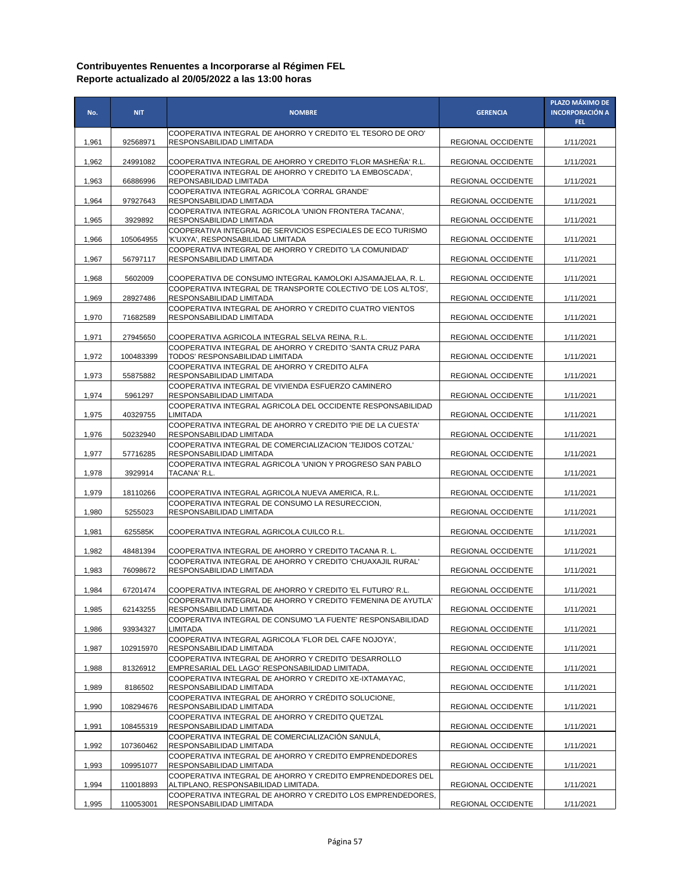| No.   | <b>NIT</b> | <b>NOMBRE</b>                                                                                                | <b>GERENCIA</b>    | PLAZO MÁXIMO DE<br><b>INCORPORACIÓN A</b><br>FEL. |
|-------|------------|--------------------------------------------------------------------------------------------------------------|--------------------|---------------------------------------------------|
| 1,961 | 92568971   | COOPERATIVA INTEGRAL DE AHORRO Y CREDITO 'EL TESORO DE ORO'<br>RESPONSABILIDAD LIMITADA                      | REGIONAL OCCIDENTE | 1/11/2021                                         |
| 1,962 | 24991082   | COOPERATIVA INTEGRAL DE AHORRO Y CREDITO 'FLOR MASHEÑA' R.L.                                                 | REGIONAL OCCIDENTE | 1/11/2021                                         |
| 1,963 | 66886996   | COOPERATIVA INTEGRAL DE AHORRO Y CREDITO 'LA EMBOSCADA'.<br>REPONSABILIDAD LIMITADA                          | REGIONAL OCCIDENTE | 1/11/2021                                         |
| 1,964 | 97927643   | COOPERATIVA INTEGRAL AGRICOLA 'CORRAL GRANDE'<br>RESPONSABILIDAD LIMITADA                                    | REGIONAL OCCIDENTE | 1/11/2021                                         |
| 1,965 | 3929892    | COOPERATIVA INTEGRAL AGRICOLA 'UNION FRONTERA TACANA',<br>RESPONSABILIDAD LIMITADA                           | REGIONAL OCCIDENTE | 1/11/2021                                         |
| 1,966 | 105064955  | COOPERATIVA INTEGRAL DE SERVICIOS ESPECIALES DE ECO TURISMO<br>'K'UXYA', RESPONSABILIDAD LIMITADA            | REGIONAL OCCIDENTE | 1/11/2021                                         |
| 1,967 | 56797117   | COOPERATIVA INTEGRAL DE AHORRO Y CREDITO 'LA COMUNIDAD'<br>RESPONSABILIDAD LIMITADA                          | REGIONAL OCCIDENTE | 1/11/2021                                         |
| 1,968 | 5602009    | COOPERATIVA DE CONSUMO INTEGRAL KAMOLOKI AJSAMAJELAA, R. L.                                                  | REGIONAL OCCIDENTE | 1/11/2021                                         |
| 1,969 | 28927486   | COOPERATIVA INTEGRAL DE TRANSPORTE COLECTIVO 'DE LOS ALTOS',<br>RESPONSABILIDAD LIMITADA                     | REGIONAL OCCIDENTE | 1/11/2021                                         |
| 1,970 | 71682589   | COOPERATIVA INTEGRAL DE AHORRO Y CREDITO CUATRO VIENTOS<br>RESPONSABILIDAD LIMITADA                          | REGIONAL OCCIDENTE | 1/11/2021                                         |
|       |            |                                                                                                              |                    |                                                   |
| 1,971 | 27945650   | COOPERATIVA AGRICOLA INTEGRAL SELVA REINA, R.L.<br>COOPERATIVA INTEGRAL DE AHORRO Y CREDITO 'SANTA CRUZ PARA | REGIONAL OCCIDENTE | 1/11/2021                                         |
| 1,972 | 100483399  | TODOS' RESPONSABILIDAD LIMITADA<br>COOPERATIVA INTEGRAL DE AHORRO Y CREDITO ALFA                             | REGIONAL OCCIDENTE | 1/11/2021                                         |
| 1,973 | 55875882   | RESPONSABILIDAD LIMITADA                                                                                     | REGIONAL OCCIDENTE | 1/11/2021                                         |
| 1,974 | 5961297    | COOPERATIVA INTEGRAL DE VIVIENDA ESFUERZO CAMINERO<br>RESPONSABILIDAD LIMITADA                               | REGIONAL OCCIDENTE | 1/11/2021                                         |
| 1,975 | 40329755   | COOPERATIVA INTEGRAL AGRICOLA DEL OCCIDENTE RESPONSABILIDAD<br><b>LIMITADA</b>                               | REGIONAL OCCIDENTE | 1/11/2021                                         |
| 1,976 | 50232940   | COOPERATIVA INTEGRAL DE AHORRO Y CREDITO 'PIE DE LA CUESTA'<br>RESPONSABILIDAD LIMITADA                      | REGIONAL OCCIDENTE | 1/11/2021                                         |
| 1,977 | 57716285   | COOPERATIVA INTEGRAL DE COMERCIALIZACION 'TEJIDOS COTZAL'<br>RESPONSABILIDAD LIMITADA                        | REGIONAL OCCIDENTE | 1/11/2021                                         |
| 1,978 | 3929914    | COOPERATIVA INTEGRAL AGRICOLA 'UNION Y PROGRESO SAN PABLO<br>TACANA' R.L.                                    | REGIONAL OCCIDENTE | 1/11/2021                                         |
| 1,979 | 18110266   | COOPERATIVA INTEGRAL AGRICOLA NUEVA AMERICA, R.L.                                                            | REGIONAL OCCIDENTE | 1/11/2021                                         |
| 1,980 | 5255023    | COOPERATIVA INTEGRAL DE CONSUMO LA RESURECCION,<br>RESPONSABILIDAD LIMITADA                                  | REGIONAL OCCIDENTE | 1/11/2021                                         |
| 1,981 | 625585K    | COOPERATIVA INTEGRAL AGRICOLA CUILCO R.L.                                                                    | REGIONAL OCCIDENTE | 1/11/2021                                         |
| 1,982 | 48481394   | COOPERATIVA INTEGRAL DE AHORRO Y CREDITO TACANA R.L.                                                         | REGIONAL OCCIDENTE | 1/11/2021                                         |
| 1,983 | 76098672   | COOPERATIVA INTEGRAL DE AHORRO Y CREDITO 'CHUAXAJIL RURAL'<br>RESPONSABILIDAD LIMITADA                       | REGIONAL OCCIDENTE | 1/11/2021                                         |
| 1,984 | 67201474   | COOPERATIVA INTEGRAL DE AHORRO Y CREDITO 'EL FUTURO' R.L.                                                    | REGIONAL OCCIDENTE | 1/11/2021                                         |
| 1,985 | 62143255   | COOPERATIVA INTEGRAL DE AHORRO Y CREDITO 'FEMENINA DE AYUTLA'<br>RESPONSABILIDAD LIMITADA                    | REGIONAL OCCIDENTE | 1/11/2021                                         |
| 1,986 | 93934327   | COOPERATIVA INTEGRAL DE CONSUMO 'LA FUENTE' RESPONSABILIDAD<br><b>LIMITADA</b>                               | REGIONAL OCCIDENTE | 1/11/2021                                         |
| 1,987 | 102915970  | COOPERATIVA INTEGRAL AGRICOLA 'FLOR DEL CAFE NOJOYA',<br>RESPONSABILIDAD LIMITADA                            | REGIONAL OCCIDENTE | 1/11/2021                                         |
| 1,988 | 81326912   | COOPERATIVA INTEGRAL DE AHORRO Y CREDITO 'DESARROLLO<br>EMPRESARIAL DEL LAGO' RESPONSABILIDAD LIMITADA,      | REGIONAL OCCIDENTE | 1/11/2021                                         |
| 1,989 | 8186502    | COOPERATIVA INTEGRAL DE AHORRO Y CREDITO XE-IXTAMAYAC,<br>RESPONSABILIDAD LIMITADA                           | REGIONAL OCCIDENTE | 1/11/2021                                         |
| 1,990 | 108294676  | COOPERATIVA INTEGRAL DE AHORRO Y CRÉDITO SOLUCIONE,<br>RESPONSABILIDAD LIMITADA                              | REGIONAL OCCIDENTE | 1/11/2021                                         |
| 1,991 | 108455319  | COOPERATIVA INTEGRAL DE AHORRO Y CREDITO QUETZAL<br>RESPONSABILIDAD LIMITADA                                 | REGIONAL OCCIDENTE | 1/11/2021                                         |
| 1,992 | 107360462  | COOPERATIVA INTEGRAL DE COMERCIALIZACIÓN SANULÁ,<br>RESPONSABILIDAD LIMITADA                                 | REGIONAL OCCIDENTE | 1/11/2021                                         |
| 1,993 | 109951077  | COOPERATIVA INTEGRAL DE AHORRO Y CREDITO EMPRENDEDORES<br>RESPONSABILIDAD LIMITADA                           | REGIONAL OCCIDENTE | 1/11/2021                                         |
| 1,994 | 110018893  | COOPERATIVA INTEGRAL DE AHORRO Y CREDITO EMPRENDEDORES DEL<br>ALTIPLANO, RESPONSABILIDAD LIMITADA.           | REGIONAL OCCIDENTE | 1/11/2021                                         |
| 1,995 | 110053001  | COOPERATIVA INTEGRAL DE AHORRO Y CREDITO LOS EMPRENDEDORES,<br>RESPONSABILIDAD LIMITADA                      | REGIONAL OCCIDENTE | 1/11/2021                                         |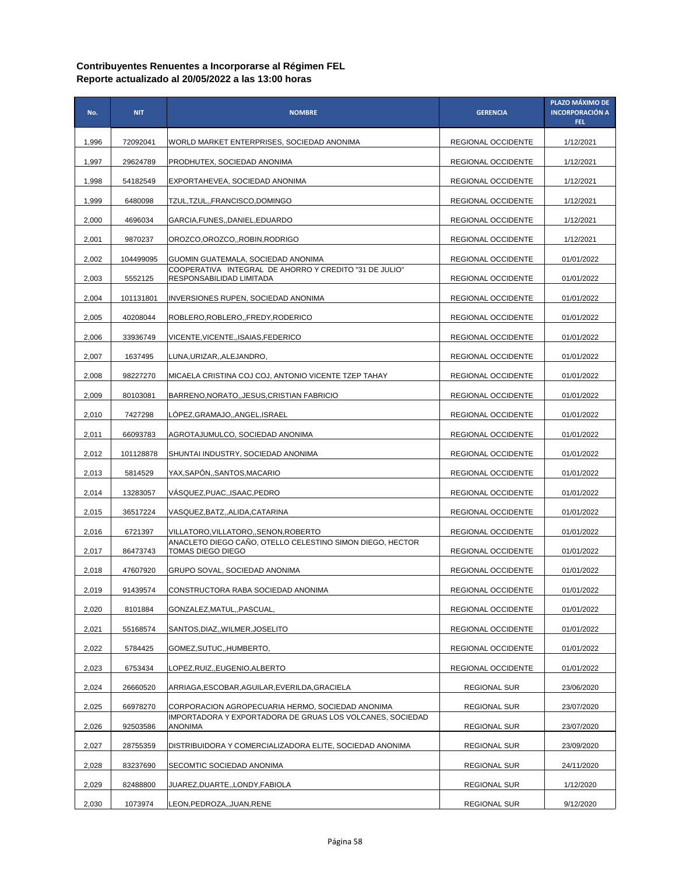| No.   | <b>NIT</b> | <b>NOMBRE</b>                                                                         | <b>GERENCIA</b>           | PLAZO MÁXIMO DE<br><b>INCORPORACIÓN A</b><br>FEL. |
|-------|------------|---------------------------------------------------------------------------------------|---------------------------|---------------------------------------------------|
| 1,996 | 72092041   | WORLD MARKET ENTERPRISES, SOCIEDAD ANONIMA                                            | <b>REGIONAL OCCIDENTE</b> | 1/12/2021                                         |
| 1,997 | 29624789   | PRODHUTEX, SOCIEDAD ANONIMA                                                           | <b>REGIONAL OCCIDENTE</b> | 1/12/2021                                         |
| 1,998 | 54182549   | EXPORTAHEVEA, SOCIEDAD ANONIMA                                                        | <b>REGIONAL OCCIDENTE</b> | 1/12/2021                                         |
| 1,999 | 6480098    | TZUL,TZUL,,FRANCISCO,DOMINGO                                                          | REGIONAL OCCIDENTE        | 1/12/2021                                         |
| 2,000 | 4696034    | GARCIA,FUNES,,DANIEL,EDUARDO                                                          | REGIONAL OCCIDENTE        | 1/12/2021                                         |
| 2,001 | 9870237    | OROZCO,OROZCO,,ROBIN,RODRIGO                                                          | <b>REGIONAL OCCIDENTE</b> | 1/12/2021                                         |
| 2,002 | 104499095  | GUOMIN GUATEMALA, SOCIEDAD ANONIMA                                                    | <b>REGIONAL OCCIDENTE</b> | 01/01/2022                                        |
| 2,003 | 5552125    | COOPERATIVA INTEGRAL DE AHORRO Y CREDITO "31 DE JULIO"<br>RESPONSABILIDAD LIMITADA    | REGIONAL OCCIDENTE        | 01/01/2022                                        |
| 2,004 | 101131801  | INVERSIONES RUPEN, SOCIEDAD ANONIMA                                                   | REGIONAL OCCIDENTE        | 01/01/2022                                        |
| 2,005 | 40208044   | ROBLERO, ROBLERO, , FREDY, RODERICO                                                   | REGIONAL OCCIDENTE        | 01/01/2022                                        |
| 2,006 | 33936749   | VICENTE, VICENTE, ISAIAS, FEDERICO                                                    | REGIONAL OCCIDENTE        | 01/01/2022                                        |
| 2,007 | 1637495    | LUNA, URIZAR, , ALEJANDRO,                                                            | REGIONAL OCCIDENTE        | 01/01/2022                                        |
| 2,008 | 98227270   | MICAELA CRISTINA COJ COJ, ANTONIO VICENTE TZEP TAHAY                                  | REGIONAL OCCIDENTE        | 01/01/2022                                        |
| 2,009 | 80103081   | BARRENO, NORATO, , JESUS, CRISTIAN FABRICIO                                           | REGIONAL OCCIDENTE        | 01/01/2022                                        |
| 2,010 | 7427298    | LOPEZ,GRAMAJO,,ANGEL,ISRAEL                                                           | <b>REGIONAL OCCIDENTE</b> | 01/01/2022                                        |
| 2,011 | 66093783   | AGROTAJUMULCO, SOCIEDAD ANONIMA                                                       | REGIONAL OCCIDENTE        | 01/01/2022                                        |
| 2,012 | 101128878  | SHUNTAI INDUSTRY, SOCIEDAD ANONIMA                                                    | REGIONAL OCCIDENTE        | 01/01/2022                                        |
| 2,013 | 5814529    | YAX,SAPON,,SANTOS,MACARIO                                                             | REGIONAL OCCIDENTE        | 01/01/2022                                        |
| 2,014 | 13283057   | VASQUEZ,PUAC,,ISAAC,PEDRO                                                             | REGIONAL OCCIDENTE        | 01/01/2022                                        |
| 2,015 | 36517224   | VASQUEZ,BATZ,,ALIDA,CATARINA                                                          | REGIONAL OCCIDENTE        | 01/01/2022                                        |
| 2,016 | 6721397    | VILLATORO, VILLATORO,, SENON, ROBERTO                                                 | REGIONAL OCCIDENTE        | 01/01/2022                                        |
| 2,017 | 86473743   | ANACLETO DIEGO CAÑO, OTELLO CELESTINO SIMON DIEGO, HECTOR<br><b>TOMAS DIEGO DIEGO</b> | <b>REGIONAL OCCIDENTE</b> | 01/01/2022                                        |
| 2,018 | 47607920   | GRUPO SOVAL, SOCIEDAD ANONIMA                                                         | <b>REGIONAL OCCIDENTE</b> | 01/01/2022                                        |
| 2,019 | 91439574   | CONSTRUCTORA RABA SOCIEDAD ANONIMA                                                    | REGIONAL OCCIDENTE        | 01/01/2022                                        |
| 2,020 | 8101884    | GONZALEZ, MATUL, , PASCUAL,                                                           | REGIONAL OCCIDENTE        | 01/01/2022                                        |
| 2,021 | 55168574   | SANTOS, DIAZ,, WILMER, JOSELITO                                                       | REGIONAL OCCIDENTE        | 01/01/2022                                        |
| 2,022 | 5784425    | GOMEZ, SUTUC, HUMBERTO,                                                               | REGIONAL OCCIDENTE        | 01/01/2022                                        |
| 2,023 | 6753434    | LOPEZ, RUIZ, , EUGENIO, ALBERTO                                                       | REGIONAL OCCIDENTE        | 01/01/2022                                        |
| 2,024 | 26660520   | ARRIAGA, ESCOBAR, AGUILAR, EVERILDA, GRACIELA                                         | <b>REGIONAL SUR</b>       | 23/06/2020                                        |
| 2,025 | 66978270   | CORPORACION AGROPECUARIA HERMO, SOCIEDAD ANONIMA                                      | <b>REGIONAL SUR</b>       | 23/07/2020                                        |
| 2,026 | 92503586   | IMPORTADORA Y EXPORTADORA DE GRUAS LOS VOLCANES, SOCIEDAD<br><b>ANONIMA</b>           | <b>REGIONAL SUR</b>       | 23/07/2020                                        |
| 2,027 | 28755359   | DISTRIBUIDORA Y COMERCIALIZADORA ELITE, SOCIEDAD ANONIMA                              | <b>REGIONAL SUR</b>       | 23/09/2020                                        |
| 2,028 | 83237690   | SECOMTIC SOCIEDAD ANONIMA                                                             | <b>REGIONAL SUR</b>       | 24/11/2020                                        |
| 2,029 | 82488800   | JUAREZ,DUARTE,,LONDY,FABIOLA                                                          | <b>REGIONAL SUR</b>       | 1/12/2020                                         |
| 2,030 | 1073974    | LEON, PEDROZA, , JUAN, RENE                                                           | <b>REGIONAL SUR</b>       | 9/12/2020                                         |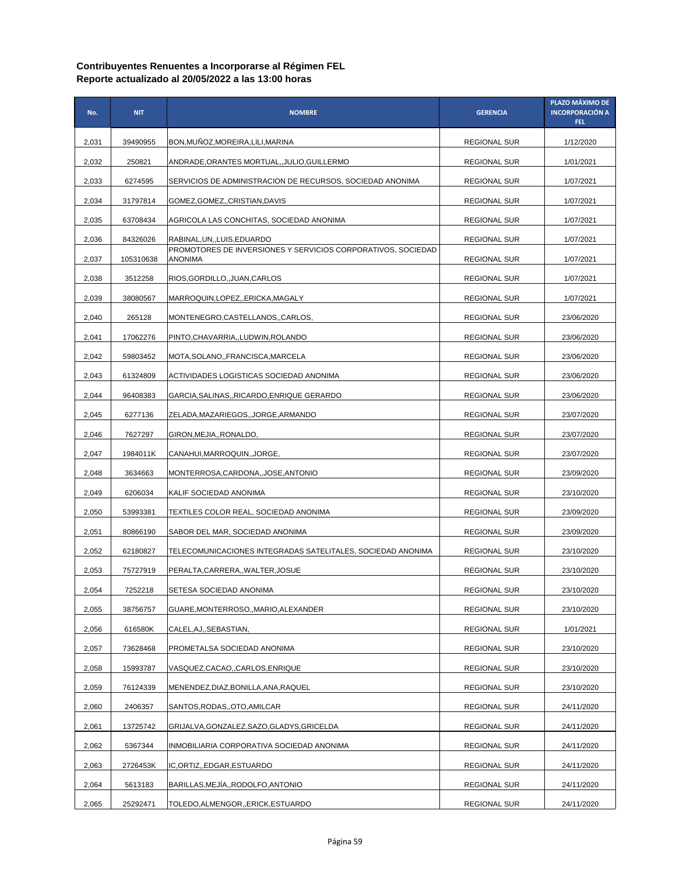| No.   | <b>NIT</b> | <b>NOMBRE</b>                                                                  | <b>GERENCIA</b>     | PLAZO MÁXIMO DE<br><b>INCORPORACIÓN A</b><br>FEL. |
|-------|------------|--------------------------------------------------------------------------------|---------------------|---------------------------------------------------|
| 2,031 | 39490955   | BON, MUNOZ, MOREIRA, LILI, MARINA                                              | <b>REGIONAL SUR</b> | 1/12/2020                                         |
| 2,032 | 250821     | ANDRADE, ORANTES MORTUAL, , JULIO, GUILLERMO                                   | <b>REGIONAL SUR</b> | 1/01/2021                                         |
| 2,033 | 6274595    | SERVICIOS DE ADMINISTRACION DE RECURSOS, SOCIEDAD ANONIMA                      | <b>REGIONAL SUR</b> | 1/07/2021                                         |
| 2,034 | 31797814   | GOMEZ, GOMEZ, , CRISTIAN, DAVIS                                                | <b>REGIONAL SUR</b> | 1/07/2021                                         |
| 2,035 | 63708434   | AGRICOLA LAS CONCHITAS, SOCIEDAD ANONIMA                                       | <b>REGIONAL SUR</b> | 1/07/2021                                         |
| 2,036 | 84326026   | RABINAL, UN,, LUIS, EDUARDO                                                    | <b>REGIONAL SUR</b> | 1/07/2021                                         |
| 2,037 | 105310638  | PROMOTORES DE INVERSIONES Y SERVICIOS CORPORATIVOS, SOCIEDAD<br><b>ANONIMA</b> | <b>REGIONAL SUR</b> | 1/07/2021                                         |
| 2,038 | 3512258    | RIOS, GORDILLO,, JUAN, CARLOS                                                  | <b>REGIONAL SUR</b> | 1/07/2021                                         |
| 2,039 | 38080567   | MARROQUIN,LOPEZ,,ERICKA,MAGALY                                                 | <b>REGIONAL SUR</b> | 1/07/2021                                         |
| 2,040 | 265128     | MONTENEGRO,CASTELLANOS,,CARLOS,                                                | <b>REGIONAL SUR</b> | 23/06/2020                                        |
| 2,041 | 17062276   | PINTO, CHAVARRIA, , LUDWIN, ROLANDO                                            | <b>REGIONAL SUR</b> | 23/06/2020                                        |
| 2,042 | 59803452   | MOTA, SOLANO, , FRANCISCA, MARCELA                                             | <b>REGIONAL SUR</b> | 23/06/2020                                        |
| 2,043 | 61324809   | ACTIVIDADES LOGISTICAS SOCIEDAD ANONIMA                                        | <b>REGIONAL SUR</b> | 23/06/2020                                        |
| 2,044 | 96408383   | GARCIA, SALINAS, RICARDO, ENRIQUE GERARDO                                      | <b>REGIONAL SUR</b> | 23/06/2020                                        |
| 2,045 | 6277136    | ZELADA,MAZARIEGOS,,JORGE,ARMANDO                                               | <b>REGIONAL SUR</b> | 23/07/2020                                        |
| 2,046 | 7627297    | GIRON, MEJIA, , RONALDO,                                                       | <b>REGIONAL SUR</b> | 23/07/2020                                        |
| 2,047 | 1984011K   | CANAHUI,MARROQUIN,,JORGE,                                                      | <b>REGIONAL SUR</b> | 23/07/2020                                        |
| 2,048 | 3634663    | MONTERROSA, CARDONA, , JOSE, ANTONIO                                           | <b>REGIONAL SUR</b> | 23/09/2020                                        |
| 2,049 | 6206034    | KALIF SOCIEDAD ANONIMA                                                         | <b>REGIONAL SUR</b> | 23/10/2020                                        |
| 2,050 | 53993381   | TEXTILES COLOR REAL, SOCIEDAD ANONIMA                                          | <b>REGIONAL SUR</b> | 23/09/2020                                        |
| 2,051 | 80866190   | SABOR DEL MAR, SOCIEDAD ANONIMA                                                | <b>REGIONAL SUR</b> | 23/09/2020                                        |
| 2,052 | 62180827   | TELECOMUNICACIONES INTEGRADAS SATELITALES, SOCIEDAD ANONIMA                    | <b>REGIONAL SUR</b> | 23/10/2020                                        |
| 2,053 | 75727919   | PERALTA,CARRERA,,WALTER,JOSUE                                                  | <b>REGIONAL SUR</b> | 23/10/2020                                        |
| 2,054 | 7252218    | SETESA SOCIEDAD ANONIMA                                                        | <b>REGIONAL SUR</b> | 23/10/2020                                        |
| 2,055 | 38756757   | GUARE, MONTERROSO, , MARIO, ALEXANDER                                          | <b>REGIONAL SUR</b> | 23/10/2020                                        |
| 2,056 | 616580K    | CALEL, AJ,, SEBASTIAN,                                                         | <b>REGIONAL SUR</b> | 1/01/2021                                         |
| 2,057 | 73628468   | PROMETALSA SOCIEDAD ANONIMA                                                    | <b>REGIONAL SUR</b> | 23/10/2020                                        |
| 2,058 | 15993787   | VASQUEZ,CACAO,,CARLOS,ENRIQUE                                                  | <b>REGIONAL SUR</b> | 23/10/2020                                        |
| 2,059 | 76124339   | MENENDEZ, DIAZ, BONILLA, ANA, RAQUEL                                           | <b>REGIONAL SUR</b> | 23/10/2020                                        |
| 2,060 | 2406357    | SANTOS, RODAS, , OTO, AMILCAR                                                  | <b>REGIONAL SUR</b> | 24/11/2020                                        |
| 2,061 | 13725742   | GRIJALVA,GONZALEZ,SAZO,GLADYS,GRICELDA                                         | <b>REGIONAL SUR</b> | 24/11/2020                                        |
| 2,062 | 5367344    | INMOBILIARIA CORPORATIVA SOCIEDAD ANONIMA                                      | <b>REGIONAL SUR</b> | 24/11/2020                                        |
| 2,063 | 2726453K   | IC, ORTIZ, EDGAR, ESTUARDO                                                     | <b>REGIONAL SUR</b> | 24/11/2020                                        |
| 2,064 | 5613183    | BARILLAS, MEJIA,, RODOLFO, ANTONIO                                             | <b>REGIONAL SUR</b> | 24/11/2020                                        |
| 2,065 | 25292471   | TOLEDO, ALMENGOR, , ERICK, ESTUARDO                                            | <b>REGIONAL SUR</b> | 24/11/2020                                        |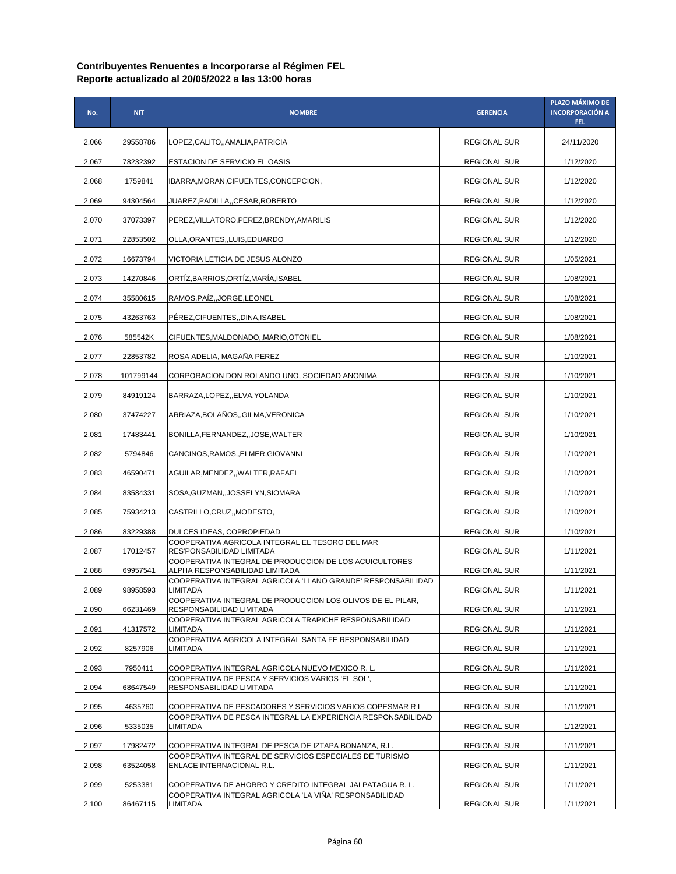| No.   | <b>NIT</b> | <b>NOMBRE</b>                                                                            | <b>GERENCIA</b>     | PLAZO MÁXIMO DE<br><b>INCORPORACIÓN A</b><br>FEL. |
|-------|------------|------------------------------------------------------------------------------------------|---------------------|---------------------------------------------------|
| 2,066 | 29558786   | LOPEZ, CALITO, , AMALIA, PATRICIA                                                        | <b>REGIONAL SUR</b> | 24/11/2020                                        |
| 2,067 | 78232392   | ESTACION DE SERVICIO EL OASIS                                                            | <b>REGIONAL SUR</b> | 1/12/2020                                         |
| 2,068 | 1759841    | IBARRA, MORAN, CIFUENTES, CONCEPCION,                                                    | <b>REGIONAL SUR</b> | 1/12/2020                                         |
| 2,069 | 94304564   | JUAREZ,PADILLA,,CESAR,ROBERTO                                                            | <b>REGIONAL SUR</b> | 1/12/2020                                         |
| 2,070 | 37073397   | PEREZ, VILLATORO, PEREZ, BRENDY, AMARILIS                                                | <b>REGIONAL SUR</b> | 1/12/2020                                         |
| 2,071 | 22853502   | OLLA, ORANTES, , LUIS, EDUARDO                                                           | <b>REGIONAL SUR</b> | 1/12/2020                                         |
| 2,072 | 16673794   | VICTORIA LETICIA DE JESUS ALONZO                                                         | <b>REGIONAL SUR</b> | 1/05/2021                                         |
| 2,073 | 14270846   | ORTÍZ,BARRIOS,ORTÍZ,MARÍA,ISABEL                                                         | <b>REGIONAL SUR</b> | 1/08/2021                                         |
| 2,074 | 35580615   | RAMOS, PAÍZ, JORGE, LEONEL                                                               | <b>REGIONAL SUR</b> | 1/08/2021                                         |
| 2,075 | 43263763   | PEREZ, CIFUENTES, , DINA, ISABEL                                                         | <b>REGIONAL SUR</b> | 1/08/2021                                         |
| 2,076 | 585542K    | CIFUENTES, MALDONADO, , MARIO, OTONIEL                                                   | <b>REGIONAL SUR</b> | 1/08/2021                                         |
| 2,077 | 22853782   | ROSA ADELIA, MAGAÑA PEREZ                                                                | <b>REGIONAL SUR</b> | 1/10/2021                                         |
| 2,078 | 101799144  | CORPORACION DON ROLANDO UNO, SOCIEDAD ANONIMA                                            | <b>REGIONAL SUR</b> | 1/10/2021                                         |
| 2,079 | 84919124   | BARRAZA,LOPEZ,,ELVA,YOLANDA                                                              | <b>REGIONAL SUR</b> | 1/10/2021                                         |
| 2,080 | 37474227   | ARRIAZA,BOLANOS,,GILMA,VERONICA                                                          | <b>REGIONAL SUR</b> | 1/10/2021                                         |
| 2,081 | 17483441   | BONILLA,FERNANDEZ,,JOSE,WALTER                                                           | <b>REGIONAL SUR</b> | 1/10/2021                                         |
| 2,082 | 5794846    | CANCINOS, RAMOS, , ELMER, GIOVANNI                                                       | <b>REGIONAL SUR</b> | 1/10/2021                                         |
| 2,083 | 46590471   | AGUILAR,MENDEZ,,WALTER,RAFAEL                                                            | <b>REGIONAL SUR</b> | 1/10/2021                                         |
| 2,084 | 83584331   | SOSA, GUZMAN, , JOSSELYN, SIOMARA                                                        | <b>REGIONAL SUR</b> | 1/10/2021                                         |
| 2,085 | 75934213   | CASTRILLO,CRUZ,,MODESTO,                                                                 | <b>REGIONAL SUR</b> | 1/10/2021                                         |
| 2,086 | 83229388   | DULCES IDEAS, COPROPIEDAD                                                                | <b>REGIONAL SUR</b> | 1/10/2021                                         |
| 2,087 | 17012457   | COOPERATIVA AGRICOLA INTEGRAL EL TESORO DEL MAR<br>RES'PONSABILIDAD LIMITADA             | <b>REGIONAL SUR</b> | 1/11/2021                                         |
| 2,088 | 69957541   | COOPERATIVA INTEGRAL DE PRODUCCION DE LOS ACUICULTORES<br>ALPHA RESPONSABILIDAD LIMITADA | <b>REGIONAL SUR</b> | 1/11/2021                                         |
| 2,089 | 98958593   | COOPERATIVA INTEGRAL AGRICOLA 'LLANO GRANDE' RESPONSABILIDAD<br>LIMITADA                 | <b>REGIONAL SUR</b> | 1/11/2021                                         |
| 2,090 | 66231469   | COOPERATIVA INTEGRAL DE PRODUCCION LOS OLIVOS DE EL PILAR,<br>RESPONSABILIDAD LIMITADA   | <b>REGIONAL SUR</b> | 1/11/2021                                         |
| 2,091 | 41317572   | COOPERATIVA INTEGRAL AGRICOLA TRAPICHE RESPONSABILIDAD<br>LIMITADA                       | <b>REGIONAL SUR</b> | 1/11/2021                                         |
| 2,092 | 8257906    | COOPERATIVA AGRICOLA INTEGRAL SANTA FE RESPONSABILIDAD<br>LIMITADA                       | <b>REGIONAL SUR</b> | 1/11/2021                                         |
| 2,093 | 7950411    | COOPERATIVA INTEGRAL AGRICOLA NUEVO MEXICO R. L.                                         | <b>REGIONAL SUR</b> | 1/11/2021                                         |
| 2,094 | 68647549   | COOPERATIVA DE PESCA Y SERVICIOS VARIOS 'EL SOL',<br>RESPONSABILIDAD LIMITADA            | <b>REGIONAL SUR</b> | 1/11/2021                                         |
| 2,095 | 4635760    | COOPERATIVA DE PESCADORES Y SERVICIOS VARIOS COPESMAR R L                                | <b>REGIONAL SUR</b> | 1/11/2021                                         |
| 2,096 | 5335035    | COOPERATIVA DE PESCA INTEGRAL LA EXPERIENCIA RESPONSABILIDAD<br>LIMITADA                 | <b>REGIONAL SUR</b> | 1/12/2021                                         |
| 2,097 | 17982472   | COOPERATIVA INTEGRAL DE PESCA DE IZTAPA BONANZA, R.L.                                    | <b>REGIONAL SUR</b> | 1/11/2021                                         |
| 2,098 | 63524058   | COOPERATIVA INTEGRAL DE SERVICIOS ESPECIALES DE TURISMO<br>ENLACE INTERNACIONAL R.L.     | <b>REGIONAL SUR</b> | 1/11/2021                                         |
| 2,099 | 5253381    | COOPERATIVA DE AHORRO Y CREDITO INTEGRAL JALPATAGUA R. L.                                | <b>REGIONAL SUR</b> | 1/11/2021                                         |
| 2,100 | 86467115   | COOPERATIVA INTEGRAL AGRICOLA 'LA VIÑA' RESPONSABILIDAD<br>LIMITADA                      | <b>REGIONAL SUR</b> | 1/11/2021                                         |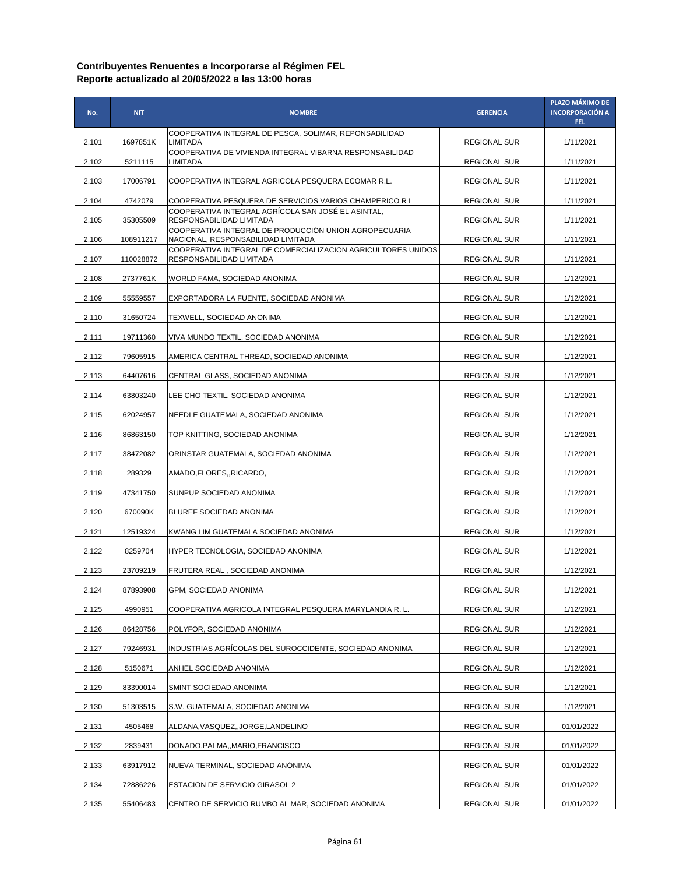| No.   | <b>NIT</b> | <b>NOMBRE</b>                                                                               | <b>GERENCIA</b>                            | <b>PLAZO MÁXIMO DE</b><br><b>INCORPORACIÓN A</b><br>FEL. |
|-------|------------|---------------------------------------------------------------------------------------------|--------------------------------------------|----------------------------------------------------------|
| 2,101 | 1697851K   | COOPERATIVA INTEGRAL DE PESCA, SOLIMAR, REPONSABILIDAD<br>LIMITADA                          | <b>REGIONAL SUR</b>                        | 1/11/2021                                                |
| 2,102 | 5211115    | COOPERATIVA DE VIVIENDA INTEGRAL VIBARNA RESPONSABILIDAD<br>LIMITADA                        | <b>REGIONAL SUR</b>                        | 1/11/2021                                                |
| 2,103 | 17006791   | COOPERATIVA INTEGRAL AGRICOLA PESQUERA ECOMAR R.L.                                          | <b>REGIONAL SUR</b>                        | 1/11/2021                                                |
| 2,104 | 4742079    | COOPERATIVA PESQUERA DE SERVICIOS VARIOS CHAMPERICO R L                                     | <b>REGIONAL SUR</b>                        | 1/11/2021                                                |
| 2,105 | 35305509   | COOPERATIVA INTEGRAL AGRÍCOLA SAN JOSÉ EL ASINTAL,<br>RESPONSABILIDAD LIMITADA              | <b>REGIONAL SUR</b>                        | 1/11/2021                                                |
| 2,106 | 108911217  | COOPERATIVA INTEGRAL DE PRODUCCIÓN UNIÓN AGROPECUARIA<br>NACIONAL, RESPONSABILIDAD LIMITADA | <b>REGIONAL SUR</b>                        | 1/11/2021                                                |
| 2,107 | 110028872  | COOPERATIVA INTEGRAL DE COMERCIALIZACION AGRICULTORES UNIDOS<br>RESPONSABILIDAD LIMITADA    | <b>REGIONAL SUR</b>                        | 1/11/2021                                                |
| 2,108 | 2737761K   | WORLD FAMA, SOCIEDAD ANONIMA                                                                | <b>REGIONAL SUR</b>                        | 1/12/2021                                                |
| 2,109 | 55559557   | EXPORTADORA LA FUENTE, SOCIEDAD ANONIMA                                                     | <b>REGIONAL SUR</b>                        | 1/12/2021                                                |
| 2,110 | 31650724   | TEXWELL, SOCIEDAD ANONIMA                                                                   | <b>REGIONAL SUR</b>                        | 1/12/2021                                                |
| 2,111 | 19711360   | VIVA MUNDO TEXTIL, SOCIEDAD ANONIMA                                                         | <b>REGIONAL SUR</b>                        | 1/12/2021                                                |
| 2,112 | 79605915   | AMERICA CENTRAL THREAD, SOCIEDAD ANONIMA                                                    | <b>REGIONAL SUR</b>                        | 1/12/2021                                                |
|       | 64407616   |                                                                                             |                                            | 1/12/2021                                                |
| 2,113 | 63803240   | CENTRAL GLASS, SOCIEDAD ANONIMA                                                             | <b>REGIONAL SUR</b><br><b>REGIONAL SUR</b> |                                                          |
| 2,114 |            | LEE CHO TEXTIL, SOCIEDAD ANONIMA                                                            |                                            | 1/12/2021                                                |
| 2,115 | 62024957   | NEEDLE GUATEMALA, SOCIEDAD ANONIMA                                                          | <b>REGIONAL SUR</b>                        | 1/12/2021                                                |
| 2,116 | 86863150   | TOP KNITTING, SOCIEDAD ANONIMA                                                              | <b>REGIONAL SUR</b>                        | 1/12/2021                                                |
| 2,117 | 38472082   | ORINSTAR GUATEMALA, SOCIEDAD ANONIMA                                                        | <b>REGIONAL SUR</b>                        | 1/12/2021                                                |
| 2,118 | 289329     | AMADO, FLORES, , RICARDO,                                                                   | <b>REGIONAL SUR</b>                        | 1/12/2021                                                |
| 2,119 | 47341750   | SUNPUP SOCIEDAD ANONIMA                                                                     | <b>REGIONAL SUR</b>                        | 1/12/2021                                                |
| 2,120 | 670090K    | BLUREF SOCIEDAD ANONIMA                                                                     | <b>REGIONAL SUR</b>                        | 1/12/2021                                                |
| 2,121 | 12519324   | KWANG LIM GUATEMALA SOCIEDAD ANONIMA                                                        | <b>REGIONAL SUR</b>                        | 1/12/2021                                                |
| 2,122 | 8259704    | HYPER TECNOLOGIA, SOCIEDAD ANONIMA                                                          | <b>REGIONAL SUR</b>                        | 1/12/2021                                                |
| 2,123 | 23709219   | FRUTERA REAL, SOCIEDAD ANONIMA                                                              | <b>REGIONAL SUR</b>                        | 1/12/2021                                                |
| 2,124 | 87893908   | GPM, SOCIEDAD ANONIMA                                                                       | <b>REGIONAL SUR</b>                        | 1/12/2021                                                |
| 2,125 | 4990951    | COOPERATIVA AGRICOLA INTEGRAL PESQUERA MARYLANDIA R. L.                                     | <b>REGIONAL SUR</b>                        | 1/12/2021                                                |
| 2,126 | 86428756   | POLYFOR, SOCIEDAD ANONIMA                                                                   | <b>REGIONAL SUR</b>                        | 1/12/2021                                                |
| 2,127 | 79246931   | INDUSTRIAS AGRÍCOLAS DEL SUROCCIDENTE, SOCIEDAD ANONIMA                                     | <b>REGIONAL SUR</b>                        | 1/12/2021                                                |
| 2,128 | 5150671    | ANHEL SOCIEDAD ANONIMA                                                                      | <b>REGIONAL SUR</b>                        | 1/12/2021                                                |
| 2,129 | 83390014   | SMINT SOCIEDAD ANONIMA                                                                      | <b>REGIONAL SUR</b>                        | 1/12/2021                                                |
| 2,130 | 51303515   | S.W. GUATEMALA, SOCIEDAD ANONIMA                                                            | <b>REGIONAL SUR</b>                        | 1/12/2021                                                |
| 2,131 | 4505468    | ALDANA, VASQUEZ,, JORGE, LANDELINO                                                          | <b>REGIONAL SUR</b>                        | 01/01/2022                                               |
| 2,132 | 2839431    | DONADO, PALMA, , MARIO, FRANCISCO                                                           | <b>REGIONAL SUR</b>                        | 01/01/2022                                               |
| 2,133 | 63917912   | NUEVA TERMINAL, SOCIEDAD ANONIMA                                                            | <b>REGIONAL SUR</b>                        | 01/01/2022                                               |
| 2,134 | 72886226   | ESTACION DE SERVICIO GIRASOL 2                                                              | <b>REGIONAL SUR</b>                        | 01/01/2022                                               |
| 2,135 | 55406483   | CENTRO DE SERVICIO RUMBO AL MAR, SOCIEDAD ANONIMA                                           | REGIONAL SUR                               | 01/01/2022                                               |